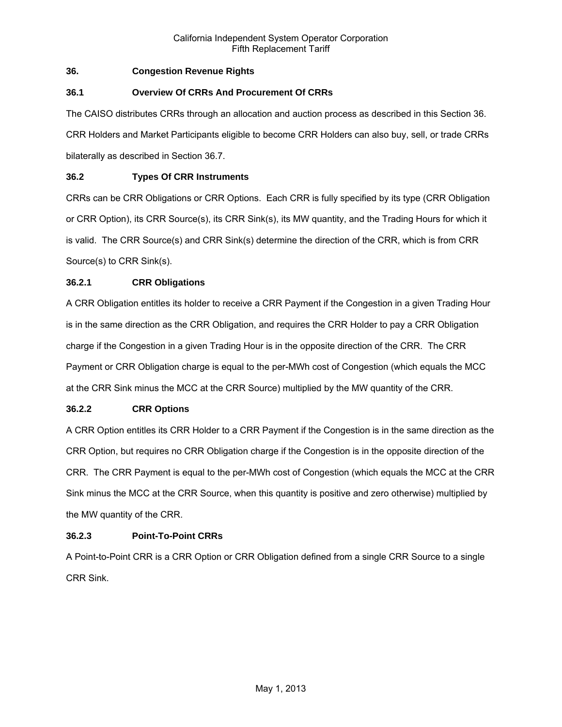# **36. Congestion Revenue Rights**

# **36.1 Overview Of CRRs And Procurement Of CRRs**

The CAISO distributes CRRs through an allocation and auction process as described in this Section 36. CRR Holders and Market Participants eligible to become CRR Holders can also buy, sell, or trade CRRs bilaterally as described in Section 36.7.

# **36.2 Types Of CRR Instruments**

CRRs can be CRR Obligations or CRR Options. Each CRR is fully specified by its type (CRR Obligation or CRR Option), its CRR Source(s), its CRR Sink(s), its MW quantity, and the Trading Hours for which it is valid. The CRR Source(s) and CRR Sink(s) determine the direction of the CRR, which is from CRR Source(s) to CRR Sink(s).

# **36.2.1 CRR Obligations**

A CRR Obligation entitles its holder to receive a CRR Payment if the Congestion in a given Trading Hour is in the same direction as the CRR Obligation, and requires the CRR Holder to pay a CRR Obligation charge if the Congestion in a given Trading Hour is in the opposite direction of the CRR. The CRR Payment or CRR Obligation charge is equal to the per-MWh cost of Congestion (which equals the MCC at the CRR Sink minus the MCC at the CRR Source) multiplied by the MW quantity of the CRR.

# **36.2.2 CRR Options**

A CRR Option entitles its CRR Holder to a CRR Payment if the Congestion is in the same direction as the CRR Option, but requires no CRR Obligation charge if the Congestion is in the opposite direction of the CRR. The CRR Payment is equal to the per-MWh cost of Congestion (which equals the MCC at the CRR Sink minus the MCC at the CRR Source, when this quantity is positive and zero otherwise) multiplied by the MW quantity of the CRR.

# **36.2.3 Point-To-Point CRRs**

A Point-to-Point CRR is a CRR Option or CRR Obligation defined from a single CRR Source to a single CRR Sink.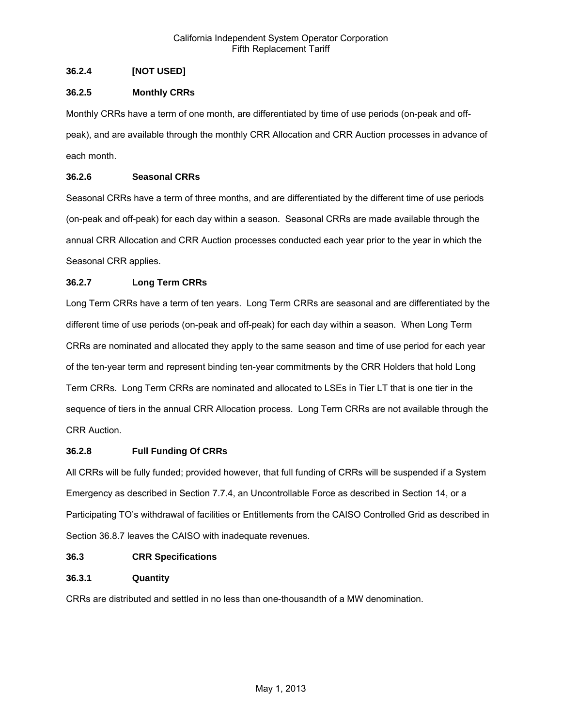# **36.2.4 [NOT USED]**

# **36.2.5 Monthly CRRs**

Monthly CRRs have a term of one month, are differentiated by time of use periods (on-peak and offpeak), and are available through the monthly CRR Allocation and CRR Auction processes in advance of each month.

# **36.2.6 Seasonal CRRs**

Seasonal CRRs have a term of three months, and are differentiated by the different time of use periods (on-peak and off-peak) for each day within a season. Seasonal CRRs are made available through the annual CRR Allocation and CRR Auction processes conducted each year prior to the year in which the Seasonal CRR applies.

# **36.2.7 Long Term CRRs**

Long Term CRRs have a term of ten years. Long Term CRRs are seasonal and are differentiated by the different time of use periods (on-peak and off-peak) for each day within a season. When Long Term CRRs are nominated and allocated they apply to the same season and time of use period for each year of the ten-year term and represent binding ten-year commitments by the CRR Holders that hold Long Term CRRs. Long Term CRRs are nominated and allocated to LSEs in Tier LT that is one tier in the sequence of tiers in the annual CRR Allocation process. Long Term CRRs are not available through the CRR Auction.

# **36.2.8 Full Funding Of CRRs**

All CRRs will be fully funded; provided however, that full funding of CRRs will be suspended if a System Emergency as described in Section 7.7.4, an Uncontrollable Force as described in Section 14, or a Participating TO's withdrawal of facilities or Entitlements from the CAISO Controlled Grid as described in Section 36.8.7 leaves the CAISO with inadequate revenues.

# **36.3 CRR Specifications**

# **36.3.1 Quantity**

CRRs are distributed and settled in no less than one-thousandth of a MW denomination.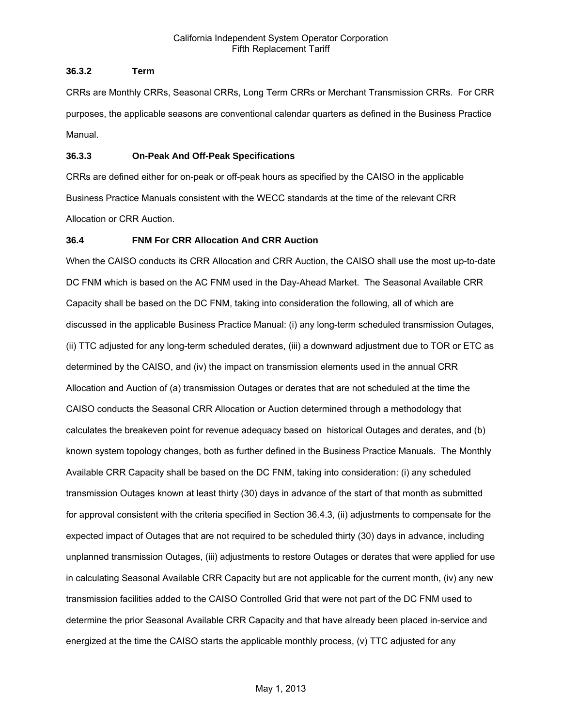# **36.3.2 Term**

CRRs are Monthly CRRs, Seasonal CRRs, Long Term CRRs or Merchant Transmission CRRs. For CRR purposes, the applicable seasons are conventional calendar quarters as defined in the Business Practice Manual.

## **36.3.3 On-Peak And Off-Peak Specifications**

CRRs are defined either for on-peak or off-peak hours as specified by the CAISO in the applicable Business Practice Manuals consistent with the WECC standards at the time of the relevant CRR Allocation or CRR Auction.

# **36.4 FNM For CRR Allocation And CRR Auction**

When the CAISO conducts its CRR Allocation and CRR Auction, the CAISO shall use the most up-to-date DC FNM which is based on the AC FNM used in the Day-Ahead Market. The Seasonal Available CRR Capacity shall be based on the DC FNM, taking into consideration the following, all of which are discussed in the applicable Business Practice Manual: (i) any long-term scheduled transmission Outages, (ii) TTC adjusted for any long-term scheduled derates, (iii) a downward adjustment due to TOR or ETC as determined by the CAISO, and (iv) the impact on transmission elements used in the annual CRR Allocation and Auction of (a) transmission Outages or derates that are not scheduled at the time the CAISO conducts the Seasonal CRR Allocation or Auction determined through a methodology that calculates the breakeven point for revenue adequacy based on historical Outages and derates, and (b) known system topology changes, both as further defined in the Business Practice Manuals. The Monthly Available CRR Capacity shall be based on the DC FNM, taking into consideration: (i) any scheduled transmission Outages known at least thirty (30) days in advance of the start of that month as submitted for approval consistent with the criteria specified in Section 36.4.3, (ii) adjustments to compensate for the expected impact of Outages that are not required to be scheduled thirty (30) days in advance, including unplanned transmission Outages, (iii) adjustments to restore Outages or derates that were applied for use in calculating Seasonal Available CRR Capacity but are not applicable for the current month, (iv) any new transmission facilities added to the CAISO Controlled Grid that were not part of the DC FNM used to determine the prior Seasonal Available CRR Capacity and that have already been placed in-service and energized at the time the CAISO starts the applicable monthly process, (v) TTC adjusted for any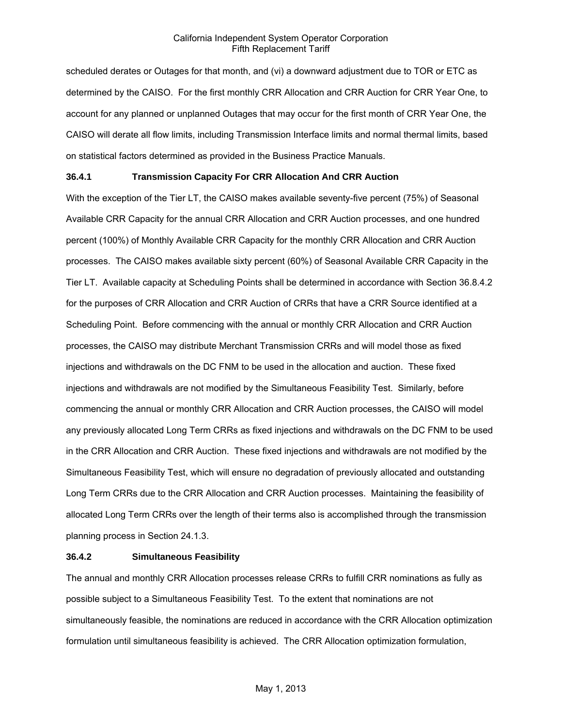scheduled derates or Outages for that month, and (vi) a downward adjustment due to TOR or ETC as determined by the CAISO. For the first monthly CRR Allocation and CRR Auction for CRR Year One, to account for any planned or unplanned Outages that may occur for the first month of CRR Year One, the CAISO will derate all flow limits, including Transmission Interface limits and normal thermal limits, based on statistical factors determined as provided in the Business Practice Manuals.

## **36.4.1 Transmission Capacity For CRR Allocation And CRR Auction**

With the exception of the Tier LT, the CAISO makes available seventy-five percent (75%) of Seasonal Available CRR Capacity for the annual CRR Allocation and CRR Auction processes, and one hundred percent (100%) of Monthly Available CRR Capacity for the monthly CRR Allocation and CRR Auction processes. The CAISO makes available sixty percent (60%) of Seasonal Available CRR Capacity in the Tier LT. Available capacity at Scheduling Points shall be determined in accordance with Section 36.8.4.2 for the purposes of CRR Allocation and CRR Auction of CRRs that have a CRR Source identified at a Scheduling Point. Before commencing with the annual or monthly CRR Allocation and CRR Auction processes, the CAISO may distribute Merchant Transmission CRRs and will model those as fixed injections and withdrawals on the DC FNM to be used in the allocation and auction. These fixed injections and withdrawals are not modified by the Simultaneous Feasibility Test. Similarly, before commencing the annual or monthly CRR Allocation and CRR Auction processes, the CAISO will model any previously allocated Long Term CRRs as fixed injections and withdrawals on the DC FNM to be used in the CRR Allocation and CRR Auction. These fixed injections and withdrawals are not modified by the Simultaneous Feasibility Test, which will ensure no degradation of previously allocated and outstanding Long Term CRRs due to the CRR Allocation and CRR Auction processes. Maintaining the feasibility of allocated Long Term CRRs over the length of their terms also is accomplished through the transmission planning process in Section 24.1.3.

## **36.4.2 Simultaneous Feasibility**

The annual and monthly CRR Allocation processes release CRRs to fulfill CRR nominations as fully as possible subject to a Simultaneous Feasibility Test. To the extent that nominations are not simultaneously feasible, the nominations are reduced in accordance with the CRR Allocation optimization formulation until simultaneous feasibility is achieved. The CRR Allocation optimization formulation,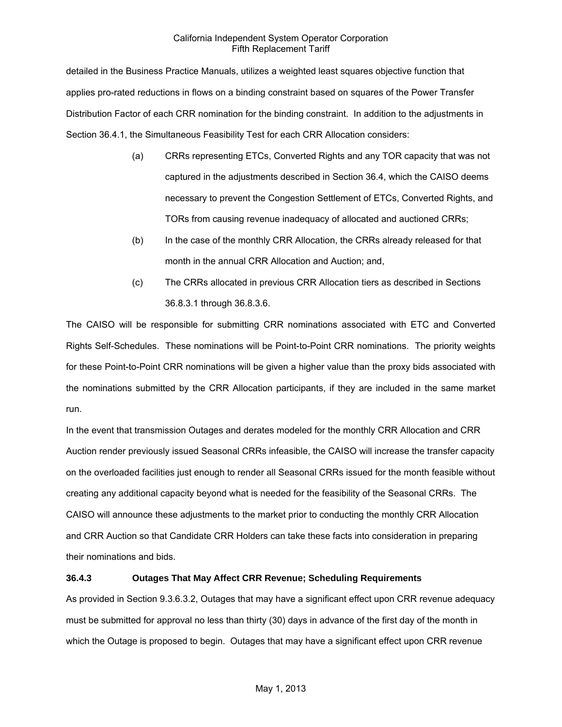detailed in the Business Practice Manuals, utilizes a weighted least squares objective function that applies pro-rated reductions in flows on a binding constraint based on squares of the Power Transfer Distribution Factor of each CRR nomination for the binding constraint. In addition to the adjustments in Section 36.4.1, the Simultaneous Feasibility Test for each CRR Allocation considers:

- (a) CRRs representing ETCs, Converted Rights and any TOR capacity that was not captured in the adjustments described in Section 36.4, which the CAISO deems necessary to prevent the Congestion Settlement of ETCs, Converted Rights, and TORs from causing revenue inadequacy of allocated and auctioned CRRs;
- (b) In the case of the monthly CRR Allocation, the CRRs already released for that month in the annual CRR Allocation and Auction; and,
- (c) The CRRs allocated in previous CRR Allocation tiers as described in Sections 36.8.3.1 through 36.8.3.6.

The CAISO will be responsible for submitting CRR nominations associated with ETC and Converted Rights Self-Schedules. These nominations will be Point-to-Point CRR nominations. The priority weights for these Point-to-Point CRR nominations will be given a higher value than the proxy bids associated with the nominations submitted by the CRR Allocation participants, if they are included in the same market run.

In the event that transmission Outages and derates modeled for the monthly CRR Allocation and CRR Auction render previously issued Seasonal CRRs infeasible, the CAISO will increase the transfer capacity on the overloaded facilities just enough to render all Seasonal CRRs issued for the month feasible without creating any additional capacity beyond what is needed for the feasibility of the Seasonal CRRs. The CAISO will announce these adjustments to the market prior to conducting the monthly CRR Allocation and CRR Auction so that Candidate CRR Holders can take these facts into consideration in preparing their nominations and bids.

# **36.4.3 Outages That May Affect CRR Revenue; Scheduling Requirements**

As provided in Section 9.3.6.3.2, Outages that may have a significant effect upon CRR revenue adequacy must be submitted for approval no less than thirty (30) days in advance of the first day of the month in which the Outage is proposed to begin. Outages that may have a significant effect upon CRR revenue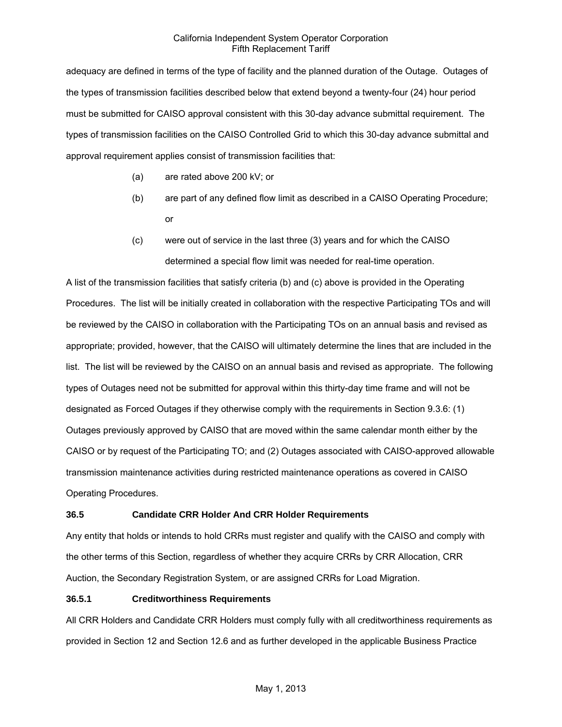adequacy are defined in terms of the type of facility and the planned duration of the Outage. Outages of the types of transmission facilities described below that extend beyond a twenty-four (24) hour period must be submitted for CAISO approval consistent with this 30-day advance submittal requirement. The types of transmission facilities on the CAISO Controlled Grid to which this 30-day advance submittal and approval requirement applies consist of transmission facilities that:

- (a) are rated above 200 kV; or
- (b) are part of any defined flow limit as described in a CAISO Operating Procedure; or
- (c) were out of service in the last three (3) years and for which the CAISO determined a special flow limit was needed for real-time operation.

A list of the transmission facilities that satisfy criteria (b) and (c) above is provided in the Operating Procedures. The list will be initially created in collaboration with the respective Participating TOs and will be reviewed by the CAISO in collaboration with the Participating TOs on an annual basis and revised as appropriate; provided, however, that the CAISO will ultimately determine the lines that are included in the list. The list will be reviewed by the CAISO on an annual basis and revised as appropriate. The following types of Outages need not be submitted for approval within this thirty-day time frame and will not be designated as Forced Outages if they otherwise comply with the requirements in Section 9.3.6: (1) Outages previously approved by CAISO that are moved within the same calendar month either by the CAISO or by request of the Participating TO; and (2) Outages associated with CAISO-approved allowable transmission maintenance activities during restricted maintenance operations as covered in CAISO Operating Procedures.

# **36.5 Candidate CRR Holder And CRR Holder Requirements**

Any entity that holds or intends to hold CRRs must register and qualify with the CAISO and comply with the other terms of this Section, regardless of whether they acquire CRRs by CRR Allocation, CRR Auction, the Secondary Registration System, or are assigned CRRs for Load Migration.

## **36.5.1 Creditworthiness Requirements**

All CRR Holders and Candidate CRR Holders must comply fully with all creditworthiness requirements as provided in Section 12 and Section 12.6 and as further developed in the applicable Business Practice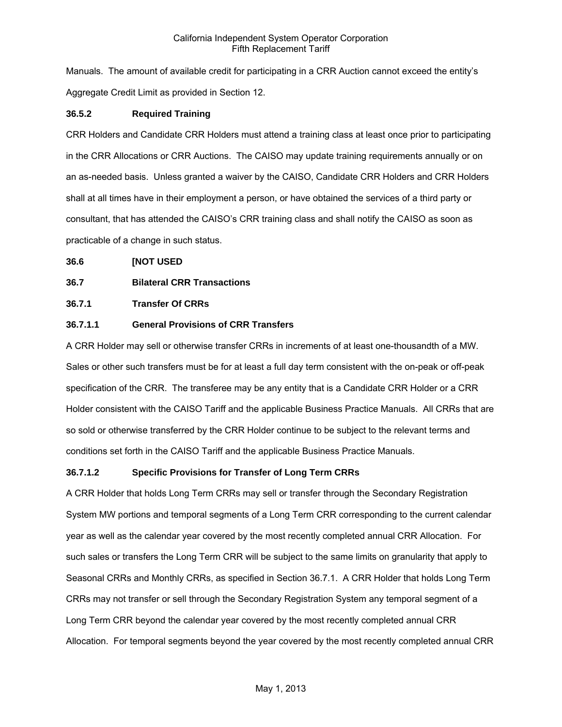Manuals. The amount of available credit for participating in a CRR Auction cannot exceed the entity's Aggregate Credit Limit as provided in Section 12.

# **36.5.2 Required Training**

CRR Holders and Candidate CRR Holders must attend a training class at least once prior to participating in the CRR Allocations or CRR Auctions. The CAISO may update training requirements annually or on an as-needed basis. Unless granted a waiver by the CAISO, Candidate CRR Holders and CRR Holders shall at all times have in their employment a person, or have obtained the services of a third party or consultant, that has attended the CAISO's CRR training class and shall notify the CAISO as soon as practicable of a change in such status.

**36.6 [NOT USED** 

# **36.7 Bilateral CRR Transactions**

# **36.7.1 Transfer Of CRRs**

# **36.7.1.1 General Provisions of CRR Transfers**

A CRR Holder may sell or otherwise transfer CRRs in increments of at least one-thousandth of a MW. Sales or other such transfers must be for at least a full day term consistent with the on-peak or off-peak specification of the CRR. The transferee may be any entity that is a Candidate CRR Holder or a CRR Holder consistent with the CAISO Tariff and the applicable Business Practice Manuals. All CRRs that are so sold or otherwise transferred by the CRR Holder continue to be subject to the relevant terms and conditions set forth in the CAISO Tariff and the applicable Business Practice Manuals.

# **36.7.1.2 Specific Provisions for Transfer of Long Term CRRs**

A CRR Holder that holds Long Term CRRs may sell or transfer through the Secondary Registration System MW portions and temporal segments of a Long Term CRR corresponding to the current calendar year as well as the calendar year covered by the most recently completed annual CRR Allocation. For such sales or transfers the Long Term CRR will be subject to the same limits on granularity that apply to Seasonal CRRs and Monthly CRRs, as specified in Section 36.7.1. A CRR Holder that holds Long Term CRRs may not transfer or sell through the Secondary Registration System any temporal segment of a Long Term CRR beyond the calendar year covered by the most recently completed annual CRR Allocation. For temporal segments beyond the year covered by the most recently completed annual CRR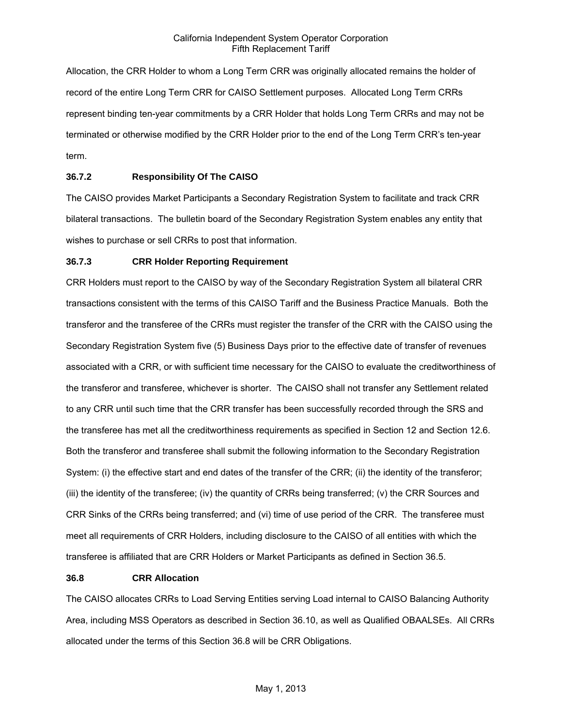Allocation, the CRR Holder to whom a Long Term CRR was originally allocated remains the holder of record of the entire Long Term CRR for CAISO Settlement purposes. Allocated Long Term CRRs represent binding ten-year commitments by a CRR Holder that holds Long Term CRRs and may not be terminated or otherwise modified by the CRR Holder prior to the end of the Long Term CRR's ten-year term.

# **36.7.2 Responsibility Of The CAISO**

The CAISO provides Market Participants a Secondary Registration System to facilitate and track CRR bilateral transactions. The bulletin board of the Secondary Registration System enables any entity that wishes to purchase or sell CRRs to post that information.

## **36.7.3 CRR Holder Reporting Requirement**

CRR Holders must report to the CAISO by way of the Secondary Registration System all bilateral CRR transactions consistent with the terms of this CAISO Tariff and the Business Practice Manuals. Both the transferor and the transferee of the CRRs must register the transfer of the CRR with the CAISO using the Secondary Registration System five (5) Business Days prior to the effective date of transfer of revenues associated with a CRR, or with sufficient time necessary for the CAISO to evaluate the creditworthiness of the transferor and transferee, whichever is shorter. The CAISO shall not transfer any Settlement related to any CRR until such time that the CRR transfer has been successfully recorded through the SRS and the transferee has met all the creditworthiness requirements as specified in Section 12 and Section 12.6. Both the transferor and transferee shall submit the following information to the Secondary Registration System: (i) the effective start and end dates of the transfer of the CRR; (ii) the identity of the transferor; (iii) the identity of the transferee; (iv) the quantity of CRRs being transferred; (v) the CRR Sources and CRR Sinks of the CRRs being transferred; and (vi) time of use period of the CRR. The transferee must meet all requirements of CRR Holders, including disclosure to the CAISO of all entities with which the transferee is affiliated that are CRR Holders or Market Participants as defined in Section 36.5.

## **36.8 CRR Allocation**

The CAISO allocates CRRs to Load Serving Entities serving Load internal to CAISO Balancing Authority Area, including MSS Operators as described in Section 36.10, as well as Qualified OBAALSEs. All CRRs allocated under the terms of this Section 36.8 will be CRR Obligations.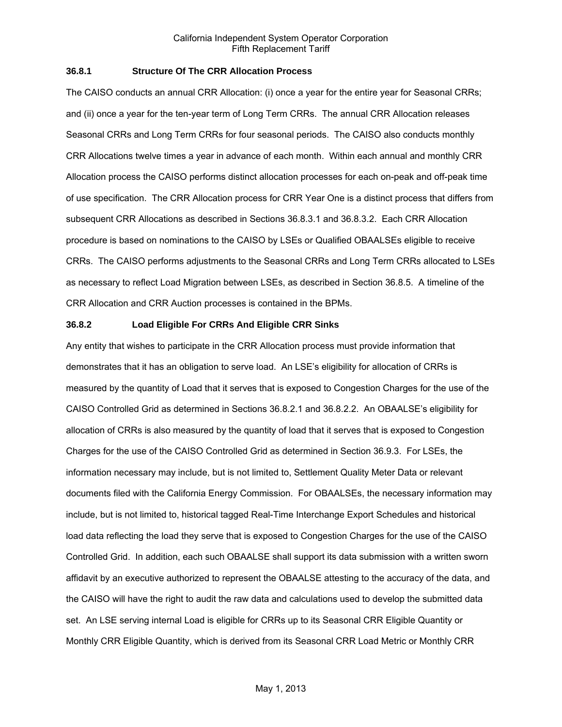## **36.8.1 Structure Of The CRR Allocation Process**

The CAISO conducts an annual CRR Allocation: (i) once a year for the entire year for Seasonal CRRs; and (ii) once a year for the ten-year term of Long Term CRRs. The annual CRR Allocation releases Seasonal CRRs and Long Term CRRs for four seasonal periods. The CAISO also conducts monthly CRR Allocations twelve times a year in advance of each month. Within each annual and monthly CRR Allocation process the CAISO performs distinct allocation processes for each on-peak and off-peak time of use specification. The CRR Allocation process for CRR Year One is a distinct process that differs from subsequent CRR Allocations as described in Sections 36.8.3.1 and 36.8.3.2. Each CRR Allocation procedure is based on nominations to the CAISO by LSEs or Qualified OBAALSEs eligible to receive CRRs. The CAISO performs adjustments to the Seasonal CRRs and Long Term CRRs allocated to LSEs as necessary to reflect Load Migration between LSEs, as described in Section 36.8.5. A timeline of the CRR Allocation and CRR Auction processes is contained in the BPMs.

#### **36.8.2 Load Eligible For CRRs And Eligible CRR Sinks**

Any entity that wishes to participate in the CRR Allocation process must provide information that demonstrates that it has an obligation to serve load. An LSE's eligibility for allocation of CRRs is measured by the quantity of Load that it serves that is exposed to Congestion Charges for the use of the CAISO Controlled Grid as determined in Sections 36.8.2.1 and 36.8.2.2. An OBAALSE's eligibility for allocation of CRRs is also measured by the quantity of load that it serves that is exposed to Congestion Charges for the use of the CAISO Controlled Grid as determined in Section 36.9.3. For LSEs, the information necessary may include, but is not limited to, Settlement Quality Meter Data or relevant documents filed with the California Energy Commission. For OBAALSEs, the necessary information may include, but is not limited to, historical tagged Real-Time Interchange Export Schedules and historical load data reflecting the load they serve that is exposed to Congestion Charges for the use of the CAISO Controlled Grid. In addition, each such OBAALSE shall support its data submission with a written sworn affidavit by an executive authorized to represent the OBAALSE attesting to the accuracy of the data, and the CAISO will have the right to audit the raw data and calculations used to develop the submitted data set. An LSE serving internal Load is eligible for CRRs up to its Seasonal CRR Eligible Quantity or Monthly CRR Eligible Quantity, which is derived from its Seasonal CRR Load Metric or Monthly CRR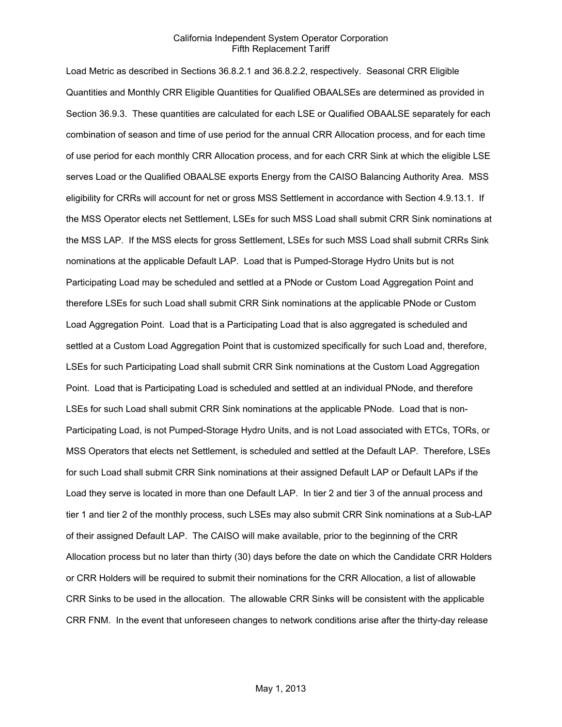Load Metric as described in Sections 36.8.2.1 and 36.8.2.2, respectively. Seasonal CRR Eligible Quantities and Monthly CRR Eligible Quantities for Qualified OBAALSEs are determined as provided in Section 36.9.3. These quantities are calculated for each LSE or Qualified OBAALSE separately for each combination of season and time of use period for the annual CRR Allocation process, and for each time of use period for each monthly CRR Allocation process, and for each CRR Sink at which the eligible LSE serves Load or the Qualified OBAALSE exports Energy from the CAISO Balancing Authority Area. MSS eligibility for CRRs will account for net or gross MSS Settlement in accordance with Section 4.9.13.1. If the MSS Operator elects net Settlement, LSEs for such MSS Load shall submit CRR Sink nominations at the MSS LAP. If the MSS elects for gross Settlement, LSEs for such MSS Load shall submit CRRs Sink nominations at the applicable Default LAP. Load that is Pumped-Storage Hydro Units but is not Participating Load may be scheduled and settled at a PNode or Custom Load Aggregation Point and therefore LSEs for such Load shall submit CRR Sink nominations at the applicable PNode or Custom Load Aggregation Point. Load that is a Participating Load that is also aggregated is scheduled and settled at a Custom Load Aggregation Point that is customized specifically for such Load and, therefore, LSEs for such Participating Load shall submit CRR Sink nominations at the Custom Load Aggregation Point. Load that is Participating Load is scheduled and settled at an individual PNode, and therefore LSEs for such Load shall submit CRR Sink nominations at the applicable PNode. Load that is non-Participating Load, is not Pumped-Storage Hydro Units, and is not Load associated with ETCs, TORs, or MSS Operators that elects net Settlement, is scheduled and settled at the Default LAP. Therefore, LSEs for such Load shall submit CRR Sink nominations at their assigned Default LAP or Default LAPs if the Load they serve is located in more than one Default LAP. In tier 2 and tier 3 of the annual process and tier 1 and tier 2 of the monthly process, such LSEs may also submit CRR Sink nominations at a Sub-LAP of their assigned Default LAP. The CAISO will make available, prior to the beginning of the CRR Allocation process but no later than thirty (30) days before the date on which the Candidate CRR Holders or CRR Holders will be required to submit their nominations for the CRR Allocation, a list of allowable CRR Sinks to be used in the allocation. The allowable CRR Sinks will be consistent with the applicable CRR FNM. In the event that unforeseen changes to network conditions arise after the thirty-day release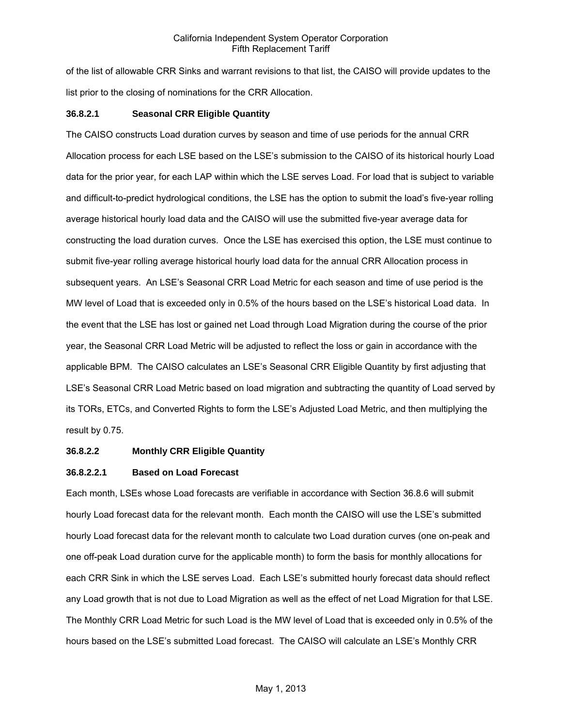of the list of allowable CRR Sinks and warrant revisions to that list, the CAISO will provide updates to the list prior to the closing of nominations for the CRR Allocation.

## **36.8.2.1 Seasonal CRR Eligible Quantity**

The CAISO constructs Load duration curves by season and time of use periods for the annual CRR Allocation process for each LSE based on the LSE's submission to the CAISO of its historical hourly Load data for the prior year, for each LAP within which the LSE serves Load. For load that is subject to variable and difficult-to-predict hydrological conditions, the LSE has the option to submit the load's five-year rolling average historical hourly load data and the CAISO will use the submitted five-year average data for constructing the load duration curves. Once the LSE has exercised this option, the LSE must continue to submit five-year rolling average historical hourly load data for the annual CRR Allocation process in subsequent years. An LSE's Seasonal CRR Load Metric for each season and time of use period is the MW level of Load that is exceeded only in 0.5% of the hours based on the LSE's historical Load data. In the event that the LSE has lost or gained net Load through Load Migration during the course of the prior year, the Seasonal CRR Load Metric will be adjusted to reflect the loss or gain in accordance with the applicable BPM. The CAISO calculates an LSE's Seasonal CRR Eligible Quantity by first adjusting that LSE's Seasonal CRR Load Metric based on load migration and subtracting the quantity of Load served by its TORs, ETCs, and Converted Rights to form the LSE's Adjusted Load Metric, and then multiplying the result by 0.75.

## **36.8.2.2 Monthly CRR Eligible Quantity**

## **36.8.2.2.1 Based on Load Forecast**

Each month, LSEs whose Load forecasts are verifiable in accordance with Section 36.8.6 will submit hourly Load forecast data for the relevant month. Each month the CAISO will use the LSE's submitted hourly Load forecast data for the relevant month to calculate two Load duration curves (one on-peak and one off-peak Load duration curve for the applicable month) to form the basis for monthly allocations for each CRR Sink in which the LSE serves Load. Each LSE's submitted hourly forecast data should reflect any Load growth that is not due to Load Migration as well as the effect of net Load Migration for that LSE. The Monthly CRR Load Metric for such Load is the MW level of Load that is exceeded only in 0.5% of the hours based on the LSE's submitted Load forecast. The CAISO will calculate an LSE's Monthly CRR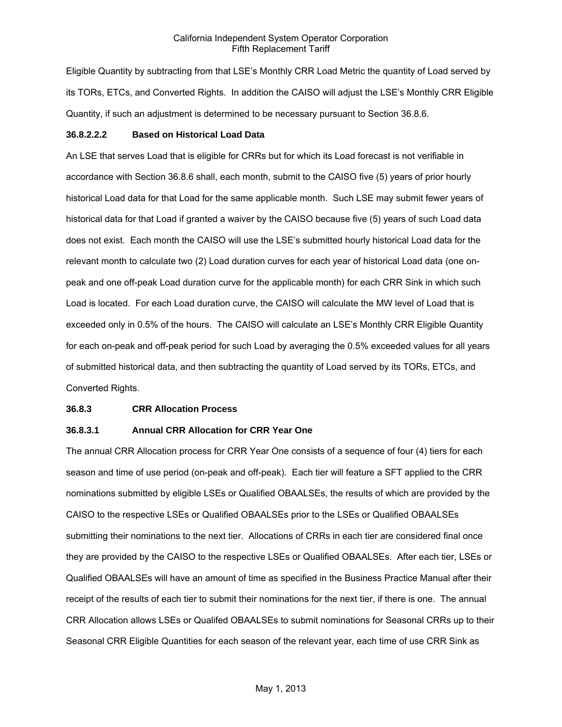Eligible Quantity by subtracting from that LSE's Monthly CRR Load Metric the quantity of Load served by its TORs, ETCs, and Converted Rights. In addition the CAISO will adjust the LSE's Monthly CRR Eligible Quantity, if such an adjustment is determined to be necessary pursuant to Section 36.8.6.

#### **36.8.2.2.2 Based on Historical Load Data**

An LSE that serves Load that is eligible for CRRs but for which its Load forecast is not verifiable in accordance with Section 36.8.6 shall, each month, submit to the CAISO five (5) years of prior hourly historical Load data for that Load for the same applicable month. Such LSE may submit fewer years of historical data for that Load if granted a waiver by the CAISO because five (5) years of such Load data does not exist. Each month the CAISO will use the LSE's submitted hourly historical Load data for the relevant month to calculate two (2) Load duration curves for each year of historical Load data (one onpeak and one off-peak Load duration curve for the applicable month) for each CRR Sink in which such Load is located. For each Load duration curve, the CAISO will calculate the MW level of Load that is exceeded only in 0.5% of the hours. The CAISO will calculate an LSE's Monthly CRR Eligible Quantity for each on-peak and off-peak period for such Load by averaging the 0.5% exceeded values for all years of submitted historical data, and then subtracting the quantity of Load served by its TORs, ETCs, and Converted Rights.

#### **36.8.3 CRR Allocation Process**

# **36.8.3.1 Annual CRR Allocation for CRR Year One**

The annual CRR Allocation process for CRR Year One consists of a sequence of four (4) tiers for each season and time of use period (on-peak and off-peak). Each tier will feature a SFT applied to the CRR nominations submitted by eligible LSEs or Qualified OBAALSEs, the results of which are provided by the CAISO to the respective LSEs or Qualified OBAALSEs prior to the LSEs or Qualified OBAALSEs submitting their nominations to the next tier. Allocations of CRRs in each tier are considered final once they are provided by the CAISO to the respective LSEs or Qualified OBAALSEs. After each tier, LSEs or Qualified OBAALSEs will have an amount of time as specified in the Business Practice Manual after their receipt of the results of each tier to submit their nominations for the next tier, if there is one. The annual CRR Allocation allows LSEs or Qualifed OBAALSEs to submit nominations for Seasonal CRRs up to their Seasonal CRR Eligible Quantities for each season of the relevant year, each time of use CRR Sink as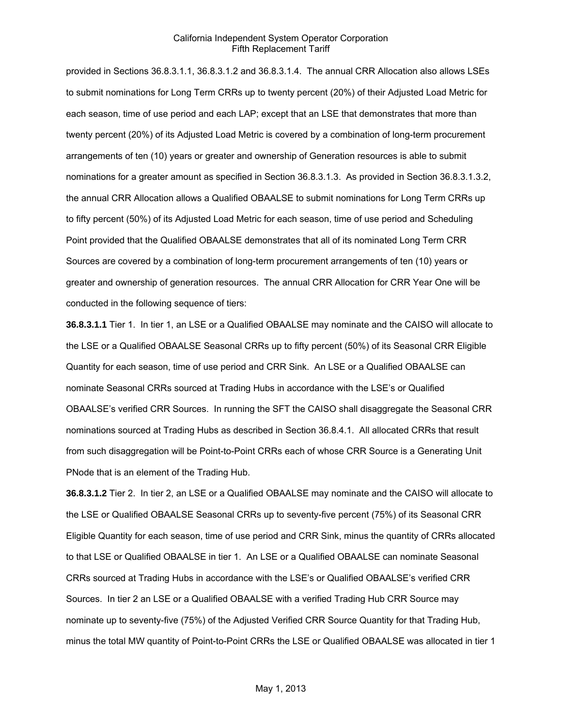provided in Sections 36.8.3.1.1, 36.8.3.1.2 and 36.8.3.1.4. The annual CRR Allocation also allows LSEs to submit nominations for Long Term CRRs up to twenty percent (20%) of their Adjusted Load Metric for each season, time of use period and each LAP; except that an LSE that demonstrates that more than twenty percent (20%) of its Adjusted Load Metric is covered by a combination of long-term procurement arrangements of ten (10) years or greater and ownership of Generation resources is able to submit nominations for a greater amount as specified in Section 36.8.3.1.3. As provided in Section 36.8.3.1.3.2, the annual CRR Allocation allows a Qualified OBAALSE to submit nominations for Long Term CRRs up to fifty percent (50%) of its Adjusted Load Metric for each season, time of use period and Scheduling Point provided that the Qualified OBAALSE demonstrates that all of its nominated Long Term CRR Sources are covered by a combination of long-term procurement arrangements of ten (10) years or greater and ownership of generation resources. The annual CRR Allocation for CRR Year One will be conducted in the following sequence of tiers:

**36.8.3.1.1** Tier 1. In tier 1, an LSE or a Qualified OBAALSE may nominate and the CAISO will allocate to the LSE or a Qualified OBAALSE Seasonal CRRs up to fifty percent (50%) of its Seasonal CRR Eligible Quantity for each season, time of use period and CRR Sink. An LSE or a Qualified OBAALSE can nominate Seasonal CRRs sourced at Trading Hubs in accordance with the LSE's or Qualified OBAALSE's verified CRR Sources. In running the SFT the CAISO shall disaggregate the Seasonal CRR nominations sourced at Trading Hubs as described in Section 36.8.4.1. All allocated CRRs that result from such disaggregation will be Point-to-Point CRRs each of whose CRR Source is a Generating Unit PNode that is an element of the Trading Hub.

**36.8.3.1.2** Tier 2. In tier 2, an LSE or a Qualified OBAALSE may nominate and the CAISO will allocate to the LSE or Qualified OBAALSE Seasonal CRRs up to seventy-five percent (75%) of its Seasonal CRR Eligible Quantity for each season, time of use period and CRR Sink, minus the quantity of CRRs allocated to that LSE or Qualified OBAALSE in tier 1. An LSE or a Qualified OBAALSE can nominate Seasonal CRRs sourced at Trading Hubs in accordance with the LSE's or Qualified OBAALSE's verified CRR Sources. In tier 2 an LSE or a Qualified OBAALSE with a verified Trading Hub CRR Source may nominate up to seventy-five (75%) of the Adjusted Verified CRR Source Quantity for that Trading Hub, minus the total MW quantity of Point-to-Point CRRs the LSE or Qualified OBAALSE was allocated in tier 1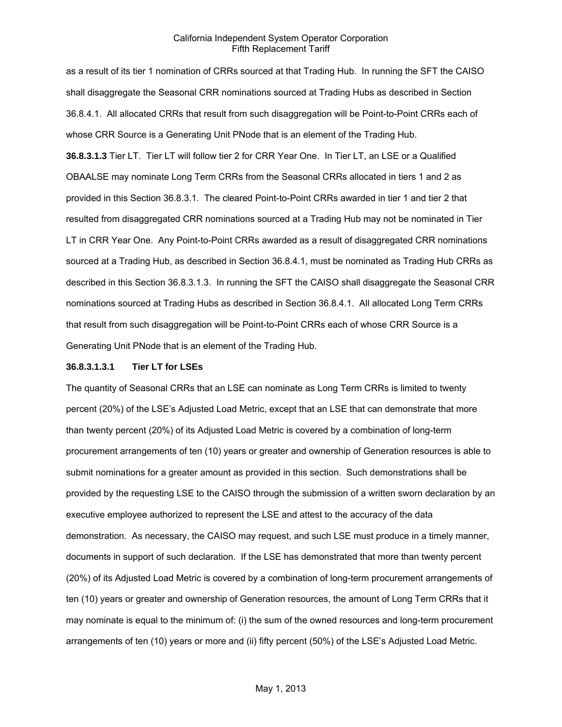as a result of its tier 1 nomination of CRRs sourced at that Trading Hub. In running the SFT the CAISO shall disaggregate the Seasonal CRR nominations sourced at Trading Hubs as described in Section 36.8.4.1. All allocated CRRs that result from such disaggregation will be Point-to-Point CRRs each of whose CRR Source is a Generating Unit PNode that is an element of the Trading Hub.

**36.8.3.1.3** Tier LT. Tier LT will follow tier 2 for CRR Year One. In Tier LT, an LSE or a Qualified OBAALSE may nominate Long Term CRRs from the Seasonal CRRs allocated in tiers 1 and 2 as provided in this Section 36.8.3.1. The cleared Point-to-Point CRRs awarded in tier 1 and tier 2 that resulted from disaggregated CRR nominations sourced at a Trading Hub may not be nominated in Tier LT in CRR Year One. Any Point-to-Point CRRs awarded as a result of disaggregated CRR nominations sourced at a Trading Hub, as described in Section 36.8.4.1, must be nominated as Trading Hub CRRs as described in this Section 36.8.3.1.3. In running the SFT the CAISO shall disaggregate the Seasonal CRR nominations sourced at Trading Hubs as described in Section 36.8.4.1. All allocated Long Term CRRs that result from such disaggregation will be Point-to-Point CRRs each of whose CRR Source is a Generating Unit PNode that is an element of the Trading Hub.

#### **36.8.3.1.3.1 Tier LT for LSEs**

The quantity of Seasonal CRRs that an LSE can nominate as Long Term CRRs is limited to twenty percent (20%) of the LSE's Adjusted Load Metric, except that an LSE that can demonstrate that more than twenty percent (20%) of its Adjusted Load Metric is covered by a combination of long-term procurement arrangements of ten (10) years or greater and ownership of Generation resources is able to submit nominations for a greater amount as provided in this section. Such demonstrations shall be provided by the requesting LSE to the CAISO through the submission of a written sworn declaration by an executive employee authorized to represent the LSE and attest to the accuracy of the data demonstration. As necessary, the CAISO may request, and such LSE must produce in a timely manner, documents in support of such declaration. If the LSE has demonstrated that more than twenty percent (20%) of its Adjusted Load Metric is covered by a combination of long-term procurement arrangements of ten (10) years or greater and ownership of Generation resources, the amount of Long Term CRRs that it may nominate is equal to the minimum of: (i) the sum of the owned resources and long-term procurement arrangements of ten (10) years or more and (ii) fifty percent (50%) of the LSE's Adjusted Load Metric.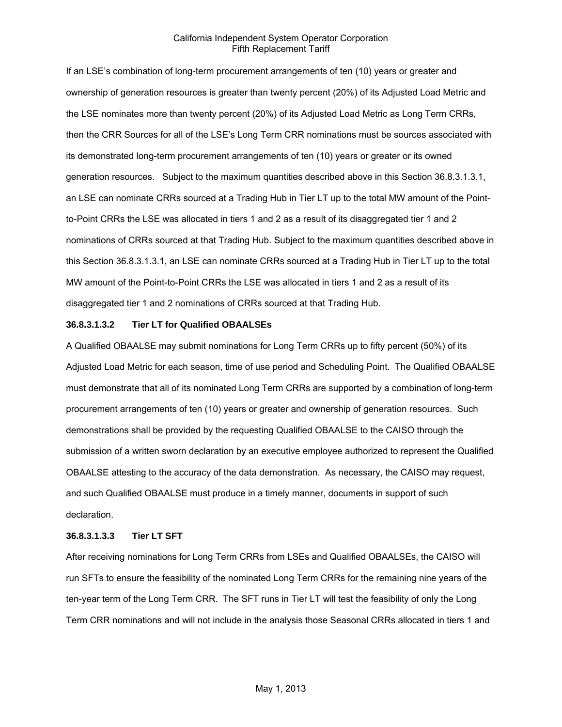If an LSE's combination of long-term procurement arrangements of ten (10) years or greater and ownership of generation resources is greater than twenty percent (20%) of its Adjusted Load Metric and the LSE nominates more than twenty percent (20%) of its Adjusted Load Metric as Long Term CRRs, then the CRR Sources for all of the LSE's Long Term CRR nominations must be sources associated with its demonstrated long-term procurement arrangements of ten (10) years or greater or its owned generation resources. Subject to the maximum quantities described above in this Section 36.8.3.1.3.1, an LSE can nominate CRRs sourced at a Trading Hub in Tier LT up to the total MW amount of the Pointto-Point CRRs the LSE was allocated in tiers 1 and 2 as a result of its disaggregated tier 1 and 2 nominations of CRRs sourced at that Trading Hub. Subject to the maximum quantities described above in this Section 36.8.3.1.3.1, an LSE can nominate CRRs sourced at a Trading Hub in Tier LT up to the total MW amount of the Point-to-Point CRRs the LSE was allocated in tiers 1 and 2 as a result of its disaggregated tier 1 and 2 nominations of CRRs sourced at that Trading Hub.

#### **36.8.3.1.3.2 Tier LT for Qualified OBAALSEs**

A Qualified OBAALSE may submit nominations for Long Term CRRs up to fifty percent (50%) of its Adjusted Load Metric for each season, time of use period and Scheduling Point. The Qualified OBAALSE must demonstrate that all of its nominated Long Term CRRs are supported by a combination of long-term procurement arrangements of ten (10) years or greater and ownership of generation resources. Such demonstrations shall be provided by the requesting Qualified OBAALSE to the CAISO through the submission of a written sworn declaration by an executive employee authorized to represent the Qualified OBAALSE attesting to the accuracy of the data demonstration. As necessary, the CAISO may request, and such Qualified OBAALSE must produce in a timely manner, documents in support of such declaration.

#### **36.8.3.1.3.3 Tier LT SFT**

After receiving nominations for Long Term CRRs from LSEs and Qualified OBAALSEs, the CAISO will run SFTs to ensure the feasibility of the nominated Long Term CRRs for the remaining nine years of the ten-year term of the Long Term CRR. The SFT runs in Tier LT will test the feasibility of only the Long Term CRR nominations and will not include in the analysis those Seasonal CRRs allocated in tiers 1 and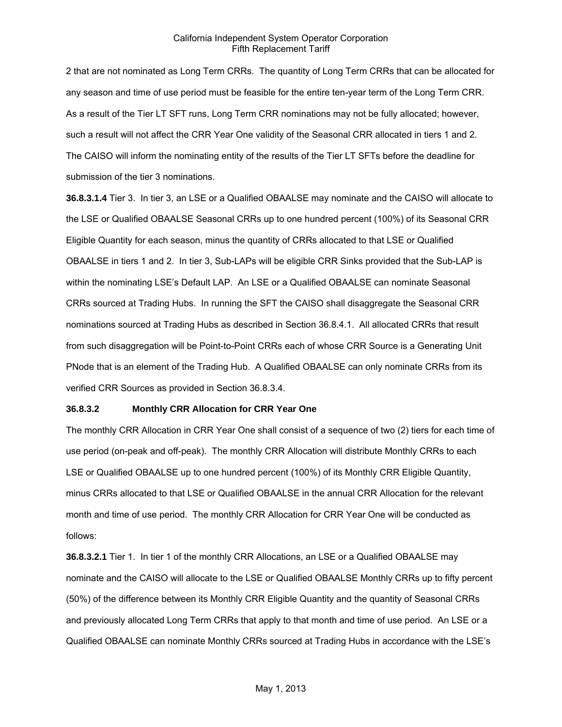2 that are not nominated as Long Term CRRs. The quantity of Long Term CRRs that can be allocated for any season and time of use period must be feasible for the entire ten-year term of the Long Term CRR. As a result of the Tier LT SFT runs, Long Term CRR nominations may not be fully allocated; however, such a result will not affect the CRR Year One validity of the Seasonal CRR allocated in tiers 1 and 2. The CAISO will inform the nominating entity of the results of the Tier LT SFTs before the deadline for submission of the tier 3 nominations.

**36.8.3.1.4** Tier 3. In tier 3, an LSE or a Qualified OBAALSE may nominate and the CAISO will allocate to the LSE or Qualified OBAALSE Seasonal CRRs up to one hundred percent (100%) of its Seasonal CRR Eligible Quantity for each season, minus the quantity of CRRs allocated to that LSE or Qualified OBAALSE in tiers 1 and 2. In tier 3, Sub-LAPs will be eligible CRR Sinks provided that the Sub-LAP is within the nominating LSE's Default LAP. An LSE or a Qualified OBAALSE can nominate Seasonal CRRs sourced at Trading Hubs. In running the SFT the CAISO shall disaggregate the Seasonal CRR nominations sourced at Trading Hubs as described in Section 36.8.4.1. All allocated CRRs that result from such disaggregation will be Point-to-Point CRRs each of whose CRR Source is a Generating Unit PNode that is an element of the Trading Hub. A Qualified OBAALSE can only nominate CRRs from its verified CRR Sources as provided in Section 36.8.3.4.

#### **36.8.3.2 Monthly CRR Allocation for CRR Year One**

The monthly CRR Allocation in CRR Year One shall consist of a sequence of two (2) tiers for each time of use period (on-peak and off-peak). The monthly CRR Allocation will distribute Monthly CRRs to each LSE or Qualified OBAALSE up to one hundred percent (100%) of its Monthly CRR Eligible Quantity, minus CRRs allocated to that LSE or Qualified OBAALSE in the annual CRR Allocation for the relevant month and time of use period. The monthly CRR Allocation for CRR Year One will be conducted as follows:

**36.8.3.2.1** Tier 1. In tier 1 of the monthly CRR Allocations, an LSE or a Qualified OBAALSE may nominate and the CAISO will allocate to the LSE or Qualified OBAALSE Monthly CRRs up to fifty percent (50%) of the difference between its Monthly CRR Eligible Quantity and the quantity of Seasonal CRRs and previously allocated Long Term CRRs that apply to that month and time of use period. An LSE or a Qualified OBAALSE can nominate Monthly CRRs sourced at Trading Hubs in accordance with the LSE's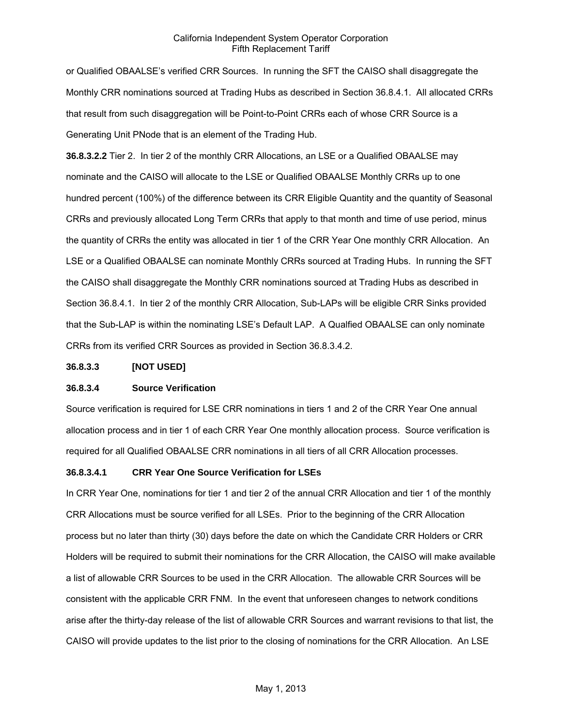or Qualified OBAALSE's verified CRR Sources. In running the SFT the CAISO shall disaggregate the Monthly CRR nominations sourced at Trading Hubs as described in Section 36.8.4.1. All allocated CRRs that result from such disaggregation will be Point-to-Point CRRs each of whose CRR Source is a Generating Unit PNode that is an element of the Trading Hub.

**36.8.3.2.2** Tier 2. In tier 2 of the monthly CRR Allocations, an LSE or a Qualified OBAALSE may nominate and the CAISO will allocate to the LSE or Qualified OBAALSE Monthly CRRs up to one hundred percent (100%) of the difference between its CRR Eligible Quantity and the quantity of Seasonal CRRs and previously allocated Long Term CRRs that apply to that month and time of use period, minus the quantity of CRRs the entity was allocated in tier 1 of the CRR Year One monthly CRR Allocation. An LSE or a Qualified OBAALSE can nominate Monthly CRRs sourced at Trading Hubs. In running the SFT the CAISO shall disaggregate the Monthly CRR nominations sourced at Trading Hubs as described in Section 36.8.4.1. In tier 2 of the monthly CRR Allocation, Sub-LAPs will be eligible CRR Sinks provided that the Sub-LAP is within the nominating LSE's Default LAP. A Qualfied OBAALSE can only nominate CRRs from its verified CRR Sources as provided in Section 36.8.3.4.2.

#### **36.8.3.3 [NOT USED]**

## **36.8.3.4 Source Verification**

Source verification is required for LSE CRR nominations in tiers 1 and 2 of the CRR Year One annual allocation process and in tier 1 of each CRR Year One monthly allocation process. Source verification is required for all Qualified OBAALSE CRR nominations in all tiers of all CRR Allocation processes.

## **36.8.3.4.1 CRR Year One Source Verification for LSEs**

In CRR Year One, nominations for tier 1 and tier 2 of the annual CRR Allocation and tier 1 of the monthly CRR Allocations must be source verified for all LSEs. Prior to the beginning of the CRR Allocation process but no later than thirty (30) days before the date on which the Candidate CRR Holders or CRR Holders will be required to submit their nominations for the CRR Allocation, the CAISO will make available a list of allowable CRR Sources to be used in the CRR Allocation. The allowable CRR Sources will be consistent with the applicable CRR FNM. In the event that unforeseen changes to network conditions arise after the thirty-day release of the list of allowable CRR Sources and warrant revisions to that list, the CAISO will provide updates to the list prior to the closing of nominations for the CRR Allocation. An LSE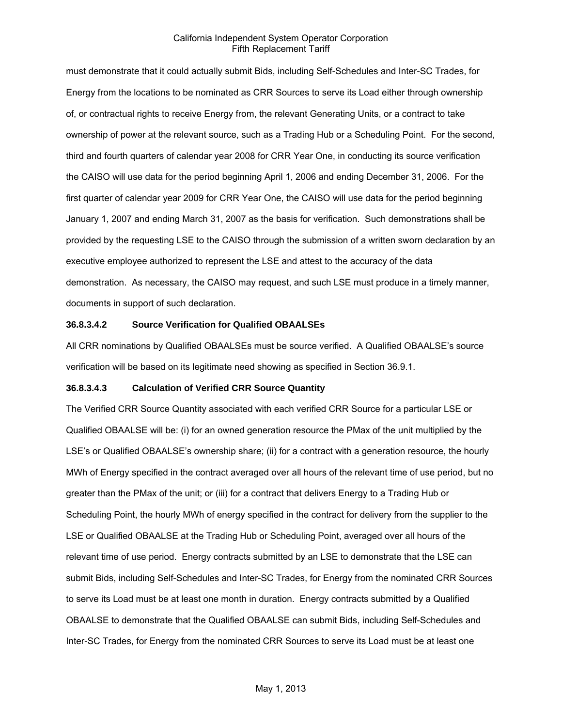must demonstrate that it could actually submit Bids, including Self-Schedules and Inter-SC Trades, for Energy from the locations to be nominated as CRR Sources to serve its Load either through ownership of, or contractual rights to receive Energy from, the relevant Generating Units, or a contract to take ownership of power at the relevant source, such as a Trading Hub or a Scheduling Point. For the second, third and fourth quarters of calendar year 2008 for CRR Year One, in conducting its source verification the CAISO will use data for the period beginning April 1, 2006 and ending December 31, 2006. For the first quarter of calendar year 2009 for CRR Year One, the CAISO will use data for the period beginning January 1, 2007 and ending March 31, 2007 as the basis for verification. Such demonstrations shall be provided by the requesting LSE to the CAISO through the submission of a written sworn declaration by an executive employee authorized to represent the LSE and attest to the accuracy of the data demonstration. As necessary, the CAISO may request, and such LSE must produce in a timely manner, documents in support of such declaration.

## **36.8.3.4.2 Source Verification for Qualified OBAALSEs**

All CRR nominations by Qualified OBAALSEs must be source verified. A Qualified OBAALSE's source verification will be based on its legitimate need showing as specified in Section 36.9.1.

## **36.8.3.4.3 Calculation of Verified CRR Source Quantity**

The Verified CRR Source Quantity associated with each verified CRR Source for a particular LSE or Qualified OBAALSE will be: (i) for an owned generation resource the PMax of the unit multiplied by the LSE's or Qualified OBAALSE's ownership share; (ii) for a contract with a generation resource, the hourly MWh of Energy specified in the contract averaged over all hours of the relevant time of use period, but no greater than the PMax of the unit; or (iii) for a contract that delivers Energy to a Trading Hub or Scheduling Point, the hourly MWh of energy specified in the contract for delivery from the supplier to the LSE or Qualified OBAALSE at the Trading Hub or Scheduling Point, averaged over all hours of the relevant time of use period. Energy contracts submitted by an LSE to demonstrate that the LSE can submit Bids, including Self-Schedules and Inter-SC Trades, for Energy from the nominated CRR Sources to serve its Load must be at least one month in duration. Energy contracts submitted by a Qualified OBAALSE to demonstrate that the Qualified OBAALSE can submit Bids, including Self-Schedules and Inter-SC Trades, for Energy from the nominated CRR Sources to serve its Load must be at least one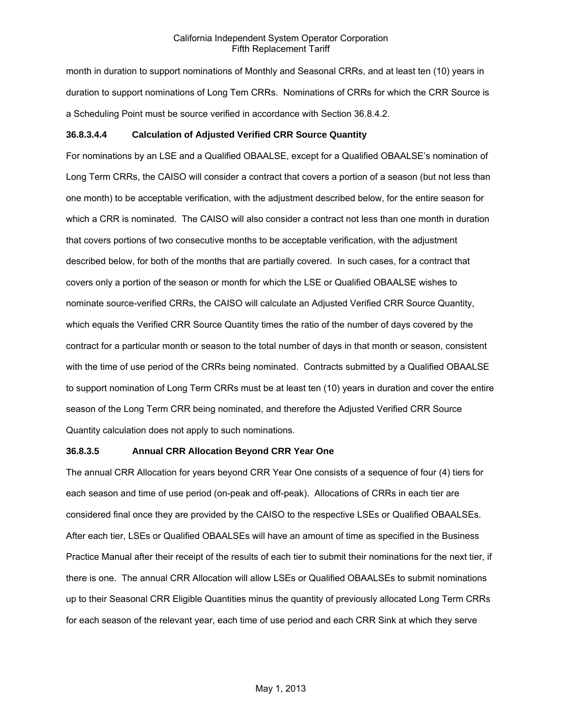month in duration to support nominations of Monthly and Seasonal CRRs, and at least ten (10) years in duration to support nominations of Long Tem CRRs. Nominations of CRRs for which the CRR Source is a Scheduling Point must be source verified in accordance with Section 36.8.4.2.

## **36.8.3.4.4 Calculation of Adjusted Verified CRR Source Quantity**

For nominations by an LSE and a Qualified OBAALSE, except for a Qualified OBAALSE's nomination of Long Term CRRs, the CAISO will consider a contract that covers a portion of a season (but not less than one month) to be acceptable verification, with the adjustment described below, for the entire season for which a CRR is nominated. The CAISO will also consider a contract not less than one month in duration that covers portions of two consecutive months to be acceptable verification, with the adjustment described below, for both of the months that are partially covered. In such cases, for a contract that covers only a portion of the season or month for which the LSE or Qualified OBAALSE wishes to nominate source-verified CRRs, the CAISO will calculate an Adjusted Verified CRR Source Quantity, which equals the Verified CRR Source Quantity times the ratio of the number of days covered by the contract for a particular month or season to the total number of days in that month or season, consistent with the time of use period of the CRRs being nominated. Contracts submitted by a Qualified OBAALSE to support nomination of Long Term CRRs must be at least ten (10) years in duration and cover the entire season of the Long Term CRR being nominated, and therefore the Adjusted Verified CRR Source Quantity calculation does not apply to such nominations.

## **36.8.3.5 Annual CRR Allocation Beyond CRR Year One**

The annual CRR Allocation for years beyond CRR Year One consists of a sequence of four (4) tiers for each season and time of use period (on-peak and off-peak). Allocations of CRRs in each tier are considered final once they are provided by the CAISO to the respective LSEs or Qualified OBAALSEs. After each tier, LSEs or Qualified OBAALSEs will have an amount of time as specified in the Business Practice Manual after their receipt of the results of each tier to submit their nominations for the next tier, if there is one. The annual CRR Allocation will allow LSEs or Qualified OBAALSEs to submit nominations up to their Seasonal CRR Eligible Quantities minus the quantity of previously allocated Long Term CRRs for each season of the relevant year, each time of use period and each CRR Sink at which they serve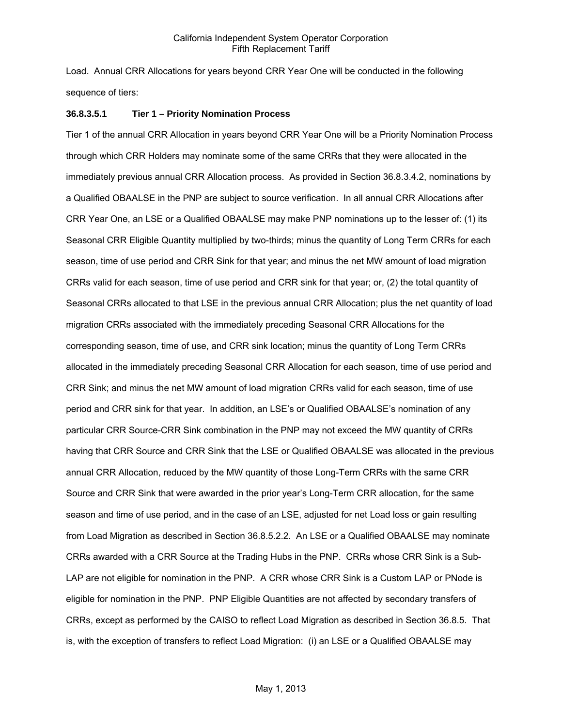Load. Annual CRR Allocations for years beyond CRR Year One will be conducted in the following sequence of tiers:

#### **36.8.3.5.1 Tier 1 – Priority Nomination Process**

Tier 1 of the annual CRR Allocation in years beyond CRR Year One will be a Priority Nomination Process through which CRR Holders may nominate some of the same CRRs that they were allocated in the immediately previous annual CRR Allocation process. As provided in Section 36.8.3.4.2, nominations by a Qualified OBAALSE in the PNP are subject to source verification. In all annual CRR Allocations after CRR Year One, an LSE or a Qualified OBAALSE may make PNP nominations up to the lesser of: (1) its Seasonal CRR Eligible Quantity multiplied by two-thirds; minus the quantity of Long Term CRRs for each season, time of use period and CRR Sink for that year; and minus the net MW amount of load migration CRRs valid for each season, time of use period and CRR sink for that year; or, (2) the total quantity of Seasonal CRRs allocated to that LSE in the previous annual CRR Allocation; plus the net quantity of load migration CRRs associated with the immediately preceding Seasonal CRR Allocations for the corresponding season, time of use, and CRR sink location; minus the quantity of Long Term CRRs allocated in the immediately preceding Seasonal CRR Allocation for each season, time of use period and CRR Sink; and minus the net MW amount of load migration CRRs valid for each season, time of use period and CRR sink for that year. In addition, an LSE's or Qualified OBAALSE's nomination of any particular CRR Source-CRR Sink combination in the PNP may not exceed the MW quantity of CRRs having that CRR Source and CRR Sink that the LSE or Qualified OBAALSE was allocated in the previous annual CRR Allocation, reduced by the MW quantity of those Long-Term CRRs with the same CRR Source and CRR Sink that were awarded in the prior year's Long-Term CRR allocation, for the same season and time of use period, and in the case of an LSE, adjusted for net Load loss or gain resulting from Load Migration as described in Section 36.8.5.2.2. An LSE or a Qualified OBAALSE may nominate CRRs awarded with a CRR Source at the Trading Hubs in the PNP. CRRs whose CRR Sink is a Sub-LAP are not eligible for nomination in the PNP. A CRR whose CRR Sink is a Custom LAP or PNode is eligible for nomination in the PNP. PNP Eligible Quantities are not affected by secondary transfers of CRRs, except as performed by the CAISO to reflect Load Migration as described in Section 36.8.5. That is, with the exception of transfers to reflect Load Migration: (i) an LSE or a Qualified OBAALSE may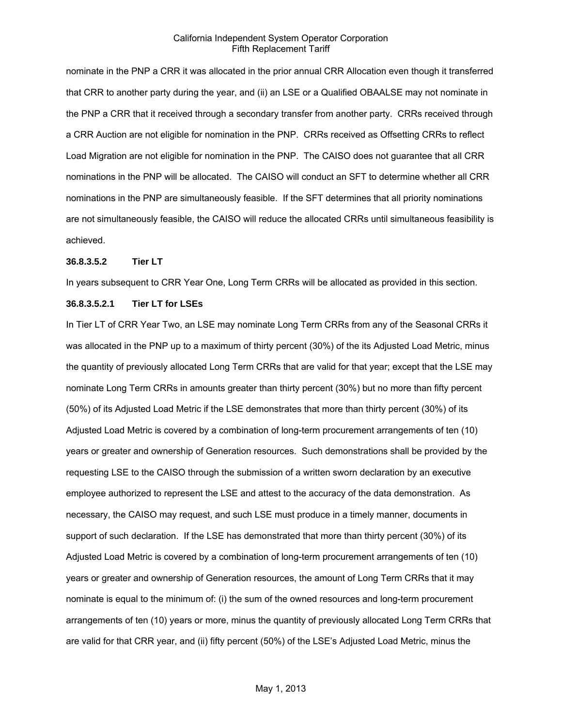nominate in the PNP a CRR it was allocated in the prior annual CRR Allocation even though it transferred that CRR to another party during the year, and (ii) an LSE or a Qualified OBAALSE may not nominate in the PNP a CRR that it received through a secondary transfer from another party. CRRs received through a CRR Auction are not eligible for nomination in the PNP. CRRs received as Offsetting CRRs to reflect Load Migration are not eligible for nomination in the PNP. The CAISO does not guarantee that all CRR nominations in the PNP will be allocated. The CAISO will conduct an SFT to determine whether all CRR nominations in the PNP are simultaneously feasible. If the SFT determines that all priority nominations are not simultaneously feasible, the CAISO will reduce the allocated CRRs until simultaneous feasibility is achieved.

#### **36.8.3.5.2 Tier LT**

In years subsequent to CRR Year One, Long Term CRRs will be allocated as provided in this section.

#### **36.8.3.5.2.1 Tier LT for LSEs**

In Tier LT of CRR Year Two, an LSE may nominate Long Term CRRs from any of the Seasonal CRRs it was allocated in the PNP up to a maximum of thirty percent (30%) of the its Adjusted Load Metric, minus the quantity of previously allocated Long Term CRRs that are valid for that year; except that the LSE may nominate Long Term CRRs in amounts greater than thirty percent (30%) but no more than fifty percent (50%) of its Adjusted Load Metric if the LSE demonstrates that more than thirty percent (30%) of its Adjusted Load Metric is covered by a combination of long-term procurement arrangements of ten (10) years or greater and ownership of Generation resources. Such demonstrations shall be provided by the requesting LSE to the CAISO through the submission of a written sworn declaration by an executive employee authorized to represent the LSE and attest to the accuracy of the data demonstration. As necessary, the CAISO may request, and such LSE must produce in a timely manner, documents in support of such declaration. If the LSE has demonstrated that more than thirty percent (30%) of its Adjusted Load Metric is covered by a combination of long-term procurement arrangements of ten (10) years or greater and ownership of Generation resources, the amount of Long Term CRRs that it may nominate is equal to the minimum of: (i) the sum of the owned resources and long-term procurement arrangements of ten (10) years or more, minus the quantity of previously allocated Long Term CRRs that are valid for that CRR year, and (ii) fifty percent (50%) of the LSE's Adjusted Load Metric, minus the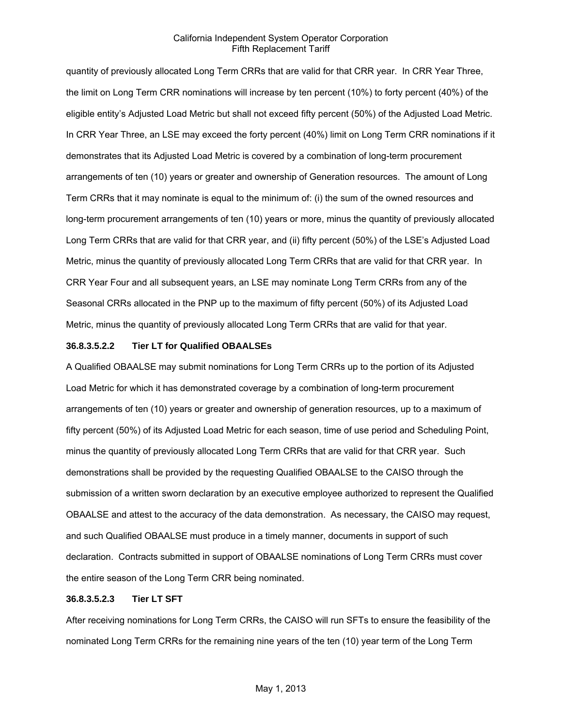quantity of previously allocated Long Term CRRs that are valid for that CRR year. In CRR Year Three, the limit on Long Term CRR nominations will increase by ten percent (10%) to forty percent (40%) of the eligible entity's Adjusted Load Metric but shall not exceed fifty percent (50%) of the Adjusted Load Metric. In CRR Year Three, an LSE may exceed the forty percent (40%) limit on Long Term CRR nominations if it demonstrates that its Adjusted Load Metric is covered by a combination of long-term procurement arrangements of ten (10) years or greater and ownership of Generation resources. The amount of Long Term CRRs that it may nominate is equal to the minimum of: (i) the sum of the owned resources and long-term procurement arrangements of ten (10) years or more, minus the quantity of previously allocated Long Term CRRs that are valid for that CRR year, and (ii) fifty percent (50%) of the LSE's Adjusted Load Metric, minus the quantity of previously allocated Long Term CRRs that are valid for that CRR year. In CRR Year Four and all subsequent years, an LSE may nominate Long Term CRRs from any of the Seasonal CRRs allocated in the PNP up to the maximum of fifty percent (50%) of its Adjusted Load Metric, minus the quantity of previously allocated Long Term CRRs that are valid for that year.

#### **36.8.3.5.2.2 Tier LT for Qualified OBAALSEs**

A Qualified OBAALSE may submit nominations for Long Term CRRs up to the portion of its Adjusted Load Metric for which it has demonstrated coverage by a combination of long-term procurement arrangements of ten (10) years or greater and ownership of generation resources, up to a maximum of fifty percent (50%) of its Adjusted Load Metric for each season, time of use period and Scheduling Point, minus the quantity of previously allocated Long Term CRRs that are valid for that CRR year. Such demonstrations shall be provided by the requesting Qualified OBAALSE to the CAISO through the submission of a written sworn declaration by an executive employee authorized to represent the Qualified OBAALSE and attest to the accuracy of the data demonstration. As necessary, the CAISO may request, and such Qualified OBAALSE must produce in a timely manner, documents in support of such declaration. Contracts submitted in support of OBAALSE nominations of Long Term CRRs must cover the entire season of the Long Term CRR being nominated.

#### **36.8.3.5.2.3 Tier LT SFT**

After receiving nominations for Long Term CRRs, the CAISO will run SFTs to ensure the feasibility of the nominated Long Term CRRs for the remaining nine years of the ten (10) year term of the Long Term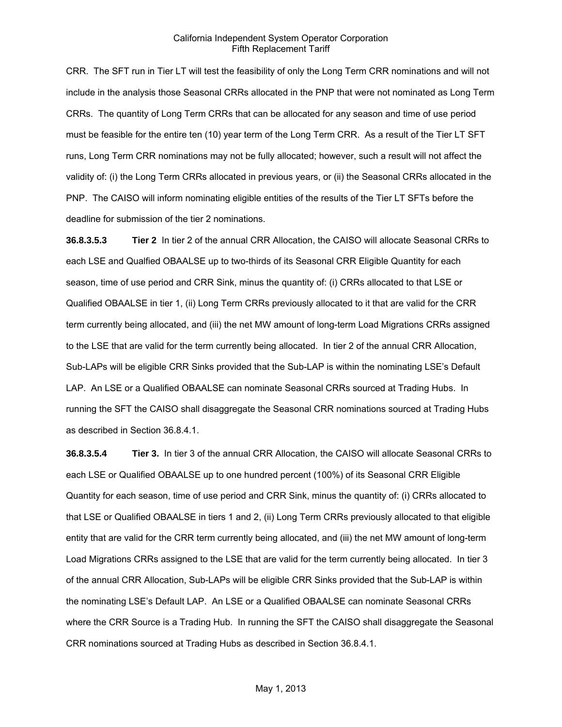CRR. The SFT run in Tier LT will test the feasibility of only the Long Term CRR nominations and will not include in the analysis those Seasonal CRRs allocated in the PNP that were not nominated as Long Term CRRs. The quantity of Long Term CRRs that can be allocated for any season and time of use period must be feasible for the entire ten (10) year term of the Long Term CRR. As a result of the Tier LT SFT runs, Long Term CRR nominations may not be fully allocated; however, such a result will not affect the validity of: (i) the Long Term CRRs allocated in previous years, or (ii) the Seasonal CRRs allocated in the PNP. The CAISO will inform nominating eligible entities of the results of the Tier LT SFTs before the deadline for submission of the tier 2 nominations.

**36.8.3.5.3 Tier 2** In tier 2 of the annual CRR Allocation, the CAISO will allocate Seasonal CRRs to each LSE and Qualfied OBAALSE up to two-thirds of its Seasonal CRR Eligible Quantity for each season, time of use period and CRR Sink, minus the quantity of: (i) CRRs allocated to that LSE or Qualified OBAALSE in tier 1, (ii) Long Term CRRs previously allocated to it that are valid for the CRR term currently being allocated, and (iii) the net MW amount of long-term Load Migrations CRRs assigned to the LSE that are valid for the term currently being allocated. In tier 2 of the annual CRR Allocation, Sub-LAPs will be eligible CRR Sinks provided that the Sub-LAP is within the nominating LSE's Default LAP. An LSE or a Qualified OBAALSE can nominate Seasonal CRRs sourced at Trading Hubs. In running the SFT the CAISO shall disaggregate the Seasonal CRR nominations sourced at Trading Hubs as described in Section 36.8.4.1.

**36.8.3.5.4 Tier 3.** In tier 3 of the annual CRR Allocation, the CAISO will allocate Seasonal CRRs to each LSE or Qualified OBAALSE up to one hundred percent (100%) of its Seasonal CRR Eligible Quantity for each season, time of use period and CRR Sink, minus the quantity of: (i) CRRs allocated to that LSE or Qualified OBAALSE in tiers 1 and 2, (ii) Long Term CRRs previously allocated to that eligible entity that are valid for the CRR term currently being allocated, and (iii) the net MW amount of long-term Load Migrations CRRs assigned to the LSE that are valid for the term currently being allocated. In tier 3 of the annual CRR Allocation, Sub-LAPs will be eligible CRR Sinks provided that the Sub-LAP is within the nominating LSE's Default LAP. An LSE or a Qualified OBAALSE can nominate Seasonal CRRs where the CRR Source is a Trading Hub. In running the SFT the CAISO shall disaggregate the Seasonal CRR nominations sourced at Trading Hubs as described in Section 36.8.4.1.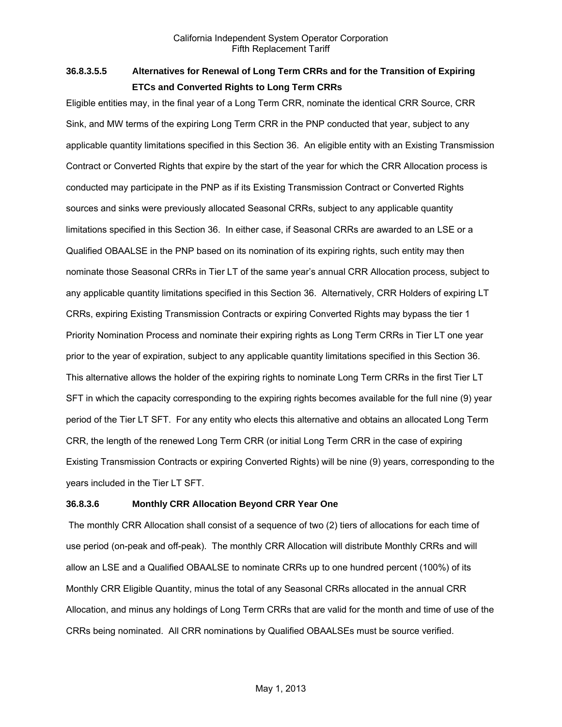# **36.8.3.5.5 Alternatives for Renewal of Long Term CRRs and for the Transition of Expiring ETCs and Converted Rights to Long Term CRRs**

Eligible entities may, in the final year of a Long Term CRR, nominate the identical CRR Source, CRR Sink, and MW terms of the expiring Long Term CRR in the PNP conducted that year, subject to any applicable quantity limitations specified in this Section 36. An eligible entity with an Existing Transmission Contract or Converted Rights that expire by the start of the year for which the CRR Allocation process is conducted may participate in the PNP as if its Existing Transmission Contract or Converted Rights sources and sinks were previously allocated Seasonal CRRs, subject to any applicable quantity limitations specified in this Section 36. In either case, if Seasonal CRRs are awarded to an LSE or a Qualified OBAALSE in the PNP based on its nomination of its expiring rights, such entity may then nominate those Seasonal CRRs in Tier LT of the same year's annual CRR Allocation process, subject to any applicable quantity limitations specified in this Section 36. Alternatively, CRR Holders of expiring LT CRRs, expiring Existing Transmission Contracts or expiring Converted Rights may bypass the tier 1 Priority Nomination Process and nominate their expiring rights as Long Term CRRs in Tier LT one year prior to the year of expiration, subject to any applicable quantity limitations specified in this Section 36. This alternative allows the holder of the expiring rights to nominate Long Term CRRs in the first Tier LT SFT in which the capacity corresponding to the expiring rights becomes available for the full nine (9) year period of the Tier LT SFT. For any entity who elects this alternative and obtains an allocated Long Term CRR, the length of the renewed Long Term CRR (or initial Long Term CRR in the case of expiring Existing Transmission Contracts or expiring Converted Rights) will be nine (9) years, corresponding to the years included in the Tier LT SFT.

# **36.8.3.6 Monthly CRR Allocation Beyond CRR Year One**

 The monthly CRR Allocation shall consist of a sequence of two (2) tiers of allocations for each time of use period (on-peak and off-peak). The monthly CRR Allocation will distribute Monthly CRRs and will allow an LSE and a Qualified OBAALSE to nominate CRRs up to one hundred percent (100%) of its Monthly CRR Eligible Quantity, minus the total of any Seasonal CRRs allocated in the annual CRR Allocation, and minus any holdings of Long Term CRRs that are valid for the month and time of use of the CRRs being nominated. All CRR nominations by Qualified OBAALSEs must be source verified.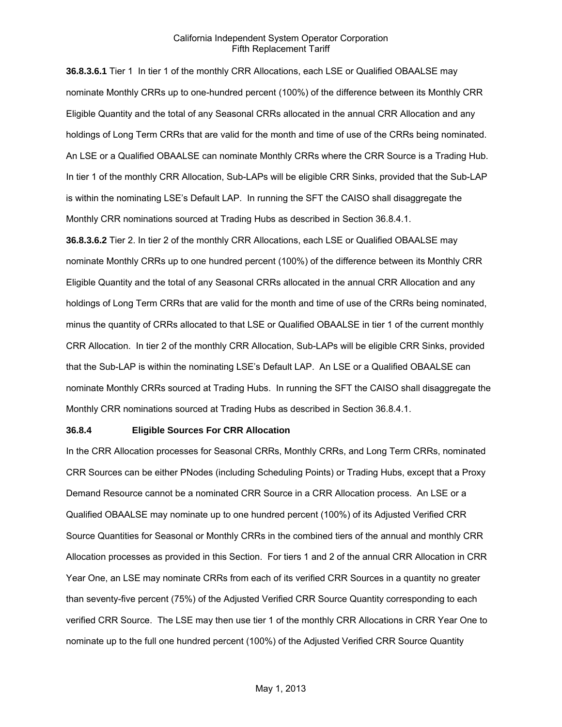**36.8.3.6.1** Tier 1 In tier 1 of the monthly CRR Allocations, each LSE or Qualified OBAALSE may nominate Monthly CRRs up to one-hundred percent (100%) of the difference between its Monthly CRR Eligible Quantity and the total of any Seasonal CRRs allocated in the annual CRR Allocation and any holdings of Long Term CRRs that are valid for the month and time of use of the CRRs being nominated. An LSE or a Qualified OBAALSE can nominate Monthly CRRs where the CRR Source is a Trading Hub. In tier 1 of the monthly CRR Allocation, Sub-LAPs will be eligible CRR Sinks, provided that the Sub-LAP is within the nominating LSE's Default LAP. In running the SFT the CAISO shall disaggregate the Monthly CRR nominations sourced at Trading Hubs as described in Section 36.8.4.1.

**36.8.3.6.2** Tier 2. In tier 2 of the monthly CRR Allocations, each LSE or Qualified OBAALSE may nominate Monthly CRRs up to one hundred percent (100%) of the difference between its Monthly CRR Eligible Quantity and the total of any Seasonal CRRs allocated in the annual CRR Allocation and any holdings of Long Term CRRs that are valid for the month and time of use of the CRRs being nominated, minus the quantity of CRRs allocated to that LSE or Qualified OBAALSE in tier 1 of the current monthly CRR Allocation. In tier 2 of the monthly CRR Allocation, Sub-LAPs will be eligible CRR Sinks, provided that the Sub-LAP is within the nominating LSE's Default LAP. An LSE or a Qualified OBAALSE can nominate Monthly CRRs sourced at Trading Hubs. In running the SFT the CAISO shall disaggregate the Monthly CRR nominations sourced at Trading Hubs as described in Section 36.8.4.1.

#### **36.8.4 Eligible Sources For CRR Allocation**

In the CRR Allocation processes for Seasonal CRRs, Monthly CRRs, and Long Term CRRs, nominated CRR Sources can be either PNodes (including Scheduling Points) or Trading Hubs, except that a Proxy Demand Resource cannot be a nominated CRR Source in a CRR Allocation process. An LSE or a Qualified OBAALSE may nominate up to one hundred percent (100%) of its Adjusted Verified CRR Source Quantities for Seasonal or Monthly CRRs in the combined tiers of the annual and monthly CRR Allocation processes as provided in this Section. For tiers 1 and 2 of the annual CRR Allocation in CRR Year One, an LSE may nominate CRRs from each of its verified CRR Sources in a quantity no greater than seventy-five percent (75%) of the Adjusted Verified CRR Source Quantity corresponding to each verified CRR Source. The LSE may then use tier 1 of the monthly CRR Allocations in CRR Year One to nominate up to the full one hundred percent (100%) of the Adjusted Verified CRR Source Quantity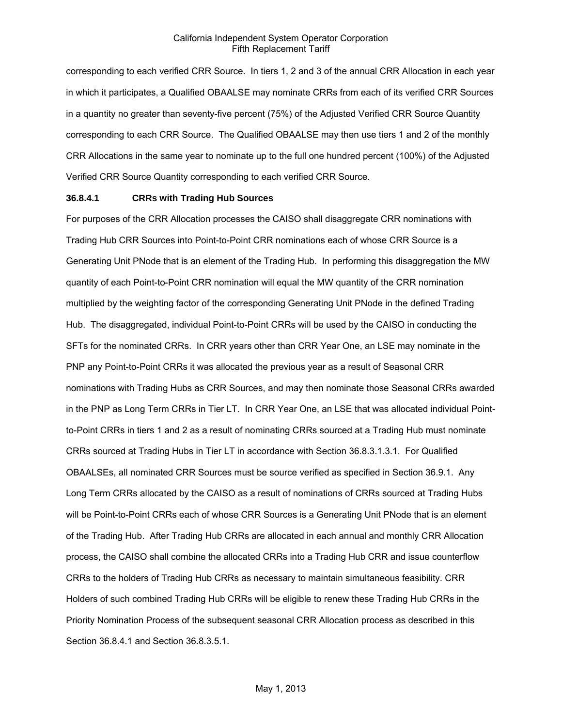corresponding to each verified CRR Source. In tiers 1, 2 and 3 of the annual CRR Allocation in each year in which it participates, a Qualified OBAALSE may nominate CRRs from each of its verified CRR Sources in a quantity no greater than seventy-five percent (75%) of the Adjusted Verified CRR Source Quantity corresponding to each CRR Source. The Qualified OBAALSE may then use tiers 1 and 2 of the monthly CRR Allocations in the same year to nominate up to the full one hundred percent (100%) of the Adjusted Verified CRR Source Quantity corresponding to each verified CRR Source.

#### **36.8.4.1 CRRs with Trading Hub Sources**

For purposes of the CRR Allocation processes the CAISO shall disaggregate CRR nominations with Trading Hub CRR Sources into Point-to-Point CRR nominations each of whose CRR Source is a Generating Unit PNode that is an element of the Trading Hub. In performing this disaggregation the MW quantity of each Point-to-Point CRR nomination will equal the MW quantity of the CRR nomination multiplied by the weighting factor of the corresponding Generating Unit PNode in the defined Trading Hub. The disaggregated, individual Point-to-Point CRRs will be used by the CAISO in conducting the SFTs for the nominated CRRs. In CRR years other than CRR Year One, an LSE may nominate in the PNP any Point-to-Point CRRs it was allocated the previous year as a result of Seasonal CRR nominations with Trading Hubs as CRR Sources, and may then nominate those Seasonal CRRs awarded in the PNP as Long Term CRRs in Tier LT. In CRR Year One, an LSE that was allocated individual Pointto-Point CRRs in tiers 1 and 2 as a result of nominating CRRs sourced at a Trading Hub must nominate CRRs sourced at Trading Hubs in Tier LT in accordance with Section 36.8.3.1.3.1. For Qualified OBAALSEs, all nominated CRR Sources must be source verified as specified in Section 36.9.1. Any Long Term CRRs allocated by the CAISO as a result of nominations of CRRs sourced at Trading Hubs will be Point-to-Point CRRs each of whose CRR Sources is a Generating Unit PNode that is an element of the Trading Hub. After Trading Hub CRRs are allocated in each annual and monthly CRR Allocation process, the CAISO shall combine the allocated CRRs into a Trading Hub CRR and issue counterflow CRRs to the holders of Trading Hub CRRs as necessary to maintain simultaneous feasibility. CRR Holders of such combined Trading Hub CRRs will be eligible to renew these Trading Hub CRRs in the Priority Nomination Process of the subsequent seasonal CRR Allocation process as described in this Section 36.8.4.1 and Section 36.8.3.5.1.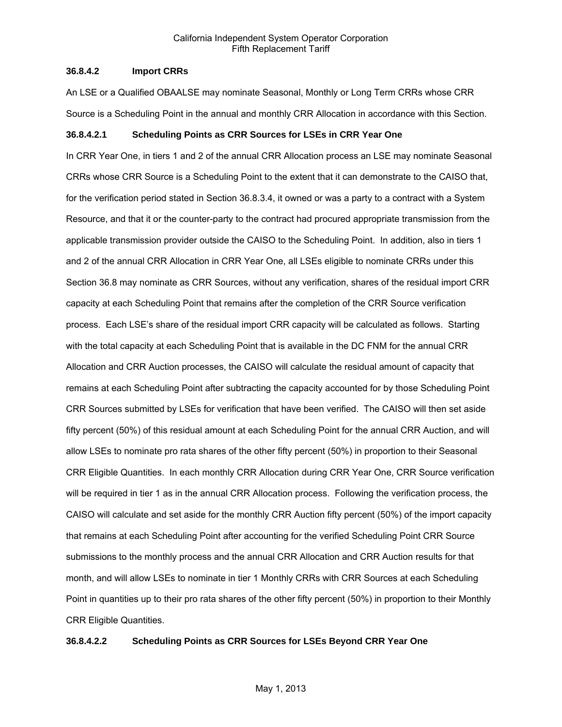## **36.8.4.2 Import CRRs**

An LSE or a Qualified OBAALSE may nominate Seasonal, Monthly or Long Term CRRs whose CRR Source is a Scheduling Point in the annual and monthly CRR Allocation in accordance with this Section.

#### **36.8.4.2.1 Scheduling Points as CRR Sources for LSEs in CRR Year One**

In CRR Year One, in tiers 1 and 2 of the annual CRR Allocation process an LSE may nominate Seasonal CRRs whose CRR Source is a Scheduling Point to the extent that it can demonstrate to the CAISO that, for the verification period stated in Section 36.8.3.4, it owned or was a party to a contract with a System Resource, and that it or the counter-party to the contract had procured appropriate transmission from the applicable transmission provider outside the CAISO to the Scheduling Point. In addition, also in tiers 1 and 2 of the annual CRR Allocation in CRR Year One, all LSEs eligible to nominate CRRs under this Section 36.8 may nominate as CRR Sources, without any verification, shares of the residual import CRR capacity at each Scheduling Point that remains after the completion of the CRR Source verification process. Each LSE's share of the residual import CRR capacity will be calculated as follows. Starting with the total capacity at each Scheduling Point that is available in the DC FNM for the annual CRR Allocation and CRR Auction processes, the CAISO will calculate the residual amount of capacity that remains at each Scheduling Point after subtracting the capacity accounted for by those Scheduling Point CRR Sources submitted by LSEs for verification that have been verified. The CAISO will then set aside fifty percent (50%) of this residual amount at each Scheduling Point for the annual CRR Auction, and will allow LSEs to nominate pro rata shares of the other fifty percent (50%) in proportion to their Seasonal CRR Eligible Quantities. In each monthly CRR Allocation during CRR Year One, CRR Source verification will be required in tier 1 as in the annual CRR Allocation process. Following the verification process, the CAISO will calculate and set aside for the monthly CRR Auction fifty percent (50%) of the import capacity that remains at each Scheduling Point after accounting for the verified Scheduling Point CRR Source submissions to the monthly process and the annual CRR Allocation and CRR Auction results for that month, and will allow LSEs to nominate in tier 1 Monthly CRRs with CRR Sources at each Scheduling Point in quantities up to their pro rata shares of the other fifty percent (50%) in proportion to their Monthly CRR Eligible Quantities.

#### **36.8.4.2.2 Scheduling Points as CRR Sources for LSEs Beyond CRR Year One**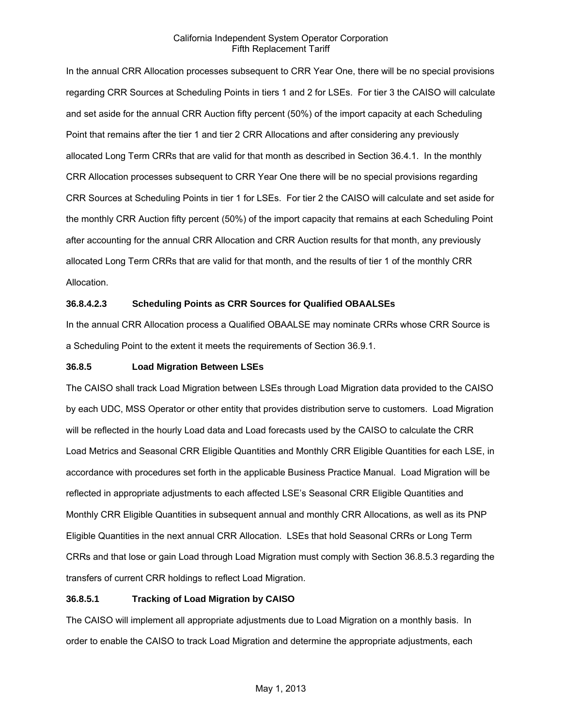In the annual CRR Allocation processes subsequent to CRR Year One, there will be no special provisions regarding CRR Sources at Scheduling Points in tiers 1 and 2 for LSEs. For tier 3 the CAISO will calculate and set aside for the annual CRR Auction fifty percent (50%) of the import capacity at each Scheduling Point that remains after the tier 1 and tier 2 CRR Allocations and after considering any previously allocated Long Term CRRs that are valid for that month as described in Section 36.4.1. In the monthly CRR Allocation processes subsequent to CRR Year One there will be no special provisions regarding CRR Sources at Scheduling Points in tier 1 for LSEs. For tier 2 the CAISO will calculate and set aside for the monthly CRR Auction fifty percent (50%) of the import capacity that remains at each Scheduling Point after accounting for the annual CRR Allocation and CRR Auction results for that month, any previously allocated Long Term CRRs that are valid for that month, and the results of tier 1 of the monthly CRR Allocation.

# **36.8.4.2.3 Scheduling Points as CRR Sources for Qualified OBAALSEs**

In the annual CRR Allocation process a Qualified OBAALSE may nominate CRRs whose CRR Source is a Scheduling Point to the extent it meets the requirements of Section 36.9.1.

## **36.8.5 Load Migration Between LSEs**

The CAISO shall track Load Migration between LSEs through Load Migration data provided to the CAISO by each UDC, MSS Operator or other entity that provides distribution serve to customers. Load Migration will be reflected in the hourly Load data and Load forecasts used by the CAISO to calculate the CRR Load Metrics and Seasonal CRR Eligible Quantities and Monthly CRR Eligible Quantities for each LSE, in accordance with procedures set forth in the applicable Business Practice Manual. Load Migration will be reflected in appropriate adjustments to each affected LSE's Seasonal CRR Eligible Quantities and Monthly CRR Eligible Quantities in subsequent annual and monthly CRR Allocations, as well as its PNP Eligible Quantities in the next annual CRR Allocation. LSEs that hold Seasonal CRRs or Long Term CRRs and that lose or gain Load through Load Migration must comply with Section 36.8.5.3 regarding the transfers of current CRR holdings to reflect Load Migration.

# **36.8.5.1 Tracking of Load Migration by CAISO**

The CAISO will implement all appropriate adjustments due to Load Migration on a monthly basis. In order to enable the CAISO to track Load Migration and determine the appropriate adjustments, each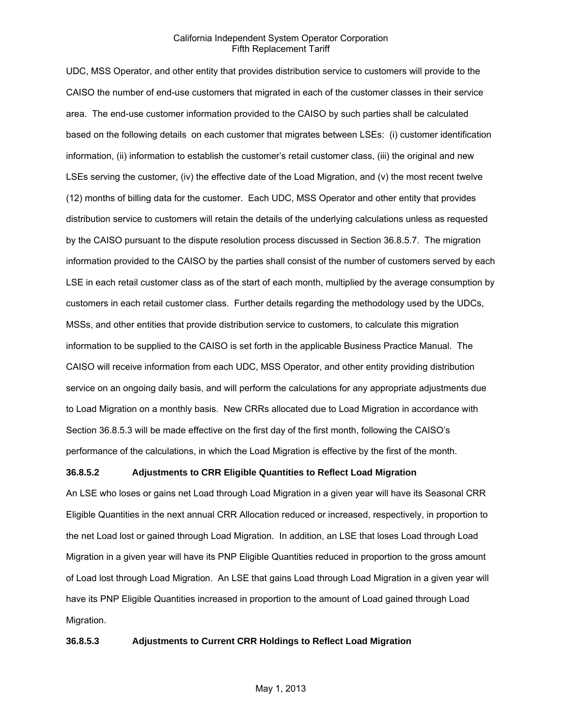UDC, MSS Operator, and other entity that provides distribution service to customers will provide to the CAISO the number of end-use customers that migrated in each of the customer classes in their service area. The end-use customer information provided to the CAISO by such parties shall be calculated based on the following details on each customer that migrates between LSEs: (i) customer identification information, (ii) information to establish the customer's retail customer class, (iii) the original and new LSEs serving the customer, (iv) the effective date of the Load Migration, and (v) the most recent twelve (12) months of billing data for the customer. Each UDC, MSS Operator and other entity that provides distribution service to customers will retain the details of the underlying calculations unless as requested by the CAISO pursuant to the dispute resolution process discussed in Section 36.8.5.7. The migration information provided to the CAISO by the parties shall consist of the number of customers served by each LSE in each retail customer class as of the start of each month, multiplied by the average consumption by customers in each retail customer class. Further details regarding the methodology used by the UDCs, MSSs, and other entities that provide distribution service to customers, to calculate this migration information to be supplied to the CAISO is set forth in the applicable Business Practice Manual. The CAISO will receive information from each UDC, MSS Operator, and other entity providing distribution service on an ongoing daily basis, and will perform the calculations for any appropriate adjustments due to Load Migration on a monthly basis. New CRRs allocated due to Load Migration in accordance with Section 36.8.5.3 will be made effective on the first day of the first month, following the CAISO's performance of the calculations, in which the Load Migration is effective by the first of the month.

## **36.8.5.2 Adjustments to CRR Eligible Quantities to Reflect Load Migration**

An LSE who loses or gains net Load through Load Migration in a given year will have its Seasonal CRR Eligible Quantities in the next annual CRR Allocation reduced or increased, respectively, in proportion to the net Load lost or gained through Load Migration. In addition, an LSE that loses Load through Load Migration in a given year will have its PNP Eligible Quantities reduced in proportion to the gross amount of Load lost through Load Migration. An LSE that gains Load through Load Migration in a given year will have its PNP Eligible Quantities increased in proportion to the amount of Load gained through Load Migration.

## **36.8.5.3 Adjustments to Current CRR Holdings to Reflect Load Migration**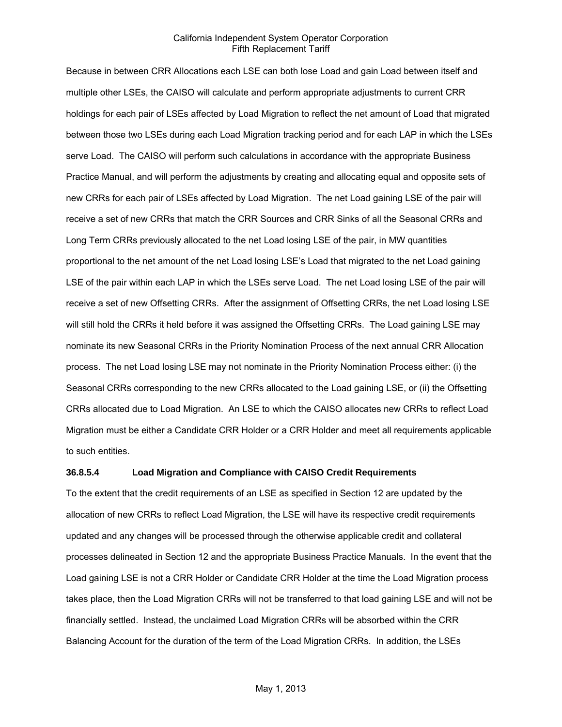Because in between CRR Allocations each LSE can both lose Load and gain Load between itself and multiple other LSEs, the CAISO will calculate and perform appropriate adjustments to current CRR holdings for each pair of LSEs affected by Load Migration to reflect the net amount of Load that migrated between those two LSEs during each Load Migration tracking period and for each LAP in which the LSEs serve Load. The CAISO will perform such calculations in accordance with the appropriate Business Practice Manual, and will perform the adjustments by creating and allocating equal and opposite sets of new CRRs for each pair of LSEs affected by Load Migration. The net Load gaining LSE of the pair will receive a set of new CRRs that match the CRR Sources and CRR Sinks of all the Seasonal CRRs and Long Term CRRs previously allocated to the net Load losing LSE of the pair, in MW quantities proportional to the net amount of the net Load losing LSE's Load that migrated to the net Load gaining LSE of the pair within each LAP in which the LSEs serve Load. The net Load losing LSE of the pair will receive a set of new Offsetting CRRs. After the assignment of Offsetting CRRs, the net Load losing LSE will still hold the CRRs it held before it was assigned the Offsetting CRRs. The Load gaining LSE may nominate its new Seasonal CRRs in the Priority Nomination Process of the next annual CRR Allocation process. The net Load losing LSE may not nominate in the Priority Nomination Process either: (i) the Seasonal CRRs corresponding to the new CRRs allocated to the Load gaining LSE, or (ii) the Offsetting CRRs allocated due to Load Migration. An LSE to which the CAISO allocates new CRRs to reflect Load Migration must be either a Candidate CRR Holder or a CRR Holder and meet all requirements applicable to such entities.

#### **36.8.5.4 Load Migration and Compliance with CAISO Credit Requirements**

To the extent that the credit requirements of an LSE as specified in Section 12 are updated by the allocation of new CRRs to reflect Load Migration, the LSE will have its respective credit requirements updated and any changes will be processed through the otherwise applicable credit and collateral processes delineated in Section 12 and the appropriate Business Practice Manuals. In the event that the Load gaining LSE is not a CRR Holder or Candidate CRR Holder at the time the Load Migration process takes place, then the Load Migration CRRs will not be transferred to that load gaining LSE and will not be financially settled. Instead, the unclaimed Load Migration CRRs will be absorbed within the CRR Balancing Account for the duration of the term of the Load Migration CRRs. In addition, the LSEs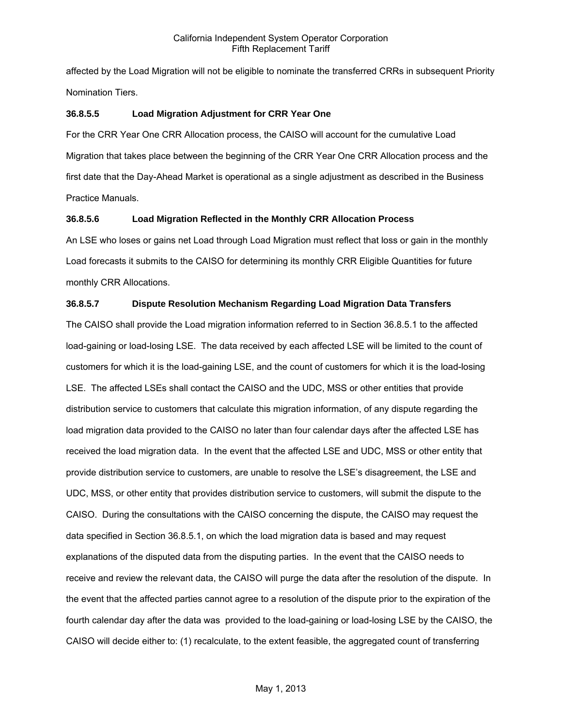affected by the Load Migration will not be eligible to nominate the transferred CRRs in subsequent Priority Nomination Tiers.

## **36.8.5.5 Load Migration Adjustment for CRR Year One**

For the CRR Year One CRR Allocation process, the CAISO will account for the cumulative Load Migration that takes place between the beginning of the CRR Year One CRR Allocation process and the first date that the Day-Ahead Market is operational as a single adjustment as described in the Business Practice Manuals.

## **36.8.5.6 Load Migration Reflected in the Monthly CRR Allocation Process**

An LSE who loses or gains net Load through Load Migration must reflect that loss or gain in the monthly Load forecasts it submits to the CAISO for determining its monthly CRR Eligible Quantities for future monthly CRR Allocations.

# **36.8.5.7 Dispute Resolution Mechanism Regarding Load Migration Data Transfers**

The CAISO shall provide the Load migration information referred to in Section 36.8.5.1 to the affected load-gaining or load-losing LSE. The data received by each affected LSE will be limited to the count of customers for which it is the load-gaining LSE, and the count of customers for which it is the load-losing LSE. The affected LSEs shall contact the CAISO and the UDC, MSS or other entities that provide distribution service to customers that calculate this migration information, of any dispute regarding the load migration data provided to the CAISO no later than four calendar days after the affected LSE has received the load migration data. In the event that the affected LSE and UDC, MSS or other entity that provide distribution service to customers, are unable to resolve the LSE's disagreement, the LSE and UDC, MSS, or other entity that provides distribution service to customers, will submit the dispute to the CAISO. During the consultations with the CAISO concerning the dispute, the CAISO may request the data specified in Section 36.8.5.1, on which the load migration data is based and may request explanations of the disputed data from the disputing parties. In the event that the CAISO needs to receive and review the relevant data, the CAISO will purge the data after the resolution of the dispute. In the event that the affected parties cannot agree to a resolution of the dispute prior to the expiration of the fourth calendar day after the data was provided to the load-gaining or load-losing LSE by the CAISO, the CAISO will decide either to: (1) recalculate, to the extent feasible, the aggregated count of transferring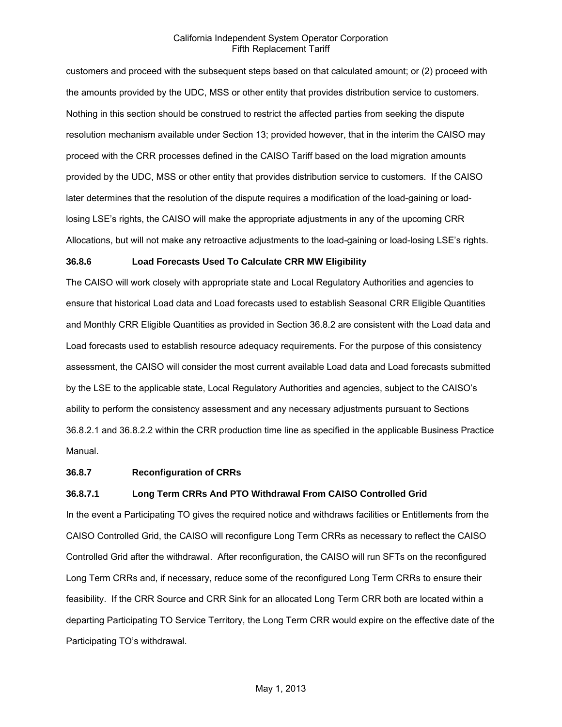customers and proceed with the subsequent steps based on that calculated amount; or (2) proceed with the amounts provided by the UDC, MSS or other entity that provides distribution service to customers. Nothing in this section should be construed to restrict the affected parties from seeking the dispute resolution mechanism available under Section 13; provided however, that in the interim the CAISO may proceed with the CRR processes defined in the CAISO Tariff based on the load migration amounts provided by the UDC, MSS or other entity that provides distribution service to customers. If the CAISO later determines that the resolution of the dispute requires a modification of the load-gaining or loadlosing LSE's rights, the CAISO will make the appropriate adjustments in any of the upcoming CRR Allocations, but will not make any retroactive adjustments to the load-gaining or load-losing LSE's rights.

#### **36.8.6 Load Forecasts Used To Calculate CRR MW Eligibility**

The CAISO will work closely with appropriate state and Local Regulatory Authorities and agencies to ensure that historical Load data and Load forecasts used to establish Seasonal CRR Eligible Quantities and Monthly CRR Eligible Quantities as provided in Section 36.8.2 are consistent with the Load data and Load forecasts used to establish resource adequacy requirements. For the purpose of this consistency assessment, the CAISO will consider the most current available Load data and Load forecasts submitted by the LSE to the applicable state, Local Regulatory Authorities and agencies, subject to the CAISO's ability to perform the consistency assessment and any necessary adjustments pursuant to Sections 36.8.2.1 and 36.8.2.2 within the CRR production time line as specified in the applicable Business Practice Manual.

## **36.8.7 Reconfiguration of CRRs**

#### **36.8.7.1 Long Term CRRs And PTO Withdrawal From CAISO Controlled Grid**

In the event a Participating TO gives the required notice and withdraws facilities or Entitlements from the CAISO Controlled Grid, the CAISO will reconfigure Long Term CRRs as necessary to reflect the CAISO Controlled Grid after the withdrawal. After reconfiguration, the CAISO will run SFTs on the reconfigured Long Term CRRs and, if necessary, reduce some of the reconfigured Long Term CRRs to ensure their feasibility. If the CRR Source and CRR Sink for an allocated Long Term CRR both are located within a departing Participating TO Service Territory, the Long Term CRR would expire on the effective date of the Participating TO's withdrawal.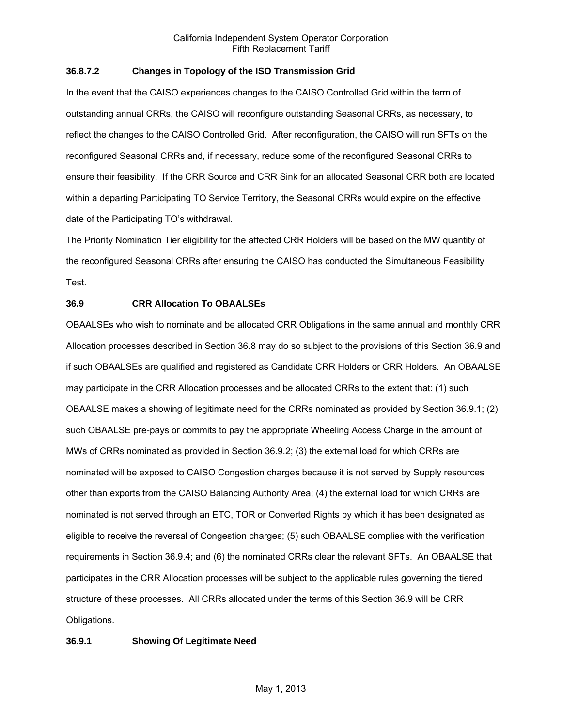## **36.8.7.2 Changes in Topology of the ISO Transmission Grid**

In the event that the CAISO experiences changes to the CAISO Controlled Grid within the term of outstanding annual CRRs, the CAISO will reconfigure outstanding Seasonal CRRs, as necessary, to reflect the changes to the CAISO Controlled Grid. After reconfiguration, the CAISO will run SFTs on the reconfigured Seasonal CRRs and, if necessary, reduce some of the reconfigured Seasonal CRRs to ensure their feasibility. If the CRR Source and CRR Sink for an allocated Seasonal CRR both are located within a departing Participating TO Service Territory, the Seasonal CRRs would expire on the effective date of the Participating TO's withdrawal.

The Priority Nomination Tier eligibility for the affected CRR Holders will be based on the MW quantity of the reconfigured Seasonal CRRs after ensuring the CAISO has conducted the Simultaneous Feasibility Test.

# **36.9 CRR Allocation To OBAALSEs**

OBAALSEs who wish to nominate and be allocated CRR Obligations in the same annual and monthly CRR Allocation processes described in Section 36.8 may do so subject to the provisions of this Section 36.9 and if such OBAALSEs are qualified and registered as Candidate CRR Holders or CRR Holders. An OBAALSE may participate in the CRR Allocation processes and be allocated CRRs to the extent that: (1) such OBAALSE makes a showing of legitimate need for the CRRs nominated as provided by Section 36.9.1; (2) such OBAALSE pre-pays or commits to pay the appropriate Wheeling Access Charge in the amount of MWs of CRRs nominated as provided in Section 36.9.2; (3) the external load for which CRRs are nominated will be exposed to CAISO Congestion charges because it is not served by Supply resources other than exports from the CAISO Balancing Authority Area; (4) the external load for which CRRs are nominated is not served through an ETC, TOR or Converted Rights by which it has been designated as eligible to receive the reversal of Congestion charges; (5) such OBAALSE complies with the verification requirements in Section 36.9.4; and (6) the nominated CRRs clear the relevant SFTs. An OBAALSE that participates in the CRR Allocation processes will be subject to the applicable rules governing the tiered structure of these processes. All CRRs allocated under the terms of this Section 36.9 will be CRR Obligations.

# **36.9.1 Showing Of Legitimate Need**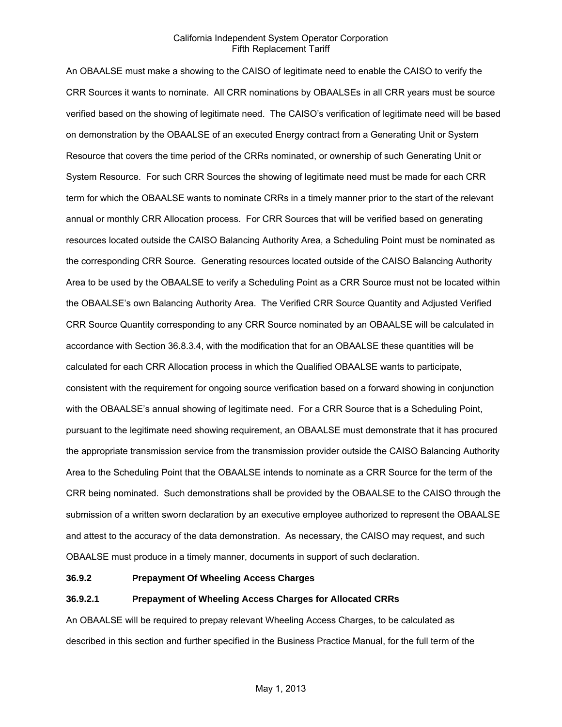An OBAALSE must make a showing to the CAISO of legitimate need to enable the CAISO to verify the CRR Sources it wants to nominate. All CRR nominations by OBAALSEs in all CRR years must be source verified based on the showing of legitimate need. The CAISO's verification of legitimate need will be based on demonstration by the OBAALSE of an executed Energy contract from a Generating Unit or System Resource that covers the time period of the CRRs nominated, or ownership of such Generating Unit or System Resource. For such CRR Sources the showing of legitimate need must be made for each CRR term for which the OBAALSE wants to nominate CRRs in a timely manner prior to the start of the relevant annual or monthly CRR Allocation process. For CRR Sources that will be verified based on generating resources located outside the CAISO Balancing Authority Area, a Scheduling Point must be nominated as the corresponding CRR Source. Generating resources located outside of the CAISO Balancing Authority Area to be used by the OBAALSE to verify a Scheduling Point as a CRR Source must not be located within the OBAALSE's own Balancing Authority Area. The Verified CRR Source Quantity and Adjusted Verified CRR Source Quantity corresponding to any CRR Source nominated by an OBAALSE will be calculated in accordance with Section 36.8.3.4, with the modification that for an OBAALSE these quantities will be calculated for each CRR Allocation process in which the Qualified OBAALSE wants to participate, consistent with the requirement for ongoing source verification based on a forward showing in conjunction with the OBAALSE's annual showing of legitimate need. For a CRR Source that is a Scheduling Point, pursuant to the legitimate need showing requirement, an OBAALSE must demonstrate that it has procured the appropriate transmission service from the transmission provider outside the CAISO Balancing Authority Area to the Scheduling Point that the OBAALSE intends to nominate as a CRR Source for the term of the CRR being nominated. Such demonstrations shall be provided by the OBAALSE to the CAISO through the submission of a written sworn declaration by an executive employee authorized to represent the OBAALSE and attest to the accuracy of the data demonstration. As necessary, the CAISO may request, and such OBAALSE must produce in a timely manner, documents in support of such declaration.

## **36.9.2 Prepayment Of Wheeling Access Charges**

## **36.9.2.1 Prepayment of Wheeling Access Charges for Allocated CRRs**

An OBAALSE will be required to prepay relevant Wheeling Access Charges, to be calculated as described in this section and further specified in the Business Practice Manual, for the full term of the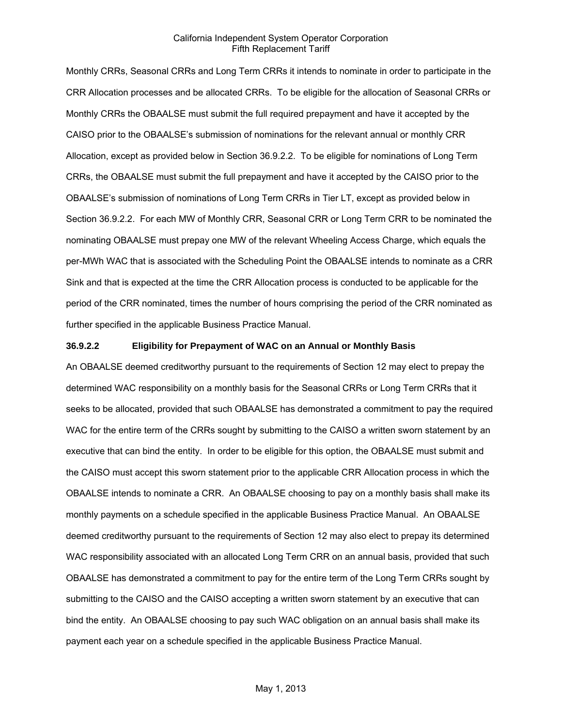Monthly CRRs, Seasonal CRRs and Long Term CRRs it intends to nominate in order to participate in the CRR Allocation processes and be allocated CRRs. To be eligible for the allocation of Seasonal CRRs or Monthly CRRs the OBAALSE must submit the full required prepayment and have it accepted by the CAISO prior to the OBAALSE's submission of nominations for the relevant annual or monthly CRR Allocation, except as provided below in Section 36.9.2.2. To be eligible for nominations of Long Term CRRs, the OBAALSE must submit the full prepayment and have it accepted by the CAISO prior to the OBAALSE's submission of nominations of Long Term CRRs in Tier LT, except as provided below in Section 36.9.2.2. For each MW of Monthly CRR, Seasonal CRR or Long Term CRR to be nominated the nominating OBAALSE must prepay one MW of the relevant Wheeling Access Charge, which equals the per-MWh WAC that is associated with the Scheduling Point the OBAALSE intends to nominate as a CRR Sink and that is expected at the time the CRR Allocation process is conducted to be applicable for the period of the CRR nominated, times the number of hours comprising the period of the CRR nominated as further specified in the applicable Business Practice Manual.

## **36.9.2.2 Eligibility for Prepayment of WAC on an Annual or Monthly Basis**

An OBAALSE deemed creditworthy pursuant to the requirements of Section 12 may elect to prepay the determined WAC responsibility on a monthly basis for the Seasonal CRRs or Long Term CRRs that it seeks to be allocated, provided that such OBAALSE has demonstrated a commitment to pay the required WAC for the entire term of the CRRs sought by submitting to the CAISO a written sworn statement by an executive that can bind the entity. In order to be eligible for this option, the OBAALSE must submit and the CAISO must accept this sworn statement prior to the applicable CRR Allocation process in which the OBAALSE intends to nominate a CRR. An OBAALSE choosing to pay on a monthly basis shall make its monthly payments on a schedule specified in the applicable Business Practice Manual. An OBAALSE deemed creditworthy pursuant to the requirements of Section 12 may also elect to prepay its determined WAC responsibility associated with an allocated Long Term CRR on an annual basis, provided that such OBAALSE has demonstrated a commitment to pay for the entire term of the Long Term CRRs sought by submitting to the CAISO and the CAISO accepting a written sworn statement by an executive that can bind the entity. An OBAALSE choosing to pay such WAC obligation on an annual basis shall make its payment each year on a schedule specified in the applicable Business Practice Manual.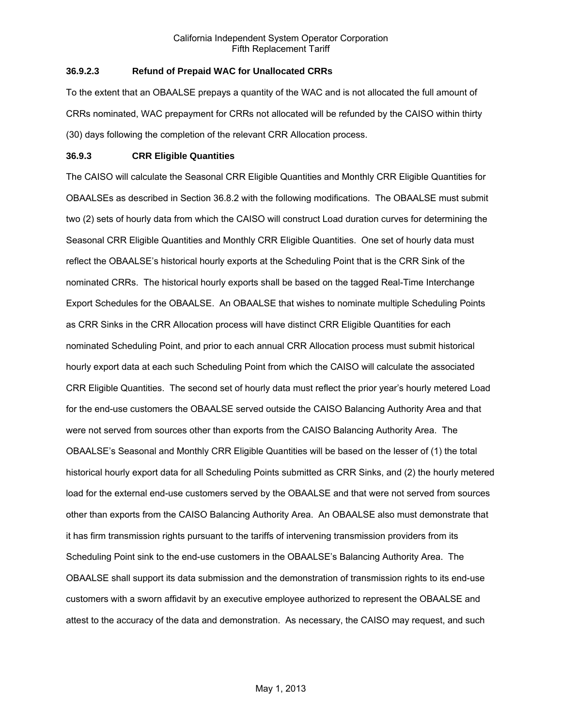# **36.9.2.3 Refund of Prepaid WAC for Unallocated CRRs**

To the extent that an OBAALSE prepays a quantity of the WAC and is not allocated the full amount of CRRs nominated, WAC prepayment for CRRs not allocated will be refunded by the CAISO within thirty (30) days following the completion of the relevant CRR Allocation process.

## **36.9.3 CRR Eligible Quantities**

The CAISO will calculate the Seasonal CRR Eligible Quantities and Monthly CRR Eligible Quantities for OBAALSEs as described in Section 36.8.2 with the following modifications. The OBAALSE must submit two (2) sets of hourly data from which the CAISO will construct Load duration curves for determining the Seasonal CRR Eligible Quantities and Monthly CRR Eligible Quantities. One set of hourly data must reflect the OBAALSE's historical hourly exports at the Scheduling Point that is the CRR Sink of the nominated CRRs. The historical hourly exports shall be based on the tagged Real-Time Interchange Export Schedules for the OBAALSE. An OBAALSE that wishes to nominate multiple Scheduling Points as CRR Sinks in the CRR Allocation process will have distinct CRR Eligible Quantities for each nominated Scheduling Point, and prior to each annual CRR Allocation process must submit historical hourly export data at each such Scheduling Point from which the CAISO will calculate the associated CRR Eligible Quantities. The second set of hourly data must reflect the prior year's hourly metered Load for the end-use customers the OBAALSE served outside the CAISO Balancing Authority Area and that were not served from sources other than exports from the CAISO Balancing Authority Area. The OBAALSE's Seasonal and Monthly CRR Eligible Quantities will be based on the lesser of (1) the total historical hourly export data for all Scheduling Points submitted as CRR Sinks, and (2) the hourly metered load for the external end-use customers served by the OBAALSE and that were not served from sources other than exports from the CAISO Balancing Authority Area. An OBAALSE also must demonstrate that it has firm transmission rights pursuant to the tariffs of intervening transmission providers from its Scheduling Point sink to the end-use customers in the OBAALSE's Balancing Authority Area. The OBAALSE shall support its data submission and the demonstration of transmission rights to its end-use customers with a sworn affidavit by an executive employee authorized to represent the OBAALSE and attest to the accuracy of the data and demonstration. As necessary, the CAISO may request, and such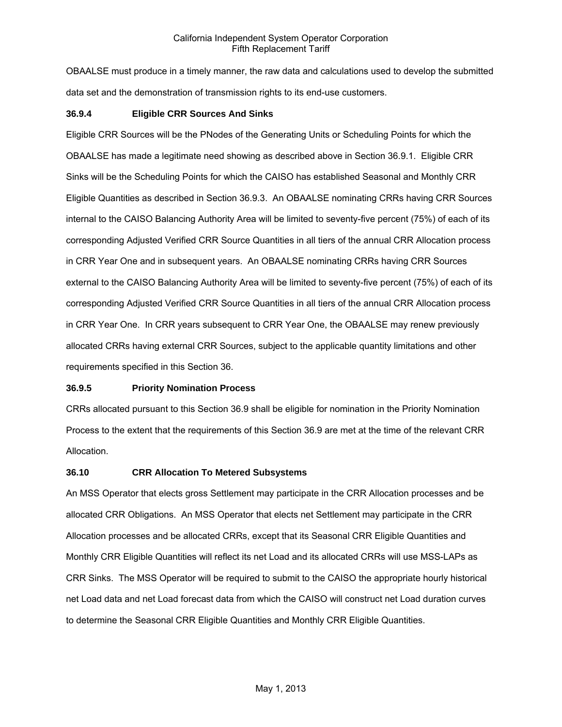OBAALSE must produce in a timely manner, the raw data and calculations used to develop the submitted data set and the demonstration of transmission rights to its end-use customers.

### **36.9.4 Eligible CRR Sources And Sinks**

Eligible CRR Sources will be the PNodes of the Generating Units or Scheduling Points for which the OBAALSE has made a legitimate need showing as described above in Section 36.9.1. Eligible CRR Sinks will be the Scheduling Points for which the CAISO has established Seasonal and Monthly CRR Eligible Quantities as described in Section 36.9.3. An OBAALSE nominating CRRs having CRR Sources internal to the CAISO Balancing Authority Area will be limited to seventy-five percent (75%) of each of its corresponding Adjusted Verified CRR Source Quantities in all tiers of the annual CRR Allocation process in CRR Year One and in subsequent years. An OBAALSE nominating CRRs having CRR Sources external to the CAISO Balancing Authority Area will be limited to seventy-five percent (75%) of each of its corresponding Adjusted Verified CRR Source Quantities in all tiers of the annual CRR Allocation process in CRR Year One. In CRR years subsequent to CRR Year One, the OBAALSE may renew previously allocated CRRs having external CRR Sources, subject to the applicable quantity limitations and other requirements specified in this Section 36.

### **36.9.5 Priority Nomination Process**

CRRs allocated pursuant to this Section 36.9 shall be eligible for nomination in the Priority Nomination Process to the extent that the requirements of this Section 36.9 are met at the time of the relevant CRR Allocation.

### **36.10 CRR Allocation To Metered Subsystems**

An MSS Operator that elects gross Settlement may participate in the CRR Allocation processes and be allocated CRR Obligations. An MSS Operator that elects net Settlement may participate in the CRR Allocation processes and be allocated CRRs, except that its Seasonal CRR Eligible Quantities and Monthly CRR Eligible Quantities will reflect its net Load and its allocated CRRs will use MSS-LAPs as CRR Sinks. The MSS Operator will be required to submit to the CAISO the appropriate hourly historical net Load data and net Load forecast data from which the CAISO will construct net Load duration curves to determine the Seasonal CRR Eligible Quantities and Monthly CRR Eligible Quantities.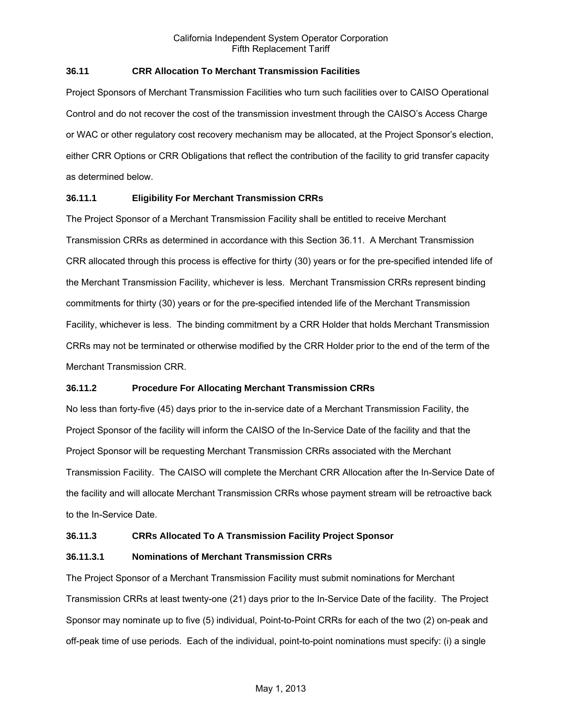# **36.11 CRR Allocation To Merchant Transmission Facilities**

Project Sponsors of Merchant Transmission Facilities who turn such facilities over to CAISO Operational Control and do not recover the cost of the transmission investment through the CAISO's Access Charge or WAC or other regulatory cost recovery mechanism may be allocated, at the Project Sponsor's election, either CRR Options or CRR Obligations that reflect the contribution of the facility to grid transfer capacity as determined below.

### **36.11.1 Eligibility For Merchant Transmission CRRs**

The Project Sponsor of a Merchant Transmission Facility shall be entitled to receive Merchant Transmission CRRs as determined in accordance with this Section 36.11. A Merchant Transmission CRR allocated through this process is effective for thirty (30) years or for the pre-specified intended life of the Merchant Transmission Facility, whichever is less. Merchant Transmission CRRs represent binding commitments for thirty (30) years or for the pre-specified intended life of the Merchant Transmission Facility, whichever is less. The binding commitment by a CRR Holder that holds Merchant Transmission CRRs may not be terminated or otherwise modified by the CRR Holder prior to the end of the term of the Merchant Transmission CRR.

### **36.11.2 Procedure For Allocating Merchant Transmission CRRs**

No less than forty-five (45) days prior to the in-service date of a Merchant Transmission Facility, the Project Sponsor of the facility will inform the CAISO of the In-Service Date of the facility and that the Project Sponsor will be requesting Merchant Transmission CRRs associated with the Merchant Transmission Facility. The CAISO will complete the Merchant CRR Allocation after the In-Service Date of the facility and will allocate Merchant Transmission CRRs whose payment stream will be retroactive back to the In-Service Date.

### **36.11.3 CRRs Allocated To A Transmission Facility Project Sponsor**

### **36.11.3.1 Nominations of Merchant Transmission CRRs**

The Project Sponsor of a Merchant Transmission Facility must submit nominations for Merchant Transmission CRRs at least twenty-one (21) days prior to the In-Service Date of the facility. The Project Sponsor may nominate up to five (5) individual, Point-to-Point CRRs for each of the two (2) on-peak and off-peak time of use periods. Each of the individual, point-to-point nominations must specify: (i) a single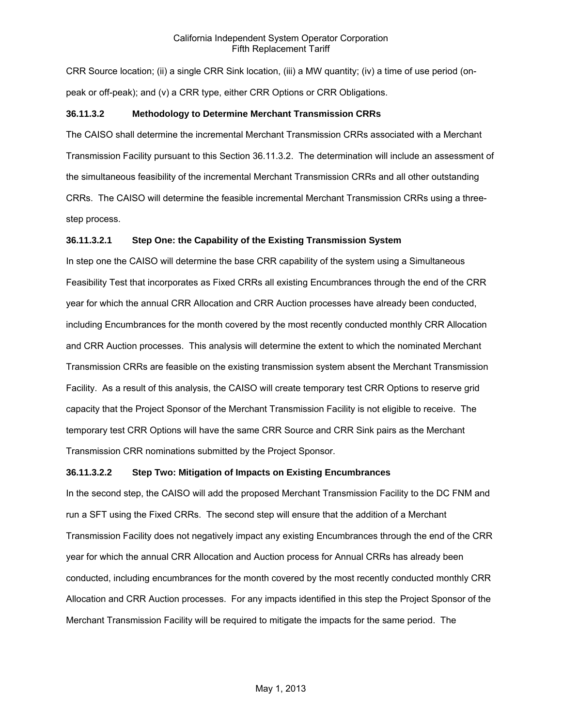CRR Source location; (ii) a single CRR Sink location, (iii) a MW quantity; (iv) a time of use period (onpeak or off-peak); and (v) a CRR type, either CRR Options or CRR Obligations.

## **36.11.3.2 Methodology to Determine Merchant Transmission CRRs**

The CAISO shall determine the incremental Merchant Transmission CRRs associated with a Merchant Transmission Facility pursuant to this Section 36.11.3.2. The determination will include an assessment of the simultaneous feasibility of the incremental Merchant Transmission CRRs and all other outstanding CRRs. The CAISO will determine the feasible incremental Merchant Transmission CRRs using a threestep process.

### **36.11.3.2.1 Step One: the Capability of the Existing Transmission System**

In step one the CAISO will determine the base CRR capability of the system using a Simultaneous Feasibility Test that incorporates as Fixed CRRs all existing Encumbrances through the end of the CRR year for which the annual CRR Allocation and CRR Auction processes have already been conducted, including Encumbrances for the month covered by the most recently conducted monthly CRR Allocation and CRR Auction processes. This analysis will determine the extent to which the nominated Merchant Transmission CRRs are feasible on the existing transmission system absent the Merchant Transmission Facility. As a result of this analysis, the CAISO will create temporary test CRR Options to reserve grid capacity that the Project Sponsor of the Merchant Transmission Facility is not eligible to receive. The temporary test CRR Options will have the same CRR Source and CRR Sink pairs as the Merchant Transmission CRR nominations submitted by the Project Sponsor.

## **36.11.3.2.2 Step Two: Mitigation of Impacts on Existing Encumbrances**

In the second step, the CAISO will add the proposed Merchant Transmission Facility to the DC FNM and run a SFT using the Fixed CRRs. The second step will ensure that the addition of a Merchant Transmission Facility does not negatively impact any existing Encumbrances through the end of the CRR year for which the annual CRR Allocation and Auction process for Annual CRRs has already been conducted, including encumbrances for the month covered by the most recently conducted monthly CRR Allocation and CRR Auction processes. For any impacts identified in this step the Project Sponsor of the Merchant Transmission Facility will be required to mitigate the impacts for the same period. The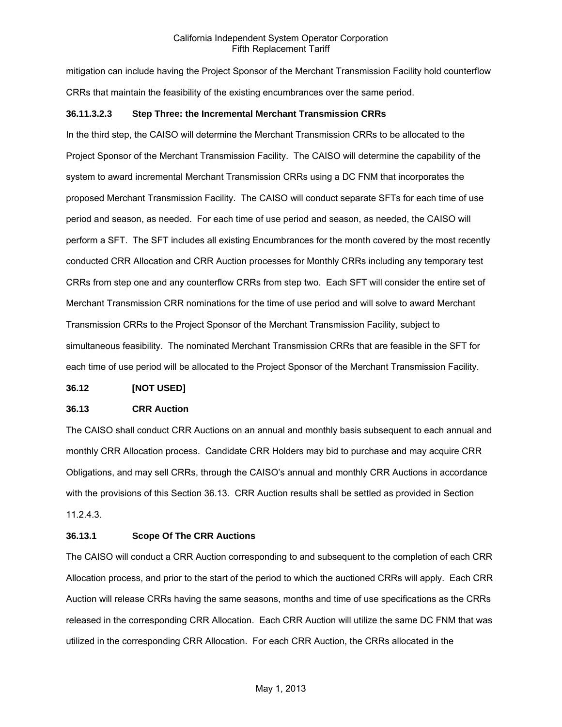mitigation can include having the Project Sponsor of the Merchant Transmission Facility hold counterflow CRRs that maintain the feasibility of the existing encumbrances over the same period.

#### **36.11.3.2.3 Step Three: the Incremental Merchant Transmission CRRs**

In the third step, the CAISO will determine the Merchant Transmission CRRs to be allocated to the Project Sponsor of the Merchant Transmission Facility. The CAISO will determine the capability of the system to award incremental Merchant Transmission CRRs using a DC FNM that incorporates the proposed Merchant Transmission Facility. The CAISO will conduct separate SFTs for each time of use period and season, as needed. For each time of use period and season, as needed, the CAISO will perform a SFT. The SFT includes all existing Encumbrances for the month covered by the most recently conducted CRR Allocation and CRR Auction processes for Monthly CRRs including any temporary test CRRs from step one and any counterflow CRRs from step two. Each SFT will consider the entire set of Merchant Transmission CRR nominations for the time of use period and will solve to award Merchant Transmission CRRs to the Project Sponsor of the Merchant Transmission Facility, subject to simultaneous feasibility. The nominated Merchant Transmission CRRs that are feasible in the SFT for each time of use period will be allocated to the Project Sponsor of the Merchant Transmission Facility.

#### **36.12 [NOT USED]**

#### **36.13 CRR Auction**

The CAISO shall conduct CRR Auctions on an annual and monthly basis subsequent to each annual and monthly CRR Allocation process. Candidate CRR Holders may bid to purchase and may acquire CRR Obligations, and may sell CRRs, through the CAISO's annual and monthly CRR Auctions in accordance with the provisions of this Section 36.13. CRR Auction results shall be settled as provided in Section 11.2.4.3.

#### **36.13.1 Scope Of The CRR Auctions**

The CAISO will conduct a CRR Auction corresponding to and subsequent to the completion of each CRR Allocation process, and prior to the start of the period to which the auctioned CRRs will apply. Each CRR Auction will release CRRs having the same seasons, months and time of use specifications as the CRRs released in the corresponding CRR Allocation. Each CRR Auction will utilize the same DC FNM that was utilized in the corresponding CRR Allocation. For each CRR Auction, the CRRs allocated in the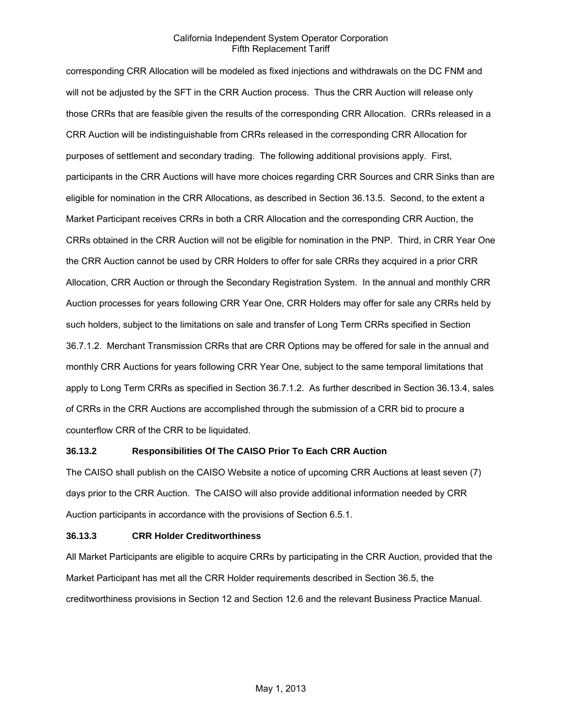corresponding CRR Allocation will be modeled as fixed injections and withdrawals on the DC FNM and will not be adjusted by the SFT in the CRR Auction process. Thus the CRR Auction will release only those CRRs that are feasible given the results of the corresponding CRR Allocation. CRRs released in a CRR Auction will be indistinguishable from CRRs released in the corresponding CRR Allocation for purposes of settlement and secondary trading. The following additional provisions apply. First, participants in the CRR Auctions will have more choices regarding CRR Sources and CRR Sinks than are eligible for nomination in the CRR Allocations, as described in Section 36.13.5. Second, to the extent a Market Participant receives CRRs in both a CRR Allocation and the corresponding CRR Auction, the CRRs obtained in the CRR Auction will not be eligible for nomination in the PNP. Third, in CRR Year One the CRR Auction cannot be used by CRR Holders to offer for sale CRRs they acquired in a prior CRR Allocation, CRR Auction or through the Secondary Registration System. In the annual and monthly CRR Auction processes for years following CRR Year One, CRR Holders may offer for sale any CRRs held by such holders, subject to the limitations on sale and transfer of Long Term CRRs specified in Section 36.7.1.2. Merchant Transmission CRRs that are CRR Options may be offered for sale in the annual and monthly CRR Auctions for years following CRR Year One, subject to the same temporal limitations that apply to Long Term CRRs as specified in Section 36.7.1.2. As further described in Section 36.13.4, sales of CRRs in the CRR Auctions are accomplished through the submission of a CRR bid to procure a counterflow CRR of the CRR to be liquidated.

### **36.13.2 Responsibilities Of The CAISO Prior To Each CRR Auction**

The CAISO shall publish on the CAISO Website a notice of upcoming CRR Auctions at least seven (7) days prior to the CRR Auction. The CAISO will also provide additional information needed by CRR Auction participants in accordance with the provisions of Section 6.5.1.

## **36.13.3 CRR Holder Creditworthiness**

All Market Participants are eligible to acquire CRRs by participating in the CRR Auction, provided that the Market Participant has met all the CRR Holder requirements described in Section 36.5, the creditworthiness provisions in Section 12 and Section 12.6 and the relevant Business Practice Manual.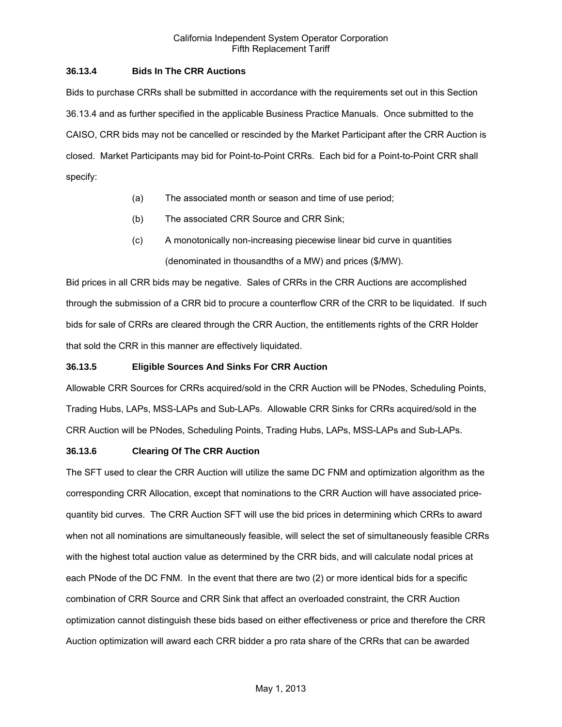### **36.13.4 Bids In The CRR Auctions**

Bids to purchase CRRs shall be submitted in accordance with the requirements set out in this Section 36.13.4 and as further specified in the applicable Business Practice Manuals. Once submitted to the CAISO, CRR bids may not be cancelled or rescinded by the Market Participant after the CRR Auction is closed. Market Participants may bid for Point-to-Point CRRs. Each bid for a Point-to-Point CRR shall specify:

- (a) The associated month or season and time of use period;
- (b) The associated CRR Source and CRR Sink;
- (c) A monotonically non-increasing piecewise linear bid curve in quantities (denominated in thousandths of a MW) and prices (\$/MW).

Bid prices in all CRR bids may be negative. Sales of CRRs in the CRR Auctions are accomplished through the submission of a CRR bid to procure a counterflow CRR of the CRR to be liquidated. If such bids for sale of CRRs are cleared through the CRR Auction, the entitlements rights of the CRR Holder that sold the CRR in this manner are effectively liquidated.

### **36.13.5 Eligible Sources And Sinks For CRR Auction**

Allowable CRR Sources for CRRs acquired/sold in the CRR Auction will be PNodes, Scheduling Points, Trading Hubs, LAPs, MSS-LAPs and Sub-LAPs. Allowable CRR Sinks for CRRs acquired/sold in the CRR Auction will be PNodes, Scheduling Points, Trading Hubs, LAPs, MSS-LAPs and Sub-LAPs.

### **36.13.6 Clearing Of The CRR Auction**

The SFT used to clear the CRR Auction will utilize the same DC FNM and optimization algorithm as the corresponding CRR Allocation, except that nominations to the CRR Auction will have associated pricequantity bid curves. The CRR Auction SFT will use the bid prices in determining which CRRs to award when not all nominations are simultaneously feasible, will select the set of simultaneously feasible CRRs with the highest total auction value as determined by the CRR bids, and will calculate nodal prices at each PNode of the DC FNM. In the event that there are two (2) or more identical bids for a specific combination of CRR Source and CRR Sink that affect an overloaded constraint, the CRR Auction optimization cannot distinguish these bids based on either effectiveness or price and therefore the CRR Auction optimization will award each CRR bidder a pro rata share of the CRRs that can be awarded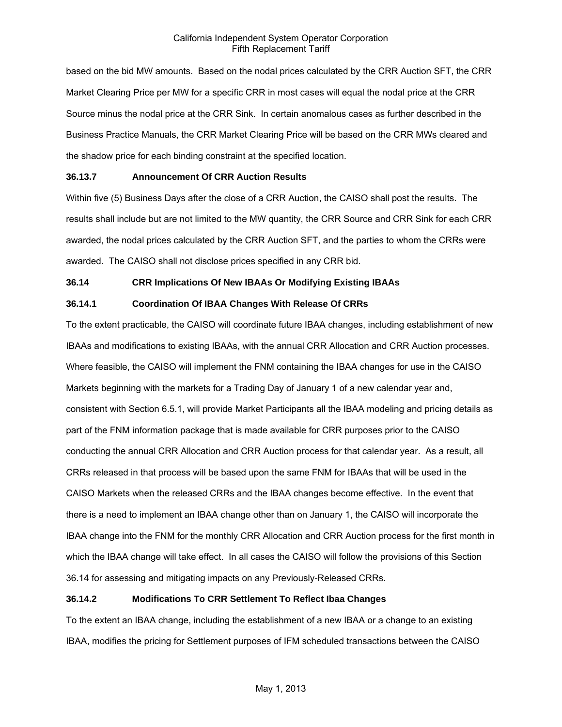based on the bid MW amounts. Based on the nodal prices calculated by the CRR Auction SFT, the CRR Market Clearing Price per MW for a specific CRR in most cases will equal the nodal price at the CRR Source minus the nodal price at the CRR Sink. In certain anomalous cases as further described in the Business Practice Manuals, the CRR Market Clearing Price will be based on the CRR MWs cleared and the shadow price for each binding constraint at the specified location.

### **36.13.7 Announcement Of CRR Auction Results**

Within five (5) Business Days after the close of a CRR Auction, the CAISO shall post the results. The results shall include but are not limited to the MW quantity, the CRR Source and CRR Sink for each CRR awarded, the nodal prices calculated by the CRR Auction SFT, and the parties to whom the CRRs were awarded. The CAISO shall not disclose prices specified in any CRR bid.

### **36.14 CRR Implications Of New IBAAs Or Modifying Existing IBAAs**

## **36.14.1 Coordination Of IBAA Changes With Release Of CRRs**

To the extent practicable, the CAISO will coordinate future IBAA changes, including establishment of new IBAAs and modifications to existing IBAAs, with the annual CRR Allocation and CRR Auction processes. Where feasible, the CAISO will implement the FNM containing the IBAA changes for use in the CAISO Markets beginning with the markets for a Trading Day of January 1 of a new calendar year and, consistent with Section 6.5.1, will provide Market Participants all the IBAA modeling and pricing details as part of the FNM information package that is made available for CRR purposes prior to the CAISO conducting the annual CRR Allocation and CRR Auction process for that calendar year. As a result, all CRRs released in that process will be based upon the same FNM for IBAAs that will be used in the CAISO Markets when the released CRRs and the IBAA changes become effective. In the event that there is a need to implement an IBAA change other than on January 1, the CAISO will incorporate the IBAA change into the FNM for the monthly CRR Allocation and CRR Auction process for the first month in which the IBAA change will take effect. In all cases the CAISO will follow the provisions of this Section 36.14 for assessing and mitigating impacts on any Previously-Released CRRs.

## **36.14.2 Modifications To CRR Settlement To Reflect Ibaa Changes**

To the extent an IBAA change, including the establishment of a new IBAA or a change to an existing IBAA, modifies the pricing for Settlement purposes of IFM scheduled transactions between the CAISO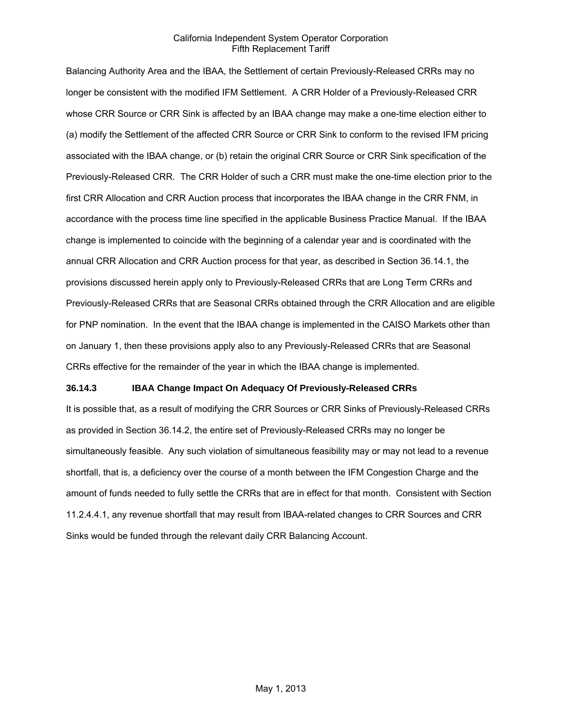Balancing Authority Area and the IBAA, the Settlement of certain Previously-Released CRRs may no longer be consistent with the modified IFM Settlement. A CRR Holder of a Previously-Released CRR whose CRR Source or CRR Sink is affected by an IBAA change may make a one-time election either to (a) modify the Settlement of the affected CRR Source or CRR Sink to conform to the revised IFM pricing associated with the IBAA change, or (b) retain the original CRR Source or CRR Sink specification of the Previously-Released CRR. The CRR Holder of such a CRR must make the one-time election prior to the first CRR Allocation and CRR Auction process that incorporates the IBAA change in the CRR FNM, in accordance with the process time line specified in the applicable Business Practice Manual. If the IBAA change is implemented to coincide with the beginning of a calendar year and is coordinated with the annual CRR Allocation and CRR Auction process for that year, as described in Section 36.14.1, the provisions discussed herein apply only to Previously-Released CRRs that are Long Term CRRs and Previously-Released CRRs that are Seasonal CRRs obtained through the CRR Allocation and are eligible for PNP nomination. In the event that the IBAA change is implemented in the CAISO Markets other than on January 1, then these provisions apply also to any Previously-Released CRRs that are Seasonal CRRs effective for the remainder of the year in which the IBAA change is implemented.

### **36.14.3 IBAA Change Impact On Adequacy Of Previously-Released CRRs**

It is possible that, as a result of modifying the CRR Sources or CRR Sinks of Previously-Released CRRs as provided in Section 36.14.2, the entire set of Previously-Released CRRs may no longer be simultaneously feasible. Any such violation of simultaneous feasibility may or may not lead to a revenue shortfall, that is, a deficiency over the course of a month between the IFM Congestion Charge and the amount of funds needed to fully settle the CRRs that are in effect for that month. Consistent with Section 11.2.4.4.1, any revenue shortfall that may result from IBAA-related changes to CRR Sources and CRR Sinks would be funded through the relevant daily CRR Balancing Account.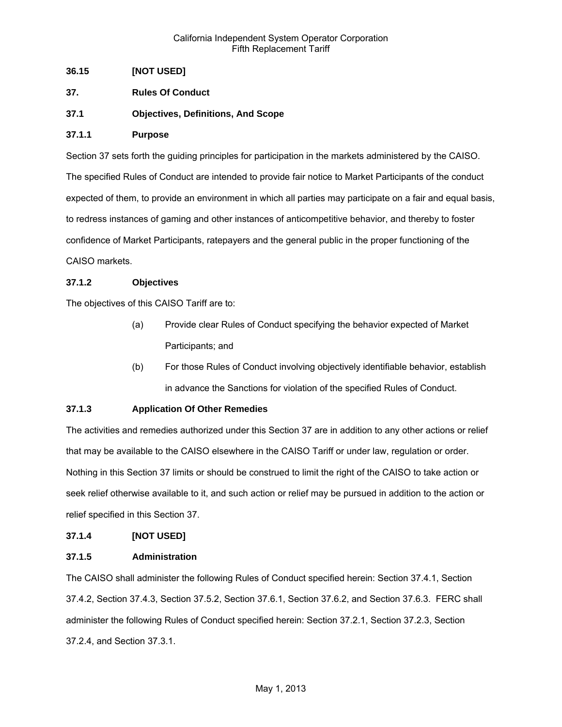## **36.15 [NOT USED]**

- **37. Rules Of Conduct**
- **37.1 Objectives, Definitions, And Scope**

### **37.1.1 Purpose**

Section 37 sets forth the guiding principles for participation in the markets administered by the CAISO. The specified Rules of Conduct are intended to provide fair notice to Market Participants of the conduct expected of them, to provide an environment in which all parties may participate on a fair and equal basis, to redress instances of gaming and other instances of anticompetitive behavior, and thereby to foster confidence of Market Participants, ratepayers and the general public in the proper functioning of the CAISO markets.

### **37.1.2 Objectives**

The objectives of this CAISO Tariff are to:

- (a) Provide clear Rules of Conduct specifying the behavior expected of Market Participants; and
- (b) For those Rules of Conduct involving objectively identifiable behavior, establish in advance the Sanctions for violation of the specified Rules of Conduct.

## **37.1.3 Application Of Other Remedies**

The activities and remedies authorized under this Section 37 are in addition to any other actions or relief that may be available to the CAISO elsewhere in the CAISO Tariff or under law, regulation or order. Nothing in this Section 37 limits or should be construed to limit the right of the CAISO to take action or seek relief otherwise available to it, and such action or relief may be pursued in addition to the action or relief specified in this Section 37.

### **37.1.4 [NOT USED]**

### **37.1.5 Administration**

The CAISO shall administer the following Rules of Conduct specified herein: Section 37.4.1, Section 37.4.2, Section 37.4.3, Section 37.5.2, Section 37.6.1, Section 37.6.2, and Section 37.6.3. FERC shall administer the following Rules of Conduct specified herein: Section 37.2.1, Section 37.2.3, Section 37.2.4, and Section 37.3.1.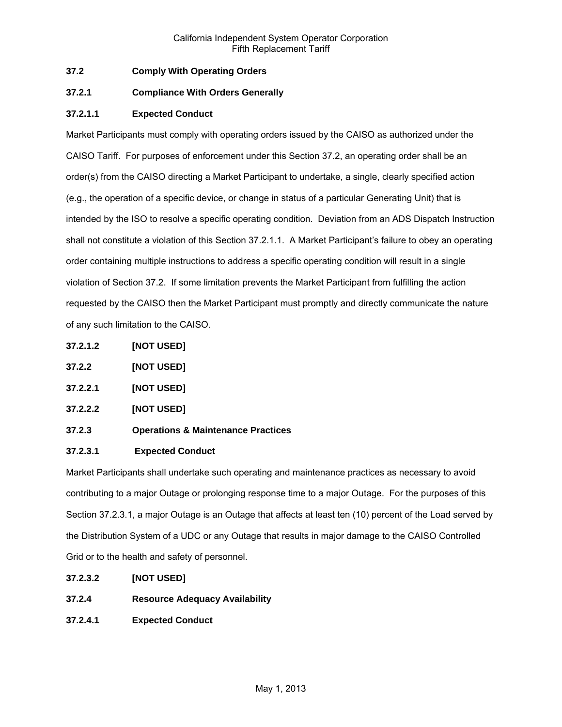# **37.2 Comply With Operating Orders**

## **37.2.1 Compliance With Orders Generally**

# **37.2.1.1 Expected Conduct**

Market Participants must comply with operating orders issued by the CAISO as authorized under the CAISO Tariff. For purposes of enforcement under this Section 37.2, an operating order shall be an order(s) from the CAISO directing a Market Participant to undertake, a single, clearly specified action (e.g., the operation of a specific device, or change in status of a particular Generating Unit) that is intended by the ISO to resolve a specific operating condition. Deviation from an ADS Dispatch Instruction shall not constitute a violation of this Section 37.2.1.1. A Market Participant's failure to obey an operating order containing multiple instructions to address a specific operating condition will result in a single violation of Section 37.2. If some limitation prevents the Market Participant from fulfilling the action requested by the CAISO then the Market Participant must promptly and directly communicate the nature of any such limitation to the CAISO.

- **37.2.1.2 [NOT USED]**
- **37.2.2 [NOT USED]**
- **37.2.2.1 [NOT USED]**
- **37.2.2.2 [NOT USED]**
- **37.2.3 Operations & Maintenance Practices**

## **37.2.3.1 Expected Conduct**

Market Participants shall undertake such operating and maintenance practices as necessary to avoid contributing to a major Outage or prolonging response time to a major Outage. For the purposes of this Section 37.2.3.1, a major Outage is an Outage that affects at least ten (10) percent of the Load served by the Distribution System of a UDC or any Outage that results in major damage to the CAISO Controlled Grid or to the health and safety of personnel.

- **37.2.3.2 [NOT USED]**
- **37.2.4 Resource Adequacy Availability**
- **37.2.4.1 Expected Conduct**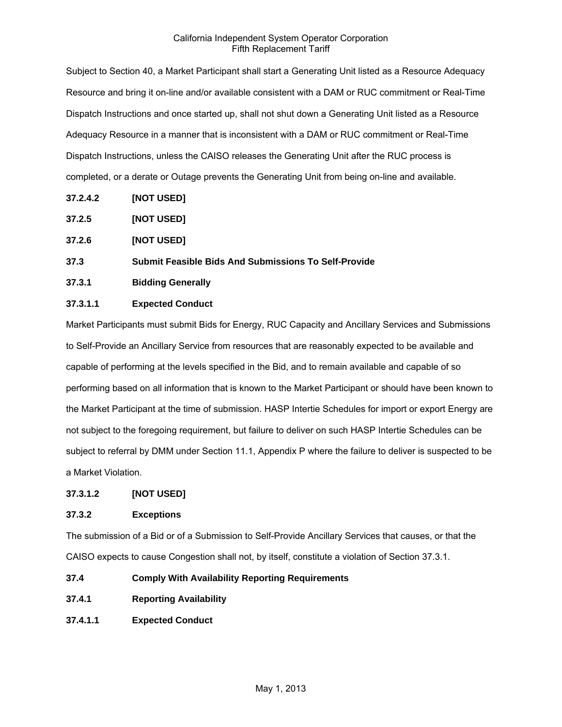Subject to Section 40, a Market Participant shall start a Generating Unit listed as a Resource Adequacy Resource and bring it on-line and/or available consistent with a DAM or RUC commitment or Real-Time Dispatch Instructions and once started up, shall not shut down a Generating Unit listed as a Resource Adequacy Resource in a manner that is inconsistent with a DAM or RUC commitment or Real-Time Dispatch Instructions, unless the CAISO releases the Generating Unit after the RUC process is completed, or a derate or Outage prevents the Generating Unit from being on-line and available.

- **37.2.4.2 [NOT USED]**
- **37.2.5 [NOT USED]**
- **37.2.6 [NOT USED]**
- **37.3 Submit Feasible Bids And Submissions To Self-Provide**
- **37.3.1 Bidding Generally**

## **37.3.1.1 Expected Conduct**

Market Participants must submit Bids for Energy, RUC Capacity and Ancillary Services and Submissions to Self-Provide an Ancillary Service from resources that are reasonably expected to be available and capable of performing at the levels specified in the Bid, and to remain available and capable of so performing based on all information that is known to the Market Participant or should have been known to the Market Participant at the time of submission. HASP Intertie Schedules for import or export Energy are not subject to the foregoing requirement, but failure to deliver on such HASP Intertie Schedules can be subject to referral by DMM under Section 11.1, Appendix P where the failure to deliver is suspected to be a Market Violation.

## **37.3.1.2 [NOT USED]**

## **37.3.2 Exceptions**

The submission of a Bid or of a Submission to Self-Provide Ancillary Services that causes, or that the CAISO expects to cause Congestion shall not, by itself, constitute a violation of Section 37.3.1.

- **37.4 Comply With Availability Reporting Requirements**
- **37.4.1 Reporting Availability**
- **37.4.1.1 Expected Conduct**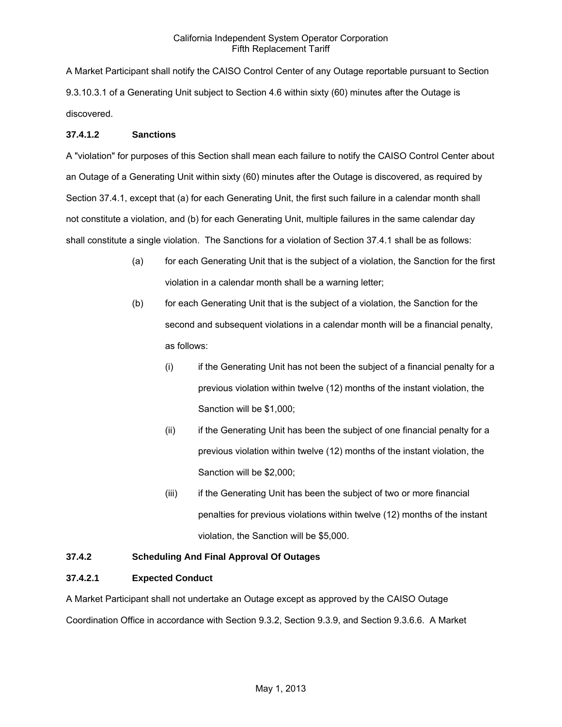A Market Participant shall notify the CAISO Control Center of any Outage reportable pursuant to Section 9.3.10.3.1 of a Generating Unit subject to Section 4.6 within sixty (60) minutes after the Outage is discovered.

## **37.4.1.2 Sanctions**

A "violation" for purposes of this Section shall mean each failure to notify the CAISO Control Center about an Outage of a Generating Unit within sixty (60) minutes after the Outage is discovered, as required by Section 37.4.1, except that (a) for each Generating Unit, the first such failure in a calendar month shall not constitute a violation, and (b) for each Generating Unit, multiple failures in the same calendar day shall constitute a single violation. The Sanctions for a violation of Section 37.4.1 shall be as follows:

- (a) for each Generating Unit that is the subject of a violation, the Sanction for the first violation in a calendar month shall be a warning letter;
- (b) for each Generating Unit that is the subject of a violation, the Sanction for the second and subsequent violations in a calendar month will be a financial penalty, as follows:
	- (i) if the Generating Unit has not been the subject of a financial penalty for a previous violation within twelve (12) months of the instant violation, the Sanction will be \$1,000;
	- (ii) if the Generating Unit has been the subject of one financial penalty for a previous violation within twelve (12) months of the instant violation, the Sanction will be \$2,000;
	- (iii) if the Generating Unit has been the subject of two or more financial penalties for previous violations within twelve (12) months of the instant violation, the Sanction will be \$5,000.

# **37.4.2 Scheduling And Final Approval Of Outages**

## **37.4.2.1 Expected Conduct**

A Market Participant shall not undertake an Outage except as approved by the CAISO Outage Coordination Office in accordance with Section 9.3.2, Section 9.3.9, and Section 9.3.6.6. A Market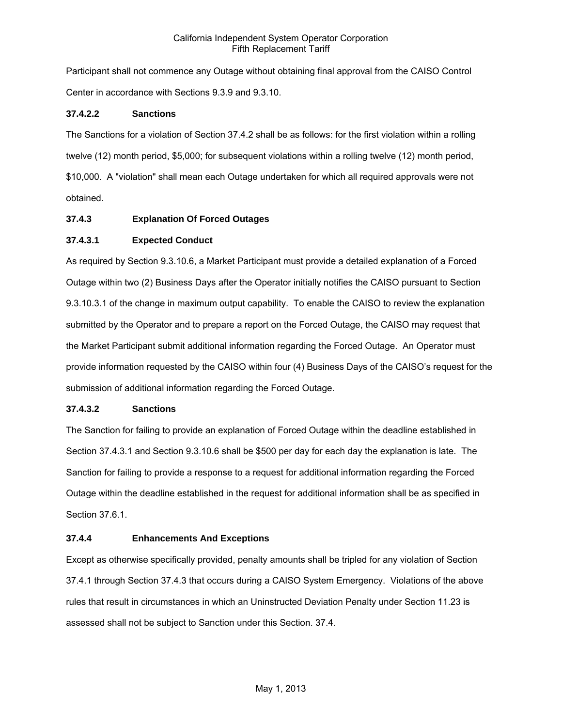Participant shall not commence any Outage without obtaining final approval from the CAISO Control Center in accordance with Sections 9.3.9 and 9.3.10.

### **37.4.2.2 Sanctions**

The Sanctions for a violation of Section 37.4.2 shall be as follows: for the first violation within a rolling twelve (12) month period, \$5,000; for subsequent violations within a rolling twelve (12) month period, \$10,000. A "violation" shall mean each Outage undertaken for which all required approvals were not obtained.

### **37.4.3 Explanation Of Forced Outages**

### **37.4.3.1 Expected Conduct**

As required by Section 9.3.10.6, a Market Participant must provide a detailed explanation of a Forced Outage within two (2) Business Days after the Operator initially notifies the CAISO pursuant to Section 9.3.10.3.1 of the change in maximum output capability. To enable the CAISO to review the explanation submitted by the Operator and to prepare a report on the Forced Outage, the CAISO may request that the Market Participant submit additional information regarding the Forced Outage. An Operator must provide information requested by the CAISO within four (4) Business Days of the CAISO's request for the submission of additional information regarding the Forced Outage.

### **37.4.3.2 Sanctions**

The Sanction for failing to provide an explanation of Forced Outage within the deadline established in Section 37.4.3.1 and Section 9.3.10.6 shall be \$500 per day for each day the explanation is late. The Sanction for failing to provide a response to a request for additional information regarding the Forced Outage within the deadline established in the request for additional information shall be as specified in Section 37.6.1.

### **37.4.4 Enhancements And Exceptions**

Except as otherwise specifically provided, penalty amounts shall be tripled for any violation of Section 37.4.1 through Section 37.4.3 that occurs during a CAISO System Emergency. Violations of the above rules that result in circumstances in which an Uninstructed Deviation Penalty under Section 11.23 is assessed shall not be subject to Sanction under this Section. 37.4.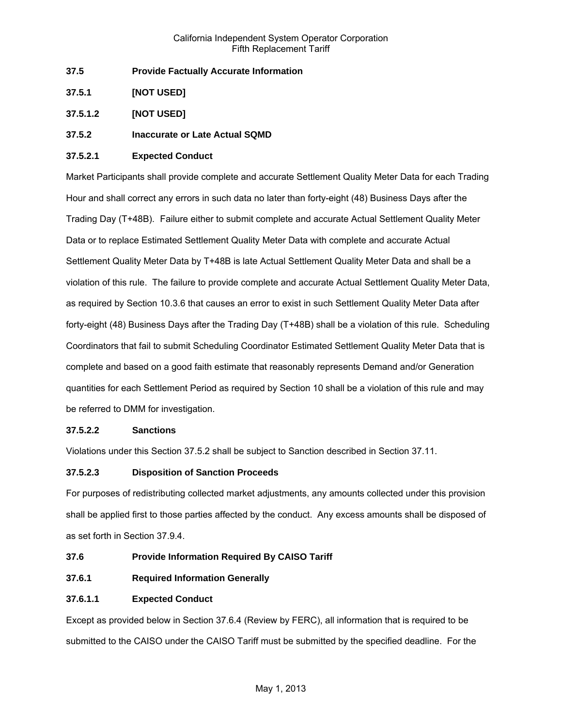- **37.5 Provide Factually Accurate Information**
- **37.5.1 [NOT USED]**
- **37.5.1.2 [NOT USED]**
- **37.5.2 Inaccurate or Late Actual SQMD**

## **37.5.2.1 Expected Conduct**

Market Participants shall provide complete and accurate Settlement Quality Meter Data for each Trading Hour and shall correct any errors in such data no later than forty-eight (48) Business Days after the Trading Day (T+48B). Failure either to submit complete and accurate Actual Settlement Quality Meter Data or to replace Estimated Settlement Quality Meter Data with complete and accurate Actual Settlement Quality Meter Data by T+48B is late Actual Settlement Quality Meter Data and shall be a violation of this rule. The failure to provide complete and accurate Actual Settlement Quality Meter Data, as required by Section 10.3.6 that causes an error to exist in such Settlement Quality Meter Data after forty-eight (48) Business Days after the Trading Day (T+48B) shall be a violation of this rule. Scheduling Coordinators that fail to submit Scheduling Coordinator Estimated Settlement Quality Meter Data that is complete and based on a good faith estimate that reasonably represents Demand and/or Generation quantities for each Settlement Period as required by Section 10 shall be a violation of this rule and may be referred to DMM for investigation.

### **37.5.2.2 Sanctions**

Violations under this Section 37.5.2 shall be subject to Sanction described in Section 37.11.

## **37.5.2.3 Disposition of Sanction Proceeds**

For purposes of redistributing collected market adjustments, any amounts collected under this provision shall be applied first to those parties affected by the conduct. Any excess amounts shall be disposed of as set forth in Section 37.9.4.

- **37.6 Provide Information Required By CAISO Tariff**
- **37.6.1 Required Information Generally**

## **37.6.1.1 Expected Conduct**

Except as provided below in Section 37.6.4 (Review by FERC), all information that is required to be submitted to the CAISO under the CAISO Tariff must be submitted by the specified deadline. For the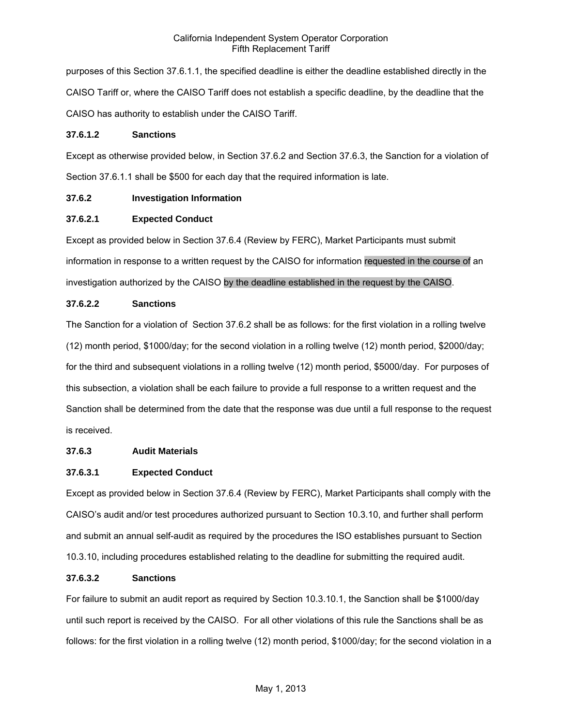purposes of this Section 37.6.1.1, the specified deadline is either the deadline established directly in the CAISO Tariff or, where the CAISO Tariff does not establish a specific deadline, by the deadline that the CAISO has authority to establish under the CAISO Tariff.

### **37.6.1.2 Sanctions**

Except as otherwise provided below, in Section 37.6.2 and Section 37.6.3, the Sanction for a violation of Section 37.6.1.1 shall be \$500 for each day that the required information is late.

## **37.6.2 Investigation Information**

## **37.6.2.1 Expected Conduct**

Except as provided below in Section 37.6.4 (Review by FERC), Market Participants must submit information in response to a written request by the CAISO for information requested in the course of an investigation authorized by the CAISO by the deadline established in the request by the CAISO.

# **37.6.2.2 Sanctions**

The Sanction for a violation of Section 37.6.2 shall be as follows: for the first violation in a rolling twelve (12) month period, \$1000/day; for the second violation in a rolling twelve (12) month period, \$2000/day; for the third and subsequent violations in a rolling twelve (12) month period, \$5000/day. For purposes of this subsection, a violation shall be each failure to provide a full response to a written request and the Sanction shall be determined from the date that the response was due until a full response to the request is received.

## **37.6.3 Audit Materials**

## **37.6.3.1 Expected Conduct**

Except as provided below in Section 37.6.4 (Review by FERC), Market Participants shall comply with the CAISO's audit and/or test procedures authorized pursuant to Section 10.3.10, and further shall perform and submit an annual self-audit as required by the procedures the ISO establishes pursuant to Section 10.3.10, including procedures established relating to the deadline for submitting the required audit.

## **37.6.3.2 Sanctions**

For failure to submit an audit report as required by Section 10.3.10.1, the Sanction shall be \$1000/day until such report is received by the CAISO. For all other violations of this rule the Sanctions shall be as follows: for the first violation in a rolling twelve (12) month period, \$1000/day; for the second violation in a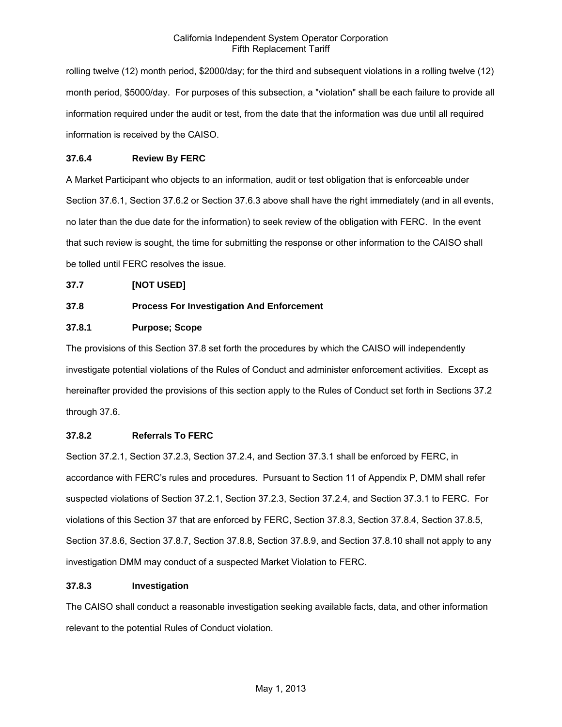rolling twelve (12) month period, \$2000/day; for the third and subsequent violations in a rolling twelve (12) month period, \$5000/day. For purposes of this subsection, a "violation" shall be each failure to provide all information required under the audit or test, from the date that the information was due until all required information is received by the CAISO.

# **37.6.4 Review By FERC**

A Market Participant who objects to an information, audit or test obligation that is enforceable under Section 37.6.1, Section 37.6.2 or Section 37.6.3 above shall have the right immediately (and in all events, no later than the due date for the information) to seek review of the obligation with FERC. In the event that such review is sought, the time for submitting the response or other information to the CAISO shall be tolled until FERC resolves the issue.

## **37.7 [NOT USED]**

# **37.8 Process For Investigation And Enforcement**

# **37.8.1 Purpose; Scope**

The provisions of this Section 37.8 set forth the procedures by which the CAISO will independently investigate potential violations of the Rules of Conduct and administer enforcement activities. Except as hereinafter provided the provisions of this section apply to the Rules of Conduct set forth in Sections 37.2 through 37.6.

## **37.8.2 Referrals To FERC**

Section 37.2.1, Section 37.2.3, Section 37.2.4, and Section 37.3.1 shall be enforced by FERC, in accordance with FERC's rules and procedures. Pursuant to Section 11 of Appendix P, DMM shall refer suspected violations of Section 37.2.1, Section 37.2.3, Section 37.2.4, and Section 37.3.1 to FERC. For violations of this Section 37 that are enforced by FERC, Section 37.8.3, Section 37.8.4, Section 37.8.5, Section 37.8.6, Section 37.8.7, Section 37.8.8, Section 37.8.9, and Section 37.8.10 shall not apply to any investigation DMM may conduct of a suspected Market Violation to FERC.

## **37.8.3 Investigation**

The CAISO shall conduct a reasonable investigation seeking available facts, data, and other information relevant to the potential Rules of Conduct violation.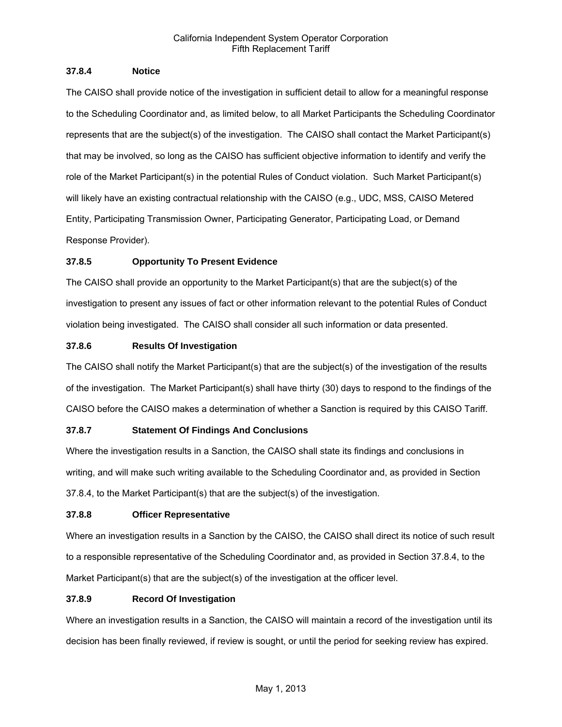### **37.8.4 Notice**

The CAISO shall provide notice of the investigation in sufficient detail to allow for a meaningful response to the Scheduling Coordinator and, as limited below, to all Market Participants the Scheduling Coordinator represents that are the subject(s) of the investigation. The CAISO shall contact the Market Participant(s) that may be involved, so long as the CAISO has sufficient objective information to identify and verify the role of the Market Participant(s) in the potential Rules of Conduct violation. Such Market Participant(s) will likely have an existing contractual relationship with the CAISO (e.g., UDC, MSS, CAISO Metered Entity, Participating Transmission Owner, Participating Generator, Participating Load, or Demand Response Provider).

## **37.8.5 Opportunity To Present Evidence**

The CAISO shall provide an opportunity to the Market Participant(s) that are the subject(s) of the investigation to present any issues of fact or other information relevant to the potential Rules of Conduct violation being investigated. The CAISO shall consider all such information or data presented.

## **37.8.6 Results Of Investigation**

The CAISO shall notify the Market Participant(s) that are the subject(s) of the investigation of the results of the investigation. The Market Participant(s) shall have thirty (30) days to respond to the findings of the CAISO before the CAISO makes a determination of whether a Sanction is required by this CAISO Tariff.

## **37.8.7 Statement Of Findings And Conclusions**

Where the investigation results in a Sanction, the CAISO shall state its findings and conclusions in writing, and will make such writing available to the Scheduling Coordinator and, as provided in Section 37.8.4, to the Market Participant(s) that are the subject(s) of the investigation.

## **37.8.8 Officer Representative**

Where an investigation results in a Sanction by the CAISO, the CAISO shall direct its notice of such result to a responsible representative of the Scheduling Coordinator and, as provided in Section 37.8.4, to the Market Participant(s) that are the subject(s) of the investigation at the officer level.

## **37.8.9 Record Of Investigation**

Where an investigation results in a Sanction, the CAISO will maintain a record of the investigation until its decision has been finally reviewed, if review is sought, or until the period for seeking review has expired.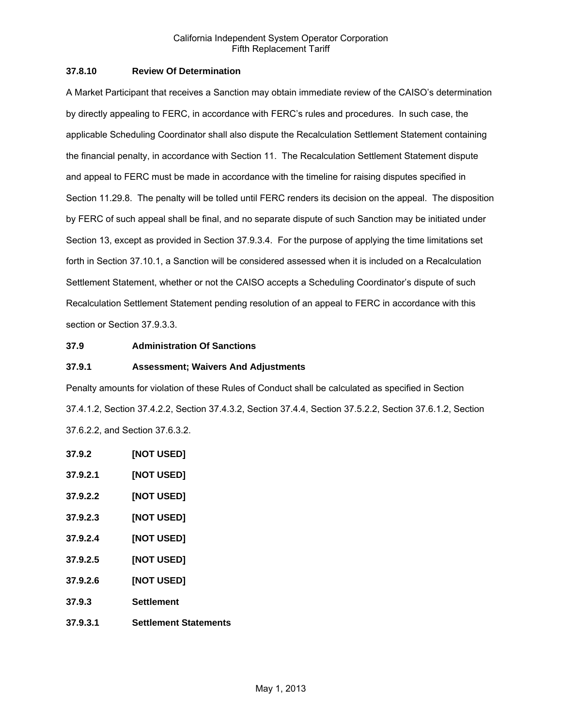## **37.8.10 Review Of Determination**

A Market Participant that receives a Sanction may obtain immediate review of the CAISO's determination by directly appealing to FERC, in accordance with FERC's rules and procedures. In such case, the applicable Scheduling Coordinator shall also dispute the Recalculation Settlement Statement containing the financial penalty, in accordance with Section 11. The Recalculation Settlement Statement dispute and appeal to FERC must be made in accordance with the timeline for raising disputes specified in Section 11.29.8. The penalty will be tolled until FERC renders its decision on the appeal. The disposition by FERC of such appeal shall be final, and no separate dispute of such Sanction may be initiated under Section 13, except as provided in Section 37.9.3.4. For the purpose of applying the time limitations set forth in Section 37.10.1, a Sanction will be considered assessed when it is included on a Recalculation Settlement Statement, whether or not the CAISO accepts a Scheduling Coordinator's dispute of such Recalculation Settlement Statement pending resolution of an appeal to FERC in accordance with this section or Section 37.9.3.3.

### **37.9 Administration Of Sanctions**

### **37.9.1 Assessment; Waivers And Adjustments**

Penalty amounts for violation of these Rules of Conduct shall be calculated as specified in Section 37.4.1.2, Section 37.4.2.2, Section 37.4.3.2, Section 37.4.4, Section 37.5.2.2, Section 37.6.1.2, Section 37.6.2.2, and Section 37.6.3.2.

- **37.9.2 [NOT USED]**
- **37.9.2.1 [NOT USED]**
- **37.9.2.2 [NOT USED]**
- **37.9.2.3 [NOT USED]**
- **37.9.2.4 [NOT USED]**
- **37.9.2.5 [NOT USED]**
- **37.9.2.6 [NOT USED]**
- **37.9.3 Settlement**
- **37.9.3.1 Settlement Statements**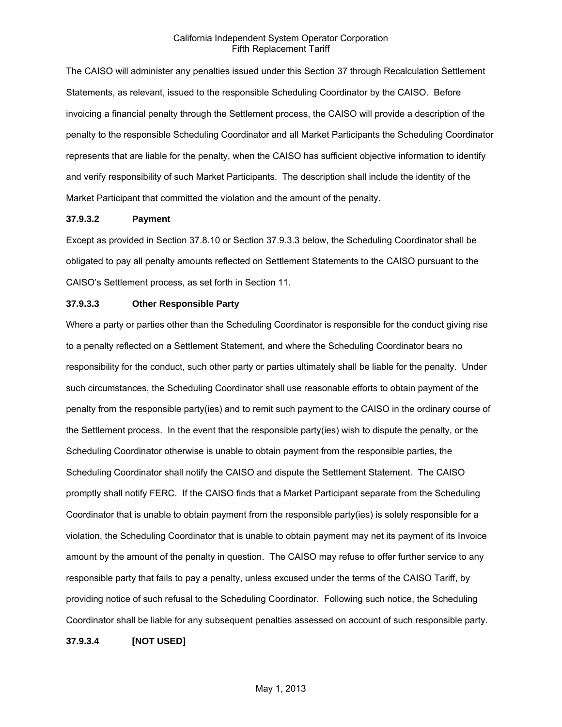The CAISO will administer any penalties issued under this Section 37 through Recalculation Settlement Statements, as relevant, issued to the responsible Scheduling Coordinator by the CAISO. Before invoicing a financial penalty through the Settlement process, the CAISO will provide a description of the penalty to the responsible Scheduling Coordinator and all Market Participants the Scheduling Coordinator represents that are liable for the penalty, when the CAISO has sufficient objective information to identify and verify responsibility of such Market Participants. The description shall include the identity of the Market Participant that committed the violation and the amount of the penalty.

### **37.9.3.2 Payment**

Except as provided in Section 37.8.10 or Section 37.9.3.3 below, the Scheduling Coordinator shall be obligated to pay all penalty amounts reflected on Settlement Statements to the CAISO pursuant to the CAISO's Settlement process, as set forth in Section 11.

### **37.9.3.3 Other Responsible Party**

Where a party or parties other than the Scheduling Coordinator is responsible for the conduct giving rise to a penalty reflected on a Settlement Statement, and where the Scheduling Coordinator bears no responsibility for the conduct, such other party or parties ultimately shall be liable for the penalty. Under such circumstances, the Scheduling Coordinator shall use reasonable efforts to obtain payment of the penalty from the responsible party(ies) and to remit such payment to the CAISO in the ordinary course of the Settlement process. In the event that the responsible party(ies) wish to dispute the penalty, or the Scheduling Coordinator otherwise is unable to obtain payment from the responsible parties, the Scheduling Coordinator shall notify the CAISO and dispute the Settlement Statement. The CAISO promptly shall notify FERC. If the CAISO finds that a Market Participant separate from the Scheduling Coordinator that is unable to obtain payment from the responsible party(ies) is solely responsible for a violation, the Scheduling Coordinator that is unable to obtain payment may net its payment of its Invoice amount by the amount of the penalty in question. The CAISO may refuse to offer further service to any responsible party that fails to pay a penalty, unless excused under the terms of the CAISO Tariff, by providing notice of such refusal to the Scheduling Coordinator. Following such notice, the Scheduling Coordinator shall be liable for any subsequent penalties assessed on account of such responsible party.

**37.9.3.4 [NOT USED]**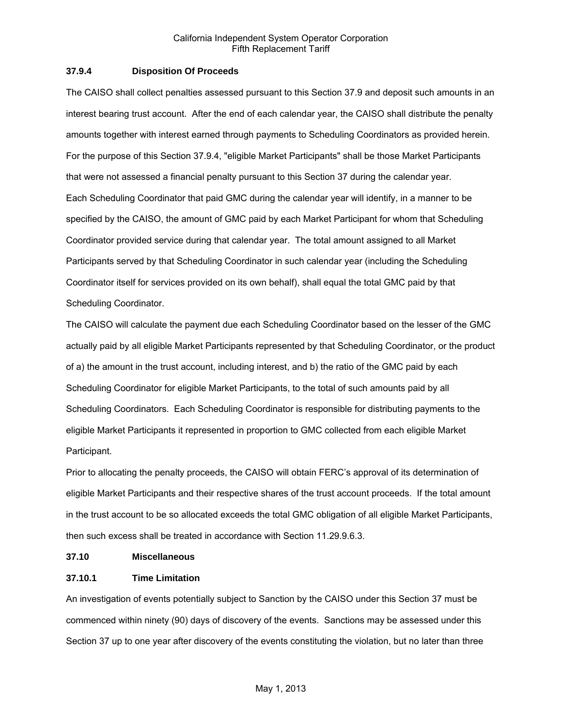### **37.9.4 Disposition Of Proceeds**

The CAISO shall collect penalties assessed pursuant to this Section 37.9 and deposit such amounts in an interest bearing trust account. After the end of each calendar year, the CAISO shall distribute the penalty amounts together with interest earned through payments to Scheduling Coordinators as provided herein. For the purpose of this Section 37.9.4, "eligible Market Participants" shall be those Market Participants that were not assessed a financial penalty pursuant to this Section 37 during the calendar year. Each Scheduling Coordinator that paid GMC during the calendar year will identify, in a manner to be specified by the CAISO, the amount of GMC paid by each Market Participant for whom that Scheduling Coordinator provided service during that calendar year. The total amount assigned to all Market Participants served by that Scheduling Coordinator in such calendar year (including the Scheduling Coordinator itself for services provided on its own behalf), shall equal the total GMC paid by that Scheduling Coordinator.

The CAISO will calculate the payment due each Scheduling Coordinator based on the lesser of the GMC actually paid by all eligible Market Participants represented by that Scheduling Coordinator, or the product of a) the amount in the trust account, including interest, and b) the ratio of the GMC paid by each Scheduling Coordinator for eligible Market Participants, to the total of such amounts paid by all Scheduling Coordinators. Each Scheduling Coordinator is responsible for distributing payments to the eligible Market Participants it represented in proportion to GMC collected from each eligible Market Participant.

Prior to allocating the penalty proceeds, the CAISO will obtain FERC's approval of its determination of eligible Market Participants and their respective shares of the trust account proceeds. If the total amount in the trust account to be so allocated exceeds the total GMC obligation of all eligible Market Participants, then such excess shall be treated in accordance with Section 11.29.9.6.3.

### **37.10 Miscellaneous**

## **37.10.1 Time Limitation**

An investigation of events potentially subject to Sanction by the CAISO under this Section 37 must be commenced within ninety (90) days of discovery of the events. Sanctions may be assessed under this Section 37 up to one year after discovery of the events constituting the violation, but no later than three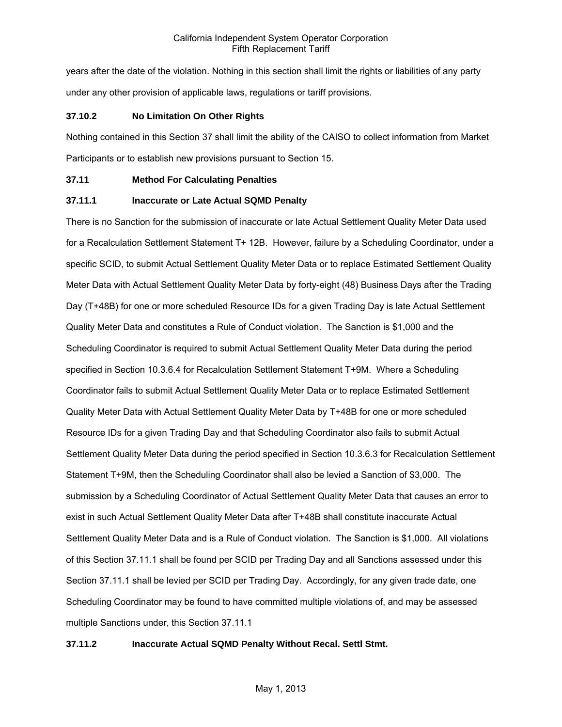years after the date of the violation. Nothing in this section shall limit the rights or liabilities of any party under any other provision of applicable laws, regulations or tariff provisions.

### **37.10.2 No Limitation On Other Rights**

Nothing contained in this Section 37 shall limit the ability of the CAISO to collect information from Market Participants or to establish new provisions pursuant to Section 15.

### **37.11 Method For Calculating Penalties**

### **37.11.1 Inaccurate or Late Actual SQMD Penalty**

There is no Sanction for the submission of inaccurate or late Actual Settlement Quality Meter Data used for a Recalculation Settlement Statement T+ 12B. However, failure by a Scheduling Coordinator, under a specific SCID, to submit Actual Settlement Quality Meter Data or to replace Estimated Settlement Quality Meter Data with Actual Settlement Quality Meter Data by forty-eight (48) Business Days after the Trading Day (T+48B) for one or more scheduled Resource IDs for a given Trading Day is late Actual Settlement Quality Meter Data and constitutes a Rule of Conduct violation. The Sanction is \$1,000 and the Scheduling Coordinator is required to submit Actual Settlement Quality Meter Data during the period specified in Section 10.3.6.4 for Recalculation Settlement Statement T+9M. Where a Scheduling Coordinator fails to submit Actual Settlement Quality Meter Data or to replace Estimated Settlement Quality Meter Data with Actual Settlement Quality Meter Data by T+48B for one or more scheduled Resource IDs for a given Trading Day and that Scheduling Coordinator also fails to submit Actual Settlement Quality Meter Data during the period specified in Section 10.3.6.3 for Recalculation Settlement Statement T+9M, then the Scheduling Coordinator shall also be levied a Sanction of \$3,000. The submission by a Scheduling Coordinator of Actual Settlement Quality Meter Data that causes an error to exist in such Actual Settlement Quality Meter Data after T+48B shall constitute inaccurate Actual Settlement Quality Meter Data and is a Rule of Conduct violation. The Sanction is \$1,000. All violations of this Section 37.11.1 shall be found per SCID per Trading Day and all Sanctions assessed under this Section 37.11.1 shall be levied per SCID per Trading Day. Accordingly, for any given trade date, one Scheduling Coordinator may be found to have committed multiple violations of, and may be assessed multiple Sanctions under, this Section 37.11.1

## **37.11.2 Inaccurate Actual SQMD Penalty Without Recal. Settl Stmt.**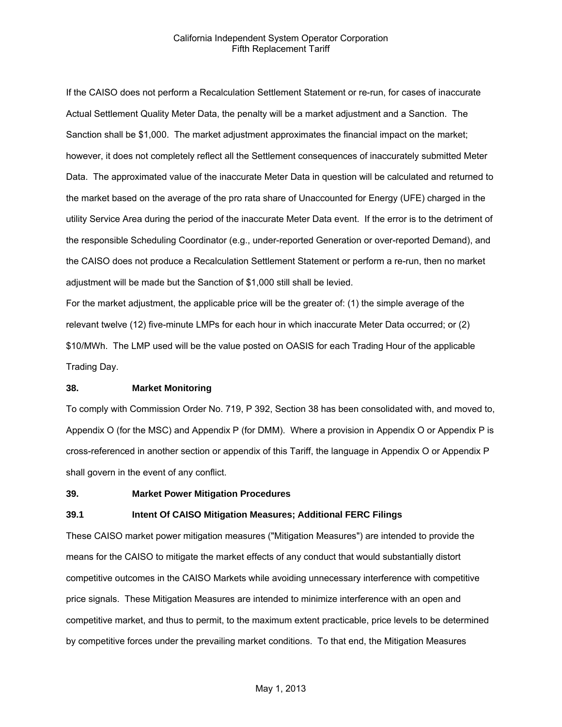If the CAISO does not perform a Recalculation Settlement Statement or re-run, for cases of inaccurate Actual Settlement Quality Meter Data, the penalty will be a market adjustment and a Sanction. The Sanction shall be \$1,000. The market adjustment approximates the financial impact on the market; however, it does not completely reflect all the Settlement consequences of inaccurately submitted Meter Data. The approximated value of the inaccurate Meter Data in question will be calculated and returned to the market based on the average of the pro rata share of Unaccounted for Energy (UFE) charged in the utility Service Area during the period of the inaccurate Meter Data event. If the error is to the detriment of the responsible Scheduling Coordinator (e.g., under-reported Generation or over-reported Demand), and the CAISO does not produce a Recalculation Settlement Statement or perform a re-run, then no market adjustment will be made but the Sanction of \$1,000 still shall be levied.

For the market adjustment, the applicable price will be the greater of: (1) the simple average of the relevant twelve (12) five-minute LMPs for each hour in which inaccurate Meter Data occurred; or (2) \$10/MWh. The LMP used will be the value posted on OASIS for each Trading Hour of the applicable Trading Day.

#### **38. Market Monitoring**

To comply with Commission Order No. 719, P 392, Section 38 has been consolidated with, and moved to, Appendix O (for the MSC) and Appendix P (for DMM). Where a provision in Appendix O or Appendix P is cross-referenced in another section or appendix of this Tariff, the language in Appendix O or Appendix P shall govern in the event of any conflict.

#### **39. Market Power Mitigation Procedures**

#### **39.1 Intent Of CAISO Mitigation Measures; Additional FERC Filings**

These CAISO market power mitigation measures ("Mitigation Measures") are intended to provide the means for the CAISO to mitigate the market effects of any conduct that would substantially distort competitive outcomes in the CAISO Markets while avoiding unnecessary interference with competitive price signals. These Mitigation Measures are intended to minimize interference with an open and competitive market, and thus to permit, to the maximum extent practicable, price levels to be determined by competitive forces under the prevailing market conditions. To that end, the Mitigation Measures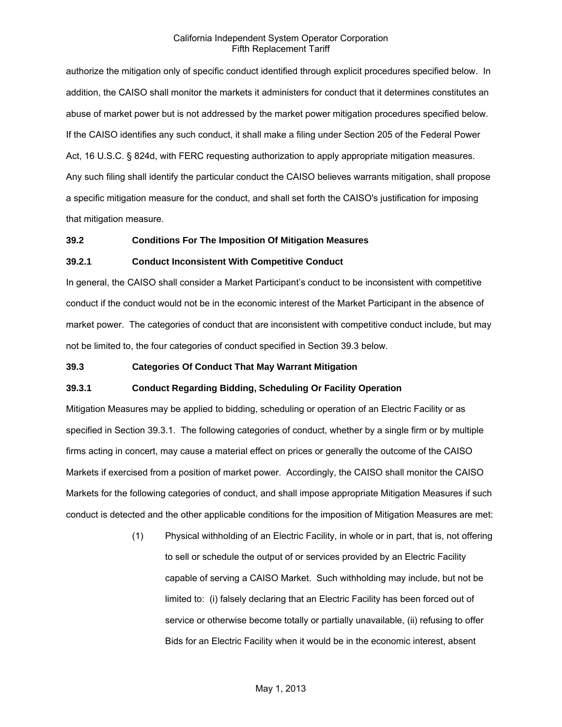authorize the mitigation only of specific conduct identified through explicit procedures specified below. In addition, the CAISO shall monitor the markets it administers for conduct that it determines constitutes an abuse of market power but is not addressed by the market power mitigation procedures specified below. If the CAISO identifies any such conduct, it shall make a filing under Section 205 of the Federal Power Act, 16 U.S.C. § 824d, with FERC requesting authorization to apply appropriate mitigation measures. Any such filing shall identify the particular conduct the CAISO believes warrants mitigation, shall propose a specific mitigation measure for the conduct, and shall set forth the CAISO's justification for imposing that mitigation measure.

### **39.2 Conditions For The Imposition Of Mitigation Measures**

### **39.2.1 Conduct Inconsistent With Competitive Conduct**

In general, the CAISO shall consider a Market Participant's conduct to be inconsistent with competitive conduct if the conduct would not be in the economic interest of the Market Participant in the absence of market power. The categories of conduct that are inconsistent with competitive conduct include, but may not be limited to, the four categories of conduct specified in Section 39.3 below.

### **39.3 Categories Of Conduct That May Warrant Mitigation**

## **39.3.1 Conduct Regarding Bidding, Scheduling Or Facility Operation**

Mitigation Measures may be applied to bidding, scheduling or operation of an Electric Facility or as specified in Section 39.3.1. The following categories of conduct, whether by a single firm or by multiple firms acting in concert, may cause a material effect on prices or generally the outcome of the CAISO Markets if exercised from a position of market power. Accordingly, the CAISO shall monitor the CAISO Markets for the following categories of conduct, and shall impose appropriate Mitigation Measures if such conduct is detected and the other applicable conditions for the imposition of Mitigation Measures are met:

> (1) Physical withholding of an Electric Facility, in whole or in part, that is, not offering to sell or schedule the output of or services provided by an Electric Facility capable of serving a CAISO Market. Such withholding may include, but not be limited to: (i) falsely declaring that an Electric Facility has been forced out of service or otherwise become totally or partially unavailable, (ii) refusing to offer Bids for an Electric Facility when it would be in the economic interest, absent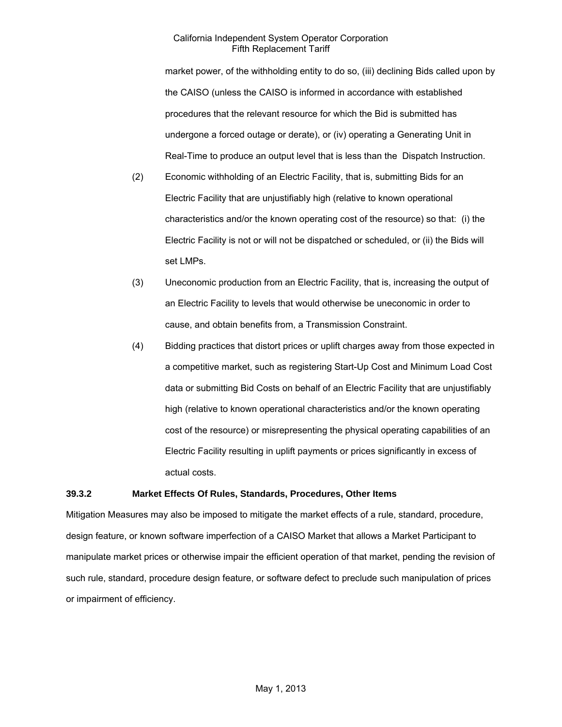market power, of the withholding entity to do so, (iii) declining Bids called upon by the CAISO (unless the CAISO is informed in accordance with established procedures that the relevant resource for which the Bid is submitted has undergone a forced outage or derate), or (iv) operating a Generating Unit in Real-Time to produce an output level that is less than the Dispatch Instruction.

- (2) Economic withholding of an Electric Facility, that is, submitting Bids for an Electric Facility that are unjustifiably high (relative to known operational characteristics and/or the known operating cost of the resource) so that: (i) the Electric Facility is not or will not be dispatched or scheduled, or (ii) the Bids will set LMPs.
- (3) Uneconomic production from an Electric Facility, that is, increasing the output of an Electric Facility to levels that would otherwise be uneconomic in order to cause, and obtain benefits from, a Transmission Constraint.
- (4) Bidding practices that distort prices or uplift charges away from those expected in a competitive market, such as registering Start-Up Cost and Minimum Load Cost data or submitting Bid Costs on behalf of an Electric Facility that are unjustifiably high (relative to known operational characteristics and/or the known operating cost of the resource) or misrepresenting the physical operating capabilities of an Electric Facility resulting in uplift payments or prices significantly in excess of actual costs.

### **39.3.2 Market Effects Of Rules, Standards, Procedures, Other Items**

Mitigation Measures may also be imposed to mitigate the market effects of a rule, standard, procedure, design feature, or known software imperfection of a CAISO Market that allows a Market Participant to manipulate market prices or otherwise impair the efficient operation of that market, pending the revision of such rule, standard, procedure design feature, or software defect to preclude such manipulation of prices or impairment of efficiency.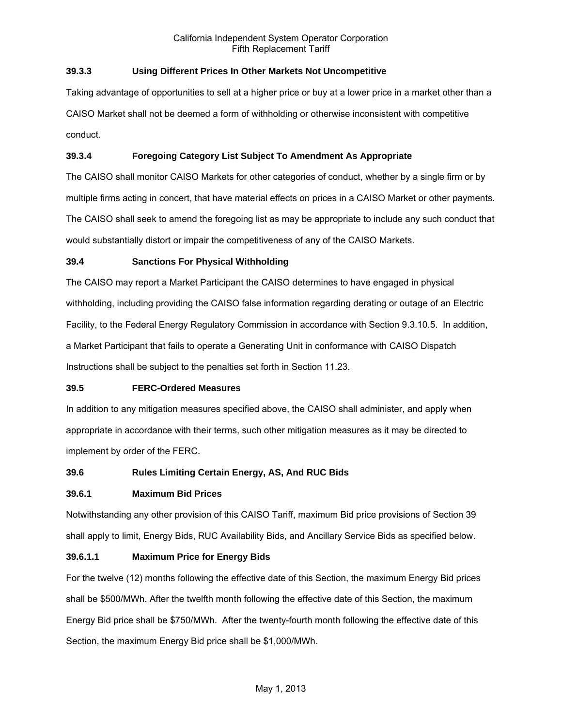# **39.3.3 Using Different Prices In Other Markets Not Uncompetitive**

Taking advantage of opportunities to sell at a higher price or buy at a lower price in a market other than a CAISO Market shall not be deemed a form of withholding or otherwise inconsistent with competitive conduct.

# **39.3.4 Foregoing Category List Subject To Amendment As Appropriate**

The CAISO shall monitor CAISO Markets for other categories of conduct, whether by a single firm or by multiple firms acting in concert, that have material effects on prices in a CAISO Market or other payments. The CAISO shall seek to amend the foregoing list as may be appropriate to include any such conduct that would substantially distort or impair the competitiveness of any of the CAISO Markets.

## **39.4 Sanctions For Physical Withholding**

The CAISO may report a Market Participant the CAISO determines to have engaged in physical withholding, including providing the CAISO false information regarding derating or outage of an Electric Facility, to the Federal Energy Regulatory Commission in accordance with Section 9.3.10.5. In addition, a Market Participant that fails to operate a Generating Unit in conformance with CAISO Dispatch Instructions shall be subject to the penalties set forth in Section 11.23.

## **39.5 FERC-Ordered Measures**

In addition to any mitigation measures specified above, the CAISO shall administer, and apply when appropriate in accordance with their terms, such other mitigation measures as it may be directed to implement by order of the FERC.

# **39.6 Rules Limiting Certain Energy, AS, And RUC Bids**

## **39.6.1 Maximum Bid Prices**

Notwithstanding any other provision of this CAISO Tariff, maximum Bid price provisions of Section 39 shall apply to limit, Energy Bids, RUC Availability Bids, and Ancillary Service Bids as specified below.

## **39.6.1.1 Maximum Price for Energy Bids**

For the twelve (12) months following the effective date of this Section, the maximum Energy Bid prices shall be \$500/MWh. After the twelfth month following the effective date of this Section, the maximum Energy Bid price shall be \$750/MWh. After the twenty-fourth month following the effective date of this Section, the maximum Energy Bid price shall be \$1,000/MWh.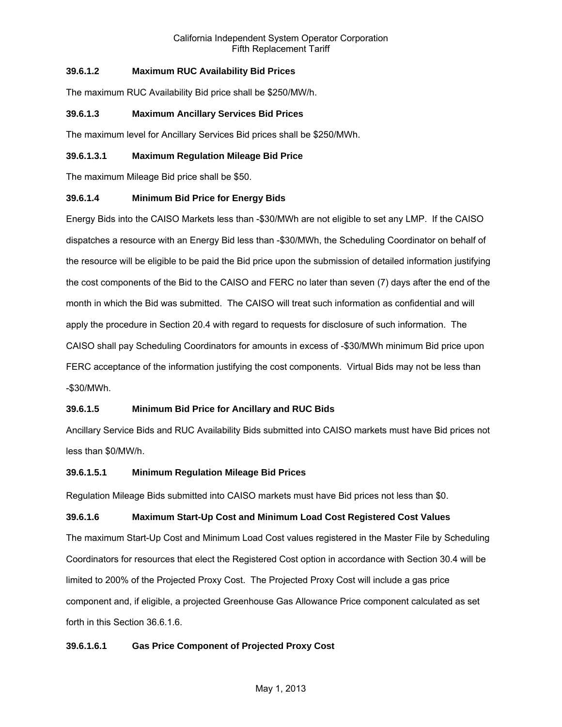# **39.6.1.2 Maximum RUC Availability Bid Prices**

The maximum RUC Availability Bid price shall be \$250/MW/h.

## **39.6.1.3 Maximum Ancillary Services Bid Prices**

The maximum level for Ancillary Services Bid prices shall be \$250/MWh.

### **39.6.1.3.1 Maximum Regulation Mileage Bid Price**

The maximum Mileage Bid price shall be \$50.

## **39.6.1.4 Minimum Bid Price for Energy Bids**

Energy Bids into the CAISO Markets less than -\$30/MWh are not eligible to set any LMP. If the CAISO dispatches a resource with an Energy Bid less than -\$30/MWh, the Scheduling Coordinator on behalf of the resource will be eligible to be paid the Bid price upon the submission of detailed information justifying the cost components of the Bid to the CAISO and FERC no later than seven (7) days after the end of the month in which the Bid was submitted. The CAISO will treat such information as confidential and will apply the procedure in Section 20.4 with regard to requests for disclosure of such information. The CAISO shall pay Scheduling Coordinators for amounts in excess of -\$30/MWh minimum Bid price upon FERC acceptance of the information justifying the cost components. Virtual Bids may not be less than -\$30/MWh.

## **39.6.1.5 Minimum Bid Price for Ancillary and RUC Bids**

Ancillary Service Bids and RUC Availability Bids submitted into CAISO markets must have Bid prices not less than \$0/MW/h.

### **39.6.1.5.1 Minimum Regulation Mileage Bid Prices**

Regulation Mileage Bids submitted into CAISO markets must have Bid prices not less than \$0.

### **39.6.1.6 Maximum Start-Up Cost and Minimum Load Cost Registered Cost Values**

The maximum Start-Up Cost and Minimum Load Cost values registered in the Master File by Scheduling Coordinators for resources that elect the Registered Cost option in accordance with Section 30.4 will be limited to 200% of the Projected Proxy Cost. The Projected Proxy Cost will include a gas price component and, if eligible, a projected Greenhouse Gas Allowance Price component calculated as set forth in this Section 36.6.1.6.

## **39.6.1.6.1 Gas Price Component of Projected Proxy Cost**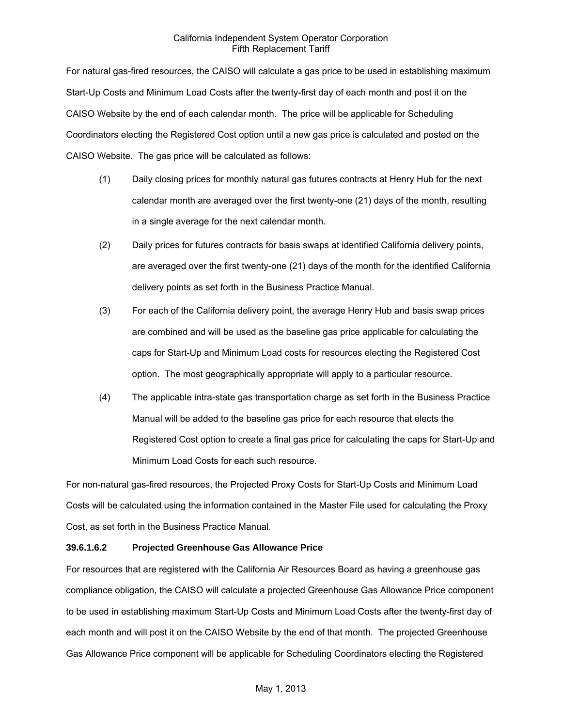For natural gas-fired resources, the CAISO will calculate a gas price to be used in establishing maximum Start-Up Costs and Minimum Load Costs after the twenty-first day of each month and post it on the CAISO Website by the end of each calendar month. The price will be applicable for Scheduling Coordinators electing the Registered Cost option until a new gas price is calculated and posted on the CAISO Website. The gas price will be calculated as follows:

- (1) Daily closing prices for monthly natural gas futures contracts at Henry Hub for the next calendar month are averaged over the first twenty-one (21) days of the month, resulting in a single average for the next calendar month.
- (2) Daily prices for futures contracts for basis swaps at identified California delivery points, are averaged over the first twenty-one (21) days of the month for the identified California delivery points as set forth in the Business Practice Manual.
- (3) For each of the California delivery point, the average Henry Hub and basis swap prices are combined and will be used as the baseline gas price applicable for calculating the caps for Start-Up and Minimum Load costs for resources electing the Registered Cost option. The most geographically appropriate will apply to a particular resource.
- (4) The applicable intra-state gas transportation charge as set forth in the Business Practice Manual will be added to the baseline gas price for each resource that elects the Registered Cost option to create a final gas price for calculating the caps for Start-Up and Minimum Load Costs for each such resource.

For non-natural gas-fired resources, the Projected Proxy Costs for Start-Up Costs and Minimum Load Costs will be calculated using the information contained in the Master File used for calculating the Proxy Cost, as set forth in the Business Practice Manual.

## **39.6.1.6.2 Projected Greenhouse Gas Allowance Price**

For resources that are registered with the California Air Resources Board as having a greenhouse gas compliance obligation, the CAISO will calculate a projected Greenhouse Gas Allowance Price component to be used in establishing maximum Start-Up Costs and Minimum Load Costs after the twenty-first day of each month and will post it on the CAISO Website by the end of that month. The projected Greenhouse Gas Allowance Price component will be applicable for Scheduling Coordinators electing the Registered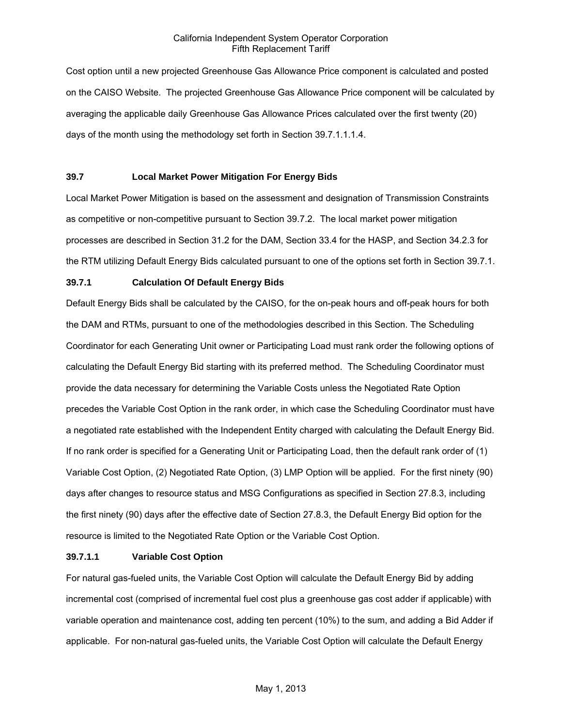Cost option until a new projected Greenhouse Gas Allowance Price component is calculated and posted on the CAISO Website. The projected Greenhouse Gas Allowance Price component will be calculated by averaging the applicable daily Greenhouse Gas Allowance Prices calculated over the first twenty (20) days of the month using the methodology set forth in Section 39.7.1.1.1.4.

## **39.7 Local Market Power Mitigation For Energy Bids**

Local Market Power Mitigation is based on the assessment and designation of Transmission Constraints as competitive or non-competitive pursuant to Section 39.7.2. The local market power mitigation processes are described in Section 31.2 for the DAM, Section 33.4 for the HASP, and Section 34.2.3 for the RTM utilizing Default Energy Bids calculated pursuant to one of the options set forth in Section 39.7.1.

## **39.7.1 Calculation Of Default Energy Bids**

Default Energy Bids shall be calculated by the CAISO, for the on-peak hours and off-peak hours for both the DAM and RTMs, pursuant to one of the methodologies described in this Section. The Scheduling Coordinator for each Generating Unit owner or Participating Load must rank order the following options of calculating the Default Energy Bid starting with its preferred method. The Scheduling Coordinator must provide the data necessary for determining the Variable Costs unless the Negotiated Rate Option precedes the Variable Cost Option in the rank order, in which case the Scheduling Coordinator must have a negotiated rate established with the Independent Entity charged with calculating the Default Energy Bid. If no rank order is specified for a Generating Unit or Participating Load, then the default rank order of (1) Variable Cost Option, (2) Negotiated Rate Option, (3) LMP Option will be applied. For the first ninety (90) days after changes to resource status and MSG Configurations as specified in Section 27.8.3, including the first ninety (90) days after the effective date of Section 27.8.3, the Default Energy Bid option for the resource is limited to the Negotiated Rate Option or the Variable Cost Option.

### **39.7.1.1 Variable Cost Option**

For natural gas-fueled units, the Variable Cost Option will calculate the Default Energy Bid by adding incremental cost (comprised of incremental fuel cost plus a greenhouse gas cost adder if applicable) with variable operation and maintenance cost, adding ten percent (10%) to the sum, and adding a Bid Adder if applicable. For non-natural gas-fueled units, the Variable Cost Option will calculate the Default Energy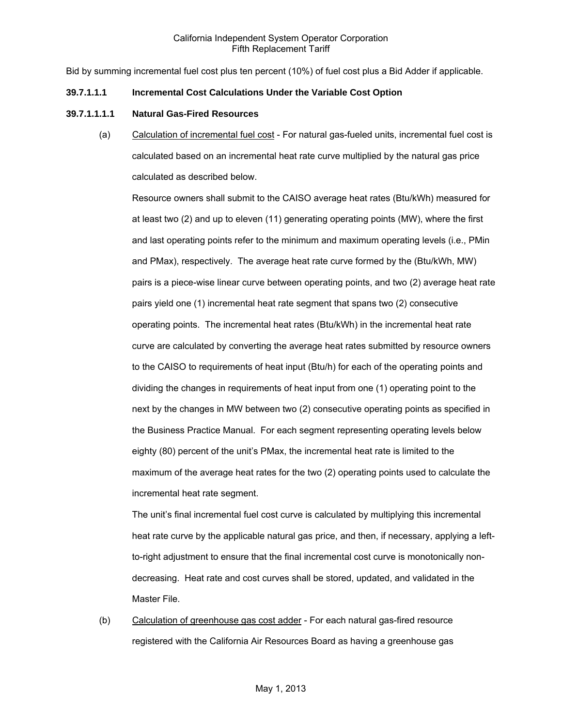Bid by summing incremental fuel cost plus ten percent (10%) of fuel cost plus a Bid Adder if applicable.

### **39.7.1.1.1 Incremental Cost Calculations Under the Variable Cost Option**

### **39.7.1.1.1.1 Natural Gas-Fired Resources**

(a) Calculation of incremental fuel cost - For natural gas-fueled units, incremental fuel cost is calculated based on an incremental heat rate curve multiplied by the natural gas price calculated as described below.

Resource owners shall submit to the CAISO average heat rates (Btu/kWh) measured for at least two (2) and up to eleven (11) generating operating points (MW), where the first and last operating points refer to the minimum and maximum operating levels (i.e., PMin and PMax), respectively. The average heat rate curve formed by the (Btu/kWh, MW) pairs is a piece-wise linear curve between operating points, and two (2) average heat rate pairs yield one (1) incremental heat rate segment that spans two (2) consecutive operating points. The incremental heat rates (Btu/kWh) in the incremental heat rate curve are calculated by converting the average heat rates submitted by resource owners to the CAISO to requirements of heat input (Btu/h) for each of the operating points and dividing the changes in requirements of heat input from one (1) operating point to the next by the changes in MW between two (2) consecutive operating points as specified in the Business Practice Manual. For each segment representing operating levels below eighty (80) percent of the unit's PMax, the incremental heat rate is limited to the maximum of the average heat rates for the two (2) operating points used to calculate the incremental heat rate segment.

The unit's final incremental fuel cost curve is calculated by multiplying this incremental heat rate curve by the applicable natural gas price, and then, if necessary, applying a leftto-right adjustment to ensure that the final incremental cost curve is monotonically nondecreasing. Heat rate and cost curves shall be stored, updated, and validated in the Master File.

(b) Calculation of greenhouse gas cost adder - For each natural gas-fired resource registered with the California Air Resources Board as having a greenhouse gas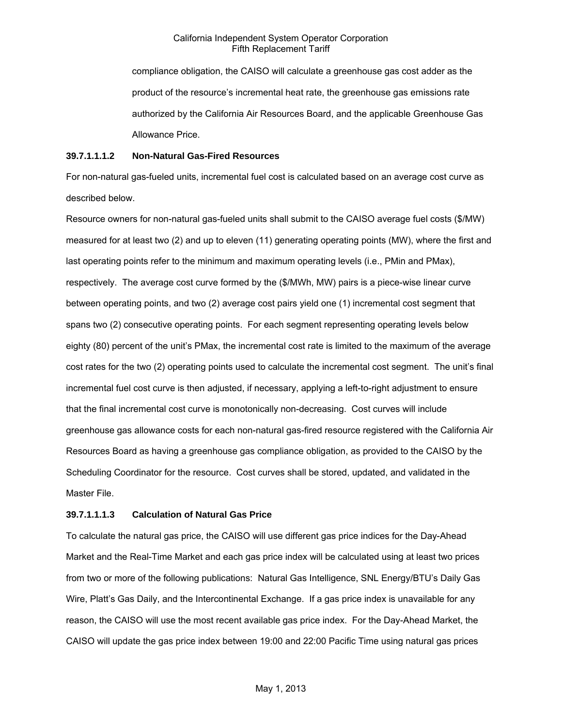compliance obligation, the CAISO will calculate a greenhouse gas cost adder as the product of the resource's incremental heat rate, the greenhouse gas emissions rate authorized by the California Air Resources Board, and the applicable Greenhouse Gas Allowance Price.

### **39.7.1.1.1.2 Non-Natural Gas-Fired Resources**

For non-natural gas-fueled units, incremental fuel cost is calculated based on an average cost curve as described below.

Resource owners for non-natural gas-fueled units shall submit to the CAISO average fuel costs (\$/MW) measured for at least two (2) and up to eleven (11) generating operating points (MW), where the first and last operating points refer to the minimum and maximum operating levels (i.e., PMin and PMax), respectively. The average cost curve formed by the (\$/MWh, MW) pairs is a piece-wise linear curve between operating points, and two (2) average cost pairs yield one (1) incremental cost segment that spans two (2) consecutive operating points. For each segment representing operating levels below eighty (80) percent of the unit's PMax, the incremental cost rate is limited to the maximum of the average cost rates for the two (2) operating points used to calculate the incremental cost segment. The unit's final incremental fuel cost curve is then adjusted, if necessary, applying a left-to-right adjustment to ensure that the final incremental cost curve is monotonically non-decreasing. Cost curves will include greenhouse gas allowance costs for each non-natural gas-fired resource registered with the California Air Resources Board as having a greenhouse gas compliance obligation, as provided to the CAISO by the Scheduling Coordinator for the resource. Cost curves shall be stored, updated, and validated in the Master File.

## **39.7.1.1.1.3 Calculation of Natural Gas Price**

To calculate the natural gas price, the CAISO will use different gas price indices for the Day-Ahead Market and the Real-Time Market and each gas price index will be calculated using at least two prices from two or more of the following publications: Natural Gas Intelligence, SNL Energy/BTU's Daily Gas Wire, Platt's Gas Daily, and the Intercontinental Exchange. If a gas price index is unavailable for any reason, the CAISO will use the most recent available gas price index. For the Day-Ahead Market, the CAISO will update the gas price index between 19:00 and 22:00 Pacific Time using natural gas prices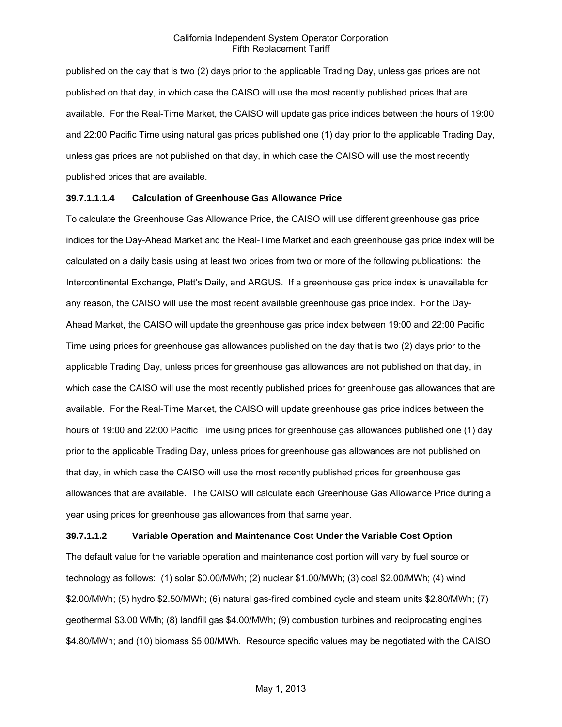published on the day that is two (2) days prior to the applicable Trading Day, unless gas prices are not published on that day, in which case the CAISO will use the most recently published prices that are available. For the Real-Time Market, the CAISO will update gas price indices between the hours of 19:00 and 22:00 Pacific Time using natural gas prices published one (1) day prior to the applicable Trading Day, unless gas prices are not published on that day, in which case the CAISO will use the most recently published prices that are available.

### **39.7.1.1.1.4 Calculation of Greenhouse Gas Allowance Price**

To calculate the Greenhouse Gas Allowance Price, the CAISO will use different greenhouse gas price indices for the Day-Ahead Market and the Real-Time Market and each greenhouse gas price index will be calculated on a daily basis using at least two prices from two or more of the following publications: the Intercontinental Exchange, Platt's Daily, and ARGUS. If a greenhouse gas price index is unavailable for any reason, the CAISO will use the most recent available greenhouse gas price index. For the Day-Ahead Market, the CAISO will update the greenhouse gas price index between 19:00 and 22:00 Pacific Time using prices for greenhouse gas allowances published on the day that is two (2) days prior to the applicable Trading Day, unless prices for greenhouse gas allowances are not published on that day, in which case the CAISO will use the most recently published prices for greenhouse gas allowances that are available. For the Real-Time Market, the CAISO will update greenhouse gas price indices between the hours of 19:00 and 22:00 Pacific Time using prices for greenhouse gas allowances published one (1) day prior to the applicable Trading Day, unless prices for greenhouse gas allowances are not published on that day, in which case the CAISO will use the most recently published prices for greenhouse gas allowances that are available. The CAISO will calculate each Greenhouse Gas Allowance Price during a year using prices for greenhouse gas allowances from that same year.

#### **39.7.1.1.2 Variable Operation and Maintenance Cost Under the Variable Cost Option**

The default value for the variable operation and maintenance cost portion will vary by fuel source or technology as follows: (1) solar \$0.00/MWh; (2) nuclear \$1.00/MWh; (3) coal \$2.00/MWh; (4) wind \$2.00/MWh; (5) hydro \$2.50/MWh; (6) natural gas-fired combined cycle and steam units \$2.80/MWh; (7) geothermal \$3.00 WMh; (8) landfill gas \$4.00/MWh; (9) combustion turbines and reciprocating engines \$4.80/MWh; and (10) biomass \$5.00/MWh. Resource specific values may be negotiated with the CAISO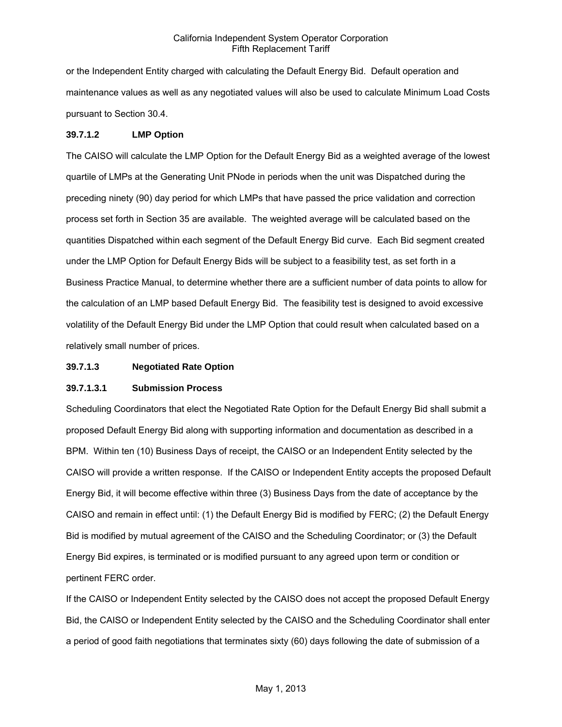or the Independent Entity charged with calculating the Default Energy Bid. Default operation and maintenance values as well as any negotiated values will also be used to calculate Minimum Load Costs pursuant to Section 30.4.

### **39.7.1.2 LMP Option**

The CAISO will calculate the LMP Option for the Default Energy Bid as a weighted average of the lowest quartile of LMPs at the Generating Unit PNode in periods when the unit was Dispatched during the preceding ninety (90) day period for which LMPs that have passed the price validation and correction process set forth in Section 35 are available. The weighted average will be calculated based on the quantities Dispatched within each segment of the Default Energy Bid curve. Each Bid segment created under the LMP Option for Default Energy Bids will be subject to a feasibility test, as set forth in a Business Practice Manual, to determine whether there are a sufficient number of data points to allow for the calculation of an LMP based Default Energy Bid. The feasibility test is designed to avoid excessive volatility of the Default Energy Bid under the LMP Option that could result when calculated based on a relatively small number of prices.

### **39.7.1.3 Negotiated Rate Option**

### **39.7.1.3.1 Submission Process**

Scheduling Coordinators that elect the Negotiated Rate Option for the Default Energy Bid shall submit a proposed Default Energy Bid along with supporting information and documentation as described in a BPM. Within ten (10) Business Days of receipt, the CAISO or an Independent Entity selected by the CAISO will provide a written response. If the CAISO or Independent Entity accepts the proposed Default Energy Bid, it will become effective within three (3) Business Days from the date of acceptance by the CAISO and remain in effect until: (1) the Default Energy Bid is modified by FERC; (2) the Default Energy Bid is modified by mutual agreement of the CAISO and the Scheduling Coordinator; or (3) the Default Energy Bid expires, is terminated or is modified pursuant to any agreed upon term or condition or pertinent FERC order.

If the CAISO or Independent Entity selected by the CAISO does not accept the proposed Default Energy Bid, the CAISO or Independent Entity selected by the CAISO and the Scheduling Coordinator shall enter a period of good faith negotiations that terminates sixty (60) days following the date of submission of a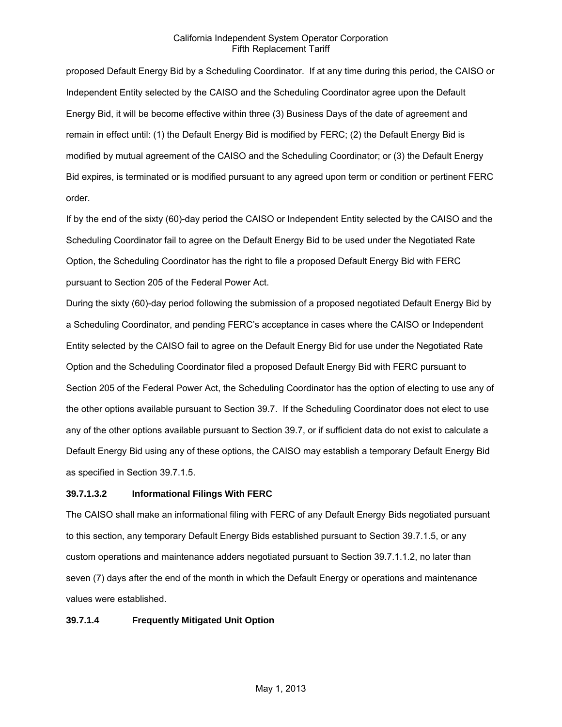proposed Default Energy Bid by a Scheduling Coordinator. If at any time during this period, the CAISO or Independent Entity selected by the CAISO and the Scheduling Coordinator agree upon the Default Energy Bid, it will be become effective within three (3) Business Days of the date of agreement and remain in effect until: (1) the Default Energy Bid is modified by FERC; (2) the Default Energy Bid is modified by mutual agreement of the CAISO and the Scheduling Coordinator; or (3) the Default Energy Bid expires, is terminated or is modified pursuant to any agreed upon term or condition or pertinent FERC order.

If by the end of the sixty (60)-day period the CAISO or Independent Entity selected by the CAISO and the Scheduling Coordinator fail to agree on the Default Energy Bid to be used under the Negotiated Rate Option, the Scheduling Coordinator has the right to file a proposed Default Energy Bid with FERC pursuant to Section 205 of the Federal Power Act.

During the sixty (60)-day period following the submission of a proposed negotiated Default Energy Bid by a Scheduling Coordinator, and pending FERC's acceptance in cases where the CAISO or Independent Entity selected by the CAISO fail to agree on the Default Energy Bid for use under the Negotiated Rate Option and the Scheduling Coordinator filed a proposed Default Energy Bid with FERC pursuant to Section 205 of the Federal Power Act, the Scheduling Coordinator has the option of electing to use any of the other options available pursuant to Section 39.7. If the Scheduling Coordinator does not elect to use any of the other options available pursuant to Section 39.7, or if sufficient data do not exist to calculate a Default Energy Bid using any of these options, the CAISO may establish a temporary Default Energy Bid as specified in Section 39.7.1.5.

### **39.7.1.3.2 Informational Filings With FERC**

The CAISO shall make an informational filing with FERC of any Default Energy Bids negotiated pursuant to this section, any temporary Default Energy Bids established pursuant to Section 39.7.1.5, or any custom operations and maintenance adders negotiated pursuant to Section 39.7.1.1.2, no later than seven (7) days after the end of the month in which the Default Energy or operations and maintenance values were established.

### **39.7.1.4 Frequently Mitigated Unit Option**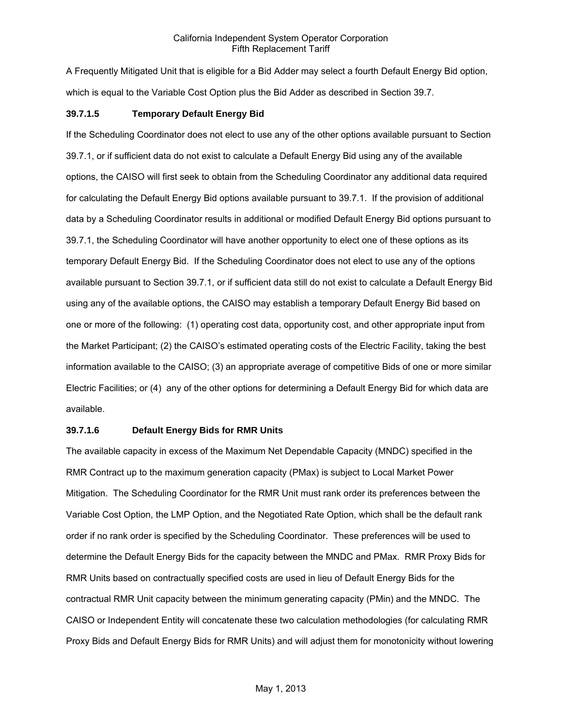A Frequently Mitigated Unit that is eligible for a Bid Adder may select a fourth Default Energy Bid option, which is equal to the Variable Cost Option plus the Bid Adder as described in Section 39.7.

#### **39.7.1.5 Temporary Default Energy Bid**

If the Scheduling Coordinator does not elect to use any of the other options available pursuant to Section 39.7.1, or if sufficient data do not exist to calculate a Default Energy Bid using any of the available options, the CAISO will first seek to obtain from the Scheduling Coordinator any additional data required for calculating the Default Energy Bid options available pursuant to 39.7.1. If the provision of additional data by a Scheduling Coordinator results in additional or modified Default Energy Bid options pursuant to 39.7.1, the Scheduling Coordinator will have another opportunity to elect one of these options as its temporary Default Energy Bid. If the Scheduling Coordinator does not elect to use any of the options available pursuant to Section 39.7.1, or if sufficient data still do not exist to calculate a Default Energy Bid using any of the available options, the CAISO may establish a temporary Default Energy Bid based on one or more of the following: (1) operating cost data, opportunity cost, and other appropriate input from the Market Participant; (2) the CAISO's estimated operating costs of the Electric Facility, taking the best information available to the CAISO; (3) an appropriate average of competitive Bids of one or more similar Electric Facilities; or (4) any of the other options for determining a Default Energy Bid for which data are available.

## **39.7.1.6 Default Energy Bids for RMR Units**

The available capacity in excess of the Maximum Net Dependable Capacity (MNDC) specified in the RMR Contract up to the maximum generation capacity (PMax) is subject to Local Market Power Mitigation. The Scheduling Coordinator for the RMR Unit must rank order its preferences between the Variable Cost Option, the LMP Option, and the Negotiated Rate Option, which shall be the default rank order if no rank order is specified by the Scheduling Coordinator. These preferences will be used to determine the Default Energy Bids for the capacity between the MNDC and PMax. RMR Proxy Bids for RMR Units based on contractually specified costs are used in lieu of Default Energy Bids for the contractual RMR Unit capacity between the minimum generating capacity (PMin) and the MNDC. The CAISO or Independent Entity will concatenate these two calculation methodologies (for calculating RMR Proxy Bids and Default Energy Bids for RMR Units) and will adjust them for monotonicity without lowering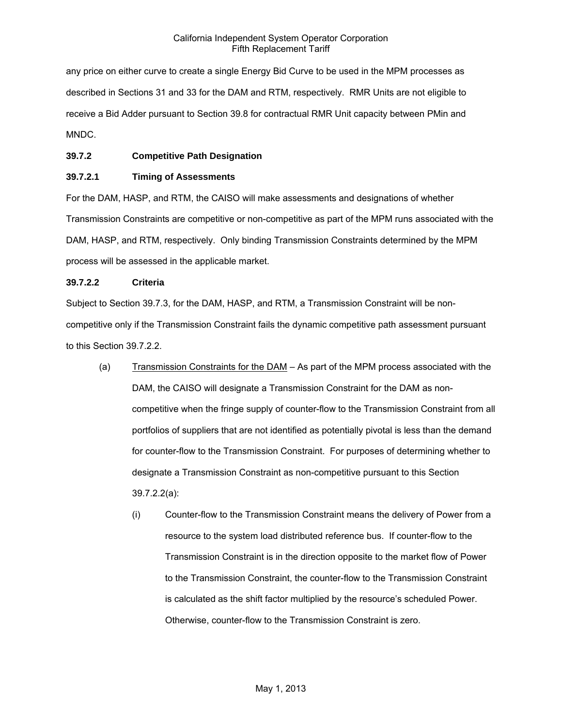any price on either curve to create a single Energy Bid Curve to be used in the MPM processes as described in Sections 31 and 33 for the DAM and RTM, respectively. RMR Units are not eligible to receive a Bid Adder pursuant to Section 39.8 for contractual RMR Unit capacity between PMin and MNDC.

### **39.7.2 Competitive Path Designation**

### **39.7.2.1 Timing of Assessments**

For the DAM, HASP, and RTM, the CAISO will make assessments and designations of whether Transmission Constraints are competitive or non-competitive as part of the MPM runs associated with the DAM, HASP, and RTM, respectively. Only binding Transmission Constraints determined by the MPM process will be assessed in the applicable market.

### **39.7.2.2 Criteria**

Subject to Section 39.7.3, for the DAM, HASP, and RTM, a Transmission Constraint will be noncompetitive only if the Transmission Constraint fails the dynamic competitive path assessment pursuant to this Section 39.7.2.2.

- (a) Transmission Constraints for the DAM As part of the MPM process associated with the DAM, the CAISO will designate a Transmission Constraint for the DAM as noncompetitive when the fringe supply of counter-flow to the Transmission Constraint from all portfolios of suppliers that are not identified as potentially pivotal is less than the demand for counter-flow to the Transmission Constraint. For purposes of determining whether to designate a Transmission Constraint as non-competitive pursuant to this Section 39.7.2.2(a):
	- (i) Counter-flow to the Transmission Constraint means the delivery of Power from a resource to the system load distributed reference bus. If counter-flow to the Transmission Constraint is in the direction opposite to the market flow of Power to the Transmission Constraint, the counter-flow to the Transmission Constraint is calculated as the shift factor multiplied by the resource's scheduled Power. Otherwise, counter-flow to the Transmission Constraint is zero.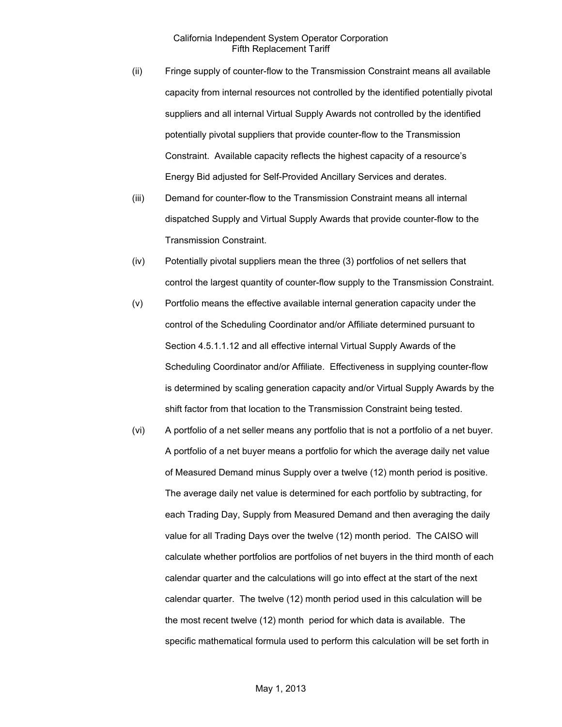- (ii) Fringe supply of counter-flow to the Transmission Constraint means all available capacity from internal resources not controlled by the identified potentially pivotal suppliers and all internal Virtual Supply Awards not controlled by the identified potentially pivotal suppliers that provide counter-flow to the Transmission Constraint. Available capacity reflects the highest capacity of a resource's Energy Bid adjusted for Self-Provided Ancillary Services and derates.
- (iii) Demand for counter-flow to the Transmission Constraint means all internal dispatched Supply and Virtual Supply Awards that provide counter-flow to the Transmission Constraint.
- (iv) Potentially pivotal suppliers mean the three (3) portfolios of net sellers that control the largest quantity of counter-flow supply to the Transmission Constraint.
- (v) Portfolio means the effective available internal generation capacity under the control of the Scheduling Coordinator and/or Affiliate determined pursuant to Section 4.5.1.1.12 and all effective internal Virtual Supply Awards of the Scheduling Coordinator and/or Affiliate. Effectiveness in supplying counter-flow is determined by scaling generation capacity and/or Virtual Supply Awards by the shift factor from that location to the Transmission Constraint being tested.
- (vi) A portfolio of a net seller means any portfolio that is not a portfolio of a net buyer. A portfolio of a net buyer means a portfolio for which the average daily net value of Measured Demand minus Supply over a twelve (12) month period is positive. The average daily net value is determined for each portfolio by subtracting, for each Trading Day, Supply from Measured Demand and then averaging the daily value for all Trading Days over the twelve (12) month period. The CAISO will calculate whether portfolios are portfolios of net buyers in the third month of each calendar quarter and the calculations will go into effect at the start of the next calendar quarter. The twelve (12) month period used in this calculation will be the most recent twelve (12) month period for which data is available. The specific mathematical formula used to perform this calculation will be set forth in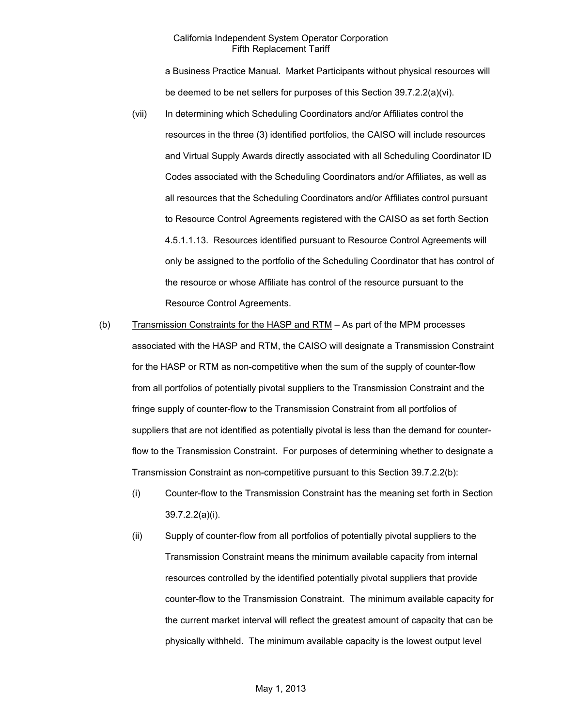a Business Practice Manual. Market Participants without physical resources will be deemed to be net sellers for purposes of this Section 39.7.2.2(a)(vi).

- (vii) In determining which Scheduling Coordinators and/or Affiliates control the resources in the three (3) identified portfolios, the CAISO will include resources and Virtual Supply Awards directly associated with all Scheduling Coordinator ID Codes associated with the Scheduling Coordinators and/or Affiliates, as well as all resources that the Scheduling Coordinators and/or Affiliates control pursuant to Resource Control Agreements registered with the CAISO as set forth Section 4.5.1.1.13. Resources identified pursuant to Resource Control Agreements will only be assigned to the portfolio of the Scheduling Coordinator that has control of the resource or whose Affiliate has control of the resource pursuant to the Resource Control Agreements.
- (b) Transmission Constraints for the HASP and RTM As part of the MPM processes associated with the HASP and RTM, the CAISO will designate a Transmission Constraint for the HASP or RTM as non-competitive when the sum of the supply of counter-flow from all portfolios of potentially pivotal suppliers to the Transmission Constraint and the fringe supply of counter-flow to the Transmission Constraint from all portfolios of suppliers that are not identified as potentially pivotal is less than the demand for counterflow to the Transmission Constraint. For purposes of determining whether to designate a Transmission Constraint as non-competitive pursuant to this Section 39.7.2.2(b):
	- (i) Counter-flow to the Transmission Constraint has the meaning set forth in Section 39.7.2.2(a)(i).
	- (ii) Supply of counter-flow from all portfolios of potentially pivotal suppliers to the Transmission Constraint means the minimum available capacity from internal resources controlled by the identified potentially pivotal suppliers that provide counter-flow to the Transmission Constraint. The minimum available capacity for the current market interval will reflect the greatest amount of capacity that can be physically withheld. The minimum available capacity is the lowest output level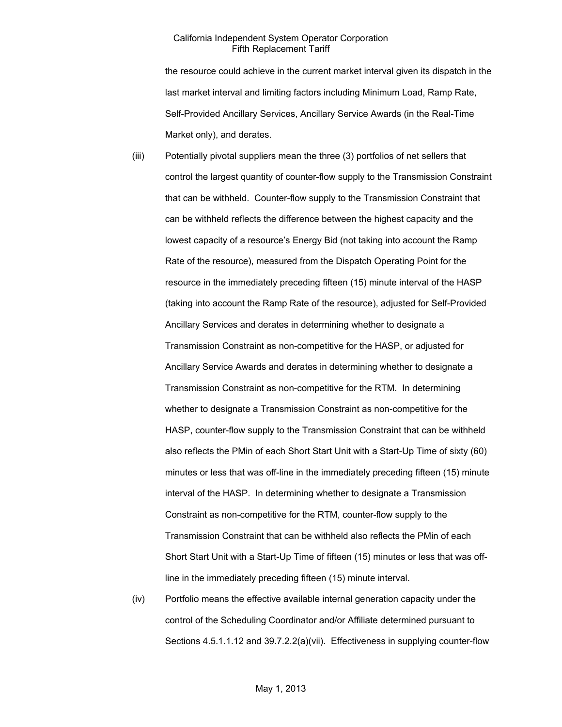the resource could achieve in the current market interval given its dispatch in the last market interval and limiting factors including Minimum Load, Ramp Rate, Self-Provided Ancillary Services, Ancillary Service Awards (in the Real-Time Market only), and derates.

- (iii) Potentially pivotal suppliers mean the three (3) portfolios of net sellers that control the largest quantity of counter-flow supply to the Transmission Constraint that can be withheld. Counter-flow supply to the Transmission Constraint that can be withheld reflects the difference between the highest capacity and the lowest capacity of a resource's Energy Bid (not taking into account the Ramp Rate of the resource), measured from the Dispatch Operating Point for the resource in the immediately preceding fifteen (15) minute interval of the HASP (taking into account the Ramp Rate of the resource), adjusted for Self-Provided Ancillary Services and derates in determining whether to designate a Transmission Constraint as non-competitive for the HASP, or adjusted for Ancillary Service Awards and derates in determining whether to designate a Transmission Constraint as non-competitive for the RTM. In determining whether to designate a Transmission Constraint as non-competitive for the HASP, counter-flow supply to the Transmission Constraint that can be withheld also reflects the PMin of each Short Start Unit with a Start-Up Time of sixty (60) minutes or less that was off-line in the immediately preceding fifteen (15) minute interval of the HASP. In determining whether to designate a Transmission Constraint as non-competitive for the RTM, counter-flow supply to the Transmission Constraint that can be withheld also reflects the PMin of each Short Start Unit with a Start-Up Time of fifteen (15) minutes or less that was offline in the immediately preceding fifteen (15) minute interval.
- (iv) Portfolio means the effective available internal generation capacity under the control of the Scheduling Coordinator and/or Affiliate determined pursuant to Sections 4.5.1.1.12 and 39.7.2.2(a)(vii). Effectiveness in supplying counter-flow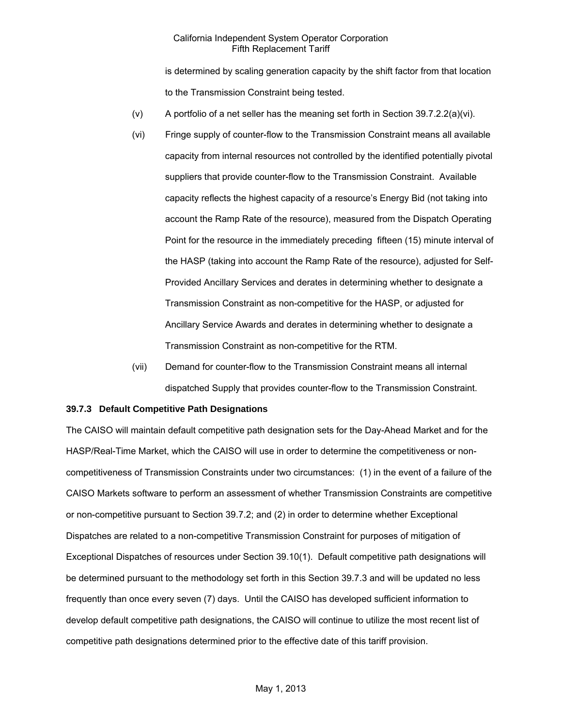is determined by scaling generation capacity by the shift factor from that location to the Transmission Constraint being tested.

- (v) A portfolio of a net seller has the meaning set forth in Section 39.7.2.2(a)(vi).
- (vi) Fringe supply of counter-flow to the Transmission Constraint means all available capacity from internal resources not controlled by the identified potentially pivotal suppliers that provide counter-flow to the Transmission Constraint. Available capacity reflects the highest capacity of a resource's Energy Bid (not taking into account the Ramp Rate of the resource), measured from the Dispatch Operating Point for the resource in the immediately preceding fifteen (15) minute interval of the HASP (taking into account the Ramp Rate of the resource), adjusted for Self-Provided Ancillary Services and derates in determining whether to designate a Transmission Constraint as non-competitive for the HASP, or adjusted for Ancillary Service Awards and derates in determining whether to designate a Transmission Constraint as non-competitive for the RTM.
- (vii) Demand for counter-flow to the Transmission Constraint means all internal dispatched Supply that provides counter-flow to the Transmission Constraint.

#### **39.7.3 Default Competitive Path Designations**

The CAISO will maintain default competitive path designation sets for the Day-Ahead Market and for the HASP/Real-Time Market, which the CAISO will use in order to determine the competitiveness or noncompetitiveness of Transmission Constraints under two circumstances: (1) in the event of a failure of the CAISO Markets software to perform an assessment of whether Transmission Constraints are competitive or non-competitive pursuant to Section 39.7.2; and (2) in order to determine whether Exceptional Dispatches are related to a non-competitive Transmission Constraint for purposes of mitigation of Exceptional Dispatches of resources under Section 39.10(1). Default competitive path designations will be determined pursuant to the methodology set forth in this Section 39.7.3 and will be updated no less frequently than once every seven (7) days. Until the CAISO has developed sufficient information to develop default competitive path designations, the CAISO will continue to utilize the most recent list of competitive path designations determined prior to the effective date of this tariff provision.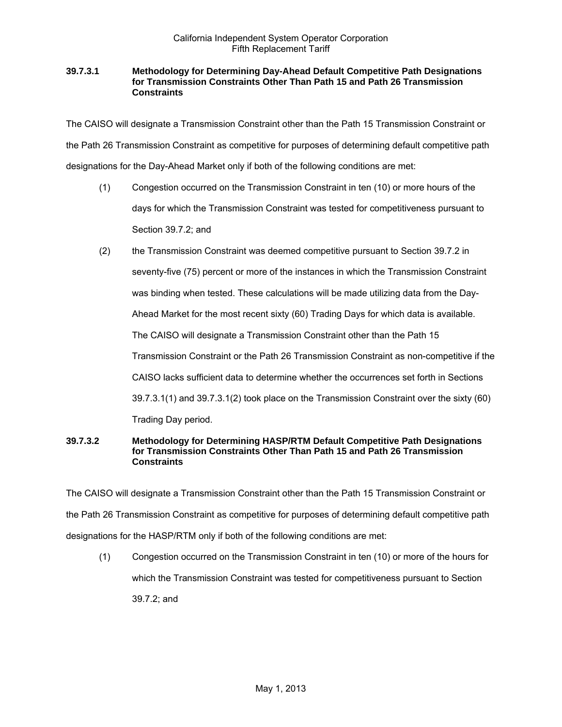### **39.7.3.1 Methodology for Determining Day-Ahead Default Competitive Path Designations for Transmission Constraints Other Than Path 15 and Path 26 Transmission Constraints**

The CAISO will designate a Transmission Constraint other than the Path 15 Transmission Constraint or the Path 26 Transmission Constraint as competitive for purposes of determining default competitive path designations for the Day-Ahead Market only if both of the following conditions are met:

- (1) Congestion occurred on the Transmission Constraint in ten (10) or more hours of the days for which the Transmission Constraint was tested for competitiveness pursuant to Section 39.7.2; and
- (2) the Transmission Constraint was deemed competitive pursuant to Section 39.7.2 in seventy-five (75) percent or more of the instances in which the Transmission Constraint was binding when tested. These calculations will be made utilizing data from the Day-Ahead Market for the most recent sixty (60) Trading Days for which data is available. The CAISO will designate a Transmission Constraint other than the Path 15 Transmission Constraint or the Path 26 Transmission Constraint as non-competitive if the CAISO lacks sufficient data to determine whether the occurrences set forth in Sections 39.7.3.1(1) and 39.7.3.1(2) took place on the Transmission Constraint over the sixty (60) Trading Day period.

### **39.7.3.2 Methodology for Determining HASP/RTM Default Competitive Path Designations for Transmission Constraints Other Than Path 15 and Path 26 Transmission Constraints**

The CAISO will designate a Transmission Constraint other than the Path 15 Transmission Constraint or the Path 26 Transmission Constraint as competitive for purposes of determining default competitive path designations for the HASP/RTM only if both of the following conditions are met:

(1) Congestion occurred on the Transmission Constraint in ten (10) or more of the hours for which the Transmission Constraint was tested for competitiveness pursuant to Section 39.7.2; and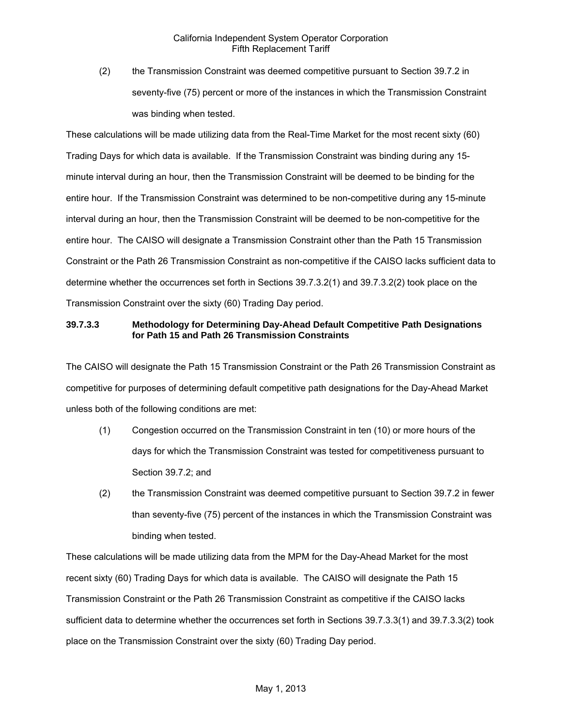(2) the Transmission Constraint was deemed competitive pursuant to Section 39.7.2 in seventy-five (75) percent or more of the instances in which the Transmission Constraint was binding when tested.

These calculations will be made utilizing data from the Real-Time Market for the most recent sixty (60) Trading Days for which data is available. If the Transmission Constraint was binding during any 15 minute interval during an hour, then the Transmission Constraint will be deemed to be binding for the entire hour. If the Transmission Constraint was determined to be non-competitive during any 15-minute interval during an hour, then the Transmission Constraint will be deemed to be non-competitive for the entire hour. The CAISO will designate a Transmission Constraint other than the Path 15 Transmission Constraint or the Path 26 Transmission Constraint as non-competitive if the CAISO lacks sufficient data to determine whether the occurrences set forth in Sections 39.7.3.2(1) and 39.7.3.2(2) took place on the Transmission Constraint over the sixty (60) Trading Day period.

# **39.7.3.3 Methodology for Determining Day-Ahead Default Competitive Path Designations for Path 15 and Path 26 Transmission Constraints**

The CAISO will designate the Path 15 Transmission Constraint or the Path 26 Transmission Constraint as competitive for purposes of determining default competitive path designations for the Day-Ahead Market unless both of the following conditions are met:

- (1) Congestion occurred on the Transmission Constraint in ten (10) or more hours of the days for which the Transmission Constraint was tested for competitiveness pursuant to Section 39.7.2; and
- (2) the Transmission Constraint was deemed competitive pursuant to Section 39.7.2 in fewer than seventy-five (75) percent of the instances in which the Transmission Constraint was binding when tested.

These calculations will be made utilizing data from the MPM for the Day-Ahead Market for the most recent sixty (60) Trading Days for which data is available. The CAISO will designate the Path 15 Transmission Constraint or the Path 26 Transmission Constraint as competitive if the CAISO lacks sufficient data to determine whether the occurrences set forth in Sections 39.7.3.3(1) and 39.7.3.3(2) took place on the Transmission Constraint over the sixty (60) Trading Day period.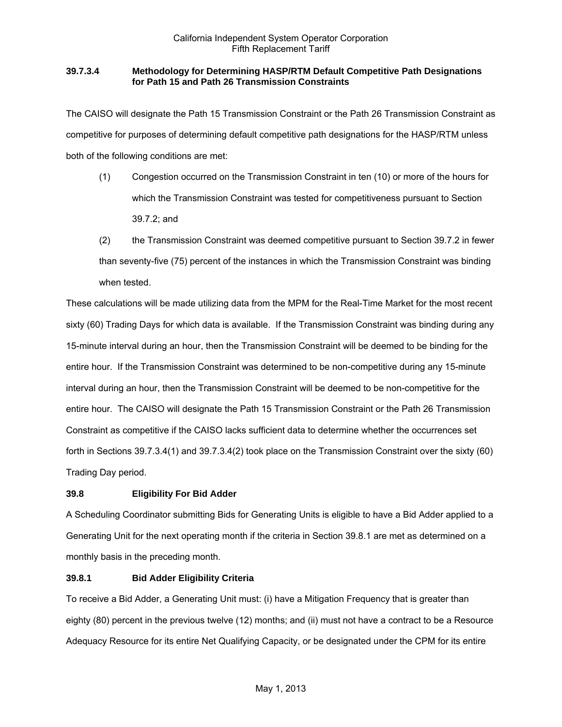# **39.7.3.4 Methodology for Determining HASP/RTM Default Competitive Path Designations for Path 15 and Path 26 Transmission Constraints**

The CAISO will designate the Path 15 Transmission Constraint or the Path 26 Transmission Constraint as competitive for purposes of determining default competitive path designations for the HASP/RTM unless both of the following conditions are met:

- (1) Congestion occurred on the Transmission Constraint in ten (10) or more of the hours for which the Transmission Constraint was tested for competitiveness pursuant to Section 39.7.2; and
- (2) the Transmission Constraint was deemed competitive pursuant to Section 39.7.2 in fewer than seventy-five (75) percent of the instances in which the Transmission Constraint was binding when tested.

These calculations will be made utilizing data from the MPM for the Real-Time Market for the most recent sixty (60) Trading Days for which data is available. If the Transmission Constraint was binding during any 15-minute interval during an hour, then the Transmission Constraint will be deemed to be binding for the entire hour. If the Transmission Constraint was determined to be non-competitive during any 15-minute interval during an hour, then the Transmission Constraint will be deemed to be non-competitive for the entire hour. The CAISO will designate the Path 15 Transmission Constraint or the Path 26 Transmission Constraint as competitive if the CAISO lacks sufficient data to determine whether the occurrences set forth in Sections 39.7.3.4(1) and 39.7.3.4(2) took place on the Transmission Constraint over the sixty (60) Trading Day period.

# **39.8 Eligibility For Bid Adder**

A Scheduling Coordinator submitting Bids for Generating Units is eligible to have a Bid Adder applied to a Generating Unit for the next operating month if the criteria in Section 39.8.1 are met as determined on a monthly basis in the preceding month.

# **39.8.1 Bid Adder Eligibility Criteria**

To receive a Bid Adder, a Generating Unit must: (i) have a Mitigation Frequency that is greater than eighty (80) percent in the previous twelve (12) months; and (ii) must not have a contract to be a Resource Adequacy Resource for its entire Net Qualifying Capacity, or be designated under the CPM for its entire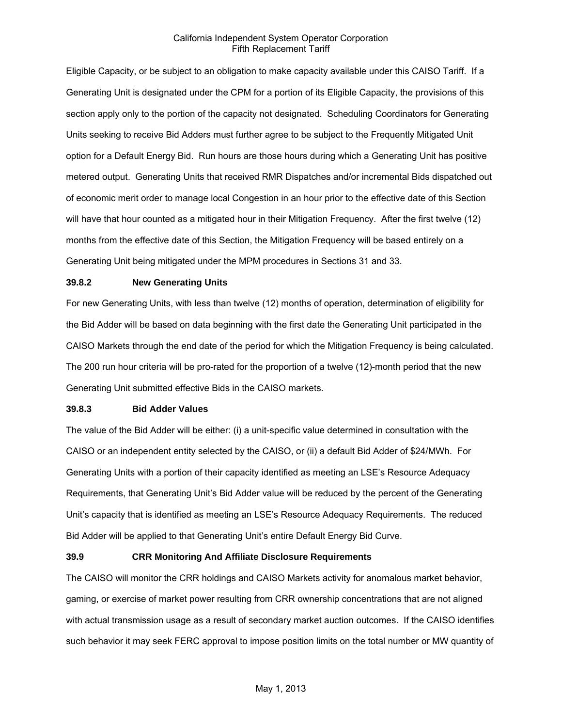Eligible Capacity, or be subject to an obligation to make capacity available under this CAISO Tariff. If a Generating Unit is designated under the CPM for a portion of its Eligible Capacity, the provisions of this section apply only to the portion of the capacity not designated. Scheduling Coordinators for Generating Units seeking to receive Bid Adders must further agree to be subject to the Frequently Mitigated Unit option for a Default Energy Bid. Run hours are those hours during which a Generating Unit has positive metered output. Generating Units that received RMR Dispatches and/or incremental Bids dispatched out of economic merit order to manage local Congestion in an hour prior to the effective date of this Section will have that hour counted as a mitigated hour in their Mitigation Frequency. After the first twelve (12) months from the effective date of this Section, the Mitigation Frequency will be based entirely on a Generating Unit being mitigated under the MPM procedures in Sections 31 and 33.

#### **39.8.2 New Generating Units**

For new Generating Units, with less than twelve (12) months of operation, determination of eligibility for the Bid Adder will be based on data beginning with the first date the Generating Unit participated in the CAISO Markets through the end date of the period for which the Mitigation Frequency is being calculated. The 200 run hour criteria will be pro-rated for the proportion of a twelve (12)-month period that the new Generating Unit submitted effective Bids in the CAISO markets.

#### **39.8.3 Bid Adder Values**

The value of the Bid Adder will be either: (i) a unit-specific value determined in consultation with the CAISO or an independent entity selected by the CAISO, or (ii) a default Bid Adder of \$24/MWh. For Generating Units with a portion of their capacity identified as meeting an LSE's Resource Adequacy Requirements, that Generating Unit's Bid Adder value will be reduced by the percent of the Generating Unit's capacity that is identified as meeting an LSE's Resource Adequacy Requirements. The reduced Bid Adder will be applied to that Generating Unit's entire Default Energy Bid Curve.

#### **39.9 CRR Monitoring And Affiliate Disclosure Requirements**

The CAISO will monitor the CRR holdings and CAISO Markets activity for anomalous market behavior, gaming, or exercise of market power resulting from CRR ownership concentrations that are not aligned with actual transmission usage as a result of secondary market auction outcomes. If the CAISO identifies such behavior it may seek FERC approval to impose position limits on the total number or MW quantity of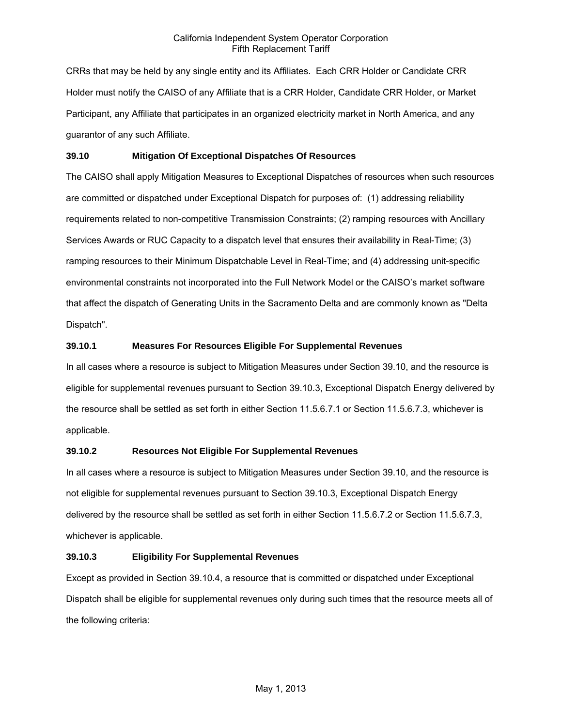CRRs that may be held by any single entity and its Affiliates. Each CRR Holder or Candidate CRR Holder must notify the CAISO of any Affiliate that is a CRR Holder, Candidate CRR Holder, or Market Participant, any Affiliate that participates in an organized electricity market in North America, and any guarantor of any such Affiliate.

### **39.10 Mitigation Of Exceptional Dispatches Of Resources**

The CAISO shall apply Mitigation Measures to Exceptional Dispatches of resources when such resources are committed or dispatched under Exceptional Dispatch for purposes of: (1) addressing reliability requirements related to non-competitive Transmission Constraints; (2) ramping resources with Ancillary Services Awards or RUC Capacity to a dispatch level that ensures their availability in Real-Time; (3) ramping resources to their Minimum Dispatchable Level in Real-Time; and (4) addressing unit-specific environmental constraints not incorporated into the Full Network Model or the CAISO's market software that affect the dispatch of Generating Units in the Sacramento Delta and are commonly known as "Delta Dispatch".

# **39.10.1 Measures For Resources Eligible For Supplemental Revenues**

In all cases where a resource is subject to Mitigation Measures under Section 39.10, and the resource is eligible for supplemental revenues pursuant to Section 39.10.3, Exceptional Dispatch Energy delivered by the resource shall be settled as set forth in either Section 11.5.6.7.1 or Section 11.5.6.7.3, whichever is applicable.

# **39.10.2 Resources Not Eligible For Supplemental Revenues**

In all cases where a resource is subject to Mitigation Measures under Section 39.10, and the resource is not eligible for supplemental revenues pursuant to Section 39.10.3, Exceptional Dispatch Energy delivered by the resource shall be settled as set forth in either Section 11.5.6.7.2 or Section 11.5.6.7.3, whichever is applicable.

#### **39.10.3 Eligibility For Supplemental Revenues**

Except as provided in Section 39.10.4, a resource that is committed or dispatched under Exceptional Dispatch shall be eligible for supplemental revenues only during such times that the resource meets all of the following criteria: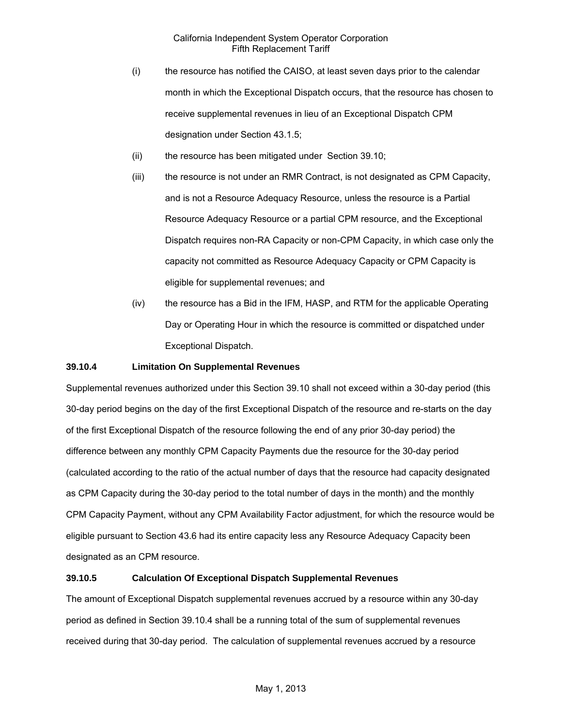- (i) the resource has notified the CAISO, at least seven days prior to the calendar month in which the Exceptional Dispatch occurs, that the resource has chosen to receive supplemental revenues in lieu of an Exceptional Dispatch CPM designation under Section 43.1.5;
- (ii) the resource has been mitigated under Section 39.10;
- (iii) the resource is not under an RMR Contract, is not designated as CPM Capacity, and is not a Resource Adequacy Resource, unless the resource is a Partial Resource Adequacy Resource or a partial CPM resource, and the Exceptional Dispatch requires non-RA Capacity or non-CPM Capacity, in which case only the capacity not committed as Resource Adequacy Capacity or CPM Capacity is eligible for supplemental revenues; and
- (iv) the resource has a Bid in the IFM, HASP, and RTM for the applicable Operating Day or Operating Hour in which the resource is committed or dispatched under Exceptional Dispatch.

#### **39.10.4 Limitation On Supplemental Revenues**

Supplemental revenues authorized under this Section 39.10 shall not exceed within a 30-day period (this 30-day period begins on the day of the first Exceptional Dispatch of the resource and re-starts on the day of the first Exceptional Dispatch of the resource following the end of any prior 30-day period) the difference between any monthly CPM Capacity Payments due the resource for the 30-day period (calculated according to the ratio of the actual number of days that the resource had capacity designated as CPM Capacity during the 30-day period to the total number of days in the month) and the monthly CPM Capacity Payment, without any CPM Availability Factor adjustment, for which the resource would be eligible pursuant to Section 43.6 had its entire capacity less any Resource Adequacy Capacity been designated as an CPM resource.

# **39.10.5 Calculation Of Exceptional Dispatch Supplemental Revenues**

The amount of Exceptional Dispatch supplemental revenues accrued by a resource within any 30-day period as defined in Section 39.10.4 shall be a running total of the sum of supplemental revenues received during that 30-day period. The calculation of supplemental revenues accrued by a resource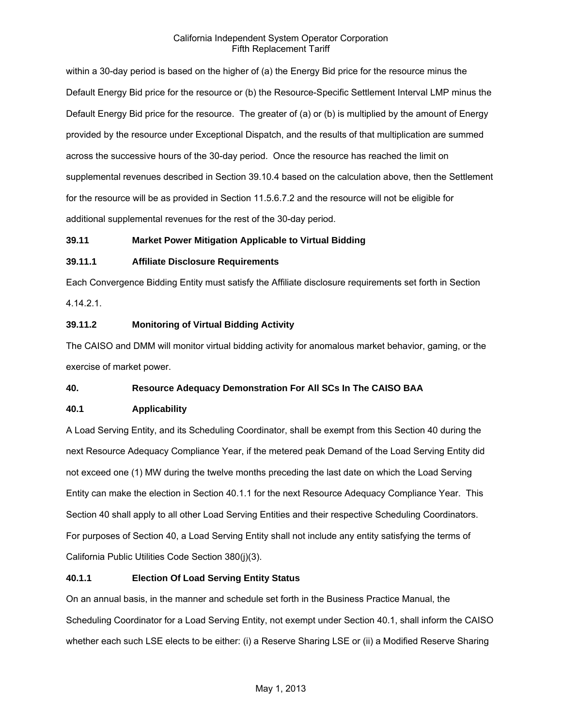within a 30-day period is based on the higher of (a) the Energy Bid price for the resource minus the Default Energy Bid price for the resource or (b) the Resource-Specific Settlement Interval LMP minus the Default Energy Bid price for the resource. The greater of (a) or (b) is multiplied by the amount of Energy provided by the resource under Exceptional Dispatch, and the results of that multiplication are summed across the successive hours of the 30-day period. Once the resource has reached the limit on supplemental revenues described in Section 39.10.4 based on the calculation above, then the Settlement for the resource will be as provided in Section 11.5.6.7.2 and the resource will not be eligible for additional supplemental revenues for the rest of the 30-day period.

# **39.11 Market Power Mitigation Applicable to Virtual Bidding**

# **39.11.1 Affiliate Disclosure Requirements**

Each Convergence Bidding Entity must satisfy the Affiliate disclosure requirements set forth in Section 4.14.2.1.

# **39.11.2 Monitoring of Virtual Bidding Activity**

The CAISO and DMM will monitor virtual bidding activity for anomalous market behavior, gaming, or the exercise of market power.

# **40. Resource Adequacy Demonstration For All SCs In The CAISO BAA**

# **40.1 Applicability**

A Load Serving Entity, and its Scheduling Coordinator, shall be exempt from this Section 40 during the next Resource Adequacy Compliance Year, if the metered peak Demand of the Load Serving Entity did not exceed one (1) MW during the twelve months preceding the last date on which the Load Serving Entity can make the election in Section 40.1.1 for the next Resource Adequacy Compliance Year. This Section 40 shall apply to all other Load Serving Entities and their respective Scheduling Coordinators. For purposes of Section 40, a Load Serving Entity shall not include any entity satisfying the terms of California Public Utilities Code Section 380(j)(3).

# **40.1.1 Election Of Load Serving Entity Status**

On an annual basis, in the manner and schedule set forth in the Business Practice Manual, the Scheduling Coordinator for a Load Serving Entity, not exempt under Section 40.1, shall inform the CAISO whether each such LSE elects to be either: (i) a Reserve Sharing LSE or (ii) a Modified Reserve Sharing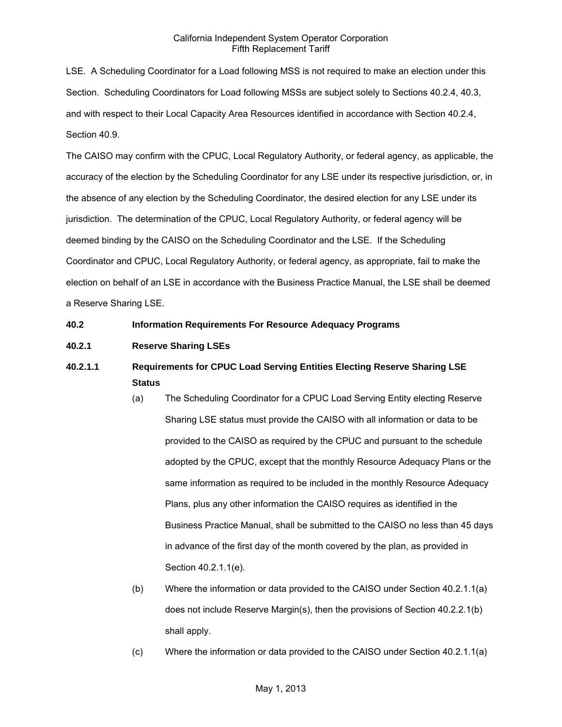LSE. A Scheduling Coordinator for a Load following MSS is not required to make an election under this Section. Scheduling Coordinators for Load following MSSs are subject solely to Sections 40.2.4, 40.3, and with respect to their Local Capacity Area Resources identified in accordance with Section 40.2.4, Section 40.9.

The CAISO may confirm with the CPUC, Local Regulatory Authority, or federal agency, as applicable, the accuracy of the election by the Scheduling Coordinator for any LSE under its respective jurisdiction, or, in the absence of any election by the Scheduling Coordinator, the desired election for any LSE under its jurisdiction. The determination of the CPUC, Local Regulatory Authority, or federal agency will be deemed binding by the CAISO on the Scheduling Coordinator and the LSE. If the Scheduling Coordinator and CPUC, Local Regulatory Authority, or federal agency, as appropriate, fail to make the election on behalf of an LSE in accordance with the Business Practice Manual, the LSE shall be deemed a Reserve Sharing LSE.

### **40.2 Information Requirements For Resource Adequacy Programs**

# **40.2.1 Reserve Sharing LSEs**

# **40.2.1.1 Requirements for CPUC Load Serving Entities Electing Reserve Sharing LSE Status**

- (a) The Scheduling Coordinator for a CPUC Load Serving Entity electing Reserve Sharing LSE status must provide the CAISO with all information or data to be provided to the CAISO as required by the CPUC and pursuant to the schedule adopted by the CPUC, except that the monthly Resource Adequacy Plans or the same information as required to be included in the monthly Resource Adequacy Plans, plus any other information the CAISO requires as identified in the Business Practice Manual, shall be submitted to the CAISO no less than 45 days in advance of the first day of the month covered by the plan, as provided in Section 40.2.1.1(e).
- (b) Where the information or data provided to the CAISO under Section 40.2.1.1(a) does not include Reserve Margin(s), then the provisions of Section 40.2.2.1(b) shall apply.
- (c) Where the information or data provided to the CAISO under Section 40.2.1.1(a)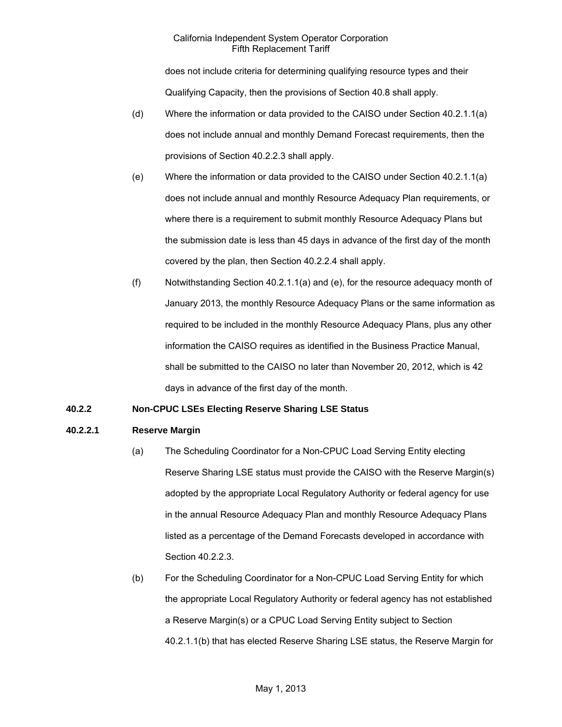does not include criteria for determining qualifying resource types and their Qualifying Capacity, then the provisions of Section 40.8 shall apply.

- (d) Where the information or data provided to the CAISO under Section 40.2.1.1(a) does not include annual and monthly Demand Forecast requirements, then the provisions of Section 40.2.2.3 shall apply.
- (e) Where the information or data provided to the CAISO under Section 40.2.1.1(a) does not include annual and monthly Resource Adequacy Plan requirements, or where there is a requirement to submit monthly Resource Adequacy Plans but the submission date is less than 45 days in advance of the first day of the month covered by the plan, then Section 40.2.2.4 shall apply.
- (f) Notwithstanding Section 40.2.1.1(a) and (e), for the resource adequacy month of January 2013, the monthly Resource Adequacy Plans or the same information as required to be included in the monthly Resource Adequacy Plans, plus any other information the CAISO requires as identified in the Business Practice Manual, shall be submitted to the CAISO no later than November 20, 2012, which is 42 days in advance of the first day of the month.

# **40.2.2 Non-CPUC LSEs Electing Reserve Sharing LSE Status**

# **40.2.2.1 Reserve Margin**

- (a) The Scheduling Coordinator for a Non-CPUC Load Serving Entity electing Reserve Sharing LSE status must provide the CAISO with the Reserve Margin(s) adopted by the appropriate Local Regulatory Authority or federal agency for use in the annual Resource Adequacy Plan and monthly Resource Adequacy Plans listed as a percentage of the Demand Forecasts developed in accordance with Section 40.2.2.3.
- (b) For the Scheduling Coordinator for a Non-CPUC Load Serving Entity for which the appropriate Local Regulatory Authority or federal agency has not established a Reserve Margin(s) or a CPUC Load Serving Entity subject to Section 40.2.1.1(b) that has elected Reserve Sharing LSE status, the Reserve Margin for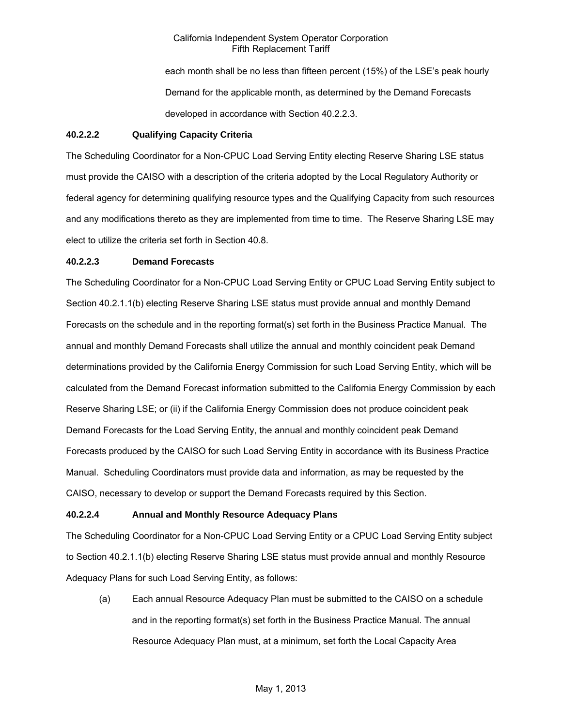each month shall be no less than fifteen percent (15%) of the LSE's peak hourly Demand for the applicable month, as determined by the Demand Forecasts developed in accordance with Section 40.2.2.3.

### **40.2.2.2 Qualifying Capacity Criteria**

The Scheduling Coordinator for a Non-CPUC Load Serving Entity electing Reserve Sharing LSE status must provide the CAISO with a description of the criteria adopted by the Local Regulatory Authority or federal agency for determining qualifying resource types and the Qualifying Capacity from such resources and any modifications thereto as they are implemented from time to time. The Reserve Sharing LSE may elect to utilize the criteria set forth in Section 40.8.

### **40.2.2.3 Demand Forecasts**

The Scheduling Coordinator for a Non-CPUC Load Serving Entity or CPUC Load Serving Entity subject to Section 40.2.1.1(b) electing Reserve Sharing LSE status must provide annual and monthly Demand Forecasts on the schedule and in the reporting format(s) set forth in the Business Practice Manual. The annual and monthly Demand Forecasts shall utilize the annual and monthly coincident peak Demand determinations provided by the California Energy Commission for such Load Serving Entity, which will be calculated from the Demand Forecast information submitted to the California Energy Commission by each Reserve Sharing LSE; or (ii) if the California Energy Commission does not produce coincident peak Demand Forecasts for the Load Serving Entity, the annual and monthly coincident peak Demand Forecasts produced by the CAISO for such Load Serving Entity in accordance with its Business Practice Manual. Scheduling Coordinators must provide data and information, as may be requested by the CAISO, necessary to develop or support the Demand Forecasts required by this Section.

# **40.2.2.4 Annual and Monthly Resource Adequacy Plans**

The Scheduling Coordinator for a Non-CPUC Load Serving Entity or a CPUC Load Serving Entity subject to Section 40.2.1.1(b) electing Reserve Sharing LSE status must provide annual and monthly Resource Adequacy Plans for such Load Serving Entity, as follows:

(a) Each annual Resource Adequacy Plan must be submitted to the CAISO on a schedule and in the reporting format(s) set forth in the Business Practice Manual. The annual Resource Adequacy Plan must, at a minimum, set forth the Local Capacity Area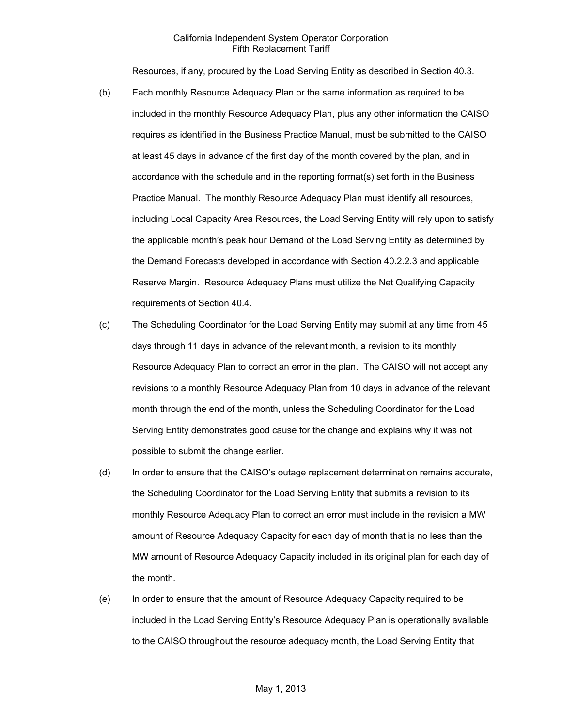Resources, if any, procured by the Load Serving Entity as described in Section 40.3.

- (b) Each monthly Resource Adequacy Plan or the same information as required to be included in the monthly Resource Adequacy Plan, plus any other information the CAISO requires as identified in the Business Practice Manual, must be submitted to the CAISO at least 45 days in advance of the first day of the month covered by the plan, and in accordance with the schedule and in the reporting format(s) set forth in the Business Practice Manual. The monthly Resource Adequacy Plan must identify all resources, including Local Capacity Area Resources, the Load Serving Entity will rely upon to satisfy the applicable month's peak hour Demand of the Load Serving Entity as determined by the Demand Forecasts developed in accordance with Section 40.2.2.3 and applicable Reserve Margin. Resource Adequacy Plans must utilize the Net Qualifying Capacity requirements of Section 40.4.
- (c) The Scheduling Coordinator for the Load Serving Entity may submit at any time from 45 days through 11 days in advance of the relevant month, a revision to its monthly Resource Adequacy Plan to correct an error in the plan. The CAISO will not accept any revisions to a monthly Resource Adequacy Plan from 10 days in advance of the relevant month through the end of the month, unless the Scheduling Coordinator for the Load Serving Entity demonstrates good cause for the change and explains why it was not possible to submit the change earlier.
- (d) In order to ensure that the CAISO's outage replacement determination remains accurate, the Scheduling Coordinator for the Load Serving Entity that submits a revision to its monthly Resource Adequacy Plan to correct an error must include in the revision a MW amount of Resource Adequacy Capacity for each day of month that is no less than the MW amount of Resource Adequacy Capacity included in its original plan for each day of the month.
- (e) In order to ensure that the amount of Resource Adequacy Capacity required to be included in the Load Serving Entity's Resource Adequacy Plan is operationally available to the CAISO throughout the resource adequacy month, the Load Serving Entity that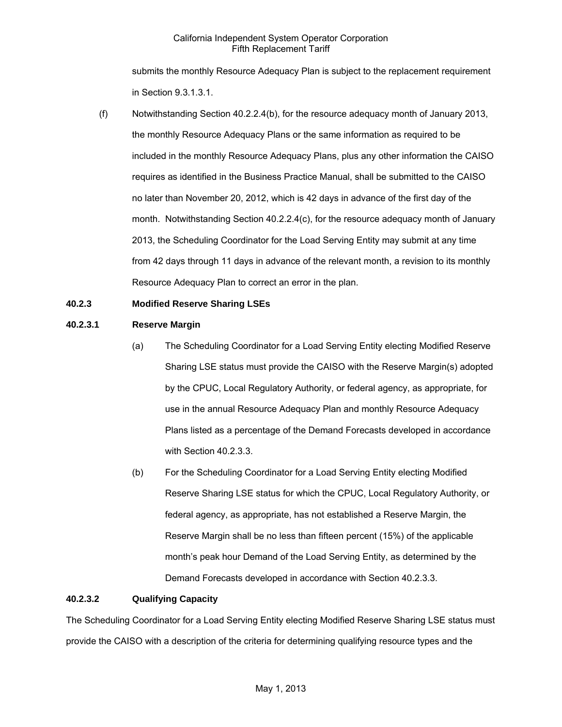submits the monthly Resource Adequacy Plan is subject to the replacement requirement in Section 9.3.1.3.1.

(f) Notwithstanding Section 40.2.2.4(b), for the resource adequacy month of January 2013, the monthly Resource Adequacy Plans or the same information as required to be included in the monthly Resource Adequacy Plans, plus any other information the CAISO requires as identified in the Business Practice Manual, shall be submitted to the CAISO no later than November 20, 2012, which is 42 days in advance of the first day of the month. Notwithstanding Section 40.2.2.4(c), for the resource adequacy month of January 2013, the Scheduling Coordinator for the Load Serving Entity may submit at any time from 42 days through 11 days in advance of the relevant month, a revision to its monthly Resource Adequacy Plan to correct an error in the plan.

# **40.2.3 Modified Reserve Sharing LSEs**

### **40.2.3.1 Reserve Margin**

- (a) The Scheduling Coordinator for a Load Serving Entity electing Modified Reserve Sharing LSE status must provide the CAISO with the Reserve Margin(s) adopted by the CPUC, Local Regulatory Authority, or federal agency, as appropriate, for use in the annual Resource Adequacy Plan and monthly Resource Adequacy Plans listed as a percentage of the Demand Forecasts developed in accordance with Section 40.2.3.3.
- (b) For the Scheduling Coordinator for a Load Serving Entity electing Modified Reserve Sharing LSE status for which the CPUC, Local Regulatory Authority, or federal agency, as appropriate, has not established a Reserve Margin, the Reserve Margin shall be no less than fifteen percent (15%) of the applicable month's peak hour Demand of the Load Serving Entity, as determined by the Demand Forecasts developed in accordance with Section 40.2.3.3.

#### **40.2.3.2 Qualifying Capacity**

The Scheduling Coordinator for a Load Serving Entity electing Modified Reserve Sharing LSE status must provide the CAISO with a description of the criteria for determining qualifying resource types and the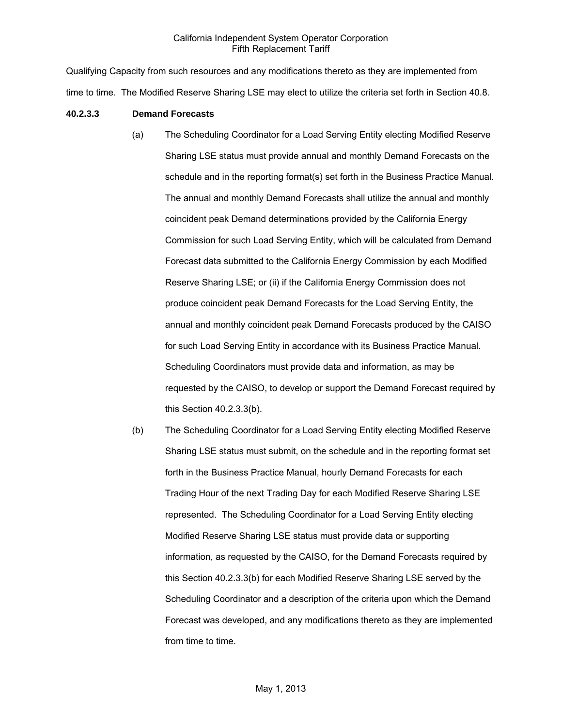Qualifying Capacity from such resources and any modifications thereto as they are implemented from time to time. The Modified Reserve Sharing LSE may elect to utilize the criteria set forth in Section 40.8.

#### **40.2.3.3 Demand Forecasts**

- (a) The Scheduling Coordinator for a Load Serving Entity electing Modified Reserve Sharing LSE status must provide annual and monthly Demand Forecasts on the schedule and in the reporting format(s) set forth in the Business Practice Manual. The annual and monthly Demand Forecasts shall utilize the annual and monthly coincident peak Demand determinations provided by the California Energy Commission for such Load Serving Entity, which will be calculated from Demand Forecast data submitted to the California Energy Commission by each Modified Reserve Sharing LSE; or (ii) if the California Energy Commission does not produce coincident peak Demand Forecasts for the Load Serving Entity, the annual and monthly coincident peak Demand Forecasts produced by the CAISO for such Load Serving Entity in accordance with its Business Practice Manual. Scheduling Coordinators must provide data and information, as may be requested by the CAISO, to develop or support the Demand Forecast required by this Section 40.2.3.3(b).
- (b) The Scheduling Coordinator for a Load Serving Entity electing Modified Reserve Sharing LSE status must submit, on the schedule and in the reporting format set forth in the Business Practice Manual, hourly Demand Forecasts for each Trading Hour of the next Trading Day for each Modified Reserve Sharing LSE represented. The Scheduling Coordinator for a Load Serving Entity electing Modified Reserve Sharing LSE status must provide data or supporting information, as requested by the CAISO, for the Demand Forecasts required by this Section 40.2.3.3(b) for each Modified Reserve Sharing LSE served by the Scheduling Coordinator and a description of the criteria upon which the Demand Forecast was developed, and any modifications thereto as they are implemented from time to time.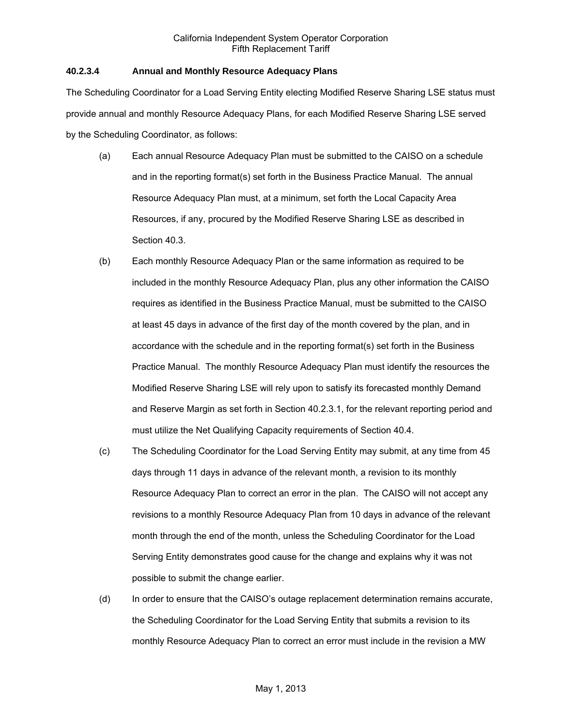### **40.2.3.4 Annual and Monthly Resource Adequacy Plans**

The Scheduling Coordinator for a Load Serving Entity electing Modified Reserve Sharing LSE status must provide annual and monthly Resource Adequacy Plans, for each Modified Reserve Sharing LSE served by the Scheduling Coordinator, as follows:

- (a) Each annual Resource Adequacy Plan must be submitted to the CAISO on a schedule and in the reporting format(s) set forth in the Business Practice Manual. The annual Resource Adequacy Plan must, at a minimum, set forth the Local Capacity Area Resources, if any, procured by the Modified Reserve Sharing LSE as described in Section 40.3.
- (b) Each monthly Resource Adequacy Plan or the same information as required to be included in the monthly Resource Adequacy Plan, plus any other information the CAISO requires as identified in the Business Practice Manual, must be submitted to the CAISO at least 45 days in advance of the first day of the month covered by the plan, and in accordance with the schedule and in the reporting format(s) set forth in the Business Practice Manual. The monthly Resource Adequacy Plan must identify the resources the Modified Reserve Sharing LSE will rely upon to satisfy its forecasted monthly Demand and Reserve Margin as set forth in Section 40.2.3.1, for the relevant reporting period and must utilize the Net Qualifying Capacity requirements of Section 40.4.
- (c) The Scheduling Coordinator for the Load Serving Entity may submit, at any time from 45 days through 11 days in advance of the relevant month, a revision to its monthly Resource Adequacy Plan to correct an error in the plan. The CAISO will not accept any revisions to a monthly Resource Adequacy Plan from 10 days in advance of the relevant month through the end of the month, unless the Scheduling Coordinator for the Load Serving Entity demonstrates good cause for the change and explains why it was not possible to submit the change earlier.
- (d) In order to ensure that the CAISO's outage replacement determination remains accurate, the Scheduling Coordinator for the Load Serving Entity that submits a revision to its monthly Resource Adequacy Plan to correct an error must include in the revision a MW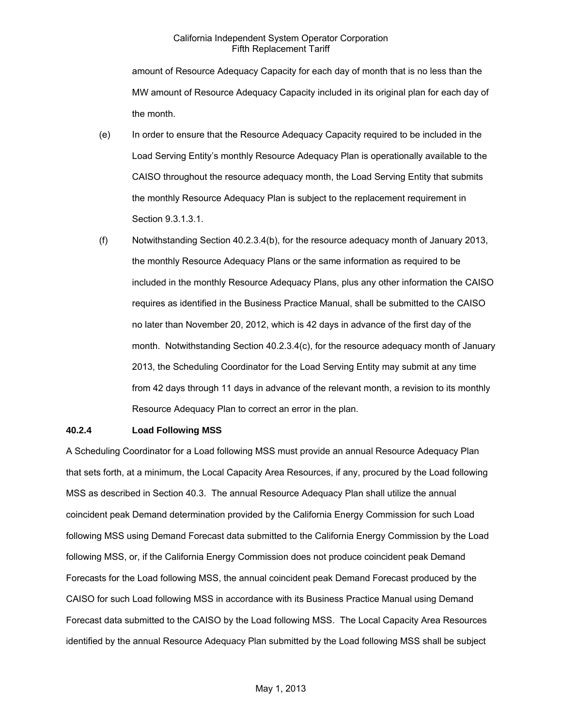amount of Resource Adequacy Capacity for each day of month that is no less than the MW amount of Resource Adequacy Capacity included in its original plan for each day of the month.

- (e) In order to ensure that the Resource Adequacy Capacity required to be included in the Load Serving Entity's monthly Resource Adequacy Plan is operationally available to the CAISO throughout the resource adequacy month, the Load Serving Entity that submits the monthly Resource Adequacy Plan is subject to the replacement requirement in Section 9.3.1.3.1.
- (f) Notwithstanding Section 40.2.3.4(b), for the resource adequacy month of January 2013, the monthly Resource Adequacy Plans or the same information as required to be included in the monthly Resource Adequacy Plans, plus any other information the CAISO requires as identified in the Business Practice Manual, shall be submitted to the CAISO no later than November 20, 2012, which is 42 days in advance of the first day of the month. Notwithstanding Section 40.2.3.4(c), for the resource adequacy month of January 2013, the Scheduling Coordinator for the Load Serving Entity may submit at any time from 42 days through 11 days in advance of the relevant month, a revision to its monthly Resource Adequacy Plan to correct an error in the plan.

#### **40.2.4 Load Following MSS**

A Scheduling Coordinator for a Load following MSS must provide an annual Resource Adequacy Plan that sets forth, at a minimum, the Local Capacity Area Resources, if any, procured by the Load following MSS as described in Section 40.3. The annual Resource Adequacy Plan shall utilize the annual coincident peak Demand determination provided by the California Energy Commission for such Load following MSS using Demand Forecast data submitted to the California Energy Commission by the Load following MSS, or, if the California Energy Commission does not produce coincident peak Demand Forecasts for the Load following MSS, the annual coincident peak Demand Forecast produced by the CAISO for such Load following MSS in accordance with its Business Practice Manual using Demand Forecast data submitted to the CAISO by the Load following MSS. The Local Capacity Area Resources identified by the annual Resource Adequacy Plan submitted by the Load following MSS shall be subject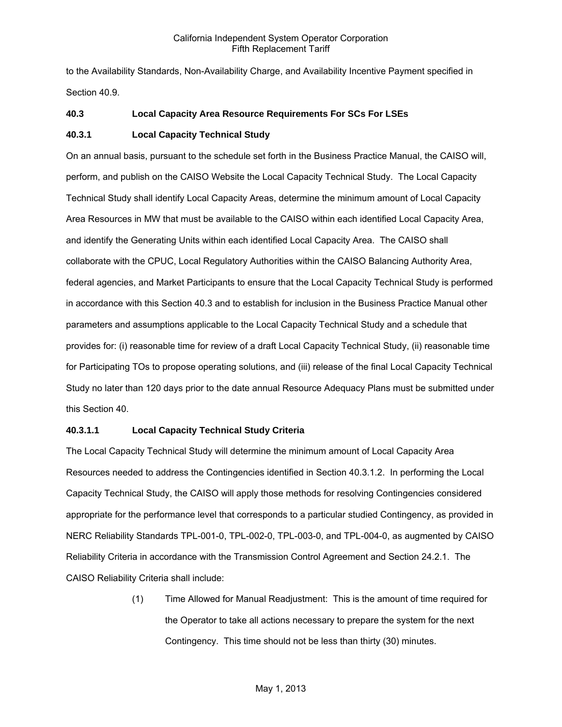to the Availability Standards, Non-Availability Charge, and Availability Incentive Payment specified in Section 40.9.

### **40.3 Local Capacity Area Resource Requirements For SCs For LSEs**

### **40.3.1 Local Capacity Technical Study**

On an annual basis, pursuant to the schedule set forth in the Business Practice Manual, the CAISO will, perform, and publish on the CAISO Website the Local Capacity Technical Study. The Local Capacity Technical Study shall identify Local Capacity Areas, determine the minimum amount of Local Capacity Area Resources in MW that must be available to the CAISO within each identified Local Capacity Area, and identify the Generating Units within each identified Local Capacity Area. The CAISO shall collaborate with the CPUC, Local Regulatory Authorities within the CAISO Balancing Authority Area, federal agencies, and Market Participants to ensure that the Local Capacity Technical Study is performed in accordance with this Section 40.3 and to establish for inclusion in the Business Practice Manual other parameters and assumptions applicable to the Local Capacity Technical Study and a schedule that provides for: (i) reasonable time for review of a draft Local Capacity Technical Study, (ii) reasonable time for Participating TOs to propose operating solutions, and (iii) release of the final Local Capacity Technical Study no later than 120 days prior to the date annual Resource Adequacy Plans must be submitted under this Section 40.

### **40.3.1.1 Local Capacity Technical Study Criteria**

The Local Capacity Technical Study will determine the minimum amount of Local Capacity Area Resources needed to address the Contingencies identified in Section 40.3.1.2. In performing the Local Capacity Technical Study, the CAISO will apply those methods for resolving Contingencies considered appropriate for the performance level that corresponds to a particular studied Contingency, as provided in NERC Reliability Standards TPL-001-0, TPL-002-0, TPL-003-0, and TPL-004-0, as augmented by CAISO Reliability Criteria in accordance with the Transmission Control Agreement and Section 24.2.1. The CAISO Reliability Criteria shall include:

> (1) Time Allowed for Manual Readjustment: This is the amount of time required for the Operator to take all actions necessary to prepare the system for the next Contingency. This time should not be less than thirty (30) minutes.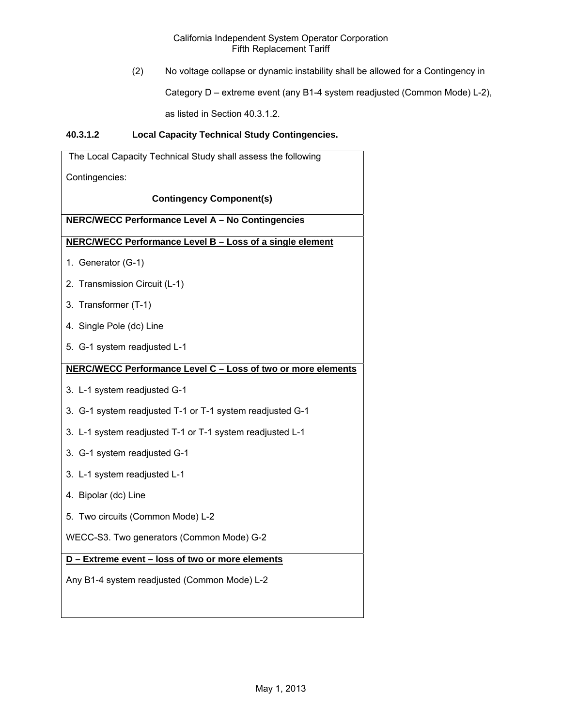(2) No voltage collapse or dynamic instability shall be allowed for a Contingency in

Category D – extreme event (any B1-4 system readjusted (Common Mode) L-2),

as listed in Section 40.3.1.2.

# **40.3.1.2 Local Capacity Technical Study Contingencies.**

| The Local Capacity Technical Study shall assess the following |
|---------------------------------------------------------------|
| Contingencies:                                                |
| <b>Contingency Component(s)</b>                               |
| NERC/WECC Performance Level A - No Contingencies              |
| NERC/WECC Performance Level B - Loss of a single element      |
| 1. Generator (G-1)                                            |
| 2. Transmission Circuit (L-1)                                 |
| 3. Transformer (T-1)                                          |
| 4. Single Pole (dc) Line                                      |
| 5. G-1 system readjusted L-1                                  |
| NERC/WECC Performance Level C - Loss of two or more elements  |
| 3. L-1 system readjusted G-1                                  |
| 3. G-1 system readjusted T-1 or T-1 system readjusted G-1     |
| 3. L-1 system readjusted T-1 or T-1 system readjusted L-1     |
| 3. G-1 system readjusted G-1                                  |
| 3. L-1 system readjusted L-1                                  |
| 4. Bipolar (dc) Line                                          |
| 5. Two circuits (Common Mode) L-2                             |
| WECC-S3. Two generators (Common Mode) G-2                     |
| D - Extreme event - loss of two or more elements              |
| Any B1-4 system readjusted (Common Mode) L-2                  |
|                                                               |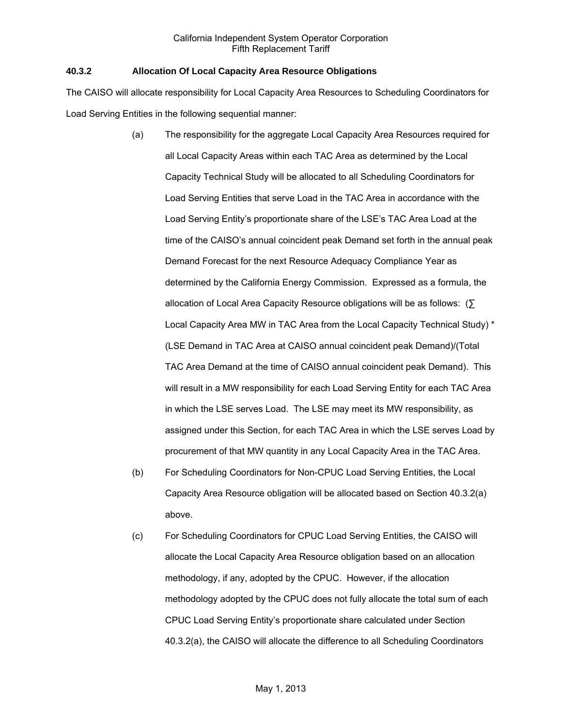### **40.3.2 Allocation Of Local Capacity Area Resource Obligations**

The CAISO will allocate responsibility for Local Capacity Area Resources to Scheduling Coordinators for Load Serving Entities in the following sequential manner:

- (a) The responsibility for the aggregate Local Capacity Area Resources required for all Local Capacity Areas within each TAC Area as determined by the Local Capacity Technical Study will be allocated to all Scheduling Coordinators for Load Serving Entities that serve Load in the TAC Area in accordance with the Load Serving Entity's proportionate share of the LSE's TAC Area Load at the time of the CAISO's annual coincident peak Demand set forth in the annual peak Demand Forecast for the next Resource Adequacy Compliance Year as determined by the California Energy Commission. Expressed as a formula, the allocation of Local Area Capacity Resource obligations will be as follows: (∑ Local Capacity Area MW in TAC Area from the Local Capacity Technical Study) \* (LSE Demand in TAC Area at CAISO annual coincident peak Demand)/(Total TAC Area Demand at the time of CAISO annual coincident peak Demand). This will result in a MW responsibility for each Load Serving Entity for each TAC Area in which the LSE serves Load. The LSE may meet its MW responsibility, as assigned under this Section, for each TAC Area in which the LSE serves Load by procurement of that MW quantity in any Local Capacity Area in the TAC Area.
- (b) For Scheduling Coordinators for Non-CPUC Load Serving Entities, the Local Capacity Area Resource obligation will be allocated based on Section 40.3.2(a) above.
- (c) For Scheduling Coordinators for CPUC Load Serving Entities, the CAISO will allocate the Local Capacity Area Resource obligation based on an allocation methodology, if any, adopted by the CPUC. However, if the allocation methodology adopted by the CPUC does not fully allocate the total sum of each CPUC Load Serving Entity's proportionate share calculated under Section 40.3.2(a), the CAISO will allocate the difference to all Scheduling Coordinators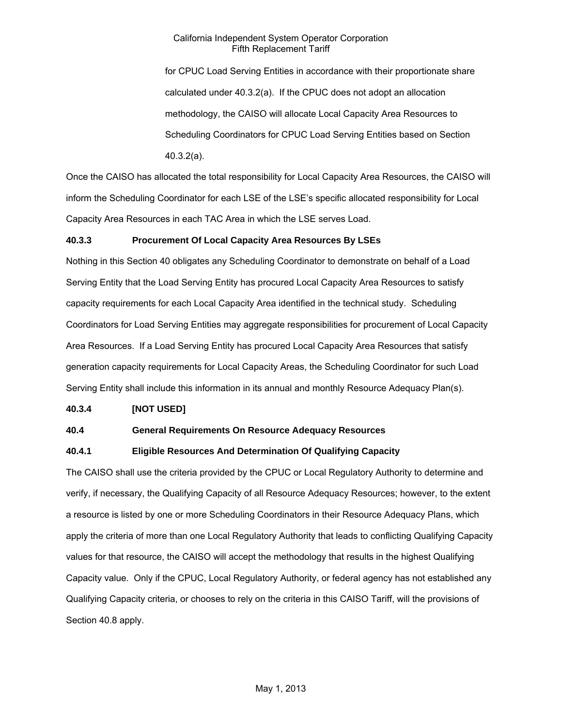for CPUC Load Serving Entities in accordance with their proportionate share calculated under 40.3.2(a). If the CPUC does not adopt an allocation methodology, the CAISO will allocate Local Capacity Area Resources to Scheduling Coordinators for CPUC Load Serving Entities based on Section 40.3.2(a).

Once the CAISO has allocated the total responsibility for Local Capacity Area Resources, the CAISO will inform the Scheduling Coordinator for each LSE of the LSE's specific allocated responsibility for Local Capacity Area Resources in each TAC Area in which the LSE serves Load.

# **40.3.3 Procurement Of Local Capacity Area Resources By LSEs**

Nothing in this Section 40 obligates any Scheduling Coordinator to demonstrate on behalf of a Load Serving Entity that the Load Serving Entity has procured Local Capacity Area Resources to satisfy capacity requirements for each Local Capacity Area identified in the technical study. Scheduling Coordinators for Load Serving Entities may aggregate responsibilities for procurement of Local Capacity Area Resources. If a Load Serving Entity has procured Local Capacity Area Resources that satisfy generation capacity requirements for Local Capacity Areas, the Scheduling Coordinator for such Load Serving Entity shall include this information in its annual and monthly Resource Adequacy Plan(s).

#### **40.3.4 [NOT USED]**

# **40.4 General Requirements On Resource Adequacy Resources**

# **40.4.1 Eligible Resources And Determination Of Qualifying Capacity**

The CAISO shall use the criteria provided by the CPUC or Local Regulatory Authority to determine and verify, if necessary, the Qualifying Capacity of all Resource Adequacy Resources; however, to the extent a resource is listed by one or more Scheduling Coordinators in their Resource Adequacy Plans, which apply the criteria of more than one Local Regulatory Authority that leads to conflicting Qualifying Capacity values for that resource, the CAISO will accept the methodology that results in the highest Qualifying Capacity value. Only if the CPUC, Local Regulatory Authority, or federal agency has not established any Qualifying Capacity criteria, or chooses to rely on the criteria in this CAISO Tariff, will the provisions of Section 40.8 apply.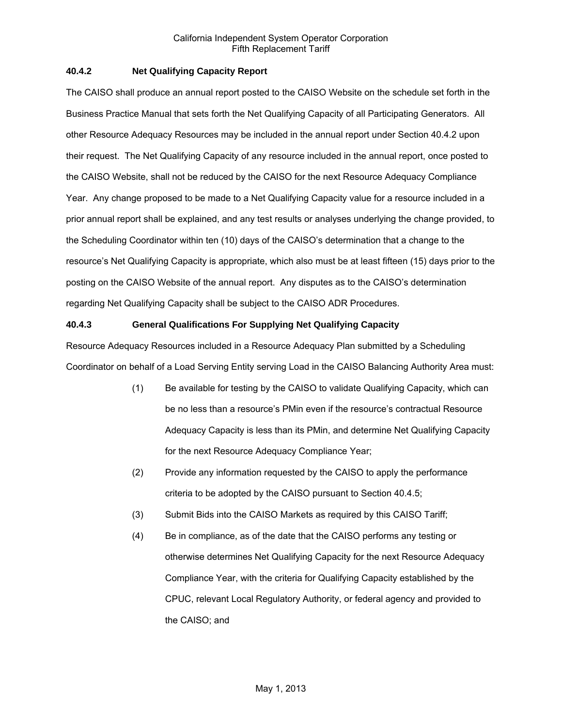### **40.4.2 Net Qualifying Capacity Report**

The CAISO shall produce an annual report posted to the CAISO Website on the schedule set forth in the Business Practice Manual that sets forth the Net Qualifying Capacity of all Participating Generators. All other Resource Adequacy Resources may be included in the annual report under Section 40.4.2 upon their request. The Net Qualifying Capacity of any resource included in the annual report, once posted to the CAISO Website, shall not be reduced by the CAISO for the next Resource Adequacy Compliance Year. Any change proposed to be made to a Net Qualifying Capacity value for a resource included in a prior annual report shall be explained, and any test results or analyses underlying the change provided, to the Scheduling Coordinator within ten (10) days of the CAISO's determination that a change to the resource's Net Qualifying Capacity is appropriate, which also must be at least fifteen (15) days prior to the posting on the CAISO Website of the annual report. Any disputes as to the CAISO's determination regarding Net Qualifying Capacity shall be subject to the CAISO ADR Procedures.

# **40.4.3 General Qualifications For Supplying Net Qualifying Capacity**

Resource Adequacy Resources included in a Resource Adequacy Plan submitted by a Scheduling Coordinator on behalf of a Load Serving Entity serving Load in the CAISO Balancing Authority Area must:

- (1) Be available for testing by the CAISO to validate Qualifying Capacity, which can be no less than a resource's PMin even if the resource's contractual Resource Adequacy Capacity is less than its PMin, and determine Net Qualifying Capacity for the next Resource Adequacy Compliance Year;
- (2) Provide any information requested by the CAISO to apply the performance criteria to be adopted by the CAISO pursuant to Section 40.4.5;
- (3) Submit Bids into the CAISO Markets as required by this CAISO Tariff;
- (4) Be in compliance, as of the date that the CAISO performs any testing or otherwise determines Net Qualifying Capacity for the next Resource Adequacy Compliance Year, with the criteria for Qualifying Capacity established by the CPUC, relevant Local Regulatory Authority, or federal agency and provided to the CAISO; and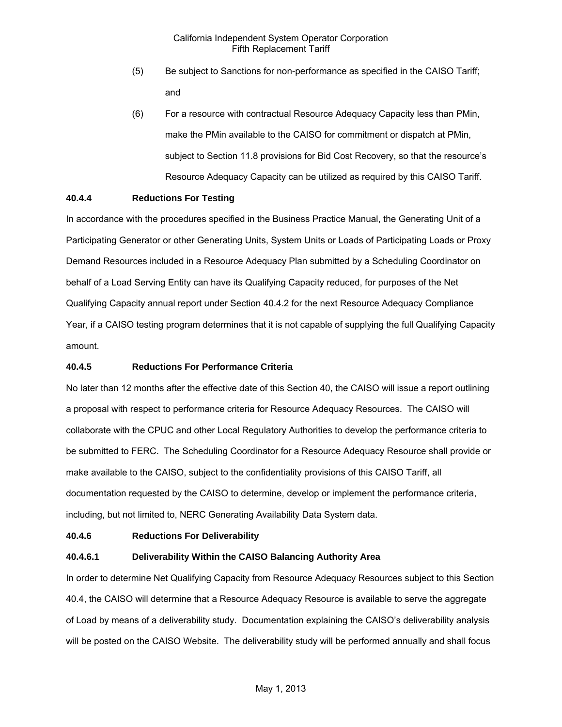- (5) Be subject to Sanctions for non-performance as specified in the CAISO Tariff; and
- (6) For a resource with contractual Resource Adequacy Capacity less than PMin, make the PMin available to the CAISO for commitment or dispatch at PMin, subject to Section 11.8 provisions for Bid Cost Recovery, so that the resource's Resource Adequacy Capacity can be utilized as required by this CAISO Tariff.

# **40.4.4 Reductions For Testing**

In accordance with the procedures specified in the Business Practice Manual, the Generating Unit of a Participating Generator or other Generating Units, System Units or Loads of Participating Loads or Proxy Demand Resources included in a Resource Adequacy Plan submitted by a Scheduling Coordinator on behalf of a Load Serving Entity can have its Qualifying Capacity reduced, for purposes of the Net Qualifying Capacity annual report under Section 40.4.2 for the next Resource Adequacy Compliance Year, if a CAISO testing program determines that it is not capable of supplying the full Qualifying Capacity amount.

#### **40.4.5 Reductions For Performance Criteria**

No later than 12 months after the effective date of this Section 40, the CAISO will issue a report outlining a proposal with respect to performance criteria for Resource Adequacy Resources. The CAISO will collaborate with the CPUC and other Local Regulatory Authorities to develop the performance criteria to be submitted to FERC. The Scheduling Coordinator for a Resource Adequacy Resource shall provide or make available to the CAISO, subject to the confidentiality provisions of this CAISO Tariff, all documentation requested by the CAISO to determine, develop or implement the performance criteria, including, but not limited to, NERC Generating Availability Data System data.

#### **40.4.6 Reductions For Deliverability**

#### **40.4.6.1 Deliverability Within the CAISO Balancing Authority Area**

In order to determine Net Qualifying Capacity from Resource Adequacy Resources subject to this Section 40.4, the CAISO will determine that a Resource Adequacy Resource is available to serve the aggregate of Load by means of a deliverability study. Documentation explaining the CAISO's deliverability analysis will be posted on the CAISO Website. The deliverability study will be performed annually and shall focus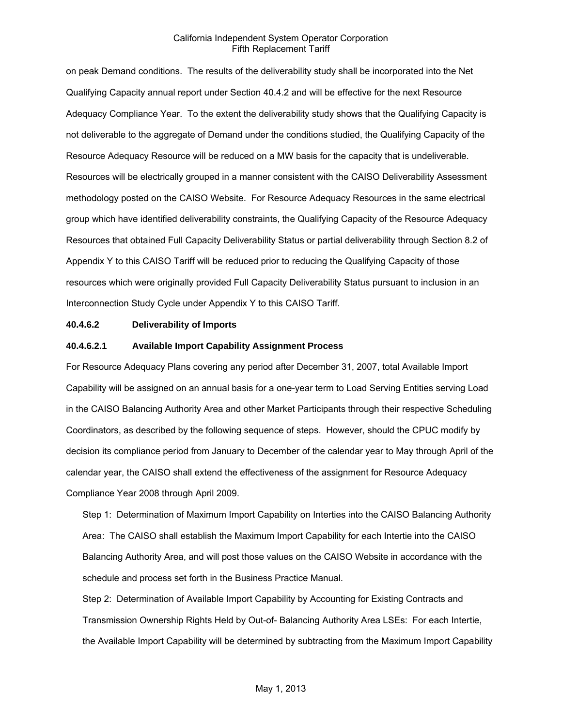on peak Demand conditions. The results of the deliverability study shall be incorporated into the Net Qualifying Capacity annual report under Section 40.4.2 and will be effective for the next Resource Adequacy Compliance Year. To the extent the deliverability study shows that the Qualifying Capacity is not deliverable to the aggregate of Demand under the conditions studied, the Qualifying Capacity of the Resource Adequacy Resource will be reduced on a MW basis for the capacity that is undeliverable. Resources will be electrically grouped in a manner consistent with the CAISO Deliverability Assessment methodology posted on the CAISO Website. For Resource Adequacy Resources in the same electrical group which have identified deliverability constraints, the Qualifying Capacity of the Resource Adequacy Resources that obtained Full Capacity Deliverability Status or partial deliverability through Section 8.2 of Appendix Y to this CAISO Tariff will be reduced prior to reducing the Qualifying Capacity of those resources which were originally provided Full Capacity Deliverability Status pursuant to inclusion in an Interconnection Study Cycle under Appendix Y to this CAISO Tariff.

#### **40.4.6.2 Deliverability of Imports**

#### **40.4.6.2.1 Available Import Capability Assignment Process**

For Resource Adequacy Plans covering any period after December 31, 2007, total Available Import Capability will be assigned on an annual basis for a one-year term to Load Serving Entities serving Load in the CAISO Balancing Authority Area and other Market Participants through their respective Scheduling Coordinators, as described by the following sequence of steps. However, should the CPUC modify by decision its compliance period from January to December of the calendar year to May through April of the calendar year, the CAISO shall extend the effectiveness of the assignment for Resource Adequacy Compliance Year 2008 through April 2009.

Step 1: Determination of Maximum Import Capability on Interties into the CAISO Balancing Authority Area: The CAISO shall establish the Maximum Import Capability for each Intertie into the CAISO Balancing Authority Area, and will post those values on the CAISO Website in accordance with the schedule and process set forth in the Business Practice Manual.

Step 2: Determination of Available Import Capability by Accounting for Existing Contracts and Transmission Ownership Rights Held by Out-of- Balancing Authority Area LSEs: For each Intertie, the Available Import Capability will be determined by subtracting from the Maximum Import Capability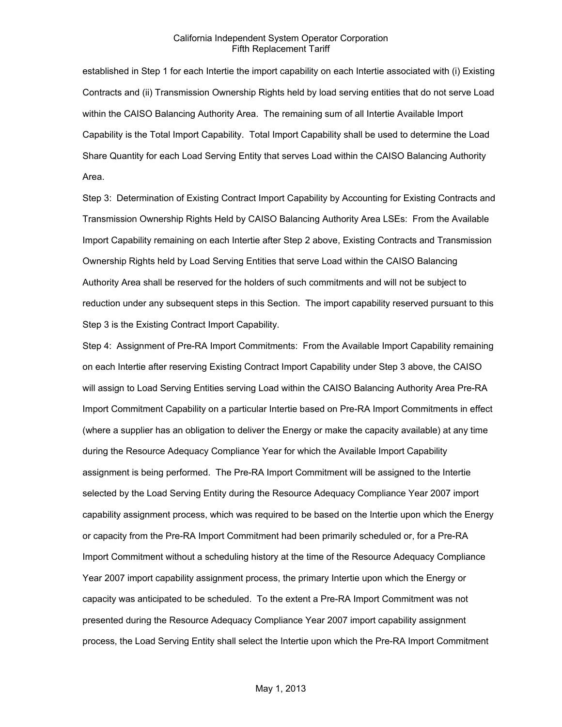established in Step 1 for each Intertie the import capability on each Intertie associated with (i) Existing Contracts and (ii) Transmission Ownership Rights held by load serving entities that do not serve Load within the CAISO Balancing Authority Area. The remaining sum of all Intertie Available Import Capability is the Total Import Capability. Total Import Capability shall be used to determine the Load Share Quantity for each Load Serving Entity that serves Load within the CAISO Balancing Authority Area.

Step 3: Determination of Existing Contract Import Capability by Accounting for Existing Contracts and Transmission Ownership Rights Held by CAISO Balancing Authority Area LSEs: From the Available Import Capability remaining on each Intertie after Step 2 above, Existing Contracts and Transmission Ownership Rights held by Load Serving Entities that serve Load within the CAISO Balancing Authority Area shall be reserved for the holders of such commitments and will not be subject to reduction under any subsequent steps in this Section. The import capability reserved pursuant to this Step 3 is the Existing Contract Import Capability.

Step 4: Assignment of Pre-RA Import Commitments: From the Available Import Capability remaining on each Intertie after reserving Existing Contract Import Capability under Step 3 above, the CAISO will assign to Load Serving Entities serving Load within the CAISO Balancing Authority Area Pre-RA Import Commitment Capability on a particular Intertie based on Pre-RA Import Commitments in effect (where a supplier has an obligation to deliver the Energy or make the capacity available) at any time during the Resource Adequacy Compliance Year for which the Available Import Capability assignment is being performed. The Pre-RA Import Commitment will be assigned to the Intertie selected by the Load Serving Entity during the Resource Adequacy Compliance Year 2007 import capability assignment process, which was required to be based on the Intertie upon which the Energy or capacity from the Pre-RA Import Commitment had been primarily scheduled or, for a Pre-RA Import Commitment without a scheduling history at the time of the Resource Adequacy Compliance Year 2007 import capability assignment process, the primary Intertie upon which the Energy or capacity was anticipated to be scheduled. To the extent a Pre-RA Import Commitment was not presented during the Resource Adequacy Compliance Year 2007 import capability assignment process, the Load Serving Entity shall select the Intertie upon which the Pre-RA Import Commitment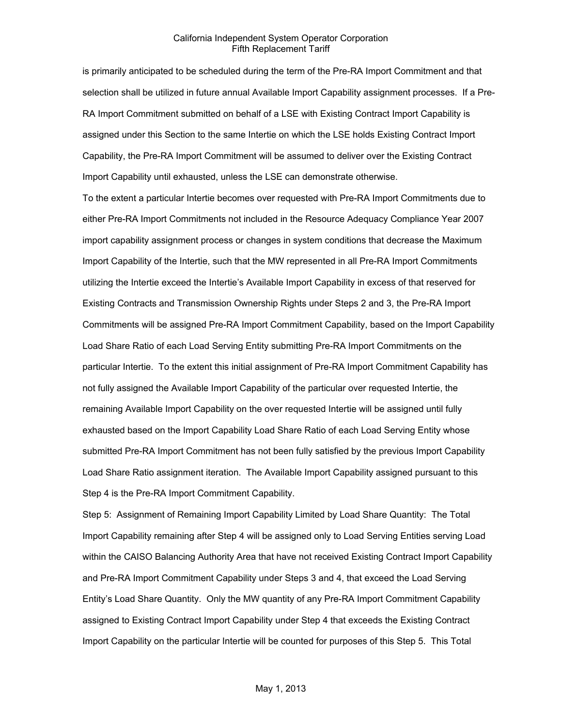is primarily anticipated to be scheduled during the term of the Pre-RA Import Commitment and that selection shall be utilized in future annual Available Import Capability assignment processes. If a Pre-RA Import Commitment submitted on behalf of a LSE with Existing Contract Import Capability is assigned under this Section to the same Intertie on which the LSE holds Existing Contract Import Capability, the Pre-RA Import Commitment will be assumed to deliver over the Existing Contract Import Capability until exhausted, unless the LSE can demonstrate otherwise.

To the extent a particular Intertie becomes over requested with Pre-RA Import Commitments due to either Pre-RA Import Commitments not included in the Resource Adequacy Compliance Year 2007 import capability assignment process or changes in system conditions that decrease the Maximum Import Capability of the Intertie, such that the MW represented in all Pre-RA Import Commitments utilizing the Intertie exceed the Intertie's Available Import Capability in excess of that reserved for Existing Contracts and Transmission Ownership Rights under Steps 2 and 3, the Pre-RA Import Commitments will be assigned Pre-RA Import Commitment Capability, based on the Import Capability Load Share Ratio of each Load Serving Entity submitting Pre-RA Import Commitments on the particular Intertie. To the extent this initial assignment of Pre-RA Import Commitment Capability has not fully assigned the Available Import Capability of the particular over requested Intertie, the remaining Available Import Capability on the over requested Intertie will be assigned until fully exhausted based on the Import Capability Load Share Ratio of each Load Serving Entity whose submitted Pre-RA Import Commitment has not been fully satisfied by the previous Import Capability Load Share Ratio assignment iteration. The Available Import Capability assigned pursuant to this Step 4 is the Pre-RA Import Commitment Capability.

Step 5: Assignment of Remaining Import Capability Limited by Load Share Quantity: The Total Import Capability remaining after Step 4 will be assigned only to Load Serving Entities serving Load within the CAISO Balancing Authority Area that have not received Existing Contract Import Capability and Pre-RA Import Commitment Capability under Steps 3 and 4, that exceed the Load Serving Entity's Load Share Quantity. Only the MW quantity of any Pre-RA Import Commitment Capability assigned to Existing Contract Import Capability under Step 4 that exceeds the Existing Contract Import Capability on the particular Intertie will be counted for purposes of this Step 5. This Total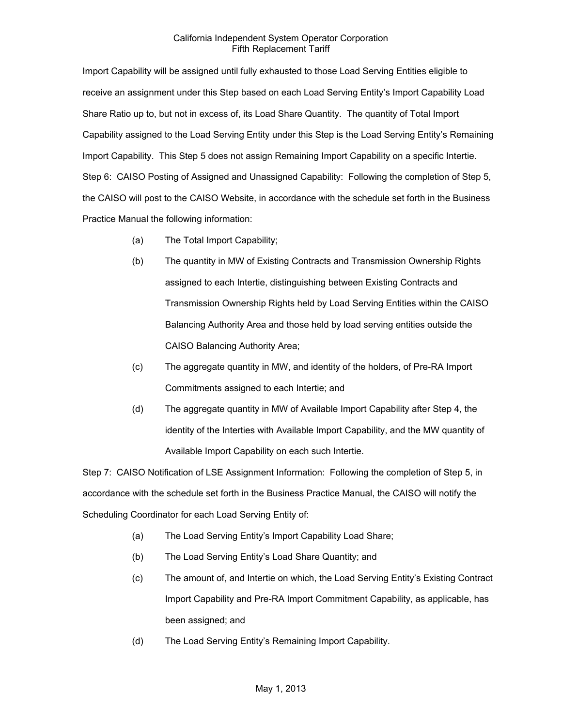Import Capability will be assigned until fully exhausted to those Load Serving Entities eligible to receive an assignment under this Step based on each Load Serving Entity's Import Capability Load Share Ratio up to, but not in excess of, its Load Share Quantity. The quantity of Total Import Capability assigned to the Load Serving Entity under this Step is the Load Serving Entity's Remaining Import Capability. This Step 5 does not assign Remaining Import Capability on a specific Intertie. Step 6: CAISO Posting of Assigned and Unassigned Capability: Following the completion of Step 5, the CAISO will post to the CAISO Website, in accordance with the schedule set forth in the Business Practice Manual the following information:

- (a) The Total Import Capability;
- (b) The quantity in MW of Existing Contracts and Transmission Ownership Rights assigned to each Intertie, distinguishing between Existing Contracts and Transmission Ownership Rights held by Load Serving Entities within the CAISO Balancing Authority Area and those held by load serving entities outside the CAISO Balancing Authority Area;
- (c) The aggregate quantity in MW, and identity of the holders, of Pre-RA Import Commitments assigned to each Intertie; and
- (d) The aggregate quantity in MW of Available Import Capability after Step 4, the identity of the Interties with Available Import Capability, and the MW quantity of Available Import Capability on each such Intertie.

Step 7: CAISO Notification of LSE Assignment Information: Following the completion of Step 5, in accordance with the schedule set forth in the Business Practice Manual, the CAISO will notify the Scheduling Coordinator for each Load Serving Entity of:

- (a) The Load Serving Entity's Import Capability Load Share;
- (b) The Load Serving Entity's Load Share Quantity; and
- (c) The amount of, and Intertie on which, the Load Serving Entity's Existing Contract Import Capability and Pre-RA Import Commitment Capability, as applicable, has been assigned; and
- (d) The Load Serving Entity's Remaining Import Capability.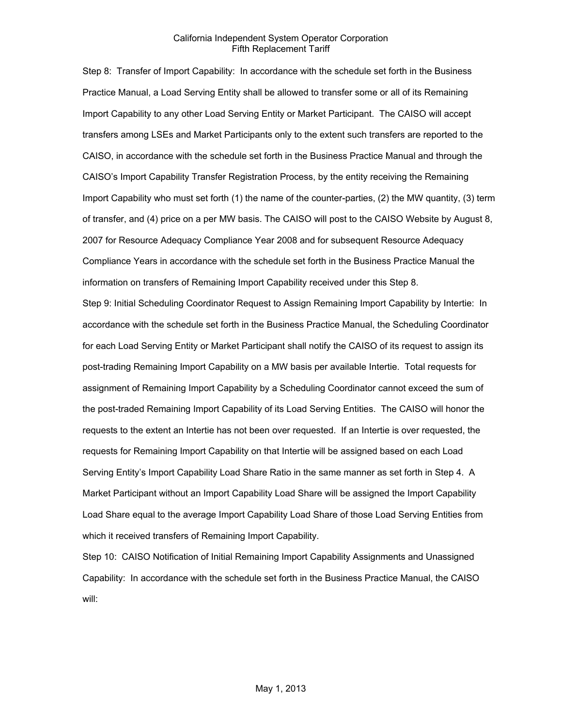Step 8: Transfer of Import Capability: In accordance with the schedule set forth in the Business Practice Manual, a Load Serving Entity shall be allowed to transfer some or all of its Remaining Import Capability to any other Load Serving Entity or Market Participant. The CAISO will accept transfers among LSEs and Market Participants only to the extent such transfers are reported to the CAISO, in accordance with the schedule set forth in the Business Practice Manual and through the CAISO's Import Capability Transfer Registration Process, by the entity receiving the Remaining Import Capability who must set forth (1) the name of the counter-parties, (2) the MW quantity, (3) term of transfer, and (4) price on a per MW basis. The CAISO will post to the CAISO Website by August 8, 2007 for Resource Adequacy Compliance Year 2008 and for subsequent Resource Adequacy Compliance Years in accordance with the schedule set forth in the Business Practice Manual the information on transfers of Remaining Import Capability received under this Step 8.

Step 9: Initial Scheduling Coordinator Request to Assign Remaining Import Capability by Intertie: In accordance with the schedule set forth in the Business Practice Manual, the Scheduling Coordinator for each Load Serving Entity or Market Participant shall notify the CAISO of its request to assign its post-trading Remaining Import Capability on a MW basis per available Intertie. Total requests for assignment of Remaining Import Capability by a Scheduling Coordinator cannot exceed the sum of the post-traded Remaining Import Capability of its Load Serving Entities. The CAISO will honor the requests to the extent an Intertie has not been over requested. If an Intertie is over requested, the requests for Remaining Import Capability on that Intertie will be assigned based on each Load Serving Entity's Import Capability Load Share Ratio in the same manner as set forth in Step 4. A Market Participant without an Import Capability Load Share will be assigned the Import Capability Load Share equal to the average Import Capability Load Share of those Load Serving Entities from which it received transfers of Remaining Import Capability.

Step 10: CAISO Notification of Initial Remaining Import Capability Assignments and Unassigned Capability: In accordance with the schedule set forth in the Business Practice Manual, the CAISO will: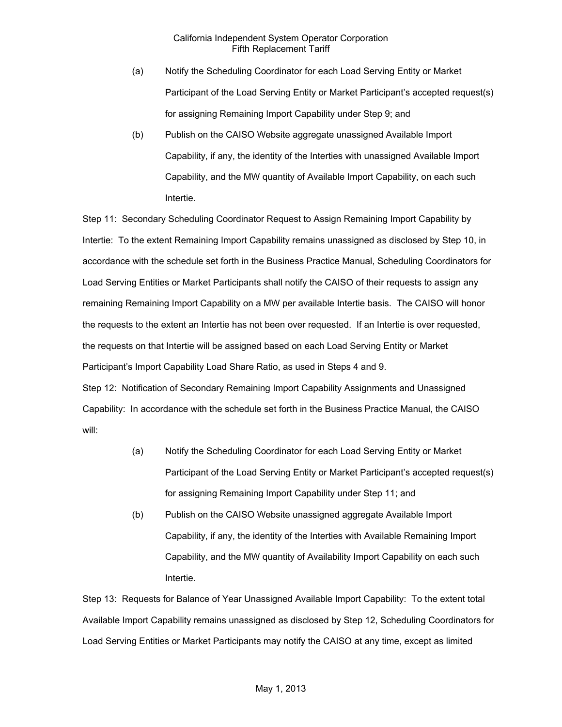- (a) Notify the Scheduling Coordinator for each Load Serving Entity or Market Participant of the Load Serving Entity or Market Participant's accepted request(s) for assigning Remaining Import Capability under Step 9; and
- (b) Publish on the CAISO Website aggregate unassigned Available Import Capability, if any, the identity of the Interties with unassigned Available Import Capability, and the MW quantity of Available Import Capability, on each such Intertie.

Step 11: Secondary Scheduling Coordinator Request to Assign Remaining Import Capability by Intertie: To the extent Remaining Import Capability remains unassigned as disclosed by Step 10, in accordance with the schedule set forth in the Business Practice Manual, Scheduling Coordinators for Load Serving Entities or Market Participants shall notify the CAISO of their requests to assign any remaining Remaining Import Capability on a MW per available Intertie basis. The CAISO will honor the requests to the extent an Intertie has not been over requested. If an Intertie is over requested, the requests on that Intertie will be assigned based on each Load Serving Entity or Market Participant's Import Capability Load Share Ratio, as used in Steps 4 and 9. Step 12: Notification of Secondary Remaining Import Capability Assignments and Unassigned Capability: In accordance with the schedule set forth in the Business Practice Manual, the CAISO will:

- (a) Notify the Scheduling Coordinator for each Load Serving Entity or Market Participant of the Load Serving Entity or Market Participant's accepted request(s) for assigning Remaining Import Capability under Step 11; and
- (b) Publish on the CAISO Website unassigned aggregate Available Import Capability, if any, the identity of the Interties with Available Remaining Import Capability, and the MW quantity of Availability Import Capability on each such Intertie.

Step 13: Requests for Balance of Year Unassigned Available Import Capability: To the extent total Available Import Capability remains unassigned as disclosed by Step 12, Scheduling Coordinators for Load Serving Entities or Market Participants may notify the CAISO at any time, except as limited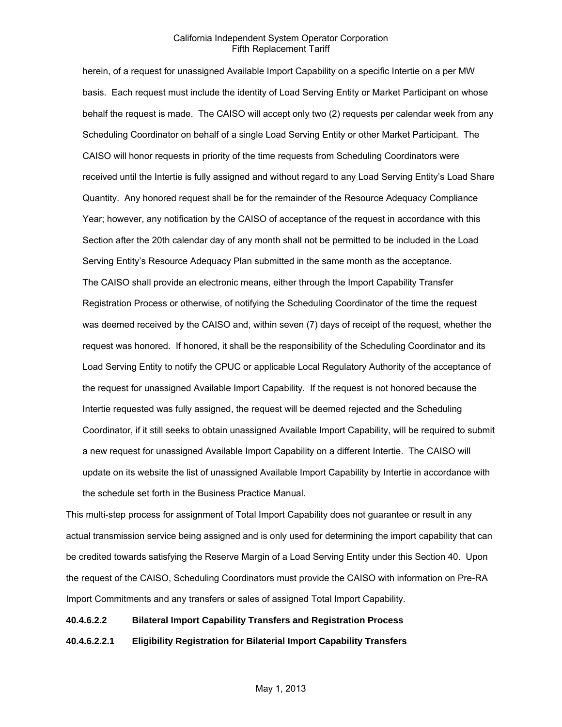herein, of a request for unassigned Available Import Capability on a specific Intertie on a per MW basis. Each request must include the identity of Load Serving Entity or Market Participant on whose behalf the request is made. The CAISO will accept only two (2) requests per calendar week from any Scheduling Coordinator on behalf of a single Load Serving Entity or other Market Participant. The CAISO will honor requests in priority of the time requests from Scheduling Coordinators were received until the Intertie is fully assigned and without regard to any Load Serving Entity's Load Share Quantity. Any honored request shall be for the remainder of the Resource Adequacy Compliance Year; however, any notification by the CAISO of acceptance of the request in accordance with this Section after the 20th calendar day of any month shall not be permitted to be included in the Load Serving Entity's Resource Adequacy Plan submitted in the same month as the acceptance. The CAISO shall provide an electronic means, either through the Import Capability Transfer Registration Process or otherwise, of notifying the Scheduling Coordinator of the time the request was deemed received by the CAISO and, within seven (7) days of receipt of the request, whether the request was honored. If honored, it shall be the responsibility of the Scheduling Coordinator and its Load Serving Entity to notify the CPUC or applicable Local Regulatory Authority of the acceptance of the request for unassigned Available Import Capability. If the request is not honored because the Intertie requested was fully assigned, the request will be deemed rejected and the Scheduling Coordinator, if it still seeks to obtain unassigned Available Import Capability, will be required to submit a new request for unassigned Available Import Capability on a different Intertie. The CAISO will update on its website the list of unassigned Available Import Capability by Intertie in accordance with the schedule set forth in the Business Practice Manual.

This multi-step process for assignment of Total Import Capability does not guarantee or result in any actual transmission service being assigned and is only used for determining the import capability that can be credited towards satisfying the Reserve Margin of a Load Serving Entity under this Section 40. Upon the request of the CAISO, Scheduling Coordinators must provide the CAISO with information on Pre-RA Import Commitments and any transfers or sales of assigned Total Import Capability.

#### **40.4.6.2.2 Bilateral Import Capability Transfers and Registration Process**

**40.4.6.2.2.1 Eligibility Registration for Bilaterial Import Capability Transfers**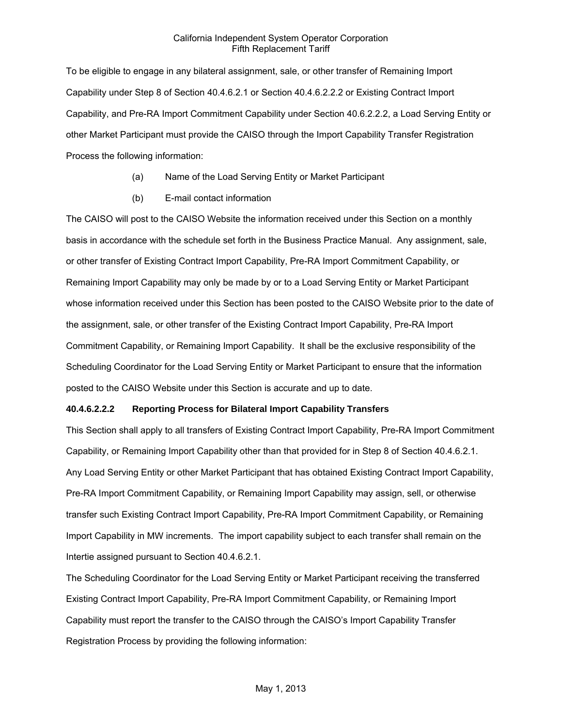To be eligible to engage in any bilateral assignment, sale, or other transfer of Remaining Import Capability under Step 8 of Section 40.4.6.2.1 or Section 40.4.6.2.2.2 or Existing Contract Import Capability, and Pre-RA Import Commitment Capability under Section 40.6.2.2.2, a Load Serving Entity or other Market Participant must provide the CAISO through the Import Capability Transfer Registration Process the following information:

- (a) Name of the Load Serving Entity or Market Participant
- (b) E-mail contact information

The CAISO will post to the CAISO Website the information received under this Section on a monthly basis in accordance with the schedule set forth in the Business Practice Manual. Any assignment, sale, or other transfer of Existing Contract Import Capability, Pre-RA Import Commitment Capability, or Remaining Import Capability may only be made by or to a Load Serving Entity or Market Participant whose information received under this Section has been posted to the CAISO Website prior to the date of the assignment, sale, or other transfer of the Existing Contract Import Capability, Pre-RA Import Commitment Capability, or Remaining Import Capability. It shall be the exclusive responsibility of the Scheduling Coordinator for the Load Serving Entity or Market Participant to ensure that the information posted to the CAISO Website under this Section is accurate and up to date.

# **40.4.6.2.2.2 Reporting Process for Bilateral Import Capability Transfers**

This Section shall apply to all transfers of Existing Contract Import Capability, Pre-RA Import Commitment Capability, or Remaining Import Capability other than that provided for in Step 8 of Section 40.4.6.2.1. Any Load Serving Entity or other Market Participant that has obtained Existing Contract Import Capability, Pre-RA Import Commitment Capability, or Remaining Import Capability may assign, sell, or otherwise transfer such Existing Contract Import Capability, Pre-RA Import Commitment Capability, or Remaining Import Capability in MW increments. The import capability subject to each transfer shall remain on the Intertie assigned pursuant to Section 40.4.6.2.1.

The Scheduling Coordinator for the Load Serving Entity or Market Participant receiving the transferred Existing Contract Import Capability, Pre-RA Import Commitment Capability, or Remaining Import Capability must report the transfer to the CAISO through the CAISO's Import Capability Transfer Registration Process by providing the following information: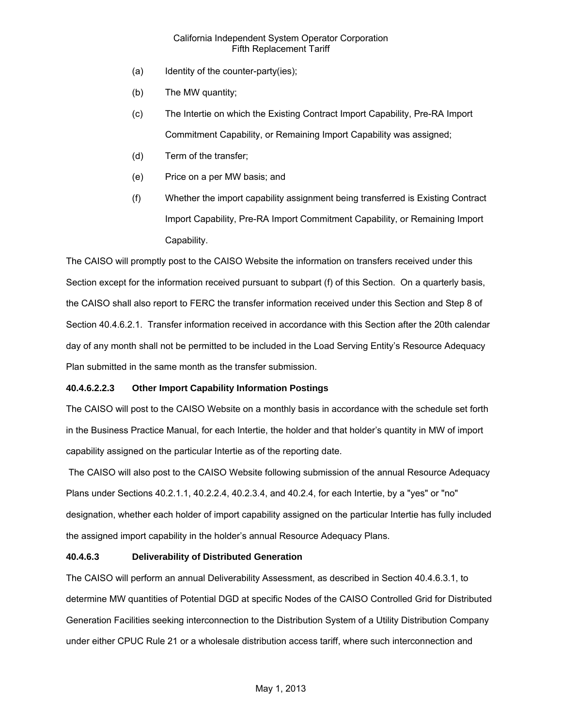- (a) Identity of the counter-party(ies);
- (b) The MW quantity;
- (c) The Intertie on which the Existing Contract Import Capability, Pre-RA Import Commitment Capability, or Remaining Import Capability was assigned;
- (d) Term of the transfer;
- (e) Price on a per MW basis; and
- (f) Whether the import capability assignment being transferred is Existing Contract Import Capability, Pre-RA Import Commitment Capability, or Remaining Import Capability.

The CAISO will promptly post to the CAISO Website the information on transfers received under this Section except for the information received pursuant to subpart (f) of this Section. On a quarterly basis, the CAISO shall also report to FERC the transfer information received under this Section and Step 8 of Section 40.4.6.2.1. Transfer information received in accordance with this Section after the 20th calendar day of any month shall not be permitted to be included in the Load Serving Entity's Resource Adequacy Plan submitted in the same month as the transfer submission.

# **40.4.6.2.2.3 Other Import Capability Information Postings**

The CAISO will post to the CAISO Website on a monthly basis in accordance with the schedule set forth in the Business Practice Manual, for each Intertie, the holder and that holder's quantity in MW of import capability assigned on the particular Intertie as of the reporting date.

 The CAISO will also post to the CAISO Website following submission of the annual Resource Adequacy Plans under Sections 40.2.1.1, 40.2.2.4, 40.2.3.4, and 40.2.4, for each Intertie, by a "yes" or "no" designation, whether each holder of import capability assigned on the particular Intertie has fully included the assigned import capability in the holder's annual Resource Adequacy Plans.

# **40.4.6.3 Deliverability of Distributed Generation**

The CAISO will perform an annual Deliverability Assessment, as described in Section 40.4.6.3.1, to determine MW quantities of Potential DGD at specific Nodes of the CAISO Controlled Grid for Distributed Generation Facilities seeking interconnection to the Distribution System of a Utility Distribution Company under either CPUC Rule 21 or a wholesale distribution access tariff, where such interconnection and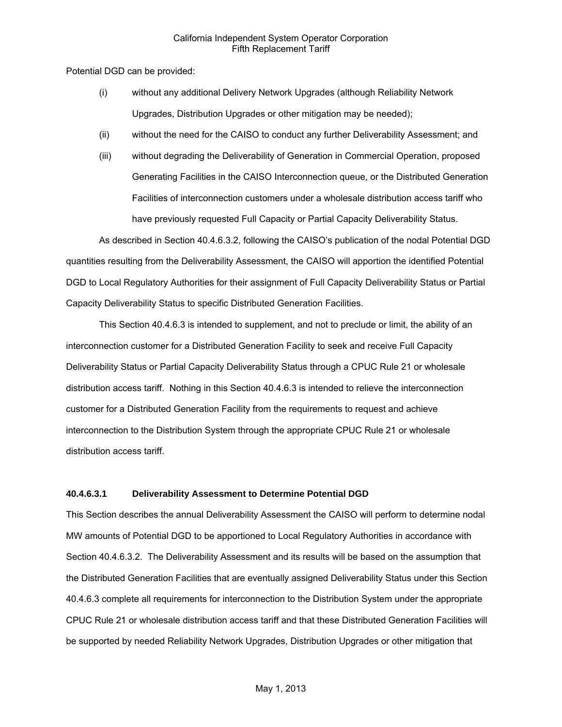Potential DGD can be provided:

- (i) without any additional Delivery Network Upgrades (although Reliability Network Upgrades, Distribution Upgrades or other mitigation may be needed);
- (ii) without the need for the CAISO to conduct any further Deliverability Assessment; and
- (iii) without degrading the Deliverability of Generation in Commercial Operation, proposed Generating Facilities in the CAISO Interconnection queue, or the Distributed Generation Facilities of interconnection customers under a wholesale distribution access tariff who have previously requested Full Capacity or Partial Capacity Deliverability Status.

As described in Section 40.4.6.3.2, following the CAISO's publication of the nodal Potential DGD quantities resulting from the Deliverability Assessment, the CAISO will apportion the identified Potential DGD to Local Regulatory Authorities for their assignment of Full Capacity Deliverability Status or Partial Capacity Deliverability Status to specific Distributed Generation Facilities.

This Section 40.4.6.3 is intended to supplement, and not to preclude or limit, the ability of an interconnection customer for a Distributed Generation Facility to seek and receive Full Capacity Deliverability Status or Partial Capacity Deliverability Status through a CPUC Rule 21 or wholesale distribution access tariff. Nothing in this Section 40.4.6.3 is intended to relieve the interconnection customer for a Distributed Generation Facility from the requirements to request and achieve interconnection to the Distribution System through the appropriate CPUC Rule 21 or wholesale distribution access tariff.

#### **40.4.6.3.1 Deliverability Assessment to Determine Potential DGD**

This Section describes the annual Deliverability Assessment the CAISO will perform to determine nodal MW amounts of Potential DGD to be apportioned to Local Regulatory Authorities in accordance with Section 40.4.6.3.2. The Deliverability Assessment and its results will be based on the assumption that the Distributed Generation Facilities that are eventually assigned Deliverability Status under this Section 40.4.6.3 complete all requirements for interconnection to the Distribution System under the appropriate CPUC Rule 21 or wholesale distribution access tariff and that these Distributed Generation Facilities will be supported by needed Reliability Network Upgrades, Distribution Upgrades or other mitigation that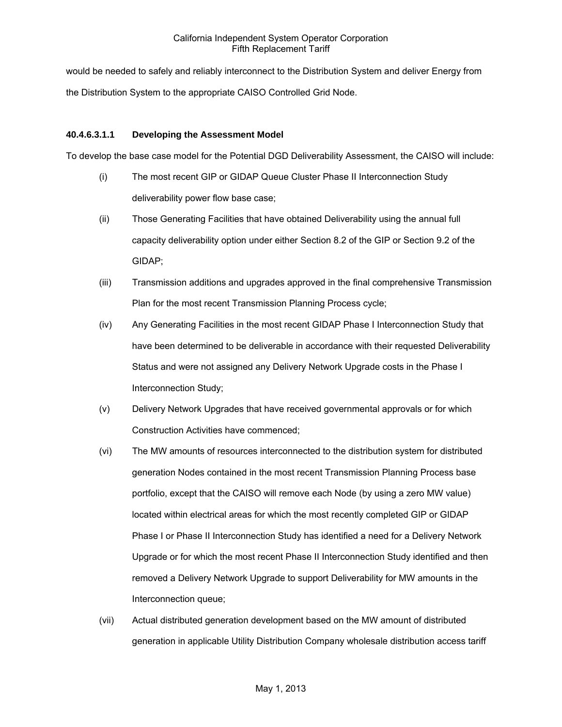would be needed to safely and reliably interconnect to the Distribution System and deliver Energy from the Distribution System to the appropriate CAISO Controlled Grid Node.

### **40.4.6.3.1.1 Developing the Assessment Model**

To develop the base case model for the Potential DGD Deliverability Assessment, the CAISO will include:

- (i) The most recent GIP or GIDAP Queue Cluster Phase II Interconnection Study deliverability power flow base case;
- (ii) Those Generating Facilities that have obtained Deliverability using the annual full capacity deliverability option under either Section 8.2 of the GIP or Section 9.2 of the GIDAP;
- (iii) Transmission additions and upgrades approved in the final comprehensive Transmission Plan for the most recent Transmission Planning Process cycle;
- (iv) Any Generating Facilities in the most recent GIDAP Phase I Interconnection Study that have been determined to be deliverable in accordance with their requested Deliverability Status and were not assigned any Delivery Network Upgrade costs in the Phase I Interconnection Study;
- (v) Delivery Network Upgrades that have received governmental approvals or for which Construction Activities have commenced;
- (vi) The MW amounts of resources interconnected to the distribution system for distributed generation Nodes contained in the most recent Transmission Planning Process base portfolio, except that the CAISO will remove each Node (by using a zero MW value) located within electrical areas for which the most recently completed GIP or GIDAP Phase I or Phase II Interconnection Study has identified a need for a Delivery Network Upgrade or for which the most recent Phase II Interconnection Study identified and then removed a Delivery Network Upgrade to support Deliverability for MW amounts in the Interconnection queue;
- (vii) Actual distributed generation development based on the MW amount of distributed generation in applicable Utility Distribution Company wholesale distribution access tariff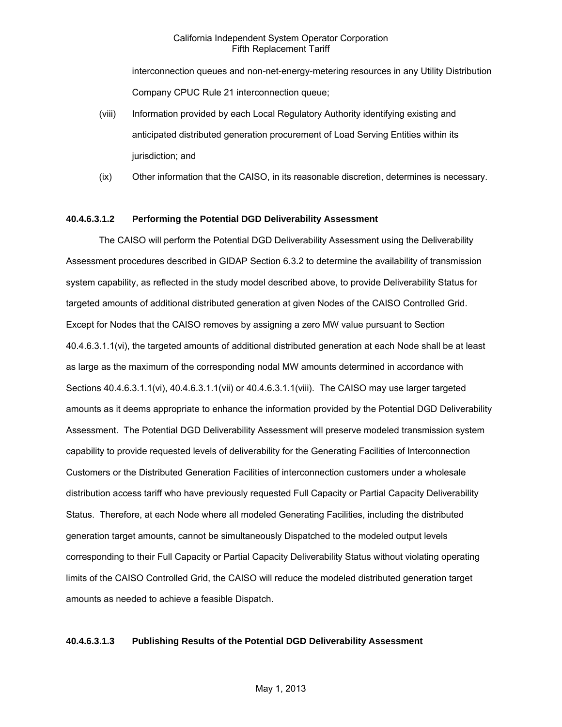interconnection queues and non-net-energy-metering resources in any Utility Distribution Company CPUC Rule 21 interconnection queue;

- (viii) Information provided by each Local Regulatory Authority identifying existing and anticipated distributed generation procurement of Load Serving Entities within its jurisdiction; and
- (ix) Other information that the CAISO, in its reasonable discretion, determines is necessary.

### **40.4.6.3.1.2 Performing the Potential DGD Deliverability Assessment**

The CAISO will perform the Potential DGD Deliverability Assessment using the Deliverability Assessment procedures described in GIDAP Section 6.3.2 to determine the availability of transmission system capability, as reflected in the study model described above, to provide Deliverability Status for targeted amounts of additional distributed generation at given Nodes of the CAISO Controlled Grid. Except for Nodes that the CAISO removes by assigning a zero MW value pursuant to Section 40.4.6.3.1.1(vi), the targeted amounts of additional distributed generation at each Node shall be at least as large as the maximum of the corresponding nodal MW amounts determined in accordance with Sections 40.4.6.3.1.1(vi), 40.4.6.3.1.1(vii) or 40.4.6.3.1.1(viii). The CAISO may use larger targeted amounts as it deems appropriate to enhance the information provided by the Potential DGD Deliverability Assessment. The Potential DGD Deliverability Assessment will preserve modeled transmission system capability to provide requested levels of deliverability for the Generating Facilities of Interconnection Customers or the Distributed Generation Facilities of interconnection customers under a wholesale distribution access tariff who have previously requested Full Capacity or Partial Capacity Deliverability Status. Therefore, at each Node where all modeled Generating Facilities, including the distributed generation target amounts, cannot be simultaneously Dispatched to the modeled output levels corresponding to their Full Capacity or Partial Capacity Deliverability Status without violating operating limits of the CAISO Controlled Grid, the CAISO will reduce the modeled distributed generation target amounts as needed to achieve a feasible Dispatch.

#### **40.4.6.3.1.3 Publishing Results of the Potential DGD Deliverability Assessment**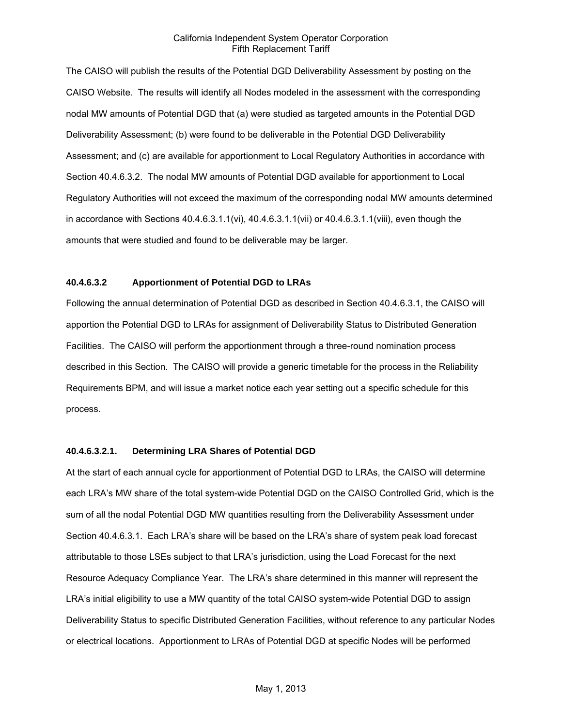The CAISO will publish the results of the Potential DGD Deliverability Assessment by posting on the CAISO Website. The results will identify all Nodes modeled in the assessment with the corresponding nodal MW amounts of Potential DGD that (a) were studied as targeted amounts in the Potential DGD Deliverability Assessment; (b) were found to be deliverable in the Potential DGD Deliverability Assessment; and (c) are available for apportionment to Local Regulatory Authorities in accordance with Section 40.4.6.3.2. The nodal MW amounts of Potential DGD available for apportionment to Local Regulatory Authorities will not exceed the maximum of the corresponding nodal MW amounts determined in accordance with Sections 40.4.6.3.1.1(vi), 40.4.6.3.1.1(vii) or 40.4.6.3.1.1(viii), even though the amounts that were studied and found to be deliverable may be larger.

# **40.4.6.3.2 Apportionment of Potential DGD to LRAs**

Following the annual determination of Potential DGD as described in Section 40.4.6.3.1, the CAISO will apportion the Potential DGD to LRAs for assignment of Deliverability Status to Distributed Generation Facilities. The CAISO will perform the apportionment through a three-round nomination process described in this Section. The CAISO will provide a generic timetable for the process in the Reliability Requirements BPM, and will issue a market notice each year setting out a specific schedule for this process.

### **40.4.6.3.2.1. Determining LRA Shares of Potential DGD**

At the start of each annual cycle for apportionment of Potential DGD to LRAs, the CAISO will determine each LRA's MW share of the total system-wide Potential DGD on the CAISO Controlled Grid, which is the sum of all the nodal Potential DGD MW quantities resulting from the Deliverability Assessment under Section 40.4.6.3.1. Each LRA's share will be based on the LRA's share of system peak load forecast attributable to those LSEs subject to that LRA's jurisdiction, using the Load Forecast for the next Resource Adequacy Compliance Year. The LRA's share determined in this manner will represent the LRA's initial eligibility to use a MW quantity of the total CAISO system-wide Potential DGD to assign Deliverability Status to specific Distributed Generation Facilities, without reference to any particular Nodes or electrical locations. Apportionment to LRAs of Potential DGD at specific Nodes will be performed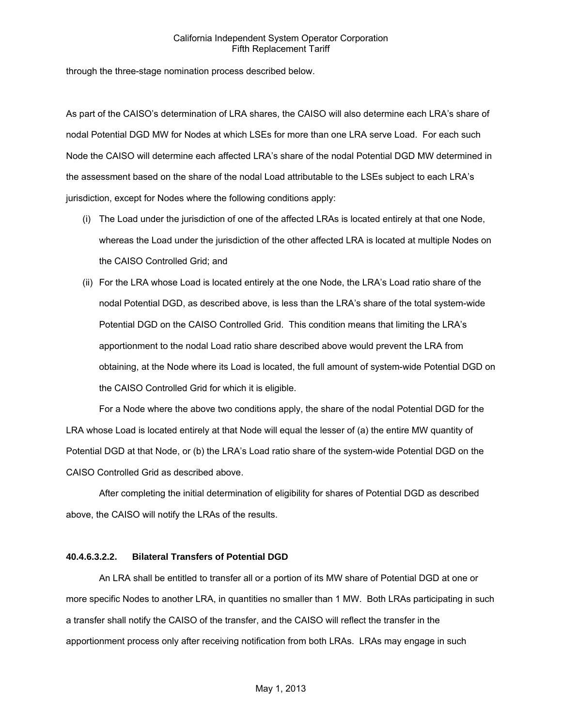through the three-stage nomination process described below.

As part of the CAISO's determination of LRA shares, the CAISO will also determine each LRA's share of nodal Potential DGD MW for Nodes at which LSEs for more than one LRA serve Load. For each such Node the CAISO will determine each affected LRA's share of the nodal Potential DGD MW determined in the assessment based on the share of the nodal Load attributable to the LSEs subject to each LRA's jurisdiction, except for Nodes where the following conditions apply:

- (i) The Load under the jurisdiction of one of the affected LRAs is located entirely at that one Node, whereas the Load under the jurisdiction of the other affected LRA is located at multiple Nodes on the CAISO Controlled Grid; and
- (ii) For the LRA whose Load is located entirely at the one Node, the LRA's Load ratio share of the nodal Potential DGD, as described above, is less than the LRA's share of the total system-wide Potential DGD on the CAISO Controlled Grid. This condition means that limiting the LRA's apportionment to the nodal Load ratio share described above would prevent the LRA from obtaining, at the Node where its Load is located, the full amount of system-wide Potential DGD on the CAISO Controlled Grid for which it is eligible.

For a Node where the above two conditions apply, the share of the nodal Potential DGD for the LRA whose Load is located entirely at that Node will equal the lesser of (a) the entire MW quantity of Potential DGD at that Node, or (b) the LRA's Load ratio share of the system-wide Potential DGD on the CAISO Controlled Grid as described above.

After completing the initial determination of eligibility for shares of Potential DGD as described above, the CAISO will notify the LRAs of the results.

# **40.4.6.3.2.2. Bilateral Transfers of Potential DGD**

An LRA shall be entitled to transfer all or a portion of its MW share of Potential DGD at one or more specific Nodes to another LRA, in quantities no smaller than 1 MW. Both LRAs participating in such a transfer shall notify the CAISO of the transfer, and the CAISO will reflect the transfer in the apportionment process only after receiving notification from both LRAs. LRAs may engage in such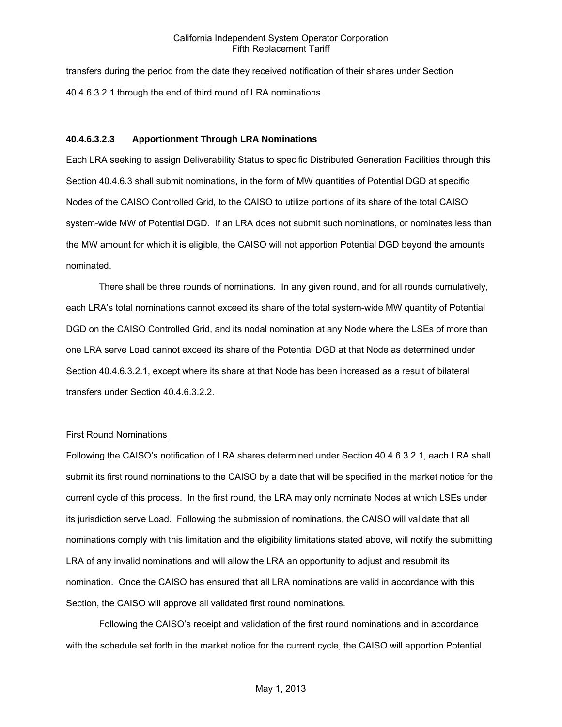transfers during the period from the date they received notification of their shares under Section 40.4.6.3.2.1 through the end of third round of LRA nominations.

### **40.4.6.3.2.3 Apportionment Through LRA Nominations**

Each LRA seeking to assign Deliverability Status to specific Distributed Generation Facilities through this Section 40.4.6.3 shall submit nominations, in the form of MW quantities of Potential DGD at specific Nodes of the CAISO Controlled Grid, to the CAISO to utilize portions of its share of the total CAISO system-wide MW of Potential DGD. If an LRA does not submit such nominations, or nominates less than the MW amount for which it is eligible, the CAISO will not apportion Potential DGD beyond the amounts nominated.

There shall be three rounds of nominations. In any given round, and for all rounds cumulatively, each LRA's total nominations cannot exceed its share of the total system-wide MW quantity of Potential DGD on the CAISO Controlled Grid, and its nodal nomination at any Node where the LSEs of more than one LRA serve Load cannot exceed its share of the Potential DGD at that Node as determined under Section 40.4.6.3.2.1, except where its share at that Node has been increased as a result of bilateral transfers under Section 40.4.6.3.2.2.

#### **First Round Nominations**

Following the CAISO's notification of LRA shares determined under Section 40.4.6.3.2.1, each LRA shall submit its first round nominations to the CAISO by a date that will be specified in the market notice for the current cycle of this process. In the first round, the LRA may only nominate Nodes at which LSEs under its jurisdiction serve Load. Following the submission of nominations, the CAISO will validate that all nominations comply with this limitation and the eligibility limitations stated above, will notify the submitting LRA of any invalid nominations and will allow the LRA an opportunity to adjust and resubmit its nomination. Once the CAISO has ensured that all LRA nominations are valid in accordance with this Section, the CAISO will approve all validated first round nominations.

Following the CAISO's receipt and validation of the first round nominations and in accordance with the schedule set forth in the market notice for the current cycle, the CAISO will apportion Potential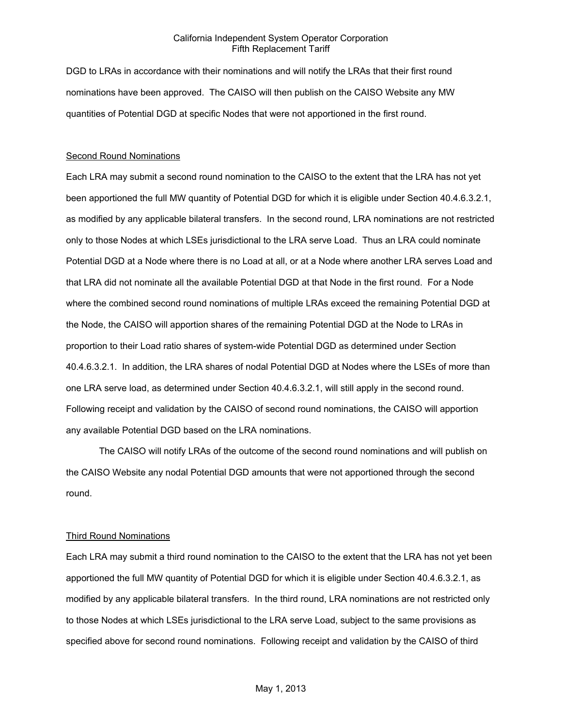DGD to LRAs in accordance with their nominations and will notify the LRAs that their first round nominations have been approved. The CAISO will then publish on the CAISO Website any MW quantities of Potential DGD at specific Nodes that were not apportioned in the first round.

#### Second Round Nominations

Each LRA may submit a second round nomination to the CAISO to the extent that the LRA has not yet been apportioned the full MW quantity of Potential DGD for which it is eligible under Section 40.4.6.3.2.1, as modified by any applicable bilateral transfers. In the second round, LRA nominations are not restricted only to those Nodes at which LSEs jurisdictional to the LRA serve Load. Thus an LRA could nominate Potential DGD at a Node where there is no Load at all, or at a Node where another LRA serves Load and that LRA did not nominate all the available Potential DGD at that Node in the first round. For a Node where the combined second round nominations of multiple LRAs exceed the remaining Potential DGD at the Node, the CAISO will apportion shares of the remaining Potential DGD at the Node to LRAs in proportion to their Load ratio shares of system-wide Potential DGD as determined under Section 40.4.6.3.2.1. In addition, the LRA shares of nodal Potential DGD at Nodes where the LSEs of more than one LRA serve load, as determined under Section 40.4.6.3.2.1, will still apply in the second round. Following receipt and validation by the CAISO of second round nominations, the CAISO will apportion any available Potential DGD based on the LRA nominations.

The CAISO will notify LRAs of the outcome of the second round nominations and will publish on the CAISO Website any nodal Potential DGD amounts that were not apportioned through the second round.

#### Third Round Nominations

Each LRA may submit a third round nomination to the CAISO to the extent that the LRA has not yet been apportioned the full MW quantity of Potential DGD for which it is eligible under Section 40.4.6.3.2.1, as modified by any applicable bilateral transfers. In the third round, LRA nominations are not restricted only to those Nodes at which LSEs jurisdictional to the LRA serve Load, subject to the same provisions as specified above for second round nominations. Following receipt and validation by the CAISO of third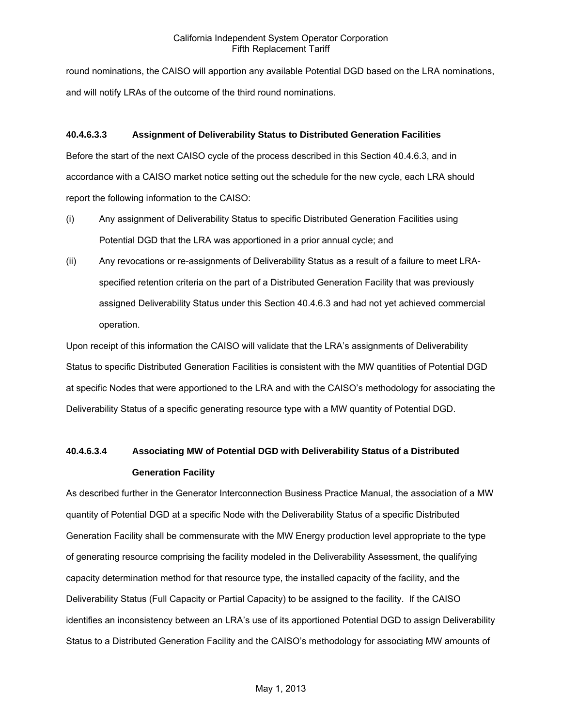round nominations, the CAISO will apportion any available Potential DGD based on the LRA nominations, and will notify LRAs of the outcome of the third round nominations.

# **40.4.6.3.3 Assignment of Deliverability Status to Distributed Generation Facilities**

Before the start of the next CAISO cycle of the process described in this Section 40.4.6.3, and in accordance with a CAISO market notice setting out the schedule for the new cycle, each LRA should report the following information to the CAISO:

- (i) Any assignment of Deliverability Status to specific Distributed Generation Facilities using Potential DGD that the LRA was apportioned in a prior annual cycle; and
- (ii) Any revocations or re-assignments of Deliverability Status as a result of a failure to meet LRAspecified retention criteria on the part of a Distributed Generation Facility that was previously assigned Deliverability Status under this Section 40.4.6.3 and had not yet achieved commercial operation.

Upon receipt of this information the CAISO will validate that the LRA's assignments of Deliverability Status to specific Distributed Generation Facilities is consistent with the MW quantities of Potential DGD at specific Nodes that were apportioned to the LRA and with the CAISO's methodology for associating the Deliverability Status of a specific generating resource type with a MW quantity of Potential DGD.

# **40.4.6.3.4 Associating MW of Potential DGD with Deliverability Status of a Distributed Generation Facility**

As described further in the Generator Interconnection Business Practice Manual, the association of a MW quantity of Potential DGD at a specific Node with the Deliverability Status of a specific Distributed Generation Facility shall be commensurate with the MW Energy production level appropriate to the type of generating resource comprising the facility modeled in the Deliverability Assessment, the qualifying capacity determination method for that resource type, the installed capacity of the facility, and the Deliverability Status (Full Capacity or Partial Capacity) to be assigned to the facility. If the CAISO identifies an inconsistency between an LRA's use of its apportioned Potential DGD to assign Deliverability Status to a Distributed Generation Facility and the CAISO's methodology for associating MW amounts of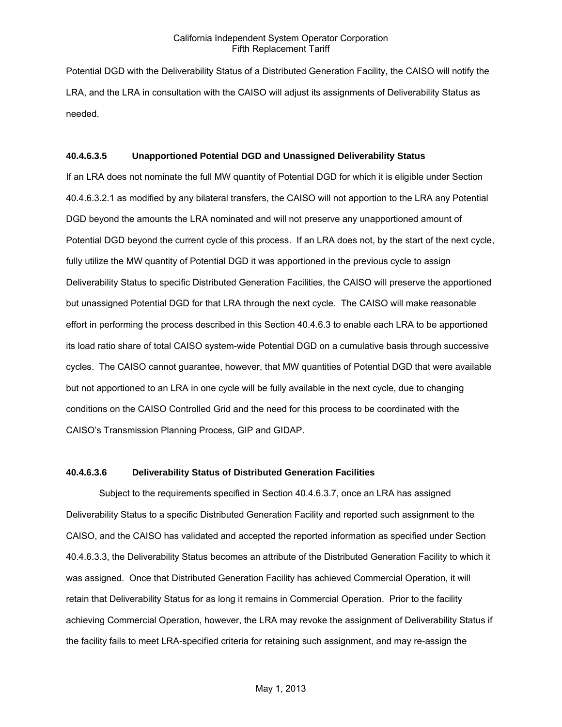Potential DGD with the Deliverability Status of a Distributed Generation Facility, the CAISO will notify the LRA, and the LRA in consultation with the CAISO will adjust its assignments of Deliverability Status as needed.

#### **40.4.6.3.5 Unapportioned Potential DGD and Unassigned Deliverability Status**

If an LRA does not nominate the full MW quantity of Potential DGD for which it is eligible under Section 40.4.6.3.2.1 as modified by any bilateral transfers, the CAISO will not apportion to the LRA any Potential DGD beyond the amounts the LRA nominated and will not preserve any unapportioned amount of Potential DGD beyond the current cycle of this process. If an LRA does not, by the start of the next cycle, fully utilize the MW quantity of Potential DGD it was apportioned in the previous cycle to assign Deliverability Status to specific Distributed Generation Facilities, the CAISO will preserve the apportioned but unassigned Potential DGD for that LRA through the next cycle. The CAISO will make reasonable effort in performing the process described in this Section 40.4.6.3 to enable each LRA to be apportioned its load ratio share of total CAISO system-wide Potential DGD on a cumulative basis through successive cycles. The CAISO cannot guarantee, however, that MW quantities of Potential DGD that were available but not apportioned to an LRA in one cycle will be fully available in the next cycle, due to changing conditions on the CAISO Controlled Grid and the need for this process to be coordinated with the CAISO's Transmission Planning Process, GIP and GIDAP.

#### **40.4.6.3.6 Deliverability Status of Distributed Generation Facilities**

Subject to the requirements specified in Section 40.4.6.3.7, once an LRA has assigned Deliverability Status to a specific Distributed Generation Facility and reported such assignment to the CAISO, and the CAISO has validated and accepted the reported information as specified under Section 40.4.6.3.3, the Deliverability Status becomes an attribute of the Distributed Generation Facility to which it was assigned. Once that Distributed Generation Facility has achieved Commercial Operation, it will retain that Deliverability Status for as long it remains in Commercial Operation. Prior to the facility achieving Commercial Operation, however, the LRA may revoke the assignment of Deliverability Status if the facility fails to meet LRA-specified criteria for retaining such assignment, and may re-assign the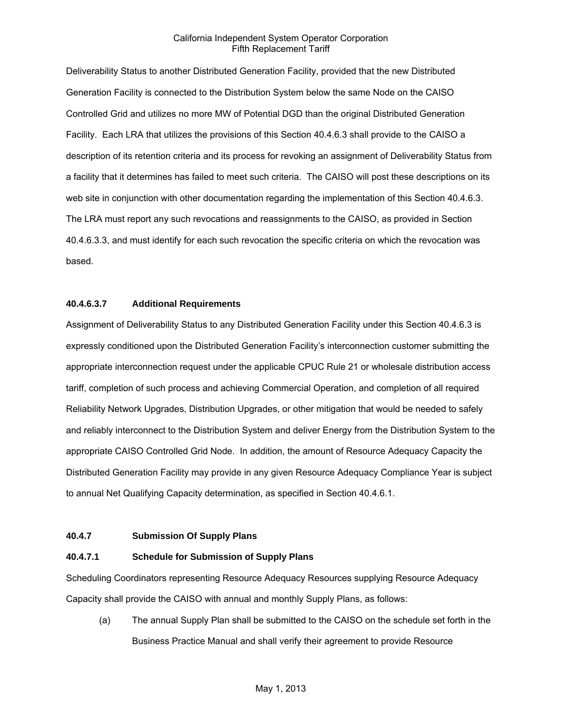Deliverability Status to another Distributed Generation Facility, provided that the new Distributed Generation Facility is connected to the Distribution System below the same Node on the CAISO Controlled Grid and utilizes no more MW of Potential DGD than the original Distributed Generation Facility. Each LRA that utilizes the provisions of this Section 40.4.6.3 shall provide to the CAISO a description of its retention criteria and its process for revoking an assignment of Deliverability Status from a facility that it determines has failed to meet such criteria. The CAISO will post these descriptions on its web site in conjunction with other documentation regarding the implementation of this Section 40.4.6.3. The LRA must report any such revocations and reassignments to the CAISO, as provided in Section 40.4.6.3.3, and must identify for each such revocation the specific criteria on which the revocation was based.

### **40.4.6.3.7 Additional Requirements**

Assignment of Deliverability Status to any Distributed Generation Facility under this Section 40.4.6.3 is expressly conditioned upon the Distributed Generation Facility's interconnection customer submitting the appropriate interconnection request under the applicable CPUC Rule 21 or wholesale distribution access tariff, completion of such process and achieving Commercial Operation, and completion of all required Reliability Network Upgrades, Distribution Upgrades, or other mitigation that would be needed to safely and reliably interconnect to the Distribution System and deliver Energy from the Distribution System to the appropriate CAISO Controlled Grid Node. In addition, the amount of Resource Adequacy Capacity the Distributed Generation Facility may provide in any given Resource Adequacy Compliance Year is subject to annual Net Qualifying Capacity determination, as specified in Section 40.4.6.1.

### **40.4.7 Submission Of Supply Plans**

### **40.4.7.1 Schedule for Submission of Supply Plans**

Scheduling Coordinators representing Resource Adequacy Resources supplying Resource Adequacy Capacity shall provide the CAISO with annual and monthly Supply Plans, as follows:

(a) The annual Supply Plan shall be submitted to the CAISO on the schedule set forth in the Business Practice Manual and shall verify their agreement to provide Resource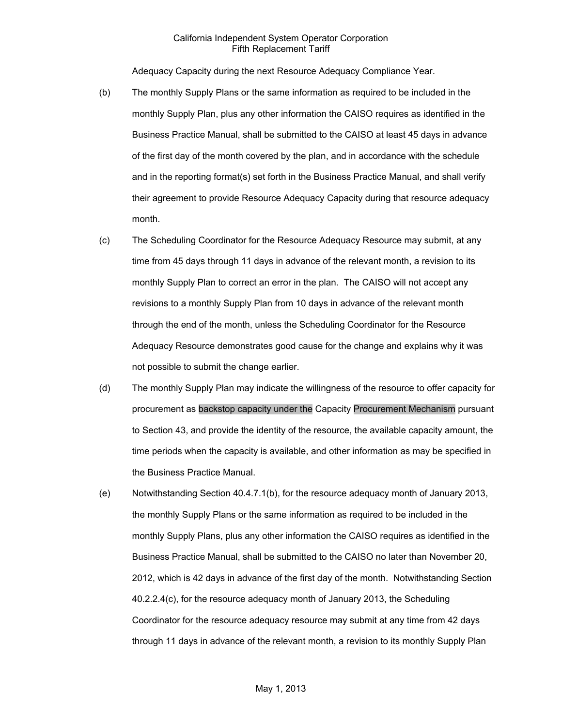Adequacy Capacity during the next Resource Adequacy Compliance Year.

- (b) The monthly Supply Plans or the same information as required to be included in the monthly Supply Plan, plus any other information the CAISO requires as identified in the Business Practice Manual, shall be submitted to the CAISO at least 45 days in advance of the first day of the month covered by the plan, and in accordance with the schedule and in the reporting format(s) set forth in the Business Practice Manual, and shall verify their agreement to provide Resource Adequacy Capacity during that resource adequacy month.
- (c) The Scheduling Coordinator for the Resource Adequacy Resource may submit, at any time from 45 days through 11 days in advance of the relevant month, a revision to its monthly Supply Plan to correct an error in the plan. The CAISO will not accept any revisions to a monthly Supply Plan from 10 days in advance of the relevant month through the end of the month, unless the Scheduling Coordinator for the Resource Adequacy Resource demonstrates good cause for the change and explains why it was not possible to submit the change earlier.
- (d) The monthly Supply Plan may indicate the willingness of the resource to offer capacity for procurement as backstop capacity under the Capacity Procurement Mechanism pursuant to Section 43, and provide the identity of the resource, the available capacity amount, the time periods when the capacity is available, and other information as may be specified in the Business Practice Manual.
- (e) Notwithstanding Section 40.4.7.1(b), for the resource adequacy month of January 2013, the monthly Supply Plans or the same information as required to be included in the monthly Supply Plans, plus any other information the CAISO requires as identified in the Business Practice Manual, shall be submitted to the CAISO no later than November 20, 2012, which is 42 days in advance of the first day of the month. Notwithstanding Section 40.2.2.4(c), for the resource adequacy month of January 2013, the Scheduling Coordinator for the resource adequacy resource may submit at any time from 42 days through 11 days in advance of the relevant month, a revision to its monthly Supply Plan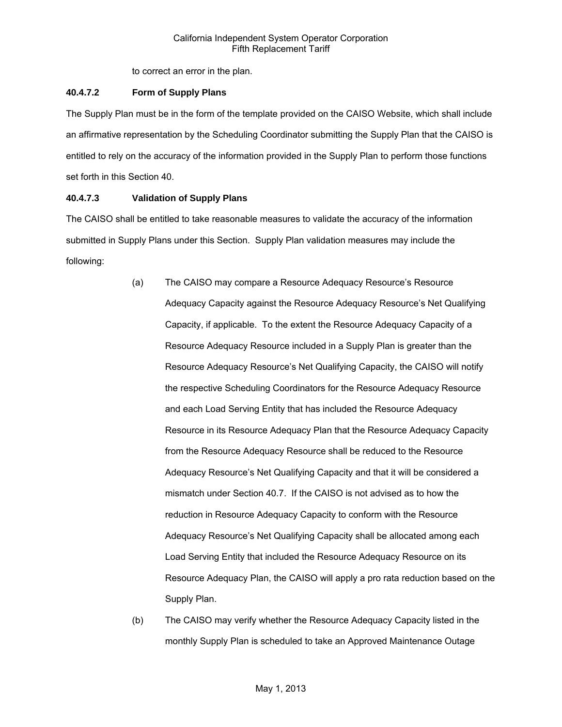to correct an error in the plan.

# **40.4.7.2 Form of Supply Plans**

The Supply Plan must be in the form of the template provided on the CAISO Website, which shall include an affirmative representation by the Scheduling Coordinator submitting the Supply Plan that the CAISO is entitled to rely on the accuracy of the information provided in the Supply Plan to perform those functions set forth in this Section 40.

# **40.4.7.3 Validation of Supply Plans**

The CAISO shall be entitled to take reasonable measures to validate the accuracy of the information submitted in Supply Plans under this Section. Supply Plan validation measures may include the following:

- (a) The CAISO may compare a Resource Adequacy Resource's Resource Adequacy Capacity against the Resource Adequacy Resource's Net Qualifying Capacity, if applicable. To the extent the Resource Adequacy Capacity of a Resource Adequacy Resource included in a Supply Plan is greater than the Resource Adequacy Resource's Net Qualifying Capacity, the CAISO will notify the respective Scheduling Coordinators for the Resource Adequacy Resource and each Load Serving Entity that has included the Resource Adequacy Resource in its Resource Adequacy Plan that the Resource Adequacy Capacity from the Resource Adequacy Resource shall be reduced to the Resource Adequacy Resource's Net Qualifying Capacity and that it will be considered a mismatch under Section 40.7. If the CAISO is not advised as to how the reduction in Resource Adequacy Capacity to conform with the Resource Adequacy Resource's Net Qualifying Capacity shall be allocated among each Load Serving Entity that included the Resource Adequacy Resource on its Resource Adequacy Plan, the CAISO will apply a pro rata reduction based on the Supply Plan.
- (b) The CAISO may verify whether the Resource Adequacy Capacity listed in the monthly Supply Plan is scheduled to take an Approved Maintenance Outage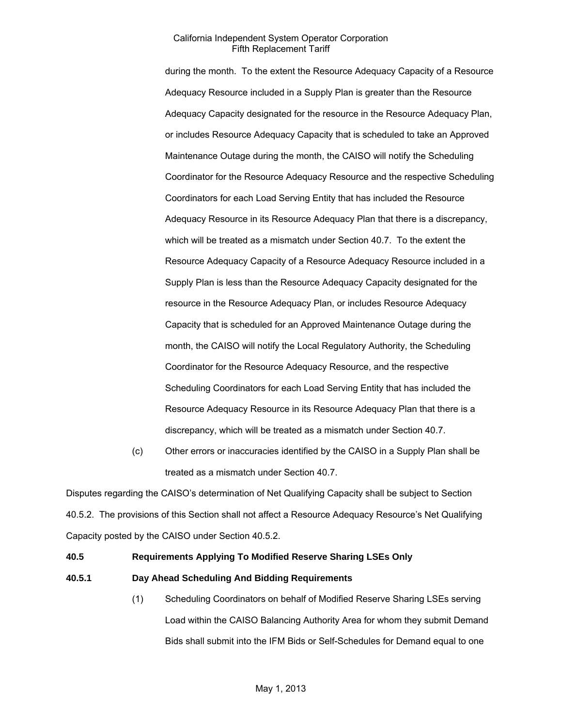during the month. To the extent the Resource Adequacy Capacity of a Resource Adequacy Resource included in a Supply Plan is greater than the Resource Adequacy Capacity designated for the resource in the Resource Adequacy Plan, or includes Resource Adequacy Capacity that is scheduled to take an Approved Maintenance Outage during the month, the CAISO will notify the Scheduling Coordinator for the Resource Adequacy Resource and the respective Scheduling Coordinators for each Load Serving Entity that has included the Resource Adequacy Resource in its Resource Adequacy Plan that there is a discrepancy, which will be treated as a mismatch under Section 40.7. To the extent the Resource Adequacy Capacity of a Resource Adequacy Resource included in a Supply Plan is less than the Resource Adequacy Capacity designated for the resource in the Resource Adequacy Plan, or includes Resource Adequacy Capacity that is scheduled for an Approved Maintenance Outage during the month, the CAISO will notify the Local Regulatory Authority, the Scheduling Coordinator for the Resource Adequacy Resource, and the respective Scheduling Coordinators for each Load Serving Entity that has included the Resource Adequacy Resource in its Resource Adequacy Plan that there is a discrepancy, which will be treated as a mismatch under Section 40.7.

(c) Other errors or inaccuracies identified by the CAISO in a Supply Plan shall be treated as a mismatch under Section 40.7.

Disputes regarding the CAISO's determination of Net Qualifying Capacity shall be subject to Section 40.5.2. The provisions of this Section shall not affect a Resource Adequacy Resource's Net Qualifying Capacity posted by the CAISO under Section 40.5.2.

### **40.5 Requirements Applying To Modified Reserve Sharing LSEs Only**

### **40.5.1 Day Ahead Scheduling And Bidding Requirements**

(1) Scheduling Coordinators on behalf of Modified Reserve Sharing LSEs serving Load within the CAISO Balancing Authority Area for whom they submit Demand Bids shall submit into the IFM Bids or Self-Schedules for Demand equal to one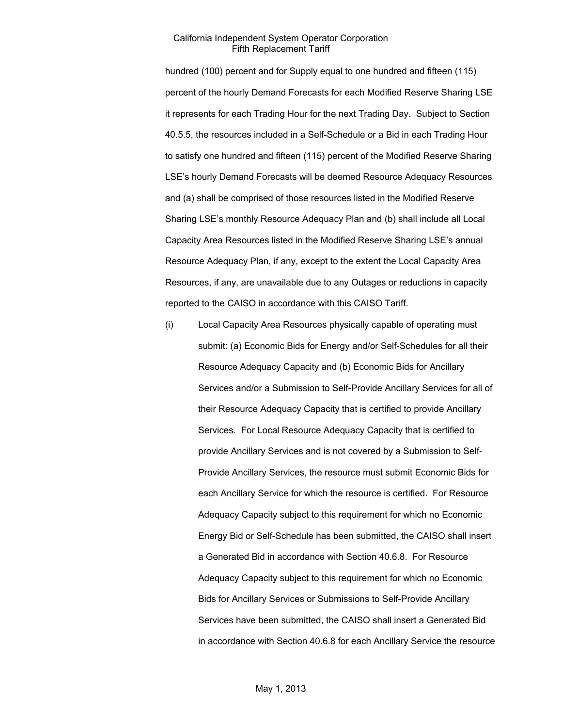hundred (100) percent and for Supply equal to one hundred and fifteen (115) percent of the hourly Demand Forecasts for each Modified Reserve Sharing LSE it represents for each Trading Hour for the next Trading Day. Subject to Section 40.5.5, the resources included in a Self-Schedule or a Bid in each Trading Hour to satisfy one hundred and fifteen (115) percent of the Modified Reserve Sharing LSE's hourly Demand Forecasts will be deemed Resource Adequacy Resources and (a) shall be comprised of those resources listed in the Modified Reserve Sharing LSE's monthly Resource Adequacy Plan and (b) shall include all Local Capacity Area Resources listed in the Modified Reserve Sharing LSE's annual Resource Adequacy Plan, if any, except to the extent the Local Capacity Area Resources, if any, are unavailable due to any Outages or reductions in capacity reported to the CAISO in accordance with this CAISO Tariff.

(i) Local Capacity Area Resources physically capable of operating must submit: (a) Economic Bids for Energy and/or Self-Schedules for all their Resource Adequacy Capacity and (b) Economic Bids for Ancillary Services and/or a Submission to Self-Provide Ancillary Services for all of their Resource Adequacy Capacity that is certified to provide Ancillary Services. For Local Resource Adequacy Capacity that is certified to provide Ancillary Services and is not covered by a Submission to Self-Provide Ancillary Services, the resource must submit Economic Bids for each Ancillary Service for which the resource is certified. For Resource Adequacy Capacity subject to this requirement for which no Economic Energy Bid or Self-Schedule has been submitted, the CAISO shall insert a Generated Bid in accordance with Section 40.6.8. For Resource Adequacy Capacity subject to this requirement for which no Economic Bids for Ancillary Services or Submissions to Self-Provide Ancillary Services have been submitted, the CAISO shall insert a Generated Bid in accordance with Section 40.6.8 for each Ancillary Service the resource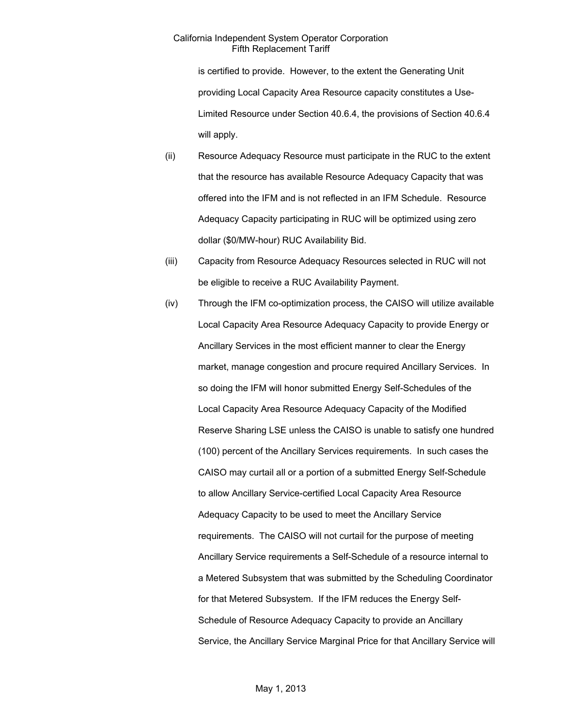is certified to provide. However, to the extent the Generating Unit providing Local Capacity Area Resource capacity constitutes a Use-Limited Resource under Section 40.6.4, the provisions of Section 40.6.4 will apply.

- (ii) Resource Adequacy Resource must participate in the RUC to the extent that the resource has available Resource Adequacy Capacity that was offered into the IFM and is not reflected in an IFM Schedule. Resource Adequacy Capacity participating in RUC will be optimized using zero dollar (\$0/MW-hour) RUC Availability Bid.
- (iii) Capacity from Resource Adequacy Resources selected in RUC will not be eligible to receive a RUC Availability Payment.
- (iv) Through the IFM co-optimization process, the CAISO will utilize available Local Capacity Area Resource Adequacy Capacity to provide Energy or Ancillary Services in the most efficient manner to clear the Energy market, manage congestion and procure required Ancillary Services. In so doing the IFM will honor submitted Energy Self-Schedules of the Local Capacity Area Resource Adequacy Capacity of the Modified Reserve Sharing LSE unless the CAISO is unable to satisfy one hundred (100) percent of the Ancillary Services requirements. In such cases the CAISO may curtail all or a portion of a submitted Energy Self-Schedule to allow Ancillary Service-certified Local Capacity Area Resource Adequacy Capacity to be used to meet the Ancillary Service requirements. The CAISO will not curtail for the purpose of meeting Ancillary Service requirements a Self-Schedule of a resource internal to a Metered Subsystem that was submitted by the Scheduling Coordinator for that Metered Subsystem. If the IFM reduces the Energy Self-Schedule of Resource Adequacy Capacity to provide an Ancillary Service, the Ancillary Service Marginal Price for that Ancillary Service will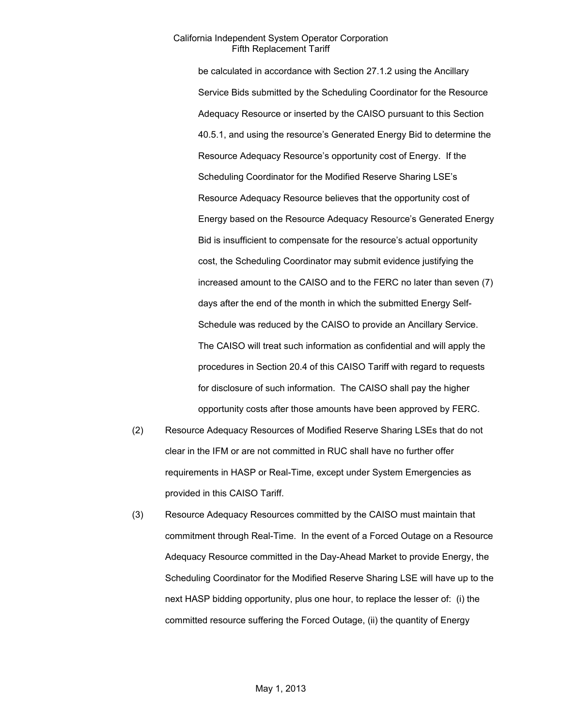be calculated in accordance with Section 27.1.2 using the Ancillary Service Bids submitted by the Scheduling Coordinator for the Resource Adequacy Resource or inserted by the CAISO pursuant to this Section 40.5.1, and using the resource's Generated Energy Bid to determine the Resource Adequacy Resource's opportunity cost of Energy. If the Scheduling Coordinator for the Modified Reserve Sharing LSE's Resource Adequacy Resource believes that the opportunity cost of Energy based on the Resource Adequacy Resource's Generated Energy Bid is insufficient to compensate for the resource's actual opportunity cost, the Scheduling Coordinator may submit evidence justifying the increased amount to the CAISO and to the FERC no later than seven (7) days after the end of the month in which the submitted Energy Self-Schedule was reduced by the CAISO to provide an Ancillary Service. The CAISO will treat such information as confidential and will apply the procedures in Section 20.4 of this CAISO Tariff with regard to requests for disclosure of such information. The CAISO shall pay the higher opportunity costs after those amounts have been approved by FERC.

- (2) Resource Adequacy Resources of Modified Reserve Sharing LSEs that do not clear in the IFM or are not committed in RUC shall have no further offer requirements in HASP or Real-Time, except under System Emergencies as provided in this CAISO Tariff.
- (3) Resource Adequacy Resources committed by the CAISO must maintain that commitment through Real-Time. In the event of a Forced Outage on a Resource Adequacy Resource committed in the Day-Ahead Market to provide Energy, the Scheduling Coordinator for the Modified Reserve Sharing LSE will have up to the next HASP bidding opportunity, plus one hour, to replace the lesser of: (i) the committed resource suffering the Forced Outage, (ii) the quantity of Energy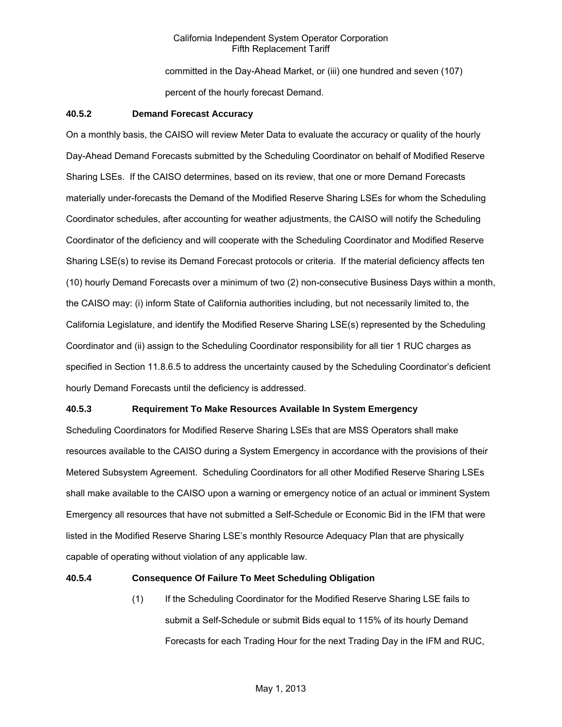committed in the Day-Ahead Market, or (iii) one hundred and seven (107) percent of the hourly forecast Demand.

### **40.5.2 Demand Forecast Accuracy**

On a monthly basis, the CAISO will review Meter Data to evaluate the accuracy or quality of the hourly Day-Ahead Demand Forecasts submitted by the Scheduling Coordinator on behalf of Modified Reserve Sharing LSEs. If the CAISO determines, based on its review, that one or more Demand Forecasts materially under-forecasts the Demand of the Modified Reserve Sharing LSEs for whom the Scheduling Coordinator schedules, after accounting for weather adjustments, the CAISO will notify the Scheduling Coordinator of the deficiency and will cooperate with the Scheduling Coordinator and Modified Reserve Sharing LSE(s) to revise its Demand Forecast protocols or criteria. If the material deficiency affects ten (10) hourly Demand Forecasts over a minimum of two (2) non-consecutive Business Days within a month, the CAISO may: (i) inform State of California authorities including, but not necessarily limited to, the California Legislature, and identify the Modified Reserve Sharing LSE(s) represented by the Scheduling Coordinator and (ii) assign to the Scheduling Coordinator responsibility for all tier 1 RUC charges as specified in Section 11.8.6.5 to address the uncertainty caused by the Scheduling Coordinator's deficient hourly Demand Forecasts until the deficiency is addressed.

### **40.5.3 Requirement To Make Resources Available In System Emergency**

Scheduling Coordinators for Modified Reserve Sharing LSEs that are MSS Operators shall make resources available to the CAISO during a System Emergency in accordance with the provisions of their Metered Subsystem Agreement. Scheduling Coordinators for all other Modified Reserve Sharing LSEs shall make available to the CAISO upon a warning or emergency notice of an actual or imminent System Emergency all resources that have not submitted a Self-Schedule or Economic Bid in the IFM that were listed in the Modified Reserve Sharing LSE's monthly Resource Adequacy Plan that are physically capable of operating without violation of any applicable law.

#### **40.5.4 Consequence Of Failure To Meet Scheduling Obligation**

(1) If the Scheduling Coordinator for the Modified Reserve Sharing LSE fails to submit a Self-Schedule or submit Bids equal to 115% of its hourly Demand Forecasts for each Trading Hour for the next Trading Day in the IFM and RUC,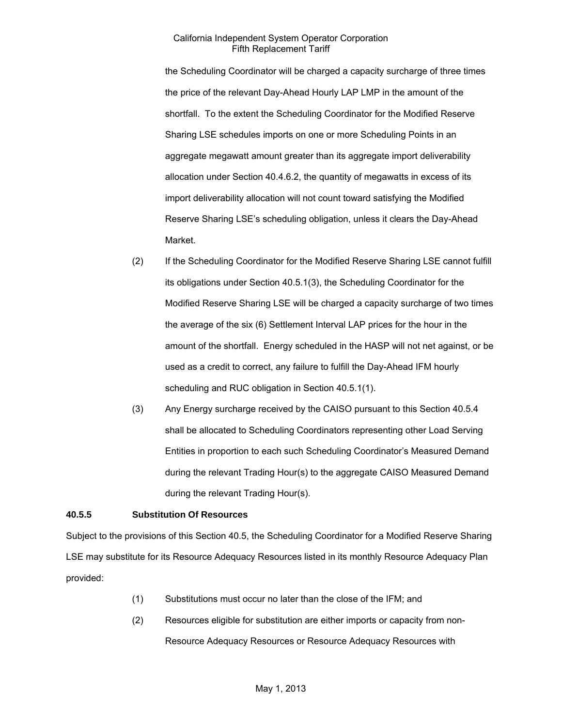the Scheduling Coordinator will be charged a capacity surcharge of three times the price of the relevant Day-Ahead Hourly LAP LMP in the amount of the shortfall. To the extent the Scheduling Coordinator for the Modified Reserve Sharing LSE schedules imports on one or more Scheduling Points in an aggregate megawatt amount greater than its aggregate import deliverability allocation under Section 40.4.6.2, the quantity of megawatts in excess of its import deliverability allocation will not count toward satisfying the Modified Reserve Sharing LSE's scheduling obligation, unless it clears the Day-Ahead Market.

- (2) If the Scheduling Coordinator for the Modified Reserve Sharing LSE cannot fulfill its obligations under Section 40.5.1(3), the Scheduling Coordinator for the Modified Reserve Sharing LSE will be charged a capacity surcharge of two times the average of the six (6) Settlement Interval LAP prices for the hour in the amount of the shortfall. Energy scheduled in the HASP will not net against, or be used as a credit to correct, any failure to fulfill the Day-Ahead IFM hourly scheduling and RUC obligation in Section 40.5.1(1).
- (3) Any Energy surcharge received by the CAISO pursuant to this Section 40.5.4 shall be allocated to Scheduling Coordinators representing other Load Serving Entities in proportion to each such Scheduling Coordinator's Measured Demand during the relevant Trading Hour(s) to the aggregate CAISO Measured Demand during the relevant Trading Hour(s).

# **40.5.5 Substitution Of Resources**

Subject to the provisions of this Section 40.5, the Scheduling Coordinator for a Modified Reserve Sharing LSE may substitute for its Resource Adequacy Resources listed in its monthly Resource Adequacy Plan provided:

- (1) Substitutions must occur no later than the close of the IFM; and
- (2) Resources eligible for substitution are either imports or capacity from non-Resource Adequacy Resources or Resource Adequacy Resources with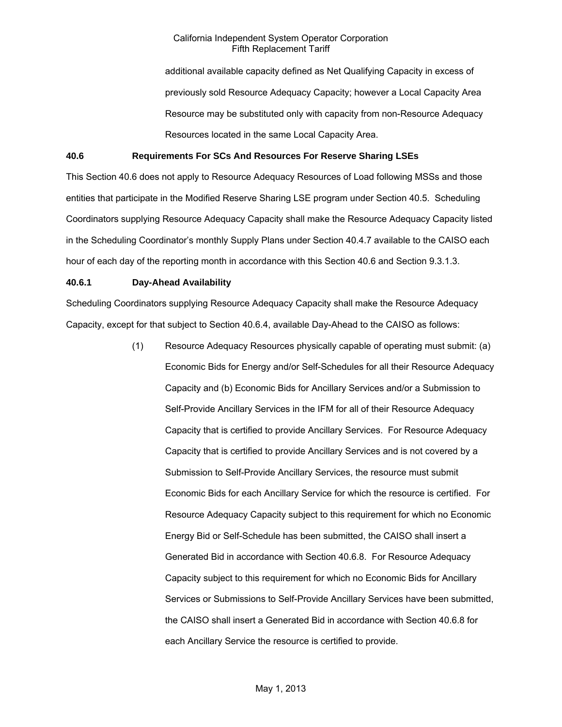additional available capacity defined as Net Qualifying Capacity in excess of previously sold Resource Adequacy Capacity; however a Local Capacity Area Resource may be substituted only with capacity from non-Resource Adequacy Resources located in the same Local Capacity Area.

### **40.6 Requirements For SCs And Resources For Reserve Sharing LSEs**

This Section 40.6 does not apply to Resource Adequacy Resources of Load following MSSs and those entities that participate in the Modified Reserve Sharing LSE program under Section 40.5. Scheduling Coordinators supplying Resource Adequacy Capacity shall make the Resource Adequacy Capacity listed in the Scheduling Coordinator's monthly Supply Plans under Section 40.4.7 available to the CAISO each hour of each day of the reporting month in accordance with this Section 40.6 and Section 9.3.1.3.

#### **40.6.1 Day-Ahead Availability**

Scheduling Coordinators supplying Resource Adequacy Capacity shall make the Resource Adequacy Capacity, except for that subject to Section 40.6.4, available Day-Ahead to the CAISO as follows:

> (1) Resource Adequacy Resources physically capable of operating must submit: (a) Economic Bids for Energy and/or Self-Schedules for all their Resource Adequacy Capacity and (b) Economic Bids for Ancillary Services and/or a Submission to Self-Provide Ancillary Services in the IFM for all of their Resource Adequacy Capacity that is certified to provide Ancillary Services. For Resource Adequacy Capacity that is certified to provide Ancillary Services and is not covered by a Submission to Self-Provide Ancillary Services, the resource must submit Economic Bids for each Ancillary Service for which the resource is certified. For Resource Adequacy Capacity subject to this requirement for which no Economic Energy Bid or Self-Schedule has been submitted, the CAISO shall insert a Generated Bid in accordance with Section 40.6.8. For Resource Adequacy Capacity subject to this requirement for which no Economic Bids for Ancillary Services or Submissions to Self-Provide Ancillary Services have been submitted, the CAISO shall insert a Generated Bid in accordance with Section 40.6.8 for each Ancillary Service the resource is certified to provide.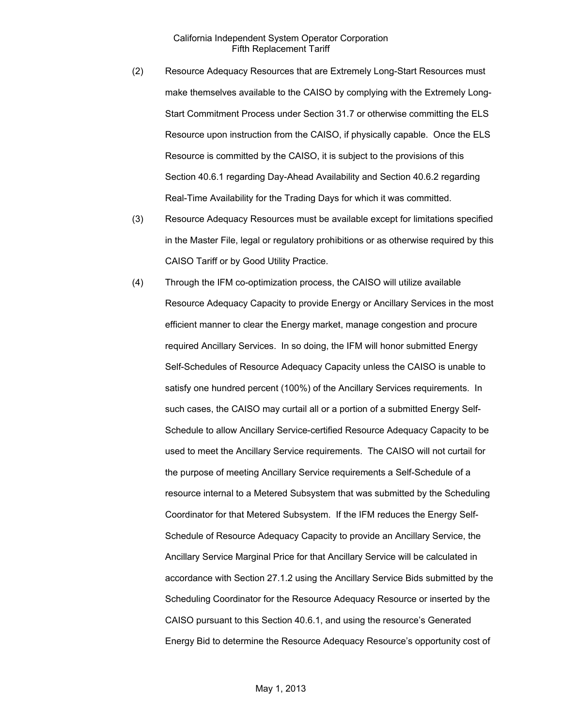- (2) Resource Adequacy Resources that are Extremely Long-Start Resources must make themselves available to the CAISO by complying with the Extremely Long-Start Commitment Process under Section 31.7 or otherwise committing the ELS Resource upon instruction from the CAISO, if physically capable. Once the ELS Resource is committed by the CAISO, it is subject to the provisions of this Section 40.6.1 regarding Day-Ahead Availability and Section 40.6.2 regarding Real-Time Availability for the Trading Days for which it was committed.
- (3) Resource Adequacy Resources must be available except for limitations specified in the Master File, legal or regulatory prohibitions or as otherwise required by this CAISO Tariff or by Good Utility Practice.
- (4) Through the IFM co-optimization process, the CAISO will utilize available Resource Adequacy Capacity to provide Energy or Ancillary Services in the most efficient manner to clear the Energy market, manage congestion and procure required Ancillary Services. In so doing, the IFM will honor submitted Energy Self-Schedules of Resource Adequacy Capacity unless the CAISO is unable to satisfy one hundred percent (100%) of the Ancillary Services requirements. In such cases, the CAISO may curtail all or a portion of a submitted Energy Self-Schedule to allow Ancillary Service-certified Resource Adequacy Capacity to be used to meet the Ancillary Service requirements. The CAISO will not curtail for the purpose of meeting Ancillary Service requirements a Self-Schedule of a resource internal to a Metered Subsystem that was submitted by the Scheduling Coordinator for that Metered Subsystem. If the IFM reduces the Energy Self-Schedule of Resource Adequacy Capacity to provide an Ancillary Service, the Ancillary Service Marginal Price for that Ancillary Service will be calculated in accordance with Section 27.1.2 using the Ancillary Service Bids submitted by the Scheduling Coordinator for the Resource Adequacy Resource or inserted by the CAISO pursuant to this Section 40.6.1, and using the resource's Generated Energy Bid to determine the Resource Adequacy Resource's opportunity cost of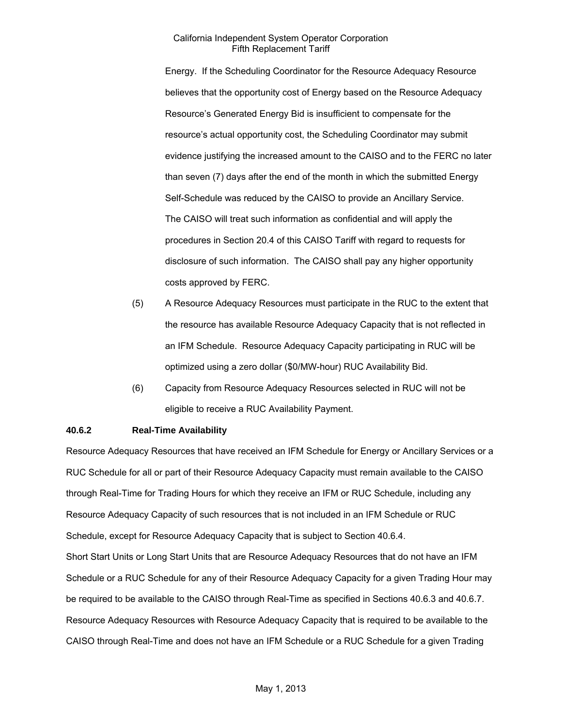Energy. If the Scheduling Coordinator for the Resource Adequacy Resource believes that the opportunity cost of Energy based on the Resource Adequacy Resource's Generated Energy Bid is insufficient to compensate for the resource's actual opportunity cost, the Scheduling Coordinator may submit evidence justifying the increased amount to the CAISO and to the FERC no later than seven (7) days after the end of the month in which the submitted Energy Self-Schedule was reduced by the CAISO to provide an Ancillary Service. The CAISO will treat such information as confidential and will apply the procedures in Section 20.4 of this CAISO Tariff with regard to requests for disclosure of such information. The CAISO shall pay any higher opportunity costs approved by FERC.

- (5) A Resource Adequacy Resources must participate in the RUC to the extent that the resource has available Resource Adequacy Capacity that is not reflected in an IFM Schedule. Resource Adequacy Capacity participating in RUC will be optimized using a zero dollar (\$0/MW-hour) RUC Availability Bid.
- (6) Capacity from Resource Adequacy Resources selected in RUC will not be eligible to receive a RUC Availability Payment.

### **40.6.2 Real-Time Availability**

Resource Adequacy Resources that have received an IFM Schedule for Energy or Ancillary Services or a RUC Schedule for all or part of their Resource Adequacy Capacity must remain available to the CAISO through Real-Time for Trading Hours for which they receive an IFM or RUC Schedule, including any Resource Adequacy Capacity of such resources that is not included in an IFM Schedule or RUC Schedule, except for Resource Adequacy Capacity that is subject to Section 40.6.4. Short Start Units or Long Start Units that are Resource Adequacy Resources that do not have an IFM Schedule or a RUC Schedule for any of their Resource Adequacy Capacity for a given Trading Hour may be required to be available to the CAISO through Real-Time as specified in Sections 40.6.3 and 40.6.7. Resource Adequacy Resources with Resource Adequacy Capacity that is required to be available to the CAISO through Real-Time and does not have an IFM Schedule or a RUC Schedule for a given Trading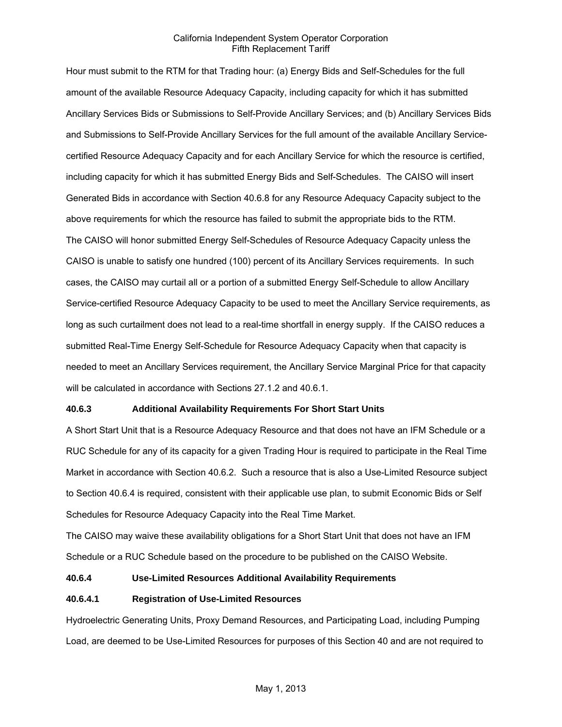Hour must submit to the RTM for that Trading hour: (a) Energy Bids and Self-Schedules for the full amount of the available Resource Adequacy Capacity, including capacity for which it has submitted Ancillary Services Bids or Submissions to Self-Provide Ancillary Services; and (b) Ancillary Services Bids and Submissions to Self-Provide Ancillary Services for the full amount of the available Ancillary Servicecertified Resource Adequacy Capacity and for each Ancillary Service for which the resource is certified, including capacity for which it has submitted Energy Bids and Self-Schedules. The CAISO will insert Generated Bids in accordance with Section 40.6.8 for any Resource Adequacy Capacity subject to the above requirements for which the resource has failed to submit the appropriate bids to the RTM. The CAISO will honor submitted Energy Self-Schedules of Resource Adequacy Capacity unless the CAISO is unable to satisfy one hundred (100) percent of its Ancillary Services requirements. In such cases, the CAISO may curtail all or a portion of a submitted Energy Self-Schedule to allow Ancillary Service-certified Resource Adequacy Capacity to be used to meet the Ancillary Service requirements, as long as such curtailment does not lead to a real-time shortfall in energy supply. If the CAISO reduces a submitted Real-Time Energy Self-Schedule for Resource Adequacy Capacity when that capacity is needed to meet an Ancillary Services requirement, the Ancillary Service Marginal Price for that capacity will be calculated in accordance with Sections 27.1.2 and 40.6.1.

### **40.6.3 Additional Availability Requirements For Short Start Units**

A Short Start Unit that is a Resource Adequacy Resource and that does not have an IFM Schedule or a RUC Schedule for any of its capacity for a given Trading Hour is required to participate in the Real Time Market in accordance with Section 40.6.2. Such a resource that is also a Use-Limited Resource subject to Section 40.6.4 is required, consistent with their applicable use plan, to submit Economic Bids or Self Schedules for Resource Adequacy Capacity into the Real Time Market.

The CAISO may waive these availability obligations for a Short Start Unit that does not have an IFM Schedule or a RUC Schedule based on the procedure to be published on the CAISO Website.

### **40.6.4 Use-Limited Resources Additional Availability Requirements**

### **40.6.4.1 Registration of Use-Limited Resources**

Hydroelectric Generating Units, Proxy Demand Resources, and Participating Load, including Pumping Load, are deemed to be Use-Limited Resources for purposes of this Section 40 and are not required to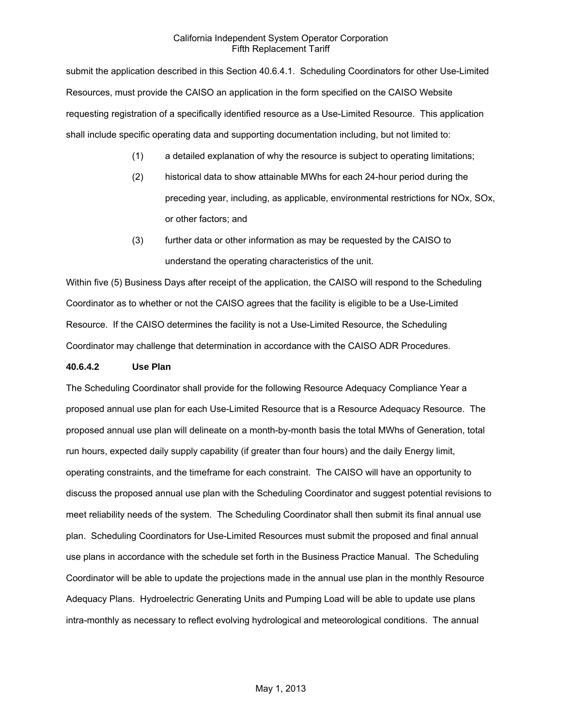submit the application described in this Section 40.6.4.1. Scheduling Coordinators for other Use-Limited Resources, must provide the CAISO an application in the form specified on the CAISO Website requesting registration of a specifically identified resource as a Use-Limited Resource. This application shall include specific operating data and supporting documentation including, but not limited to:

- (1) a detailed explanation of why the resource is subject to operating limitations;
- (2) historical data to show attainable MWhs for each 24-hour period during the preceding year, including, as applicable, environmental restrictions for NOx, SOx, or other factors; and
- (3) further data or other information as may be requested by the CAISO to understand the operating characteristics of the unit.

Within five (5) Business Days after receipt of the application, the CAISO will respond to the Scheduling Coordinator as to whether or not the CAISO agrees that the facility is eligible to be a Use-Limited Resource. If the CAISO determines the facility is not a Use-Limited Resource, the Scheduling Coordinator may challenge that determination in accordance with the CAISO ADR Procedures.

### **40.6.4.2 Use Plan**

The Scheduling Coordinator shall provide for the following Resource Adequacy Compliance Year a proposed annual use plan for each Use-Limited Resource that is a Resource Adequacy Resource. The proposed annual use plan will delineate on a month-by-month basis the total MWhs of Generation, total run hours, expected daily supply capability (if greater than four hours) and the daily Energy limit, operating constraints, and the timeframe for each constraint. The CAISO will have an opportunity to discuss the proposed annual use plan with the Scheduling Coordinator and suggest potential revisions to meet reliability needs of the system. The Scheduling Coordinator shall then submit its final annual use plan. Scheduling Coordinators for Use-Limited Resources must submit the proposed and final annual use plans in accordance with the schedule set forth in the Business Practice Manual. The Scheduling Coordinator will be able to update the projections made in the annual use plan in the monthly Resource Adequacy Plans. Hydroelectric Generating Units and Pumping Load will be able to update use plans intra-monthly as necessary to reflect evolving hydrological and meteorological conditions. The annual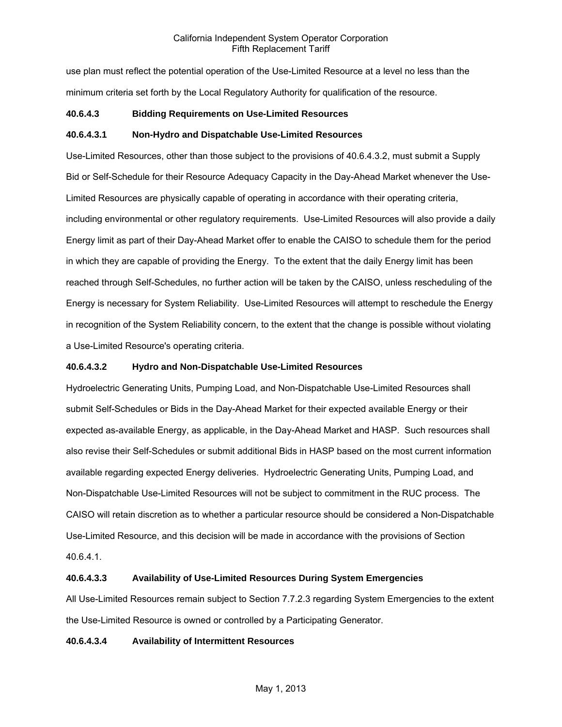use plan must reflect the potential operation of the Use-Limited Resource at a level no less than the minimum criteria set forth by the Local Regulatory Authority for qualification of the resource.

# **40.6.4.3 Bidding Requirements on Use-Limited Resources**

### **40.6.4.3.1 Non-Hydro and Dispatchable Use-Limited Resources**

Use-Limited Resources, other than those subject to the provisions of 40.6.4.3.2, must submit a Supply Bid or Self-Schedule for their Resource Adequacy Capacity in the Day-Ahead Market whenever the Use-Limited Resources are physically capable of operating in accordance with their operating criteria, including environmental or other regulatory requirements. Use-Limited Resources will also provide a daily Energy limit as part of their Day-Ahead Market offer to enable the CAISO to schedule them for the period in which they are capable of providing the Energy. To the extent that the daily Energy limit has been reached through Self-Schedules, no further action will be taken by the CAISO, unless rescheduling of the Energy is necessary for System Reliability. Use-Limited Resources will attempt to reschedule the Energy in recognition of the System Reliability concern, to the extent that the change is possible without violating a Use-Limited Resource's operating criteria.

### **40.6.4.3.2 Hydro and Non-Dispatchable Use-Limited Resources**

Hydroelectric Generating Units, Pumping Load, and Non-Dispatchable Use-Limited Resources shall submit Self-Schedules or Bids in the Day-Ahead Market for their expected available Energy or their expected as-available Energy, as applicable, in the Day-Ahead Market and HASP. Such resources shall also revise their Self-Schedules or submit additional Bids in HASP based on the most current information available regarding expected Energy deliveries. Hydroelectric Generating Units, Pumping Load, and Non-Dispatchable Use-Limited Resources will not be subject to commitment in the RUC process. The CAISO will retain discretion as to whether a particular resource should be considered a Non-Dispatchable Use-Limited Resource, and this decision will be made in accordance with the provisions of Section 40.6.4.1.

### **40.6.4.3.3 Availability of Use-Limited Resources During System Emergencies**

All Use-Limited Resources remain subject to Section 7.7.2.3 regarding System Emergencies to the extent the Use-Limited Resource is owned or controlled by a Participating Generator.

### **40.6.4.3.4 Availability of Intermittent Resources**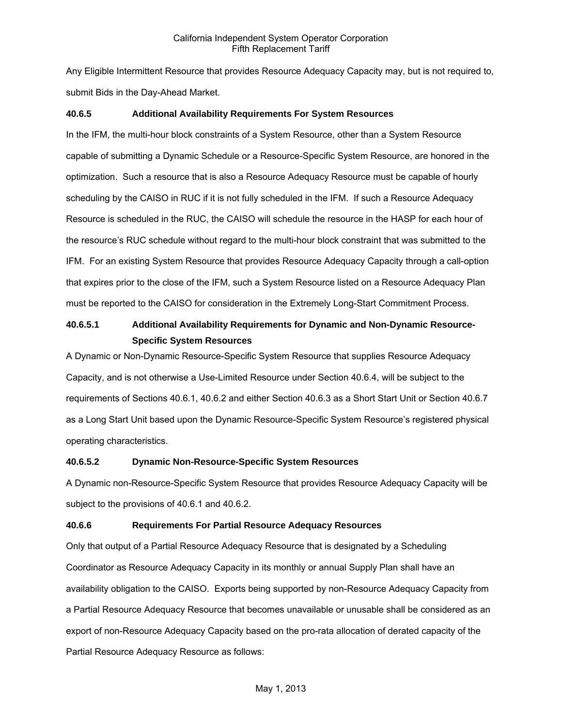Any Eligible Intermittent Resource that provides Resource Adequacy Capacity may, but is not required to, submit Bids in the Day-Ahead Market.

### **40.6.5 Additional Availability Requirements For System Resources**

In the IFM, the multi-hour block constraints of a System Resource, other than a System Resource capable of submitting a Dynamic Schedule or a Resource-Specific System Resource, are honored in the optimization. Such a resource that is also a Resource Adequacy Resource must be capable of hourly scheduling by the CAISO in RUC if it is not fully scheduled in the IFM. If such a Resource Adequacy Resource is scheduled in the RUC, the CAISO will schedule the resource in the HASP for each hour of the resource's RUC schedule without regard to the multi-hour block constraint that was submitted to the IFM. For an existing System Resource that provides Resource Adequacy Capacity through a call-option that expires prior to the close of the IFM, such a System Resource listed on a Resource Adequacy Plan must be reported to the CAISO for consideration in the Extremely Long-Start Commitment Process.

# **40.6.5.1 Additional Availability Requirements for Dynamic and Non-Dynamic Resource-Specific System Resources**

A Dynamic or Non-Dynamic Resource-Specific System Resource that supplies Resource Adequacy Capacity, and is not otherwise a Use-Limited Resource under Section 40.6.4, will be subject to the requirements of Sections 40.6.1, 40.6.2 and either Section 40.6.3 as a Short Start Unit or Section 40.6.7 as a Long Start Unit based upon the Dynamic Resource-Specific System Resource's registered physical operating characteristics.

### **40.6.5.2 Dynamic Non-Resource-Specific System Resources**

A Dynamic non-Resource-Specific System Resource that provides Resource Adequacy Capacity will be subject to the provisions of 40.6.1 and 40.6.2.

# **40.6.6 Requirements For Partial Resource Adequacy Resources**

Only that output of a Partial Resource Adequacy Resource that is designated by a Scheduling Coordinator as Resource Adequacy Capacity in its monthly or annual Supply Plan shall have an availability obligation to the CAISO. Exports being supported by non-Resource Adequacy Capacity from a Partial Resource Adequacy Resource that becomes unavailable or unusable shall be considered as an export of non-Resource Adequacy Capacity based on the pro-rata allocation of derated capacity of the Partial Resource Adequacy Resource as follows: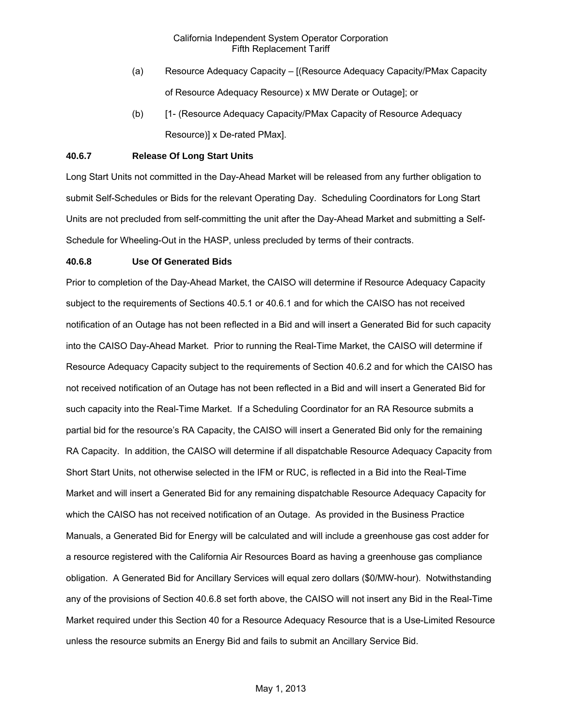- (a) Resource Adequacy Capacity [(Resource Adequacy Capacity/PMax Capacity of Resource Adequacy Resource) x MW Derate or Outage]; or
- (b) [1- (Resource Adequacy Capacity/PMax Capacity of Resource Adequacy Resource)] x De-rated PMax].

### **40.6.7 Release Of Long Start Units**

Long Start Units not committed in the Day-Ahead Market will be released from any further obligation to submit Self-Schedules or Bids for the relevant Operating Day. Scheduling Coordinators for Long Start Units are not precluded from self-committing the unit after the Day-Ahead Market and submitting a Self-Schedule for Wheeling-Out in the HASP, unless precluded by terms of their contracts.

#### **40.6.8 Use Of Generated Bids**

Prior to completion of the Day-Ahead Market, the CAISO will determine if Resource Adequacy Capacity subject to the requirements of Sections 40.5.1 or 40.6.1 and for which the CAISO has not received notification of an Outage has not been reflected in a Bid and will insert a Generated Bid for such capacity into the CAISO Day-Ahead Market. Prior to running the Real-Time Market, the CAISO will determine if Resource Adequacy Capacity subject to the requirements of Section 40.6.2 and for which the CAISO has not received notification of an Outage has not been reflected in a Bid and will insert a Generated Bid for such capacity into the Real-Time Market. If a Scheduling Coordinator for an RA Resource submits a partial bid for the resource's RA Capacity, the CAISO will insert a Generated Bid only for the remaining RA Capacity. In addition, the CAISO will determine if all dispatchable Resource Adequacy Capacity from Short Start Units, not otherwise selected in the IFM or RUC, is reflected in a Bid into the Real-Time Market and will insert a Generated Bid for any remaining dispatchable Resource Adequacy Capacity for which the CAISO has not received notification of an Outage. As provided in the Business Practice Manuals, a Generated Bid for Energy will be calculated and will include a greenhouse gas cost adder for a resource registered with the California Air Resources Board as having a greenhouse gas compliance obligation. A Generated Bid for Ancillary Services will equal zero dollars (\$0/MW-hour). Notwithstanding any of the provisions of Section 40.6.8 set forth above, the CAISO will not insert any Bid in the Real-Time Market required under this Section 40 for a Resource Adequacy Resource that is a Use-Limited Resource unless the resource submits an Energy Bid and fails to submit an Ancillary Service Bid.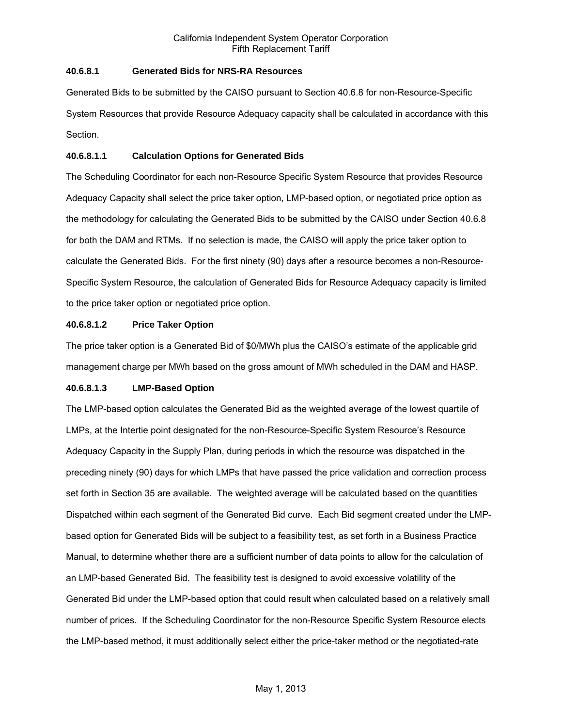# **40.6.8.1 Generated Bids for NRS-RA Resources**

Generated Bids to be submitted by the CAISO pursuant to Section 40.6.8 for non-Resource-Specific System Resources that provide Resource Adequacy capacity shall be calculated in accordance with this Section.

# **40.6.8.1.1 Calculation Options for Generated Bids**

The Scheduling Coordinator for each non-Resource Specific System Resource that provides Resource Adequacy Capacity shall select the price taker option, LMP-based option, or negotiated price option as the methodology for calculating the Generated Bids to be submitted by the CAISO under Section 40.6.8 for both the DAM and RTMs. If no selection is made, the CAISO will apply the price taker option to calculate the Generated Bids. For the first ninety (90) days after a resource becomes a non-Resource-Specific System Resource, the calculation of Generated Bids for Resource Adequacy capacity is limited to the price taker option or negotiated price option.

# **40.6.8.1.2 Price Taker Option**

The price taker option is a Generated Bid of \$0/MWh plus the CAISO's estimate of the applicable grid management charge per MWh based on the gross amount of MWh scheduled in the DAM and HASP.

# **40.6.8.1.3 LMP-Based Option**

The LMP-based option calculates the Generated Bid as the weighted average of the lowest quartile of LMPs, at the Intertie point designated for the non-Resource-Specific System Resource's Resource Adequacy Capacity in the Supply Plan, during periods in which the resource was dispatched in the preceding ninety (90) days for which LMPs that have passed the price validation and correction process set forth in Section 35 are available. The weighted average will be calculated based on the quantities Dispatched within each segment of the Generated Bid curve. Each Bid segment created under the LMPbased option for Generated Bids will be subject to a feasibility test, as set forth in a Business Practice Manual, to determine whether there are a sufficient number of data points to allow for the calculation of an LMP-based Generated Bid. The feasibility test is designed to avoid excessive volatility of the Generated Bid under the LMP-based option that could result when calculated based on a relatively small number of prices. If the Scheduling Coordinator for the non-Resource Specific System Resource elects the LMP-based method, it must additionally select either the price-taker method or the negotiated-rate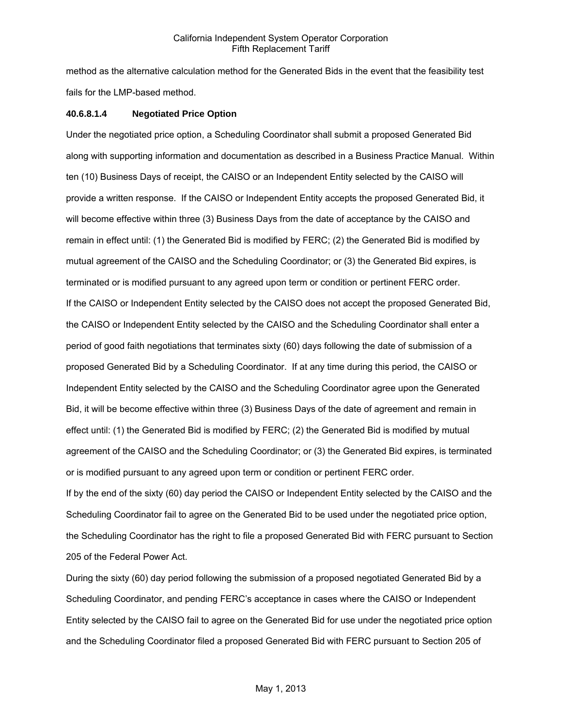method as the alternative calculation method for the Generated Bids in the event that the feasibility test fails for the LMP-based method.

### **40.6.8.1.4 Negotiated Price Option**

Under the negotiated price option, a Scheduling Coordinator shall submit a proposed Generated Bid along with supporting information and documentation as described in a Business Practice Manual. Within ten (10) Business Days of receipt, the CAISO or an Independent Entity selected by the CAISO will provide a written response. If the CAISO or Independent Entity accepts the proposed Generated Bid, it will become effective within three (3) Business Days from the date of acceptance by the CAISO and remain in effect until: (1) the Generated Bid is modified by FERC; (2) the Generated Bid is modified by mutual agreement of the CAISO and the Scheduling Coordinator; or (3) the Generated Bid expires, is terminated or is modified pursuant to any agreed upon term or condition or pertinent FERC order. If the CAISO or Independent Entity selected by the CAISO does not accept the proposed Generated Bid, the CAISO or Independent Entity selected by the CAISO and the Scheduling Coordinator shall enter a period of good faith negotiations that terminates sixty (60) days following the date of submission of a proposed Generated Bid by a Scheduling Coordinator. If at any time during this period, the CAISO or Independent Entity selected by the CAISO and the Scheduling Coordinator agree upon the Generated Bid, it will be become effective within three (3) Business Days of the date of agreement and remain in effect until: (1) the Generated Bid is modified by FERC; (2) the Generated Bid is modified by mutual agreement of the CAISO and the Scheduling Coordinator; or (3) the Generated Bid expires, is terminated or is modified pursuant to any agreed upon term or condition or pertinent FERC order.

If by the end of the sixty (60) day period the CAISO or Independent Entity selected by the CAISO and the Scheduling Coordinator fail to agree on the Generated Bid to be used under the negotiated price option, the Scheduling Coordinator has the right to file a proposed Generated Bid with FERC pursuant to Section 205 of the Federal Power Act.

During the sixty (60) day period following the submission of a proposed negotiated Generated Bid by a Scheduling Coordinator, and pending FERC's acceptance in cases where the CAISO or Independent Entity selected by the CAISO fail to agree on the Generated Bid for use under the negotiated price option and the Scheduling Coordinator filed a proposed Generated Bid with FERC pursuant to Section 205 of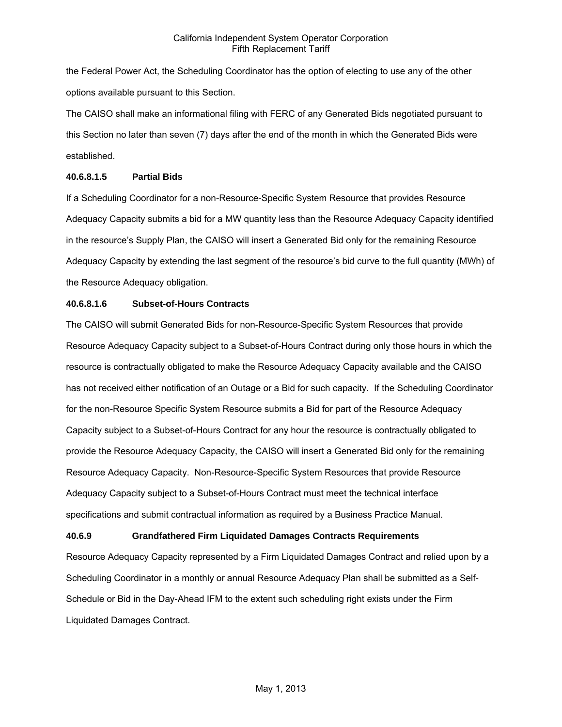the Federal Power Act, the Scheduling Coordinator has the option of electing to use any of the other options available pursuant to this Section.

The CAISO shall make an informational filing with FERC of any Generated Bids negotiated pursuant to this Section no later than seven (7) days after the end of the month in which the Generated Bids were established.

# **40.6.8.1.5 Partial Bids**

If a Scheduling Coordinator for a non-Resource-Specific System Resource that provides Resource Adequacy Capacity submits a bid for a MW quantity less than the Resource Adequacy Capacity identified in the resource's Supply Plan, the CAISO will insert a Generated Bid only for the remaining Resource Adequacy Capacity by extending the last segment of the resource's bid curve to the full quantity (MWh) of the Resource Adequacy obligation.

# **40.6.8.1.6 Subset-of-Hours Contracts**

The CAISO will submit Generated Bids for non-Resource-Specific System Resources that provide Resource Adequacy Capacity subject to a Subset-of-Hours Contract during only those hours in which the resource is contractually obligated to make the Resource Adequacy Capacity available and the CAISO has not received either notification of an Outage or a Bid for such capacity. If the Scheduling Coordinator for the non-Resource Specific System Resource submits a Bid for part of the Resource Adequacy Capacity subject to a Subset-of-Hours Contract for any hour the resource is contractually obligated to provide the Resource Adequacy Capacity, the CAISO will insert a Generated Bid only for the remaining Resource Adequacy Capacity. Non-Resource-Specific System Resources that provide Resource Adequacy Capacity subject to a Subset-of-Hours Contract must meet the technical interface specifications and submit contractual information as required by a Business Practice Manual.

# **40.6.9 Grandfathered Firm Liquidated Damages Contracts Requirements**

Resource Adequacy Capacity represented by a Firm Liquidated Damages Contract and relied upon by a Scheduling Coordinator in a monthly or annual Resource Adequacy Plan shall be submitted as a Self-Schedule or Bid in the Day-Ahead IFM to the extent such scheduling right exists under the Firm Liquidated Damages Contract.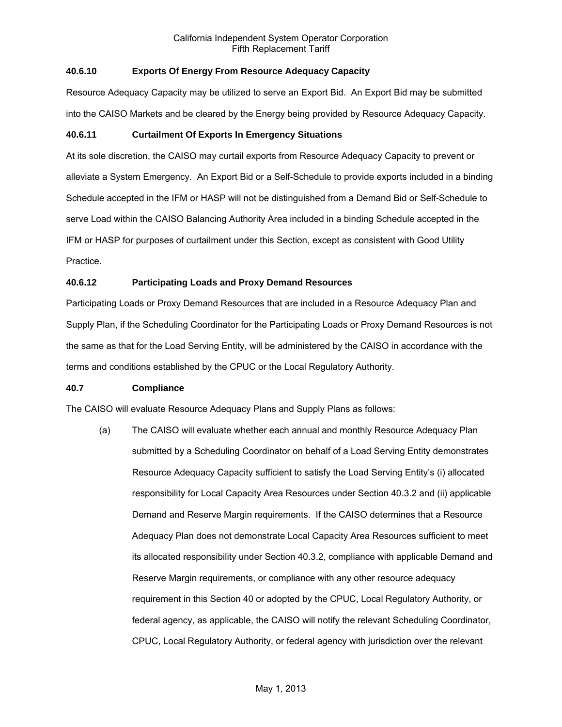# **40.6.10 Exports Of Energy From Resource Adequacy Capacity**

Resource Adequacy Capacity may be utilized to serve an Export Bid. An Export Bid may be submitted into the CAISO Markets and be cleared by the Energy being provided by Resource Adequacy Capacity.

# **40.6.11 Curtailment Of Exports In Emergency Situations**

At its sole discretion, the CAISO may curtail exports from Resource Adequacy Capacity to prevent or alleviate a System Emergency. An Export Bid or a Self-Schedule to provide exports included in a binding Schedule accepted in the IFM or HASP will not be distinguished from a Demand Bid or Self-Schedule to serve Load within the CAISO Balancing Authority Area included in a binding Schedule accepted in the IFM or HASP for purposes of curtailment under this Section, except as consistent with Good Utility Practice.

# **40.6.12 Participating Loads and Proxy Demand Resources**

Participating Loads or Proxy Demand Resources that are included in a Resource Adequacy Plan and Supply Plan, if the Scheduling Coordinator for the Participating Loads or Proxy Demand Resources is not the same as that for the Load Serving Entity, will be administered by the CAISO in accordance with the terms and conditions established by the CPUC or the Local Regulatory Authority.

### **40.7 Compliance**

The CAISO will evaluate Resource Adequacy Plans and Supply Plans as follows:

(a) The CAISO will evaluate whether each annual and monthly Resource Adequacy Plan submitted by a Scheduling Coordinator on behalf of a Load Serving Entity demonstrates Resource Adequacy Capacity sufficient to satisfy the Load Serving Entity's (i) allocated responsibility for Local Capacity Area Resources under Section 40.3.2 and (ii) applicable Demand and Reserve Margin requirements. If the CAISO determines that a Resource Adequacy Plan does not demonstrate Local Capacity Area Resources sufficient to meet its allocated responsibility under Section 40.3.2, compliance with applicable Demand and Reserve Margin requirements, or compliance with any other resource adequacy requirement in this Section 40 or adopted by the CPUC, Local Regulatory Authority, or federal agency, as applicable, the CAISO will notify the relevant Scheduling Coordinator, CPUC, Local Regulatory Authority, or federal agency with jurisdiction over the relevant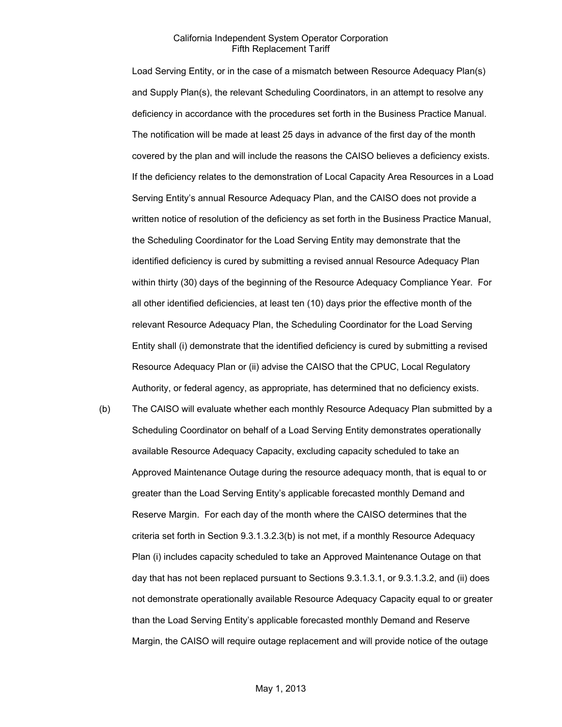Load Serving Entity, or in the case of a mismatch between Resource Adequacy Plan(s) and Supply Plan(s), the relevant Scheduling Coordinators, in an attempt to resolve any deficiency in accordance with the procedures set forth in the Business Practice Manual. The notification will be made at least 25 days in advance of the first day of the month covered by the plan and will include the reasons the CAISO believes a deficiency exists. If the deficiency relates to the demonstration of Local Capacity Area Resources in a Load Serving Entity's annual Resource Adequacy Plan, and the CAISO does not provide a written notice of resolution of the deficiency as set forth in the Business Practice Manual, the Scheduling Coordinator for the Load Serving Entity may demonstrate that the identified deficiency is cured by submitting a revised annual Resource Adequacy Plan within thirty (30) days of the beginning of the Resource Adequacy Compliance Year. For all other identified deficiencies, at least ten (10) days prior the effective month of the relevant Resource Adequacy Plan, the Scheduling Coordinator for the Load Serving Entity shall (i) demonstrate that the identified deficiency is cured by submitting a revised Resource Adequacy Plan or (ii) advise the CAISO that the CPUC, Local Regulatory Authority, or federal agency, as appropriate, has determined that no deficiency exists.

(b) The CAISO will evaluate whether each monthly Resource Adequacy Plan submitted by a Scheduling Coordinator on behalf of a Load Serving Entity demonstrates operationally available Resource Adequacy Capacity, excluding capacity scheduled to take an Approved Maintenance Outage during the resource adequacy month, that is equal to or greater than the Load Serving Entity's applicable forecasted monthly Demand and Reserve Margin. For each day of the month where the CAISO determines that the criteria set forth in Section 9.3.1.3.2.3(b) is not met, if a monthly Resource Adequacy Plan (i) includes capacity scheduled to take an Approved Maintenance Outage on that day that has not been replaced pursuant to Sections 9.3.1.3.1, or 9.3.1.3.2, and (ii) does not demonstrate operationally available Resource Adequacy Capacity equal to or greater than the Load Serving Entity's applicable forecasted monthly Demand and Reserve Margin, the CAISO will require outage replacement and will provide notice of the outage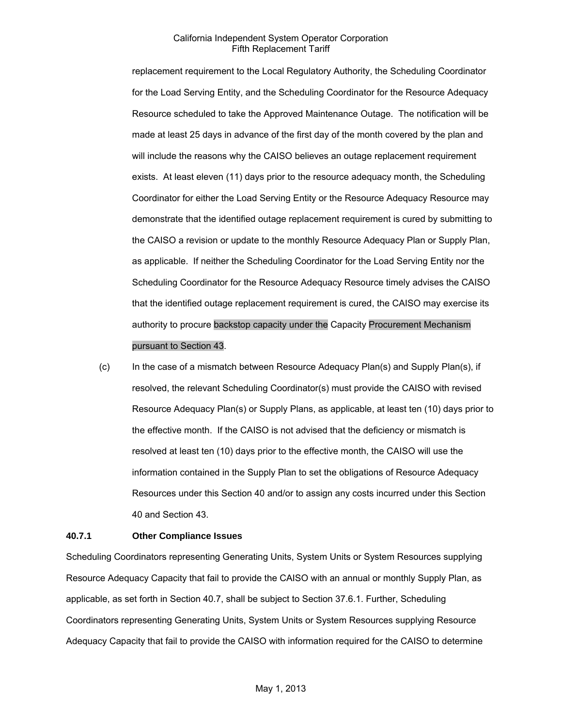replacement requirement to the Local Regulatory Authority, the Scheduling Coordinator for the Load Serving Entity, and the Scheduling Coordinator for the Resource Adequacy Resource scheduled to take the Approved Maintenance Outage. The notification will be made at least 25 days in advance of the first day of the month covered by the plan and will include the reasons why the CAISO believes an outage replacement requirement exists. At least eleven (11) days prior to the resource adequacy month, the Scheduling Coordinator for either the Load Serving Entity or the Resource Adequacy Resource may demonstrate that the identified outage replacement requirement is cured by submitting to the CAISO a revision or update to the monthly Resource Adequacy Plan or Supply Plan, as applicable. If neither the Scheduling Coordinator for the Load Serving Entity nor the Scheduling Coordinator for the Resource Adequacy Resource timely advises the CAISO that the identified outage replacement requirement is cured, the CAISO may exercise its authority to procure backstop capacity under the Capacity Procurement Mechanism pursuant to Section 43.

(c) In the case of a mismatch between Resource Adequacy Plan(s) and Supply Plan(s), if resolved, the relevant Scheduling Coordinator(s) must provide the CAISO with revised Resource Adequacy Plan(s) or Supply Plans, as applicable, at least ten (10) days prior to the effective month. If the CAISO is not advised that the deficiency or mismatch is resolved at least ten (10) days prior to the effective month, the CAISO will use the information contained in the Supply Plan to set the obligations of Resource Adequacy Resources under this Section 40 and/or to assign any costs incurred under this Section 40 and Section 43.

#### **40.7.1 Other Compliance Issues**

Scheduling Coordinators representing Generating Units, System Units or System Resources supplying Resource Adequacy Capacity that fail to provide the CAISO with an annual or monthly Supply Plan, as applicable, as set forth in Section 40.7, shall be subject to Section 37.6.1. Further, Scheduling Coordinators representing Generating Units, System Units or System Resources supplying Resource Adequacy Capacity that fail to provide the CAISO with information required for the CAISO to determine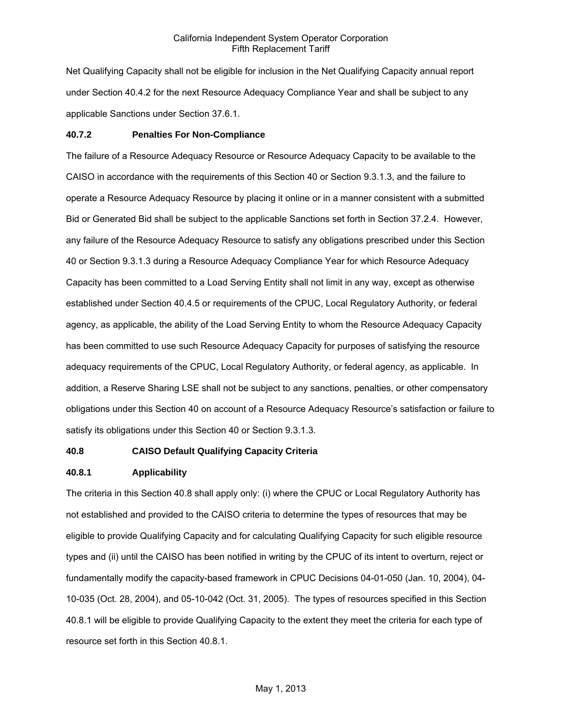Net Qualifying Capacity shall not be eligible for inclusion in the Net Qualifying Capacity annual report under Section 40.4.2 for the next Resource Adequacy Compliance Year and shall be subject to any applicable Sanctions under Section 37.6.1.

#### **40.7.2 Penalties For Non-Compliance**

The failure of a Resource Adequacy Resource or Resource Adequacy Capacity to be available to the CAISO in accordance with the requirements of this Section 40 or Section 9.3.1.3, and the failure to operate a Resource Adequacy Resource by placing it online or in a manner consistent with a submitted Bid or Generated Bid shall be subject to the applicable Sanctions set forth in Section 37.2.4. However, any failure of the Resource Adequacy Resource to satisfy any obligations prescribed under this Section 40 or Section 9.3.1.3 during a Resource Adequacy Compliance Year for which Resource Adequacy Capacity has been committed to a Load Serving Entity shall not limit in any way, except as otherwise established under Section 40.4.5 or requirements of the CPUC, Local Regulatory Authority, or federal agency, as applicable, the ability of the Load Serving Entity to whom the Resource Adequacy Capacity has been committed to use such Resource Adequacy Capacity for purposes of satisfying the resource adequacy requirements of the CPUC, Local Regulatory Authority, or federal agency, as applicable. In addition, a Reserve Sharing LSE shall not be subject to any sanctions, penalties, or other compensatory obligations under this Section 40 on account of a Resource Adequacy Resource's satisfaction or failure to satisfy its obligations under this Section 40 or Section 9.3.1.3.

### **40.8 CAISO Default Qualifying Capacity Criteria**

#### **40.8.1 Applicability**

The criteria in this Section 40.8 shall apply only: (i) where the CPUC or Local Regulatory Authority has not established and provided to the CAISO criteria to determine the types of resources that may be eligible to provide Qualifying Capacity and for calculating Qualifying Capacity for such eligible resource types and (ii) until the CAISO has been notified in writing by the CPUC of its intent to overturn, reject or fundamentally modify the capacity-based framework in CPUC Decisions 04-01-050 (Jan. 10, 2004), 04- 10-035 (Oct. 28, 2004), and 05-10-042 (Oct. 31, 2005). The types of resources specified in this Section 40.8.1 will be eligible to provide Qualifying Capacity to the extent they meet the criteria for each type of resource set forth in this Section 40.8.1.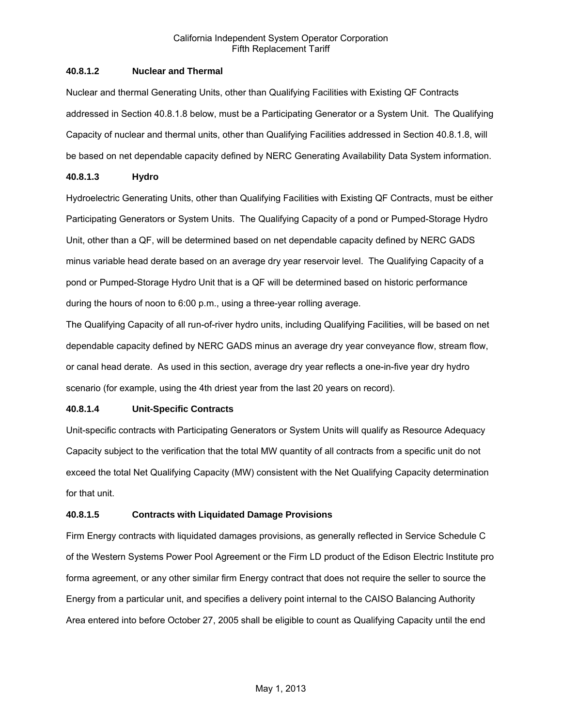# **40.8.1.2 Nuclear and Thermal**

Nuclear and thermal Generating Units, other than Qualifying Facilities with Existing QF Contracts addressed in Section 40.8.1.8 below, must be a Participating Generator or a System Unit. The Qualifying Capacity of nuclear and thermal units, other than Qualifying Facilities addressed in Section 40.8.1.8, will be based on net dependable capacity defined by NERC Generating Availability Data System information.

# **40.8.1.3 Hydro**

Hydroelectric Generating Units, other than Qualifying Facilities with Existing QF Contracts, must be either Participating Generators or System Units. The Qualifying Capacity of a pond or Pumped-Storage Hydro Unit, other than a QF, will be determined based on net dependable capacity defined by NERC GADS minus variable head derate based on an average dry year reservoir level. The Qualifying Capacity of a pond or Pumped-Storage Hydro Unit that is a QF will be determined based on historic performance during the hours of noon to 6:00 p.m., using a three-year rolling average.

The Qualifying Capacity of all run-of-river hydro units, including Qualifying Facilities, will be based on net dependable capacity defined by NERC GADS minus an average dry year conveyance flow, stream flow, or canal head derate. As used in this section, average dry year reflects a one-in-five year dry hydro scenario (for example, using the 4th driest year from the last 20 years on record).

# **40.8.1.4 Unit-Specific Contracts**

Unit-specific contracts with Participating Generators or System Units will qualify as Resource Adequacy Capacity subject to the verification that the total MW quantity of all contracts from a specific unit do not exceed the total Net Qualifying Capacity (MW) consistent with the Net Qualifying Capacity determination for that unit.

# **40.8.1.5 Contracts with Liquidated Damage Provisions**

Firm Energy contracts with liquidated damages provisions, as generally reflected in Service Schedule C of the Western Systems Power Pool Agreement or the Firm LD product of the Edison Electric Institute pro forma agreement, or any other similar firm Energy contract that does not require the seller to source the Energy from a particular unit, and specifies a delivery point internal to the CAISO Balancing Authority Area entered into before October 27, 2005 shall be eligible to count as Qualifying Capacity until the end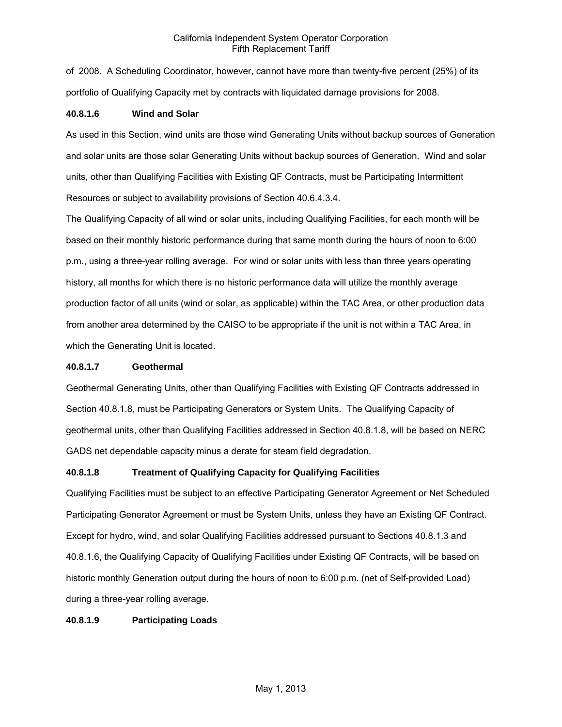of 2008. A Scheduling Coordinator, however, cannot have more than twenty-five percent (25%) of its portfolio of Qualifying Capacity met by contracts with liquidated damage provisions for 2008.

# **40.8.1.6 Wind and Solar**

As used in this Section, wind units are those wind Generating Units without backup sources of Generation and solar units are those solar Generating Units without backup sources of Generation. Wind and solar units, other than Qualifying Facilities with Existing QF Contracts, must be Participating Intermittent Resources or subject to availability provisions of Section 40.6.4.3.4.

The Qualifying Capacity of all wind or solar units, including Qualifying Facilities, for each month will be based on their monthly historic performance during that same month during the hours of noon to 6:00 p.m., using a three-year rolling average. For wind or solar units with less than three years operating history, all months for which there is no historic performance data will utilize the monthly average production factor of all units (wind or solar, as applicable) within the TAC Area, or other production data from another area determined by the CAISO to be appropriate if the unit is not within a TAC Area, in which the Generating Unit is located.

### **40.8.1.7 Geothermal**

Geothermal Generating Units, other than Qualifying Facilities with Existing QF Contracts addressed in Section 40.8.1.8, must be Participating Generators or System Units. The Qualifying Capacity of geothermal units, other than Qualifying Facilities addressed in Section 40.8.1.8, will be based on NERC GADS net dependable capacity minus a derate for steam field degradation.

# **40.8.1.8 Treatment of Qualifying Capacity for Qualifying Facilities**

Qualifying Facilities must be subject to an effective Participating Generator Agreement or Net Scheduled Participating Generator Agreement or must be System Units, unless they have an Existing QF Contract. Except for hydro, wind, and solar Qualifying Facilities addressed pursuant to Sections 40.8.1.3 and 40.8.1.6, the Qualifying Capacity of Qualifying Facilities under Existing QF Contracts, will be based on historic monthly Generation output during the hours of noon to 6:00 p.m. (net of Self-provided Load) during a three-year rolling average.

### **40.8.1.9 Participating Loads**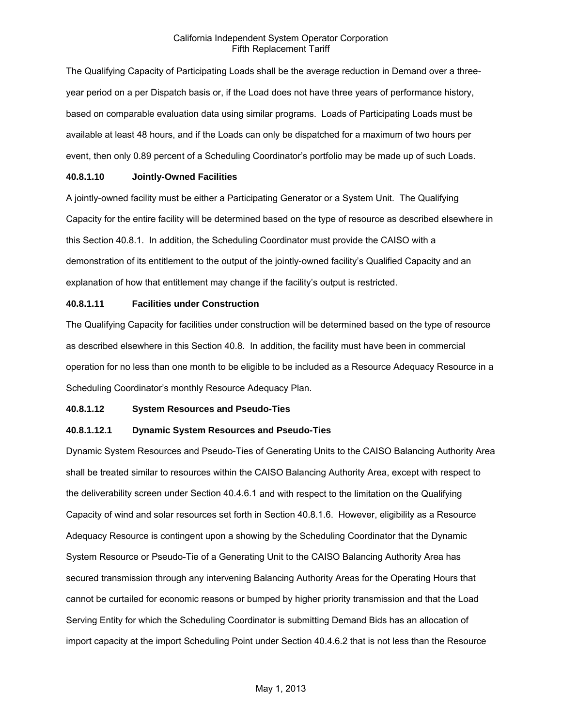The Qualifying Capacity of Participating Loads shall be the average reduction in Demand over a threeyear period on a per Dispatch basis or, if the Load does not have three years of performance history, based on comparable evaluation data using similar programs. Loads of Participating Loads must be available at least 48 hours, and if the Loads can only be dispatched for a maximum of two hours per event, then only 0.89 percent of a Scheduling Coordinator's portfolio may be made up of such Loads.

### **40.8.1.10 Jointly-Owned Facilities**

A jointly-owned facility must be either a Participating Generator or a System Unit. The Qualifying Capacity for the entire facility will be determined based on the type of resource as described elsewhere in this Section 40.8.1. In addition, the Scheduling Coordinator must provide the CAISO with a demonstration of its entitlement to the output of the jointly-owned facility's Qualified Capacity and an explanation of how that entitlement may change if the facility's output is restricted.

# **40.8.1.11 Facilities under Construction**

The Qualifying Capacity for facilities under construction will be determined based on the type of resource as described elsewhere in this Section 40.8. In addition, the facility must have been in commercial operation for no less than one month to be eligible to be included as a Resource Adequacy Resource in a Scheduling Coordinator's monthly Resource Adequacy Plan.

# **40.8.1.12 System Resources and Pseudo-Ties**

# **40.8.1.12.1 Dynamic System Resources and Pseudo-Ties**

Dynamic System Resources and Pseudo-Ties of Generating Units to the CAISO Balancing Authority Area shall be treated similar to resources within the CAISO Balancing Authority Area, except with respect to the deliverability screen under Section 40.4.6.1 and with respect to the limitation on the Qualifying Capacity of wind and solar resources set forth in Section 40.8.1.6. However, eligibility as a Resource Adequacy Resource is contingent upon a showing by the Scheduling Coordinator that the Dynamic System Resource or Pseudo-Tie of a Generating Unit to the CAISO Balancing Authority Area has secured transmission through any intervening Balancing Authority Areas for the Operating Hours that cannot be curtailed for economic reasons or bumped by higher priority transmission and that the Load Serving Entity for which the Scheduling Coordinator is submitting Demand Bids has an allocation of import capacity at the import Scheduling Point under Section 40.4.6.2 that is not less than the Resource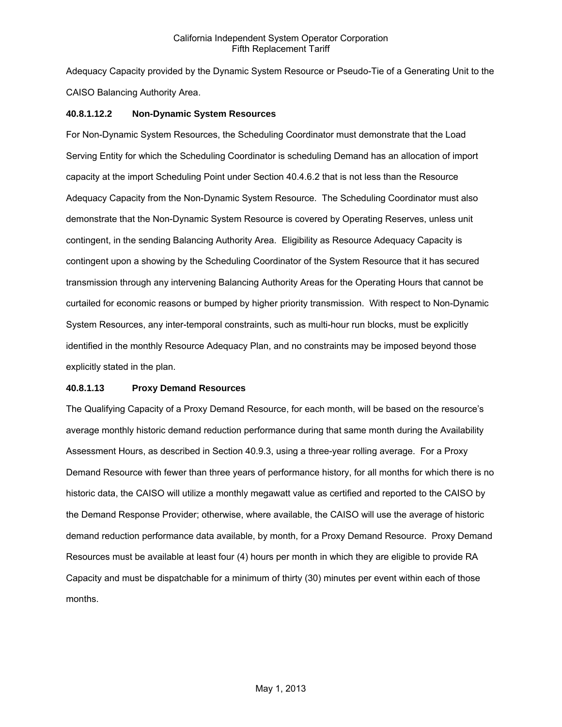Adequacy Capacity provided by the Dynamic System Resource or Pseudo-Tie of a Generating Unit to the CAISO Balancing Authority Area.

### **40.8.1.12.2 Non-Dynamic System Resources**

For Non-Dynamic System Resources, the Scheduling Coordinator must demonstrate that the Load Serving Entity for which the Scheduling Coordinator is scheduling Demand has an allocation of import capacity at the import Scheduling Point under Section 40.4.6.2 that is not less than the Resource Adequacy Capacity from the Non-Dynamic System Resource. The Scheduling Coordinator must also demonstrate that the Non-Dynamic System Resource is covered by Operating Reserves, unless unit contingent, in the sending Balancing Authority Area. Eligibility as Resource Adequacy Capacity is contingent upon a showing by the Scheduling Coordinator of the System Resource that it has secured transmission through any intervening Balancing Authority Areas for the Operating Hours that cannot be curtailed for economic reasons or bumped by higher priority transmission. With respect to Non-Dynamic System Resources, any inter-temporal constraints, such as multi-hour run blocks, must be explicitly identified in the monthly Resource Adequacy Plan, and no constraints may be imposed beyond those explicitly stated in the plan.

### **40.8.1.13 Proxy Demand Resources**

The Qualifying Capacity of a Proxy Demand Resource, for each month, will be based on the resource's average monthly historic demand reduction performance during that same month during the Availability Assessment Hours, as described in Section 40.9.3, using a three-year rolling average. For a Proxy Demand Resource with fewer than three years of performance history, for all months for which there is no historic data, the CAISO will utilize a monthly megawatt value as certified and reported to the CAISO by the Demand Response Provider; otherwise, where available, the CAISO will use the average of historic demand reduction performance data available, by month, for a Proxy Demand Resource. Proxy Demand Resources must be available at least four (4) hours per month in which they are eligible to provide RA Capacity and must be dispatchable for a minimum of thirty (30) minutes per event within each of those months.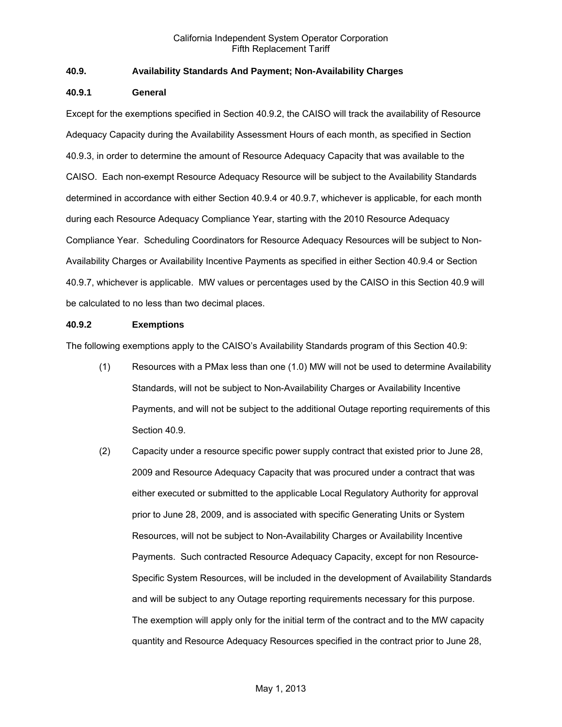# **40.9. Availability Standards And Payment; Non-Availability Charges**

### **40.9.1 General**

Except for the exemptions specified in Section 40.9.2, the CAISO will track the availability of Resource Adequacy Capacity during the Availability Assessment Hours of each month, as specified in Section 40.9.3, in order to determine the amount of Resource Adequacy Capacity that was available to the CAISO. Each non-exempt Resource Adequacy Resource will be subject to the Availability Standards determined in accordance with either Section 40.9.4 or 40.9.7, whichever is applicable, for each month during each Resource Adequacy Compliance Year, starting with the 2010 Resource Adequacy Compliance Year. Scheduling Coordinators for Resource Adequacy Resources will be subject to Non-Availability Charges or Availability Incentive Payments as specified in either Section 40.9.4 or Section 40.9.7, whichever is applicable. MW values or percentages used by the CAISO in this Section 40.9 will be calculated to no less than two decimal places.

### **40.9.2 Exemptions**

The following exemptions apply to the CAISO's Availability Standards program of this Section 40.9:

- (1) Resources with a PMax less than one (1.0) MW will not be used to determine Availability Standards, will not be subject to Non-Availability Charges or Availability Incentive Payments, and will not be subject to the additional Outage reporting requirements of this Section 40.9.
- (2) Capacity under a resource specific power supply contract that existed prior to June 28, 2009 and Resource Adequacy Capacity that was procured under a contract that was either executed or submitted to the applicable Local Regulatory Authority for approval prior to June 28, 2009, and is associated with specific Generating Units or System Resources, will not be subject to Non-Availability Charges or Availability Incentive Payments. Such contracted Resource Adequacy Capacity, except for non Resource-Specific System Resources, will be included in the development of Availability Standards and will be subject to any Outage reporting requirements necessary for this purpose. The exemption will apply only for the initial term of the contract and to the MW capacity quantity and Resource Adequacy Resources specified in the contract prior to June 28,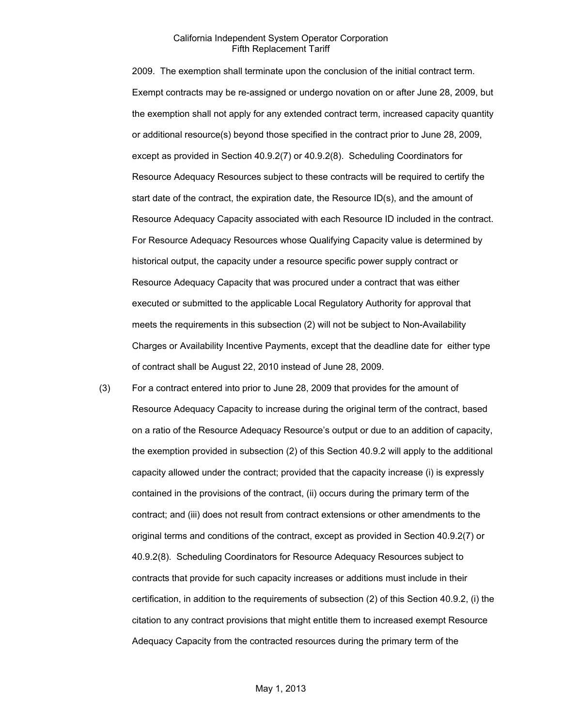2009. The exemption shall terminate upon the conclusion of the initial contract term. Exempt contracts may be re-assigned or undergo novation on or after June 28, 2009, but the exemption shall not apply for any extended contract term, increased capacity quantity or additional resource(s) beyond those specified in the contract prior to June 28, 2009, except as provided in Section 40.9.2(7) or 40.9.2(8). Scheduling Coordinators for Resource Adequacy Resources subject to these contracts will be required to certify the start date of the contract, the expiration date, the Resource ID(s), and the amount of Resource Adequacy Capacity associated with each Resource ID included in the contract. For Resource Adequacy Resources whose Qualifying Capacity value is determined by historical output, the capacity under a resource specific power supply contract or Resource Adequacy Capacity that was procured under a contract that was either executed or submitted to the applicable Local Regulatory Authority for approval that meets the requirements in this subsection (2) will not be subject to Non-Availability Charges or Availability Incentive Payments, except that the deadline date for either type of contract shall be August 22, 2010 instead of June 28, 2009.

(3) For a contract entered into prior to June 28, 2009 that provides for the amount of Resource Adequacy Capacity to increase during the original term of the contract, based on a ratio of the Resource Adequacy Resource's output or due to an addition of capacity, the exemption provided in subsection (2) of this Section 40.9.2 will apply to the additional capacity allowed under the contract; provided that the capacity increase (i) is expressly contained in the provisions of the contract, (ii) occurs during the primary term of the contract; and (iii) does not result from contract extensions or other amendments to the original terms and conditions of the contract, except as provided in Section 40.9.2(7) or 40.9.2(8). Scheduling Coordinators for Resource Adequacy Resources subject to contracts that provide for such capacity increases or additions must include in their certification, in addition to the requirements of subsection (2) of this Section 40.9.2, (i) the citation to any contract provisions that might entitle them to increased exempt Resource Adequacy Capacity from the contracted resources during the primary term of the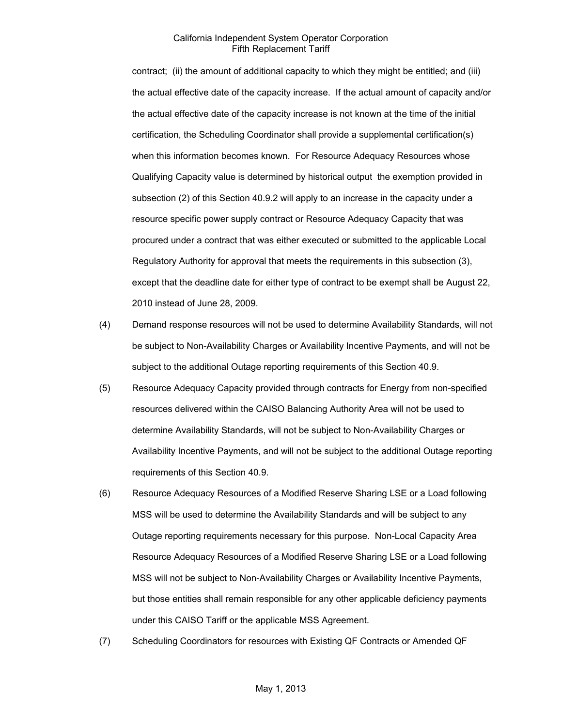contract; (ii) the amount of additional capacity to which they might be entitled; and (iii) the actual effective date of the capacity increase. If the actual amount of capacity and/or the actual effective date of the capacity increase is not known at the time of the initial certification, the Scheduling Coordinator shall provide a supplemental certification(s) when this information becomes known. For Resource Adequacy Resources whose Qualifying Capacity value is determined by historical output the exemption provided in subsection (2) of this Section 40.9.2 will apply to an increase in the capacity under a resource specific power supply contract or Resource Adequacy Capacity that was procured under a contract that was either executed or submitted to the applicable Local Regulatory Authority for approval that meets the requirements in this subsection (3), except that the deadline date for either type of contract to be exempt shall be August 22, 2010 instead of June 28, 2009.

- (4) Demand response resources will not be used to determine Availability Standards, will not be subject to Non-Availability Charges or Availability Incentive Payments, and will not be subject to the additional Outage reporting requirements of this Section 40.9.
- (5) Resource Adequacy Capacity provided through contracts for Energy from non-specified resources delivered within the CAISO Balancing Authority Area will not be used to determine Availability Standards, will not be subject to Non-Availability Charges or Availability Incentive Payments, and will not be subject to the additional Outage reporting requirements of this Section 40.9.
- (6) Resource Adequacy Resources of a Modified Reserve Sharing LSE or a Load following MSS will be used to determine the Availability Standards and will be subject to any Outage reporting requirements necessary for this purpose. Non-Local Capacity Area Resource Adequacy Resources of a Modified Reserve Sharing LSE or a Load following MSS will not be subject to Non-Availability Charges or Availability Incentive Payments, but those entities shall remain responsible for any other applicable deficiency payments under this CAISO Tariff or the applicable MSS Agreement.
- (7) Scheduling Coordinators for resources with Existing QF Contracts or Amended QF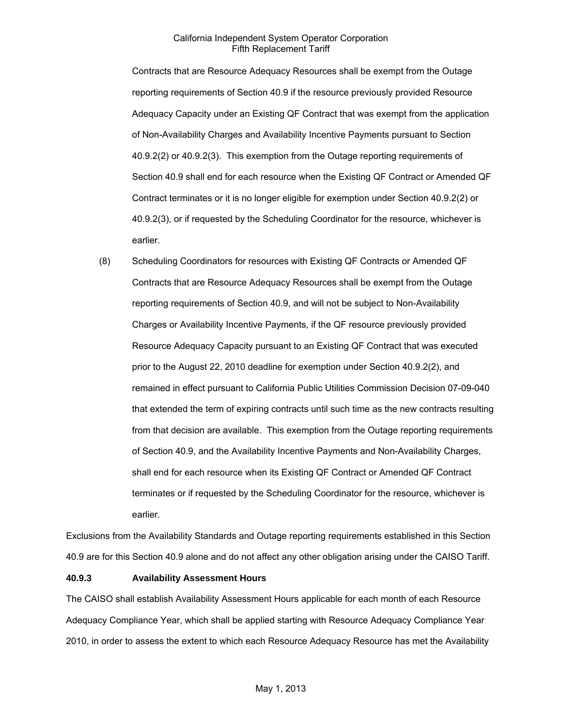Contracts that are Resource Adequacy Resources shall be exempt from the Outage reporting requirements of Section 40.9 if the resource previously provided Resource Adequacy Capacity under an Existing QF Contract that was exempt from the application of Non-Availability Charges and Availability Incentive Payments pursuant to Section 40.9.2(2) or 40.9.2(3). This exemption from the Outage reporting requirements of Section 40.9 shall end for each resource when the Existing QF Contract or Amended QF Contract terminates or it is no longer eligible for exemption under Section 40.9.2(2) or 40.9.2(3), or if requested by the Scheduling Coordinator for the resource, whichever is earlier.

(8) Scheduling Coordinators for resources with Existing QF Contracts or Amended QF Contracts that are Resource Adequacy Resources shall be exempt from the Outage reporting requirements of Section 40.9, and will not be subject to Non-Availability Charges or Availability Incentive Payments, if the QF resource previously provided Resource Adequacy Capacity pursuant to an Existing QF Contract that was executed prior to the August 22, 2010 deadline for exemption under Section 40.9.2(2), and remained in effect pursuant to California Public Utilities Commission Decision 07-09-040 that extended the term of expiring contracts until such time as the new contracts resulting from that decision are available. This exemption from the Outage reporting requirements of Section 40.9, and the Availability Incentive Payments and Non-Availability Charges, shall end for each resource when its Existing QF Contract or Amended QF Contract terminates or if requested by the Scheduling Coordinator for the resource, whichever is earlier.

Exclusions from the Availability Standards and Outage reporting requirements established in this Section 40.9 are for this Section 40.9 alone and do not affect any other obligation arising under the CAISO Tariff.

#### **40.9.3 Availability Assessment Hours**

The CAISO shall establish Availability Assessment Hours applicable for each month of each Resource Adequacy Compliance Year, which shall be applied starting with Resource Adequacy Compliance Year 2010, in order to assess the extent to which each Resource Adequacy Resource has met the Availability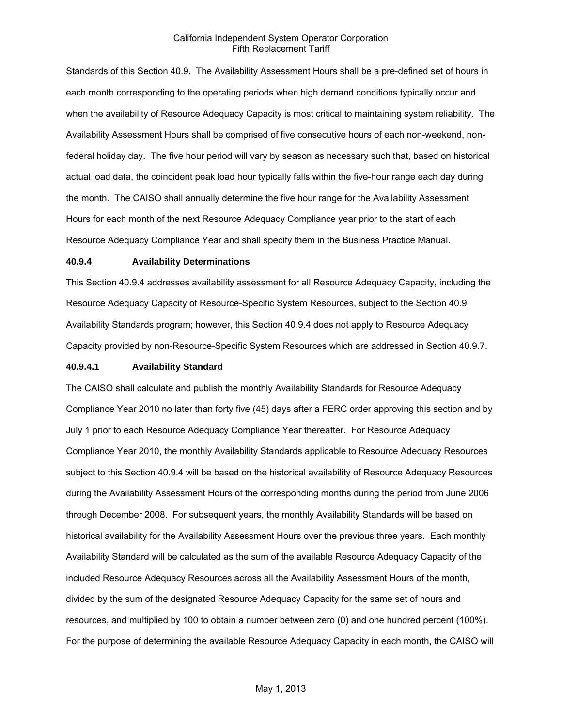Standards of this Section 40.9. The Availability Assessment Hours shall be a pre-defined set of hours in each month corresponding to the operating periods when high demand conditions typically occur and when the availability of Resource Adequacy Capacity is most critical to maintaining system reliability. The Availability Assessment Hours shall be comprised of five consecutive hours of each non-weekend, nonfederal holiday day. The five hour period will vary by season as necessary such that, based on historical actual load data, the coincident peak load hour typically falls within the five-hour range each day during the month. The CAISO shall annually determine the five hour range for the Availability Assessment Hours for each month of the next Resource Adequacy Compliance year prior to the start of each Resource Adequacy Compliance Year and shall specify them in the Business Practice Manual.

#### **40.9.4 Availability Determinations**

This Section 40.9.4 addresses availability assessment for all Resource Adequacy Capacity, including the Resource Adequacy Capacity of Resource-Specific System Resources, subject to the Section 40.9 Availability Standards program; however, this Section 40.9.4 does not apply to Resource Adequacy Capacity provided by non-Resource-Specific System Resources which are addressed in Section 40.9.7.

### **40.9.4.1 Availability Standard**

The CAISO shall calculate and publish the monthly Availability Standards for Resource Adequacy Compliance Year 2010 no later than forty five (45) days after a FERC order approving this section and by July 1 prior to each Resource Adequacy Compliance Year thereafter. For Resource Adequacy Compliance Year 2010, the monthly Availability Standards applicable to Resource Adequacy Resources subject to this Section 40.9.4 will be based on the historical availability of Resource Adequacy Resources during the Availability Assessment Hours of the corresponding months during the period from June 2006 through December 2008. For subsequent years, the monthly Availability Standards will be based on historical availability for the Availability Assessment Hours over the previous three years. Each monthly Availability Standard will be calculated as the sum of the available Resource Adequacy Capacity of the included Resource Adequacy Resources across all the Availability Assessment Hours of the month, divided by the sum of the designated Resource Adequacy Capacity for the same set of hours and resources, and multiplied by 100 to obtain a number between zero (0) and one hundred percent (100%). For the purpose of determining the available Resource Adequacy Capacity in each month, the CAISO will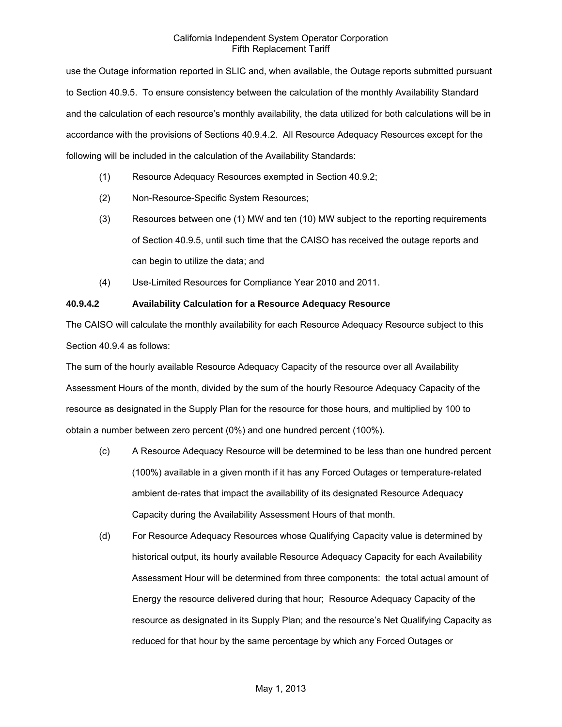use the Outage information reported in SLIC and, when available, the Outage reports submitted pursuant to Section 40.9.5. To ensure consistency between the calculation of the monthly Availability Standard and the calculation of each resource's monthly availability, the data utilized for both calculations will be in accordance with the provisions of Sections 40.9.4.2. All Resource Adequacy Resources except for the following will be included in the calculation of the Availability Standards:

- (1) Resource Adequacy Resources exempted in Section 40.9.2;
- (2) Non-Resource-Specific System Resources;
- (3) Resources between one (1) MW and ten (10) MW subject to the reporting requirements of Section 40.9.5, until such time that the CAISO has received the outage reports and can begin to utilize the data; and
- (4) Use-Limited Resources for Compliance Year 2010 and 2011.

# **40.9.4.2 Availability Calculation for a Resource Adequacy Resource**

The CAISO will calculate the monthly availability for each Resource Adequacy Resource subject to this Section 40.9.4 as follows:

The sum of the hourly available Resource Adequacy Capacity of the resource over all Availability Assessment Hours of the month, divided by the sum of the hourly Resource Adequacy Capacity of the resource as designated in the Supply Plan for the resource for those hours, and multiplied by 100 to obtain a number between zero percent (0%) and one hundred percent (100%).

- (c) A Resource Adequacy Resource will be determined to be less than one hundred percent (100%) available in a given month if it has any Forced Outages or temperature-related ambient de-rates that impact the availability of its designated Resource Adequacy Capacity during the Availability Assessment Hours of that month.
- (d) For Resource Adequacy Resources whose Qualifying Capacity value is determined by historical output, its hourly available Resource Adequacy Capacity for each Availability Assessment Hour will be determined from three components: the total actual amount of Energy the resource delivered during that hour; Resource Adequacy Capacity of the resource as designated in its Supply Plan; and the resource's Net Qualifying Capacity as reduced for that hour by the same percentage by which any Forced Outages or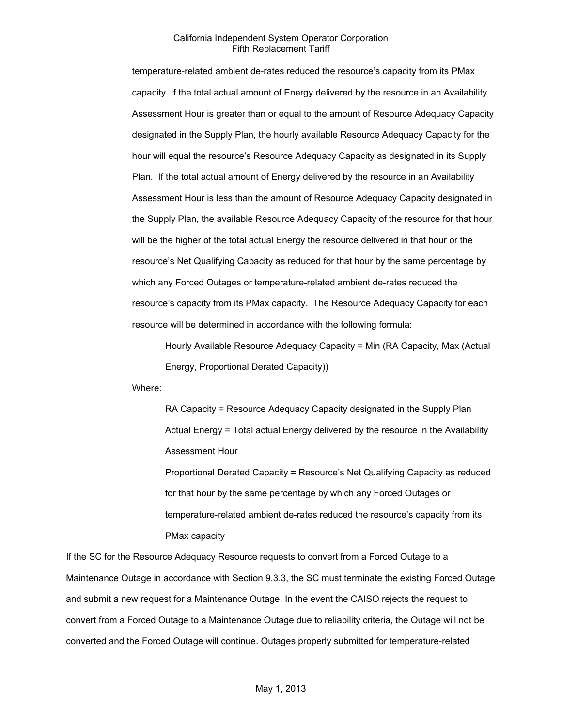temperature-related ambient de-rates reduced the resource's capacity from its PMax capacity. If the total actual amount of Energy delivered by the resource in an Availability Assessment Hour is greater than or equal to the amount of Resource Adequacy Capacity designated in the Supply Plan, the hourly available Resource Adequacy Capacity for the hour will equal the resource's Resource Adequacy Capacity as designated in its Supply Plan. If the total actual amount of Energy delivered by the resource in an Availability Assessment Hour is less than the amount of Resource Adequacy Capacity designated in the Supply Plan, the available Resource Adequacy Capacity of the resource for that hour will be the higher of the total actual Energy the resource delivered in that hour or the resource's Net Qualifying Capacity as reduced for that hour by the same percentage by which any Forced Outages or temperature-related ambient de-rates reduced the resource's capacity from its PMax capacity. The Resource Adequacy Capacity for each resource will be determined in accordance with the following formula:

Hourly Available Resource Adequacy Capacity = Min (RA Capacity, Max (Actual Energy, Proportional Derated Capacity))

Where:

RA Capacity = Resource Adequacy Capacity designated in the Supply Plan Actual Energy = Total actual Energy delivered by the resource in the Availability Assessment Hour

Proportional Derated Capacity = Resource's Net Qualifying Capacity as reduced for that hour by the same percentage by which any Forced Outages or temperature-related ambient de-rates reduced the resource's capacity from its PMax capacity

If the SC for the Resource Adequacy Resource requests to convert from a Forced Outage to a Maintenance Outage in accordance with Section 9.3.3, the SC must terminate the existing Forced Outage and submit a new request for a Maintenance Outage. In the event the CAISO rejects the request to convert from a Forced Outage to a Maintenance Outage due to reliability criteria, the Outage will not be converted and the Forced Outage will continue. Outages properly submitted for temperature-related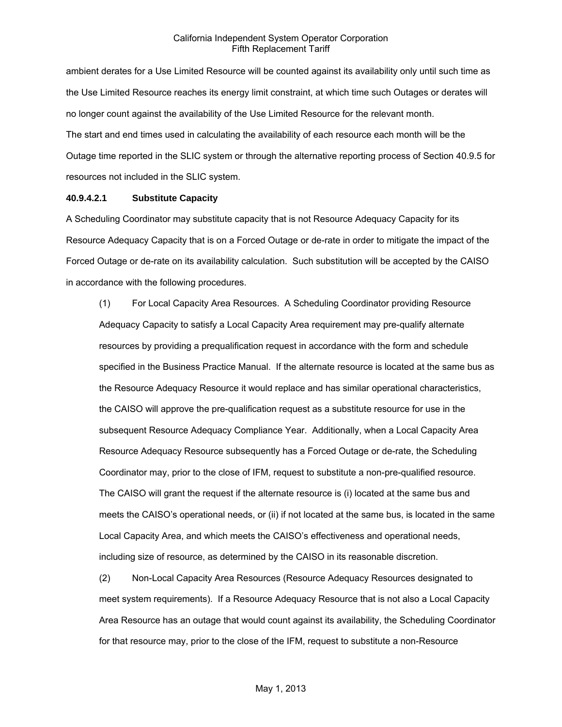ambient derates for a Use Limited Resource will be counted against its availability only until such time as the Use Limited Resource reaches its energy limit constraint, at which time such Outages or derates will no longer count against the availability of the Use Limited Resource for the relevant month. The start and end times used in calculating the availability of each resource each month will be the Outage time reported in the SLIC system or through the alternative reporting process of Section 40.9.5 for resources not included in the SLIC system.

### **40.9.4.2.1 Substitute Capacity**

A Scheduling Coordinator may substitute capacity that is not Resource Adequacy Capacity for its Resource Adequacy Capacity that is on a Forced Outage or de-rate in order to mitigate the impact of the Forced Outage or de-rate on its availability calculation. Such substitution will be accepted by the CAISO in accordance with the following procedures.

(1) For Local Capacity Area Resources. A Scheduling Coordinator providing Resource Adequacy Capacity to satisfy a Local Capacity Area requirement may pre-qualify alternate resources by providing a prequalification request in accordance with the form and schedule specified in the Business Practice Manual. If the alternate resource is located at the same bus as the Resource Adequacy Resource it would replace and has similar operational characteristics, the CAISO will approve the pre-qualification request as a substitute resource for use in the subsequent Resource Adequacy Compliance Year. Additionally, when a Local Capacity Area Resource Adequacy Resource subsequently has a Forced Outage or de-rate, the Scheduling Coordinator may, prior to the close of IFM, request to substitute a non-pre-qualified resource. The CAISO will grant the request if the alternate resource is (i) located at the same bus and meets the CAISO's operational needs, or (ii) if not located at the same bus, is located in the same Local Capacity Area, and which meets the CAISO's effectiveness and operational needs, including size of resource, as determined by the CAISO in its reasonable discretion.

(2) Non-Local Capacity Area Resources (Resource Adequacy Resources designated to meet system requirements). If a Resource Adequacy Resource that is not also a Local Capacity Area Resource has an outage that would count against its availability, the Scheduling Coordinator for that resource may, prior to the close of the IFM, request to substitute a non-Resource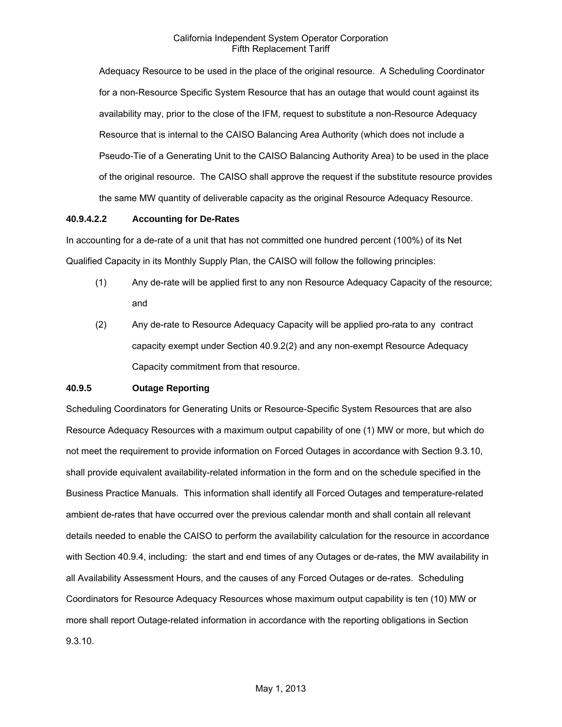Adequacy Resource to be used in the place of the original resource. A Scheduling Coordinator for a non-Resource Specific System Resource that has an outage that would count against its availability may, prior to the close of the IFM, request to substitute a non-Resource Adequacy Resource that is internal to the CAISO Balancing Area Authority (which does not include a Pseudo-Tie of a Generating Unit to the CAISO Balancing Authority Area) to be used in the place of the original resource. The CAISO shall approve the request if the substitute resource provides the same MW quantity of deliverable capacity as the original Resource Adequacy Resource.

### **40.9.4.2.2 Accounting for De-Rates**

In accounting for a de-rate of a unit that has not committed one hundred percent (100%) of its Net Qualified Capacity in its Monthly Supply Plan, the CAISO will follow the following principles:

- (1) Any de-rate will be applied first to any non Resource Adequacy Capacity of the resource; and
- (2) Any de-rate to Resource Adequacy Capacity will be applied pro-rata to any contract capacity exempt under Section 40.9.2(2) and any non-exempt Resource Adequacy Capacity commitment from that resource.

### **40.9.5 Outage Reporting**

Scheduling Coordinators for Generating Units or Resource-Specific System Resources that are also Resource Adequacy Resources with a maximum output capability of one (1) MW or more, but which do not meet the requirement to provide information on Forced Outages in accordance with Section 9.3.10, shall provide equivalent availability-related information in the form and on the schedule specified in the Business Practice Manuals. This information shall identify all Forced Outages and temperature-related ambient de-rates that have occurred over the previous calendar month and shall contain all relevant details needed to enable the CAISO to perform the availability calculation for the resource in accordance with Section 40.9.4, including: the start and end times of any Outages or de-rates, the MW availability in all Availability Assessment Hours, and the causes of any Forced Outages or de-rates. Scheduling Coordinators for Resource Adequacy Resources whose maximum output capability is ten (10) MW or more shall report Outage-related information in accordance with the reporting obligations in Section 9.3.10.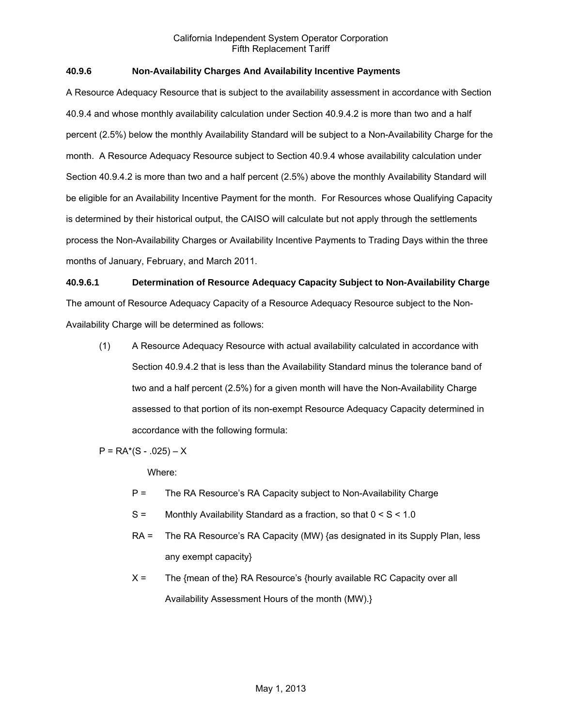# **40.9.6 Non-Availability Charges And Availability Incentive Payments**

A Resource Adequacy Resource that is subject to the availability assessment in accordance with Section 40.9.4 and whose monthly availability calculation under Section 40.9.4.2 is more than two and a half percent (2.5%) below the monthly Availability Standard will be subject to a Non-Availability Charge for the month. A Resource Adequacy Resource subject to Section 40.9.4 whose availability calculation under Section 40.9.4.2 is more than two and a half percent (2.5%) above the monthly Availability Standard will be eligible for an Availability Incentive Payment for the month. For Resources whose Qualifying Capacity is determined by their historical output, the CAISO will calculate but not apply through the settlements process the Non-Availability Charges or Availability Incentive Payments to Trading Days within the three months of January, February, and March 2011.

### **40.9.6.1 Determination of Resource Adequacy Capacity Subject to Non-Availability Charge**

The amount of Resource Adequacy Capacity of a Resource Adequacy Resource subject to the Non-Availability Charge will be determined as follows:

(1) A Resource Adequacy Resource with actual availability calculated in accordance with Section 40.9.4.2 that is less than the Availability Standard minus the tolerance band of two and a half percent (2.5%) for a given month will have the Non-Availability Charge assessed to that portion of its non-exempt Resource Adequacy Capacity determined in accordance with the following formula:

 $P = RA<sup>*</sup>(S - .025) - X$ 

Where:

- P = The RA Resource's RA Capacity subject to Non-Availability Charge
- S = Monthly Availability Standard as a fraction, so that 0 < S < 1.0
- RA = The RA Resource's RA Capacity (MW) {as designated in its Supply Plan, less any exempt capacity}
- X = The {mean of the} RA Resource's {hourly available RC Capacity over all Availability Assessment Hours of the month (MW).}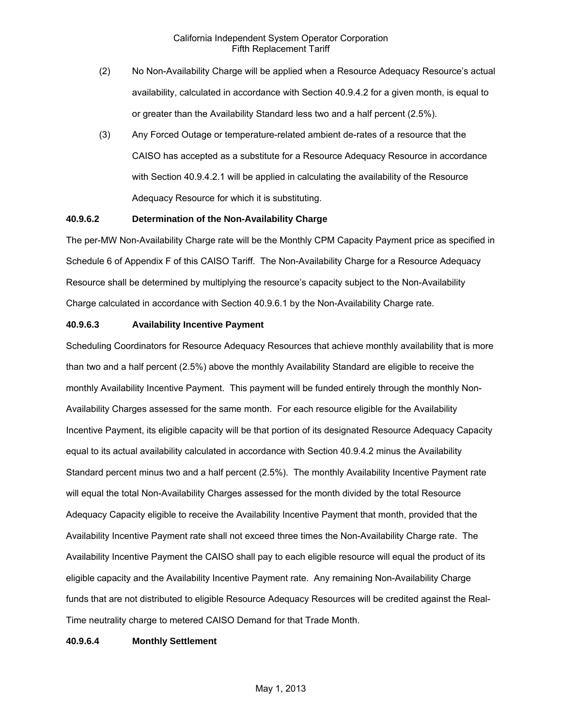- (2) No Non-Availability Charge will be applied when a Resource Adequacy Resource's actual availability, calculated in accordance with Section 40.9.4.2 for a given month, is equal to or greater than the Availability Standard less two and a half percent (2.5%).
- (3) Any Forced Outage or temperature-related ambient de-rates of a resource that the CAISO has accepted as a substitute for a Resource Adequacy Resource in accordance with Section 40.9.4.2.1 will be applied in calculating the availability of the Resource Adequacy Resource for which it is substituting.

# **40.9.6.2 Determination of the Non-Availability Charge**

The per-MW Non-Availability Charge rate will be the Monthly CPM Capacity Payment price as specified in Schedule 6 of Appendix F of this CAISO Tariff. The Non-Availability Charge for a Resource Adequacy Resource shall be determined by multiplying the resource's capacity subject to the Non-Availability Charge calculated in accordance with Section 40.9.6.1 by the Non-Availability Charge rate.

#### **40.9.6.3 Availability Incentive Payment**

Scheduling Coordinators for Resource Adequacy Resources that achieve monthly availability that is more than two and a half percent (2.5%) above the monthly Availability Standard are eligible to receive the monthly Availability Incentive Payment. This payment will be funded entirely through the monthly Non-Availability Charges assessed for the same month. For each resource eligible for the Availability Incentive Payment, its eligible capacity will be that portion of its designated Resource Adequacy Capacity equal to its actual availability calculated in accordance with Section 40.9.4.2 minus the Availability Standard percent minus two and a half percent (2.5%). The monthly Availability Incentive Payment rate will equal the total Non-Availability Charges assessed for the month divided by the total Resource Adequacy Capacity eligible to receive the Availability Incentive Payment that month, provided that the Availability Incentive Payment rate shall not exceed three times the Non-Availability Charge rate. The Availability Incentive Payment the CAISO shall pay to each eligible resource will equal the product of its eligible capacity and the Availability Incentive Payment rate. Any remaining Non-Availability Charge funds that are not distributed to eligible Resource Adequacy Resources will be credited against the Real-Time neutrality charge to metered CAISO Demand for that Trade Month.

### **40.9.6.4 Monthly Settlement**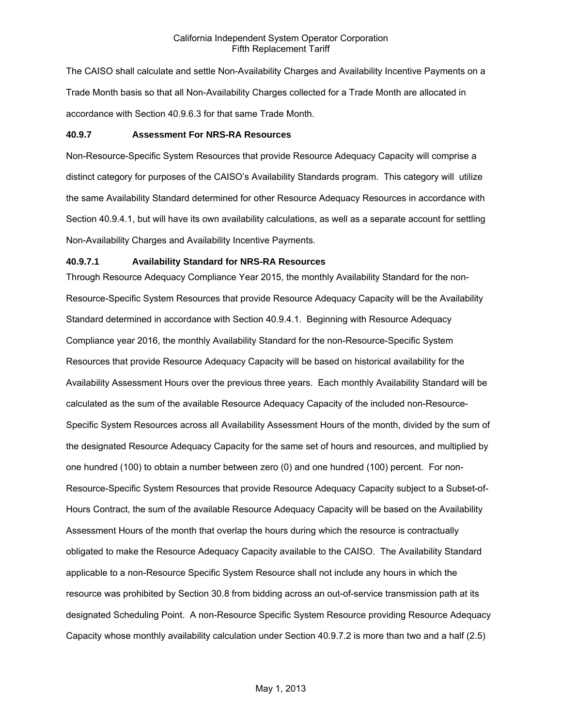The CAISO shall calculate and settle Non-Availability Charges and Availability Incentive Payments on a Trade Month basis so that all Non-Availability Charges collected for a Trade Month are allocated in accordance with Section 40.9.6.3 for that same Trade Month.

### **40.9.7 Assessment For NRS-RA Resources**

Non-Resource-Specific System Resources that provide Resource Adequacy Capacity will comprise a distinct category for purposes of the CAISO's Availability Standards program. This category will utilize the same Availability Standard determined for other Resource Adequacy Resources in accordance with Section 40.9.4.1, but will have its own availability calculations, as well as a separate account for settling Non-Availability Charges and Availability Incentive Payments.

### **40.9.7.1 Availability Standard for NRS-RA Resources**

Through Resource Adequacy Compliance Year 2015, the monthly Availability Standard for the non-Resource-Specific System Resources that provide Resource Adequacy Capacity will be the Availability Standard determined in accordance with Section 40.9.4.1. Beginning with Resource Adequacy Compliance year 2016, the monthly Availability Standard for the non-Resource-Specific System Resources that provide Resource Adequacy Capacity will be based on historical availability for the Availability Assessment Hours over the previous three years. Each monthly Availability Standard will be calculated as the sum of the available Resource Adequacy Capacity of the included non-Resource-Specific System Resources across all Availability Assessment Hours of the month, divided by the sum of the designated Resource Adequacy Capacity for the same set of hours and resources, and multiplied by one hundred (100) to obtain a number between zero (0) and one hundred (100) percent. For non-Resource-Specific System Resources that provide Resource Adequacy Capacity subject to a Subset-of-Hours Contract, the sum of the available Resource Adequacy Capacity will be based on the Availability Assessment Hours of the month that overlap the hours during which the resource is contractually obligated to make the Resource Adequacy Capacity available to the CAISO. The Availability Standard applicable to a non-Resource Specific System Resource shall not include any hours in which the resource was prohibited by Section 30.8 from bidding across an out-of-service transmission path at its designated Scheduling Point. A non-Resource Specific System Resource providing Resource Adequacy Capacity whose monthly availability calculation under Section 40.9.7.2 is more than two and a half (2.5)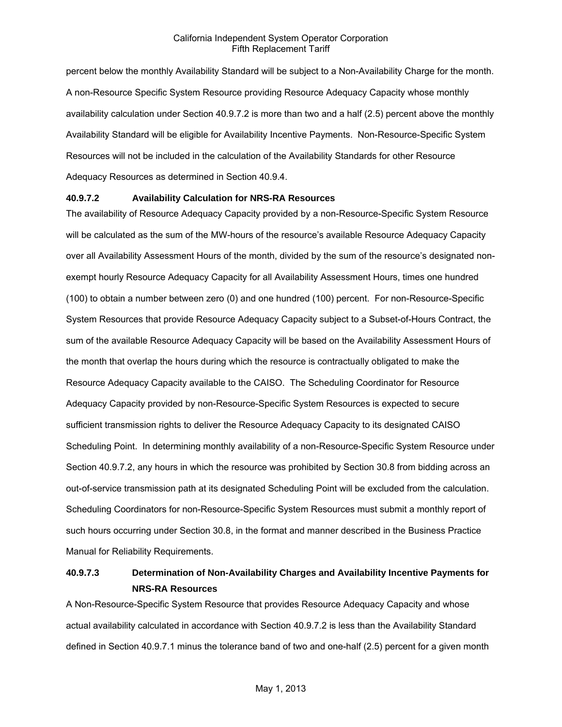percent below the monthly Availability Standard will be subject to a Non-Availability Charge for the month. A non-Resource Specific System Resource providing Resource Adequacy Capacity whose monthly availability calculation under Section 40.9.7.2 is more than two and a half (2.5) percent above the monthly Availability Standard will be eligible for Availability Incentive Payments. Non-Resource-Specific System Resources will not be included in the calculation of the Availability Standards for other Resource Adequacy Resources as determined in Section 40.9.4.

### **40.9.7.2 Availability Calculation for NRS-RA Resources**

The availability of Resource Adequacy Capacity provided by a non-Resource-Specific System Resource will be calculated as the sum of the MW-hours of the resource's available Resource Adequacy Capacity over all Availability Assessment Hours of the month, divided by the sum of the resource's designated nonexempt hourly Resource Adequacy Capacity for all Availability Assessment Hours, times one hundred (100) to obtain a number between zero (0) and one hundred (100) percent. For non-Resource-Specific System Resources that provide Resource Adequacy Capacity subject to a Subset-of-Hours Contract, the sum of the available Resource Adequacy Capacity will be based on the Availability Assessment Hours of the month that overlap the hours during which the resource is contractually obligated to make the Resource Adequacy Capacity available to the CAISO. The Scheduling Coordinator for Resource Adequacy Capacity provided by non-Resource-Specific System Resources is expected to secure sufficient transmission rights to deliver the Resource Adequacy Capacity to its designated CAISO Scheduling Point. In determining monthly availability of a non-Resource-Specific System Resource under Section 40.9.7.2, any hours in which the resource was prohibited by Section 30.8 from bidding across an out-of-service transmission path at its designated Scheduling Point will be excluded from the calculation. Scheduling Coordinators for non-Resource-Specific System Resources must submit a monthly report of such hours occurring under Section 30.8, in the format and manner described in the Business Practice Manual for Reliability Requirements.

# **40.9.7.3 Determination of Non-Availability Charges and Availability Incentive Payments for NRS-RA Resources**

A Non-Resource-Specific System Resource that provides Resource Adequacy Capacity and whose actual availability calculated in accordance with Section 40.9.7.2 is less than the Availability Standard defined in Section 40.9.7.1 minus the tolerance band of two and one-half (2.5) percent for a given month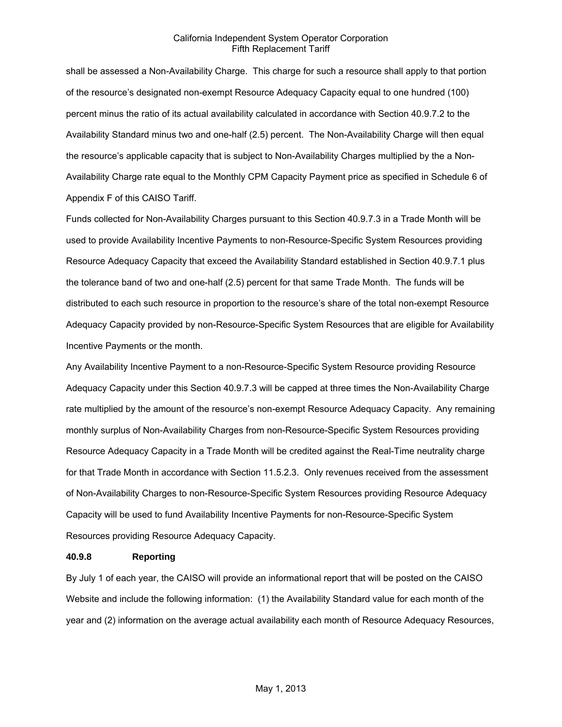shall be assessed a Non-Availability Charge. This charge for such a resource shall apply to that portion of the resource's designated non-exempt Resource Adequacy Capacity equal to one hundred (100) percent minus the ratio of its actual availability calculated in accordance with Section 40.9.7.2 to the Availability Standard minus two and one-half (2.5) percent. The Non-Availability Charge will then equal the resource's applicable capacity that is subject to Non-Availability Charges multiplied by the a Non-Availability Charge rate equal to the Monthly CPM Capacity Payment price as specified in Schedule 6 of Appendix F of this CAISO Tariff.

Funds collected for Non-Availability Charges pursuant to this Section 40.9.7.3 in a Trade Month will be used to provide Availability Incentive Payments to non-Resource-Specific System Resources providing Resource Adequacy Capacity that exceed the Availability Standard established in Section 40.9.7.1 plus the tolerance band of two and one-half (2.5) percent for that same Trade Month. The funds will be distributed to each such resource in proportion to the resource's share of the total non-exempt Resource Adequacy Capacity provided by non-Resource-Specific System Resources that are eligible for Availability Incentive Payments or the month.

Any Availability Incentive Payment to a non-Resource-Specific System Resource providing Resource Adequacy Capacity under this Section 40.9.7.3 will be capped at three times the Non-Availability Charge rate multiplied by the amount of the resource's non-exempt Resource Adequacy Capacity. Any remaining monthly surplus of Non-Availability Charges from non-Resource-Specific System Resources providing Resource Adequacy Capacity in a Trade Month will be credited against the Real-Time neutrality charge for that Trade Month in accordance with Section 11.5.2.3. Only revenues received from the assessment of Non-Availability Charges to non-Resource-Specific System Resources providing Resource Adequacy Capacity will be used to fund Availability Incentive Payments for non-Resource-Specific System Resources providing Resource Adequacy Capacity.

#### **40.9.8 Reporting**

By July 1 of each year, the CAISO will provide an informational report that will be posted on the CAISO Website and include the following information: (1) the Availability Standard value for each month of the year and (2) information on the average actual availability each month of Resource Adequacy Resources,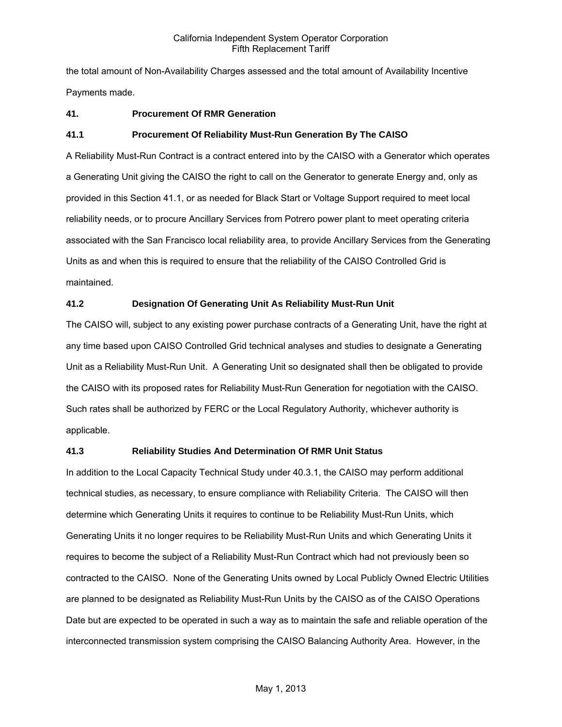the total amount of Non-Availability Charges assessed and the total amount of Availability Incentive Payments made.

# **41. Procurement Of RMR Generation**

### **41.1 Procurement Of Reliability Must-Run Generation By The CAISO**

A Reliability Must-Run Contract is a contract entered into by the CAISO with a Generator which operates a Generating Unit giving the CAISO the right to call on the Generator to generate Energy and, only as provided in this Section 41.1, or as needed for Black Start or Voltage Support required to meet local reliability needs, or to procure Ancillary Services from Potrero power plant to meet operating criteria associated with the San Francisco local reliability area, to provide Ancillary Services from the Generating Units as and when this is required to ensure that the reliability of the CAISO Controlled Grid is maintained.

# **41.2 Designation Of Generating Unit As Reliability Must-Run Unit**

The CAISO will, subject to any existing power purchase contracts of a Generating Unit, have the right at any time based upon CAISO Controlled Grid technical analyses and studies to designate a Generating Unit as a Reliability Must-Run Unit. A Generating Unit so designated shall then be obligated to provide the CAISO with its proposed rates for Reliability Must-Run Generation for negotiation with the CAISO. Such rates shall be authorized by FERC or the Local Regulatory Authority, whichever authority is applicable.

### **41.3 Reliability Studies And Determination Of RMR Unit Status**

In addition to the Local Capacity Technical Study under 40.3.1, the CAISO may perform additional technical studies, as necessary, to ensure compliance with Reliability Criteria. The CAISO will then determine which Generating Units it requires to continue to be Reliability Must-Run Units, which Generating Units it no longer requires to be Reliability Must-Run Units and which Generating Units it requires to become the subject of a Reliability Must-Run Contract which had not previously been so contracted to the CAISO. None of the Generating Units owned by Local Publicly Owned Electric Utilities are planned to be designated as Reliability Must-Run Units by the CAISO as of the CAISO Operations Date but are expected to be operated in such a way as to maintain the safe and reliable operation of the interconnected transmission system comprising the CAISO Balancing Authority Area. However, in the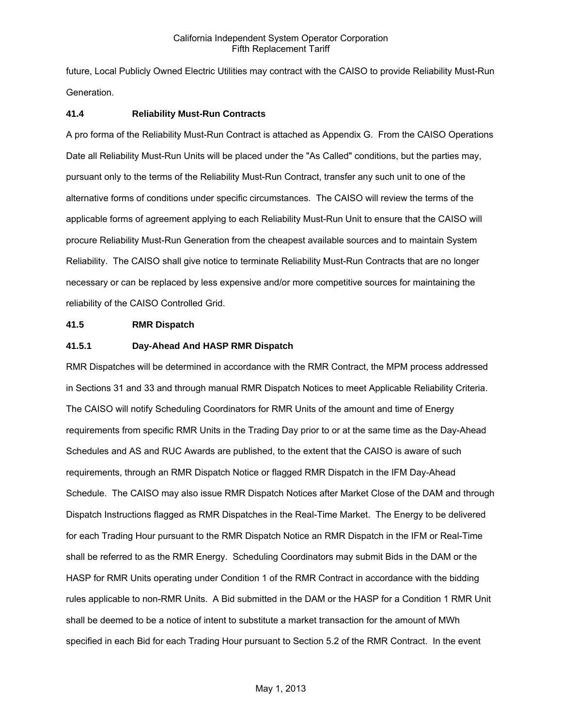future, Local Publicly Owned Electric Utilities may contract with the CAISO to provide Reliability Must-Run Generation.

### **41.4 Reliability Must-Run Contracts**

A pro forma of the Reliability Must-Run Contract is attached as Appendix G. From the CAISO Operations Date all Reliability Must-Run Units will be placed under the "As Called" conditions, but the parties may, pursuant only to the terms of the Reliability Must-Run Contract, transfer any such unit to one of the alternative forms of conditions under specific circumstances. The CAISO will review the terms of the applicable forms of agreement applying to each Reliability Must-Run Unit to ensure that the CAISO will procure Reliability Must-Run Generation from the cheapest available sources and to maintain System Reliability. The CAISO shall give notice to terminate Reliability Must-Run Contracts that are no longer necessary or can be replaced by less expensive and/or more competitive sources for maintaining the reliability of the CAISO Controlled Grid.

### **41.5 RMR Dispatch**

### **41.5.1 Day-Ahead And HASP RMR Dispatch**

RMR Dispatches will be determined in accordance with the RMR Contract, the MPM process addressed in Sections 31 and 33 and through manual RMR Dispatch Notices to meet Applicable Reliability Criteria. The CAISO will notify Scheduling Coordinators for RMR Units of the amount and time of Energy requirements from specific RMR Units in the Trading Day prior to or at the same time as the Day-Ahead Schedules and AS and RUC Awards are published, to the extent that the CAISO is aware of such requirements, through an RMR Dispatch Notice or flagged RMR Dispatch in the IFM Day-Ahead Schedule. The CAISO may also issue RMR Dispatch Notices after Market Close of the DAM and through Dispatch Instructions flagged as RMR Dispatches in the Real-Time Market. The Energy to be delivered for each Trading Hour pursuant to the RMR Dispatch Notice an RMR Dispatch in the IFM or Real-Time shall be referred to as the RMR Energy. Scheduling Coordinators may submit Bids in the DAM or the HASP for RMR Units operating under Condition 1 of the RMR Contract in accordance with the bidding rules applicable to non-RMR Units. A Bid submitted in the DAM or the HASP for a Condition 1 RMR Unit shall be deemed to be a notice of intent to substitute a market transaction for the amount of MWh specified in each Bid for each Trading Hour pursuant to Section 5.2 of the RMR Contract. In the event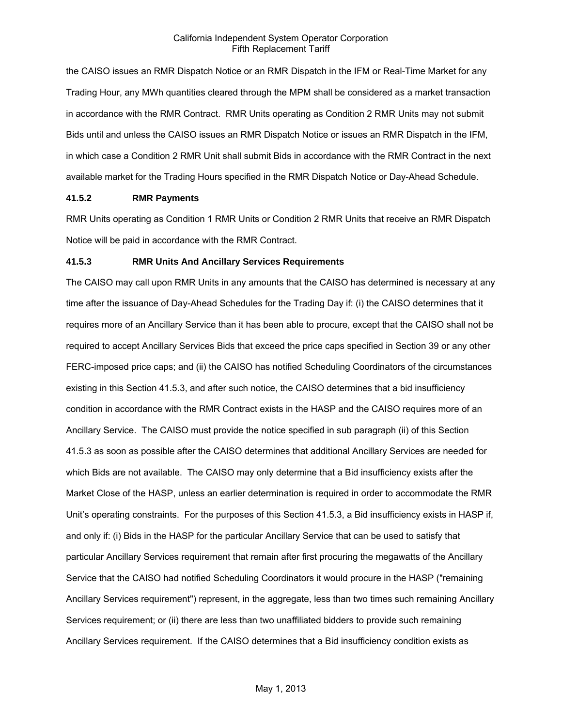the CAISO issues an RMR Dispatch Notice or an RMR Dispatch in the IFM or Real-Time Market for any Trading Hour, any MWh quantities cleared through the MPM shall be considered as a market transaction in accordance with the RMR Contract. RMR Units operating as Condition 2 RMR Units may not submit Bids until and unless the CAISO issues an RMR Dispatch Notice or issues an RMR Dispatch in the IFM, in which case a Condition 2 RMR Unit shall submit Bids in accordance with the RMR Contract in the next available market for the Trading Hours specified in the RMR Dispatch Notice or Day-Ahead Schedule.

### **41.5.2 RMR Payments**

RMR Units operating as Condition 1 RMR Units or Condition 2 RMR Units that receive an RMR Dispatch Notice will be paid in accordance with the RMR Contract.

### **41.5.3 RMR Units And Ancillary Services Requirements**

The CAISO may call upon RMR Units in any amounts that the CAISO has determined is necessary at any time after the issuance of Day-Ahead Schedules for the Trading Day if: (i) the CAISO determines that it requires more of an Ancillary Service than it has been able to procure, except that the CAISO shall not be required to accept Ancillary Services Bids that exceed the price caps specified in Section 39 or any other FERC-imposed price caps; and (ii) the CAISO has notified Scheduling Coordinators of the circumstances existing in this Section 41.5.3, and after such notice, the CAISO determines that a bid insufficiency condition in accordance with the RMR Contract exists in the HASP and the CAISO requires more of an Ancillary Service. The CAISO must provide the notice specified in sub paragraph (ii) of this Section 41.5.3 as soon as possible after the CAISO determines that additional Ancillary Services are needed for which Bids are not available. The CAISO may only determine that a Bid insufficiency exists after the Market Close of the HASP, unless an earlier determination is required in order to accommodate the RMR Unit's operating constraints. For the purposes of this Section 41.5.3, a Bid insufficiency exists in HASP if, and only if: (i) Bids in the HASP for the particular Ancillary Service that can be used to satisfy that particular Ancillary Services requirement that remain after first procuring the megawatts of the Ancillary Service that the CAISO had notified Scheduling Coordinators it would procure in the HASP ("remaining Ancillary Services requirement") represent, in the aggregate, less than two times such remaining Ancillary Services requirement; or (ii) there are less than two unaffiliated bidders to provide such remaining Ancillary Services requirement. If the CAISO determines that a Bid insufficiency condition exists as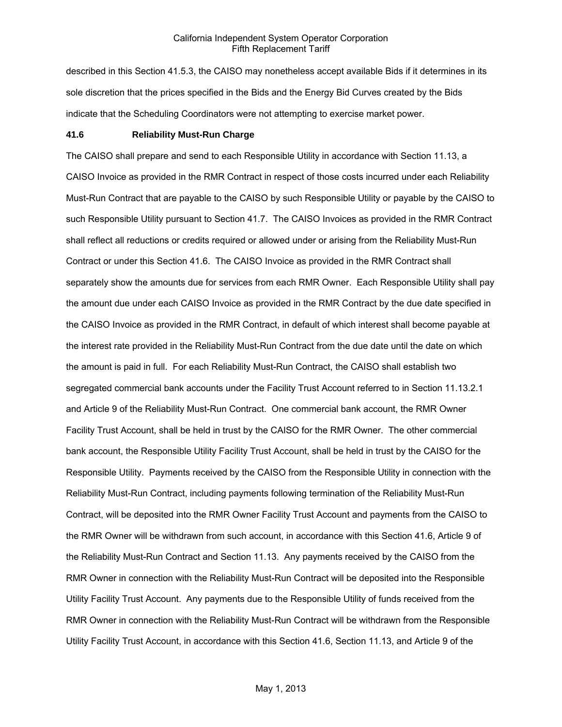described in this Section 41.5.3, the CAISO may nonetheless accept available Bids if it determines in its sole discretion that the prices specified in the Bids and the Energy Bid Curves created by the Bids indicate that the Scheduling Coordinators were not attempting to exercise market power.

#### **41.6 Reliability Must-Run Charge**

The CAISO shall prepare and send to each Responsible Utility in accordance with Section 11.13, a CAISO Invoice as provided in the RMR Contract in respect of those costs incurred under each Reliability Must-Run Contract that are payable to the CAISO by such Responsible Utility or payable by the CAISO to such Responsible Utility pursuant to Section 41.7. The CAISO Invoices as provided in the RMR Contract shall reflect all reductions or credits required or allowed under or arising from the Reliability Must-Run Contract or under this Section 41.6. The CAISO Invoice as provided in the RMR Contract shall separately show the amounts due for services from each RMR Owner. Each Responsible Utility shall pay the amount due under each CAISO Invoice as provided in the RMR Contract by the due date specified in the CAISO Invoice as provided in the RMR Contract, in default of which interest shall become payable at the interest rate provided in the Reliability Must-Run Contract from the due date until the date on which the amount is paid in full. For each Reliability Must-Run Contract, the CAISO shall establish two segregated commercial bank accounts under the Facility Trust Account referred to in Section 11.13.2.1 and Article 9 of the Reliability Must-Run Contract. One commercial bank account, the RMR Owner Facility Trust Account, shall be held in trust by the CAISO for the RMR Owner. The other commercial bank account, the Responsible Utility Facility Trust Account, shall be held in trust by the CAISO for the Responsible Utility. Payments received by the CAISO from the Responsible Utility in connection with the Reliability Must-Run Contract, including payments following termination of the Reliability Must-Run Contract, will be deposited into the RMR Owner Facility Trust Account and payments from the CAISO to the RMR Owner will be withdrawn from such account, in accordance with this Section 41.6, Article 9 of the Reliability Must-Run Contract and Section 11.13. Any payments received by the CAISO from the RMR Owner in connection with the Reliability Must-Run Contract will be deposited into the Responsible Utility Facility Trust Account. Any payments due to the Responsible Utility of funds received from the RMR Owner in connection with the Reliability Must-Run Contract will be withdrawn from the Responsible Utility Facility Trust Account, in accordance with this Section 41.6, Section 11.13, and Article 9 of the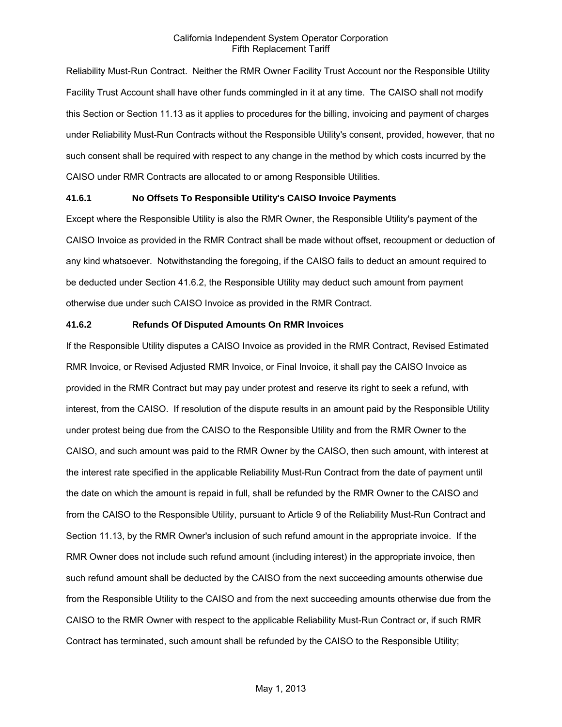Reliability Must-Run Contract. Neither the RMR Owner Facility Trust Account nor the Responsible Utility Facility Trust Account shall have other funds commingled in it at any time. The CAISO shall not modify this Section or Section 11.13 as it applies to procedures for the billing, invoicing and payment of charges under Reliability Must-Run Contracts without the Responsible Utility's consent, provided, however, that no such consent shall be required with respect to any change in the method by which costs incurred by the CAISO under RMR Contracts are allocated to or among Responsible Utilities.

### **41.6.1 No Offsets To Responsible Utility's CAISO Invoice Payments**

Except where the Responsible Utility is also the RMR Owner, the Responsible Utility's payment of the CAISO Invoice as provided in the RMR Contract shall be made without offset, recoupment or deduction of any kind whatsoever. Notwithstanding the foregoing, if the CAISO fails to deduct an amount required to be deducted under Section 41.6.2, the Responsible Utility may deduct such amount from payment otherwise due under such CAISO Invoice as provided in the RMR Contract.

### **41.6.2 Refunds Of Disputed Amounts On RMR Invoices**

If the Responsible Utility disputes a CAISO Invoice as provided in the RMR Contract, Revised Estimated RMR Invoice, or Revised Adjusted RMR Invoice, or Final Invoice, it shall pay the CAISO Invoice as provided in the RMR Contract but may pay under protest and reserve its right to seek a refund, with interest, from the CAISO. If resolution of the dispute results in an amount paid by the Responsible Utility under protest being due from the CAISO to the Responsible Utility and from the RMR Owner to the CAISO, and such amount was paid to the RMR Owner by the CAISO, then such amount, with interest at the interest rate specified in the applicable Reliability Must-Run Contract from the date of payment until the date on which the amount is repaid in full, shall be refunded by the RMR Owner to the CAISO and from the CAISO to the Responsible Utility, pursuant to Article 9 of the Reliability Must-Run Contract and Section 11.13, by the RMR Owner's inclusion of such refund amount in the appropriate invoice. If the RMR Owner does not include such refund amount (including interest) in the appropriate invoice, then such refund amount shall be deducted by the CAISO from the next succeeding amounts otherwise due from the Responsible Utility to the CAISO and from the next succeeding amounts otherwise due from the CAISO to the RMR Owner with respect to the applicable Reliability Must-Run Contract or, if such RMR Contract has terminated, such amount shall be refunded by the CAISO to the Responsible Utility;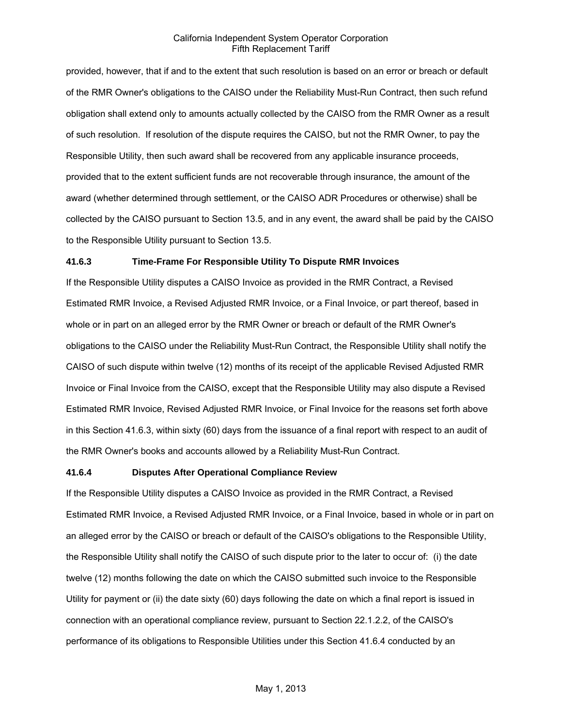provided, however, that if and to the extent that such resolution is based on an error or breach or default of the RMR Owner's obligations to the CAISO under the Reliability Must-Run Contract, then such refund obligation shall extend only to amounts actually collected by the CAISO from the RMR Owner as a result of such resolution. If resolution of the dispute requires the CAISO, but not the RMR Owner, to pay the Responsible Utility, then such award shall be recovered from any applicable insurance proceeds, provided that to the extent sufficient funds are not recoverable through insurance, the amount of the award (whether determined through settlement, or the CAISO ADR Procedures or otherwise) shall be collected by the CAISO pursuant to Section 13.5, and in any event, the award shall be paid by the CAISO to the Responsible Utility pursuant to Section 13.5.

### **41.6.3 Time-Frame For Responsible Utility To Dispute RMR Invoices**

If the Responsible Utility disputes a CAISO Invoice as provided in the RMR Contract, a Revised Estimated RMR Invoice, a Revised Adjusted RMR Invoice, or a Final Invoice, or part thereof, based in whole or in part on an alleged error by the RMR Owner or breach or default of the RMR Owner's obligations to the CAISO under the Reliability Must-Run Contract, the Responsible Utility shall notify the CAISO of such dispute within twelve (12) months of its receipt of the applicable Revised Adjusted RMR Invoice or Final Invoice from the CAISO, except that the Responsible Utility may also dispute a Revised Estimated RMR Invoice, Revised Adjusted RMR Invoice, or Final Invoice for the reasons set forth above in this Section 41.6.3, within sixty (60) days from the issuance of a final report with respect to an audit of the RMR Owner's books and accounts allowed by a Reliability Must-Run Contract.

#### **41.6.4 Disputes After Operational Compliance Review**

If the Responsible Utility disputes a CAISO Invoice as provided in the RMR Contract, a Revised Estimated RMR Invoice, a Revised Adjusted RMR Invoice, or a Final Invoice, based in whole or in part on an alleged error by the CAISO or breach or default of the CAISO's obligations to the Responsible Utility, the Responsible Utility shall notify the CAISO of such dispute prior to the later to occur of: (i) the date twelve (12) months following the date on which the CAISO submitted such invoice to the Responsible Utility for payment or (ii) the date sixty (60) days following the date on which a final report is issued in connection with an operational compliance review, pursuant to Section 22.1.2.2, of the CAISO's performance of its obligations to Responsible Utilities under this Section 41.6.4 conducted by an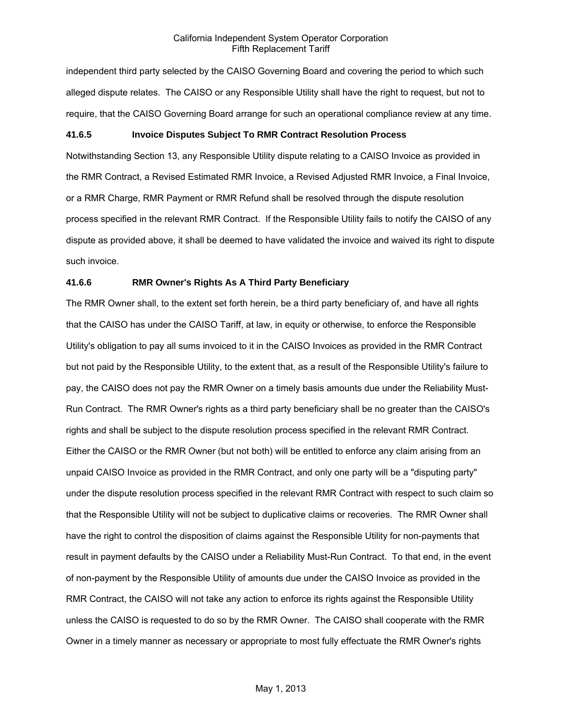independent third party selected by the CAISO Governing Board and covering the period to which such alleged dispute relates. The CAISO or any Responsible Utility shall have the right to request, but not to require, that the CAISO Governing Board arrange for such an operational compliance review at any time.

### **41.6.5 Invoice Disputes Subject To RMR Contract Resolution Process**

Notwithstanding Section 13, any Responsible Utility dispute relating to a CAISO Invoice as provided in the RMR Contract, a Revised Estimated RMR Invoice, a Revised Adjusted RMR Invoice, a Final Invoice, or a RMR Charge, RMR Payment or RMR Refund shall be resolved through the dispute resolution process specified in the relevant RMR Contract. If the Responsible Utility fails to notify the CAISO of any dispute as provided above, it shall be deemed to have validated the invoice and waived its right to dispute such invoice.

### **41.6.6 RMR Owner's Rights As A Third Party Beneficiary**

The RMR Owner shall, to the extent set forth herein, be a third party beneficiary of, and have all rights that the CAISO has under the CAISO Tariff, at law, in equity or otherwise, to enforce the Responsible Utility's obligation to pay all sums invoiced to it in the CAISO Invoices as provided in the RMR Contract but not paid by the Responsible Utility, to the extent that, as a result of the Responsible Utility's failure to pay, the CAISO does not pay the RMR Owner on a timely basis amounts due under the Reliability Must-Run Contract. The RMR Owner's rights as a third party beneficiary shall be no greater than the CAISO's rights and shall be subject to the dispute resolution process specified in the relevant RMR Contract. Either the CAISO or the RMR Owner (but not both) will be entitled to enforce any claim arising from an unpaid CAISO Invoice as provided in the RMR Contract, and only one party will be a "disputing party" under the dispute resolution process specified in the relevant RMR Contract with respect to such claim so that the Responsible Utility will not be subject to duplicative claims or recoveries. The RMR Owner shall have the right to control the disposition of claims against the Responsible Utility for non-payments that result in payment defaults by the CAISO under a Reliability Must-Run Contract. To that end, in the event of non-payment by the Responsible Utility of amounts due under the CAISO Invoice as provided in the RMR Contract, the CAISO will not take any action to enforce its rights against the Responsible Utility unless the CAISO is requested to do so by the RMR Owner. The CAISO shall cooperate with the RMR Owner in a timely manner as necessary or appropriate to most fully effectuate the RMR Owner's rights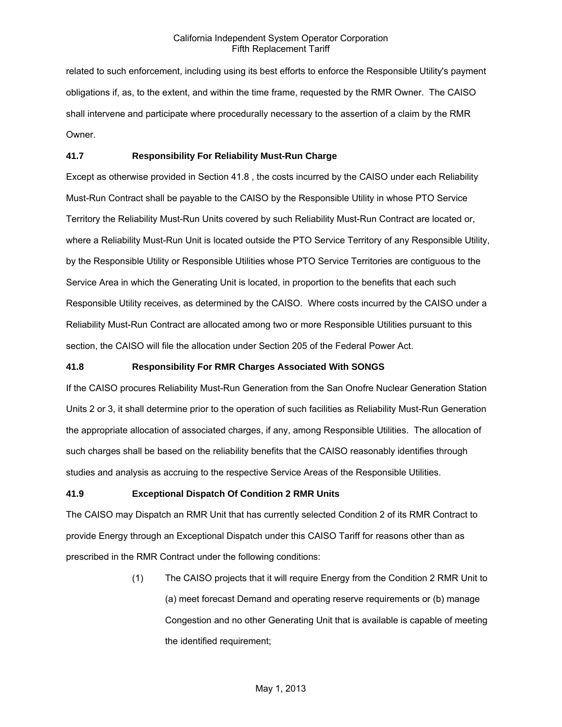related to such enforcement, including using its best efforts to enforce the Responsible Utility's payment obligations if, as, to the extent, and within the time frame, requested by the RMR Owner. The CAISO shall intervene and participate where procedurally necessary to the assertion of a claim by the RMR Owner.

# **41.7 Responsibility For Reliability Must-Run Charge**

Except as otherwise provided in Section 41.8 , the costs incurred by the CAISO under each Reliability Must-Run Contract shall be payable to the CAISO by the Responsible Utility in whose PTO Service Territory the Reliability Must-Run Units covered by such Reliability Must-Run Contract are located or, where a Reliability Must-Run Unit is located outside the PTO Service Territory of any Responsible Utility, by the Responsible Utility or Responsible Utilities whose PTO Service Territories are contiguous to the Service Area in which the Generating Unit is located, in proportion to the benefits that each such Responsible Utility receives, as determined by the CAISO. Where costs incurred by the CAISO under a Reliability Must-Run Contract are allocated among two or more Responsible Utilities pursuant to this section, the CAISO will file the allocation under Section 205 of the Federal Power Act.

# **41.8 Responsibility For RMR Charges Associated With SONGS**

If the CAISO procures Reliability Must-Run Generation from the San Onofre Nuclear Generation Station Units 2 or 3, it shall determine prior to the operation of such facilities as Reliability Must-Run Generation the appropriate allocation of associated charges, if any, among Responsible Utilities. The allocation of such charges shall be based on the reliability benefits that the CAISO reasonably identifies through studies and analysis as accruing to the respective Service Areas of the Responsible Utilities.

# **41.9 Exceptional Dispatch Of Condition 2 RMR Units**

The CAISO may Dispatch an RMR Unit that has currently selected Condition 2 of its RMR Contract to provide Energy through an Exceptional Dispatch under this CAISO Tariff for reasons other than as prescribed in the RMR Contract under the following conditions:

> (1) The CAISO projects that it will require Energy from the Condition 2 RMR Unit to (a) meet forecast Demand and operating reserve requirements or (b) manage Congestion and no other Generating Unit that is available is capable of meeting the identified requirement;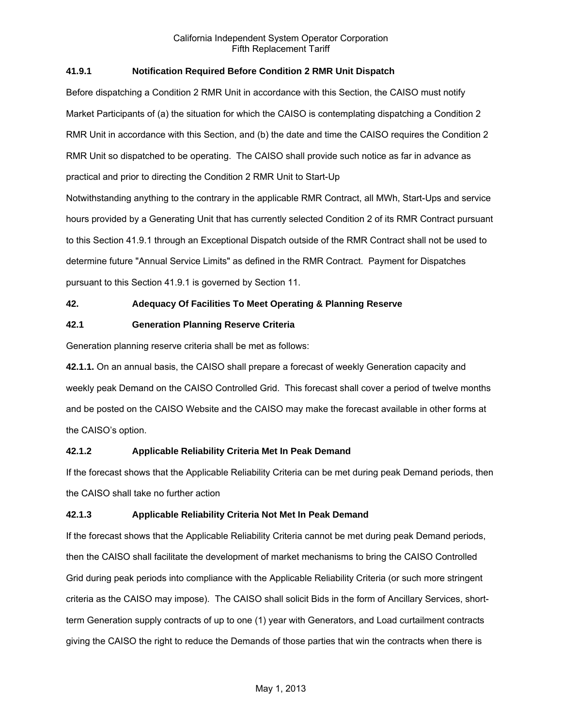# **41.9.1 Notification Required Before Condition 2 RMR Unit Dispatch**

Before dispatching a Condition 2 RMR Unit in accordance with this Section, the CAISO must notify Market Participants of (a) the situation for which the CAISO is contemplating dispatching a Condition 2 RMR Unit in accordance with this Section, and (b) the date and time the CAISO requires the Condition 2 RMR Unit so dispatched to be operating. The CAISO shall provide such notice as far in advance as practical and prior to directing the Condition 2 RMR Unit to Start-Up Notwithstanding anything to the contrary in the applicable RMR Contract, all MWh, Start-Ups and service hours provided by a Generating Unit that has currently selected Condition 2 of its RMR Contract pursuant to this Section 41.9.1 through an Exceptional Dispatch outside of the RMR Contract shall not be used to

determine future "Annual Service Limits" as defined in the RMR Contract. Payment for Dispatches

pursuant to this Section 41.9.1 is governed by Section 11.

# **42. Adequacy Of Facilities To Meet Operating & Planning Reserve**

# **42.1 Generation Planning Reserve Criteria**

Generation planning reserve criteria shall be met as follows:

**42.1.1.** On an annual basis, the CAISO shall prepare a forecast of weekly Generation capacity and weekly peak Demand on the CAISO Controlled Grid. This forecast shall cover a period of twelve months and be posted on the CAISO Website and the CAISO may make the forecast available in other forms at the CAISO's option.

# **42.1.2 Applicable Reliability Criteria Met In Peak Demand**

If the forecast shows that the Applicable Reliability Criteria can be met during peak Demand periods, then the CAISO shall take no further action

# **42.1.3 Applicable Reliability Criteria Not Met In Peak Demand**

If the forecast shows that the Applicable Reliability Criteria cannot be met during peak Demand periods, then the CAISO shall facilitate the development of market mechanisms to bring the CAISO Controlled Grid during peak periods into compliance with the Applicable Reliability Criteria (or such more stringent criteria as the CAISO may impose). The CAISO shall solicit Bids in the form of Ancillary Services, shortterm Generation supply contracts of up to one (1) year with Generators, and Load curtailment contracts giving the CAISO the right to reduce the Demands of those parties that win the contracts when there is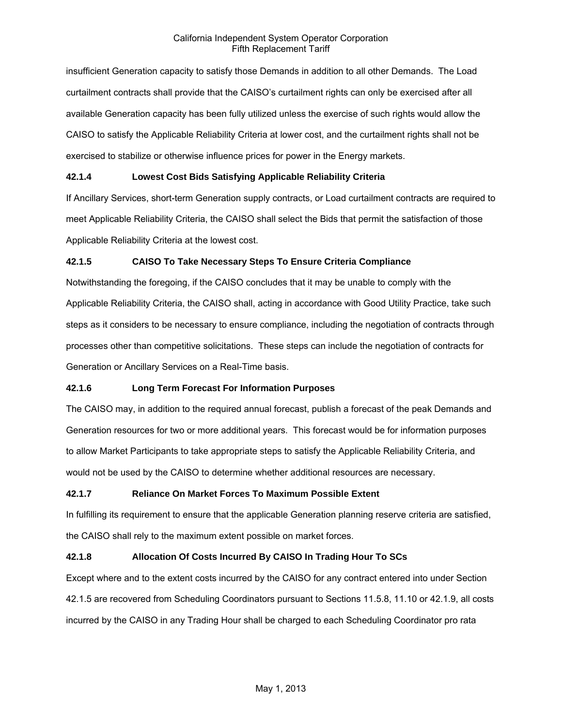insufficient Generation capacity to satisfy those Demands in addition to all other Demands. The Load curtailment contracts shall provide that the CAISO's curtailment rights can only be exercised after all available Generation capacity has been fully utilized unless the exercise of such rights would allow the CAISO to satisfy the Applicable Reliability Criteria at lower cost, and the curtailment rights shall not be exercised to stabilize or otherwise influence prices for power in the Energy markets.

# **42.1.4 Lowest Cost Bids Satisfying Applicable Reliability Criteria**

If Ancillary Services, short-term Generation supply contracts, or Load curtailment contracts are required to meet Applicable Reliability Criteria, the CAISO shall select the Bids that permit the satisfaction of those Applicable Reliability Criteria at the lowest cost.

# **42.1.5 CAISO To Take Necessary Steps To Ensure Criteria Compliance**

Notwithstanding the foregoing, if the CAISO concludes that it may be unable to comply with the Applicable Reliability Criteria, the CAISO shall, acting in accordance with Good Utility Practice, take such steps as it considers to be necessary to ensure compliance, including the negotiation of contracts through processes other than competitive solicitations. These steps can include the negotiation of contracts for Generation or Ancillary Services on a Real-Time basis.

# **42.1.6 Long Term Forecast For Information Purposes**

The CAISO may, in addition to the required annual forecast, publish a forecast of the peak Demands and Generation resources for two or more additional years. This forecast would be for information purposes to allow Market Participants to take appropriate steps to satisfy the Applicable Reliability Criteria, and would not be used by the CAISO to determine whether additional resources are necessary.

# **42.1.7 Reliance On Market Forces To Maximum Possible Extent**

In fulfilling its requirement to ensure that the applicable Generation planning reserve criteria are satisfied, the CAISO shall rely to the maximum extent possible on market forces.

# **42.1.8 Allocation Of Costs Incurred By CAISO In Trading Hour To SCs**

Except where and to the extent costs incurred by the CAISO for any contract entered into under Section 42.1.5 are recovered from Scheduling Coordinators pursuant to Sections 11.5.8, 11.10 or 42.1.9, all costs incurred by the CAISO in any Trading Hour shall be charged to each Scheduling Coordinator pro rata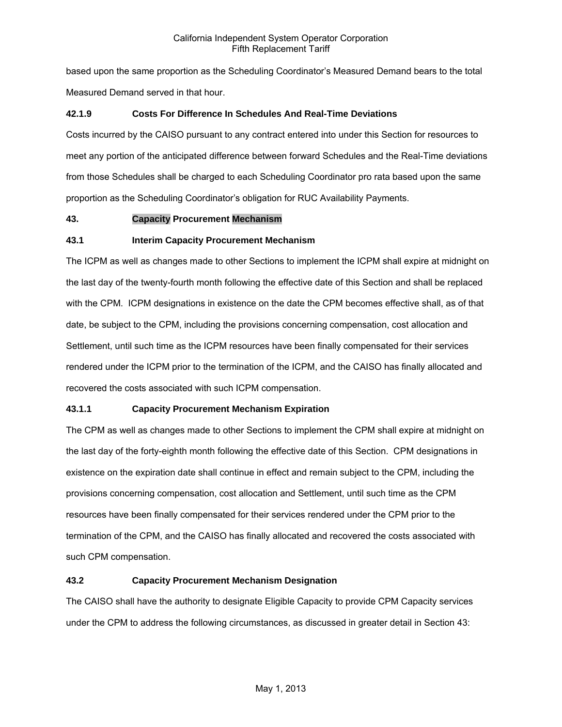based upon the same proportion as the Scheduling Coordinator's Measured Demand bears to the total Measured Demand served in that hour.

# **42.1.9 Costs For Difference In Schedules And Real-Time Deviations**

Costs incurred by the CAISO pursuant to any contract entered into under this Section for resources to meet any portion of the anticipated difference between forward Schedules and the Real-Time deviations from those Schedules shall be charged to each Scheduling Coordinator pro rata based upon the same proportion as the Scheduling Coordinator's obligation for RUC Availability Payments.

# **43. Capacity Procurement Mechanism**

# **43.1 Interim Capacity Procurement Mechanism**

The ICPM as well as changes made to other Sections to implement the ICPM shall expire at midnight on the last day of the twenty-fourth month following the effective date of this Section and shall be replaced with the CPM. ICPM designations in existence on the date the CPM becomes effective shall, as of that date, be subject to the CPM, including the provisions concerning compensation, cost allocation and Settlement, until such time as the ICPM resources have been finally compensated for their services rendered under the ICPM prior to the termination of the ICPM, and the CAISO has finally allocated and recovered the costs associated with such ICPM compensation.

# **43.1.1 Capacity Procurement Mechanism Expiration**

The CPM as well as changes made to other Sections to implement the CPM shall expire at midnight on the last day of the forty-eighth month following the effective date of this Section. CPM designations in existence on the expiration date shall continue in effect and remain subject to the CPM, including the provisions concerning compensation, cost allocation and Settlement, until such time as the CPM resources have been finally compensated for their services rendered under the CPM prior to the termination of the CPM, and the CAISO has finally allocated and recovered the costs associated with such CPM compensation.

# **43.2 Capacity Procurement Mechanism Designation**

The CAISO shall have the authority to designate Eligible Capacity to provide CPM Capacity services under the CPM to address the following circumstances, as discussed in greater detail in Section 43: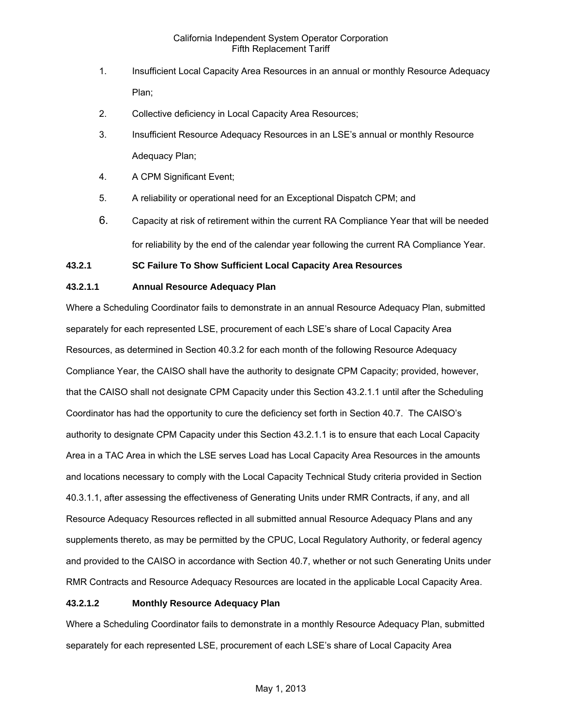- 1. Insufficient Local Capacity Area Resources in an annual or monthly Resource Adequacy Plan;
- 2. Collective deficiency in Local Capacity Area Resources;
- 3. Insufficient Resource Adequacy Resources in an LSE's annual or monthly Resource Adequacy Plan;
- 4. A CPM Significant Event;
- 5. A reliability or operational need for an Exceptional Dispatch CPM; and
- 6. Capacity at risk of retirement within the current RA Compliance Year that will be needed for reliability by the end of the calendar year following the current RA Compliance Year.

# **43.2.1 SC Failure To Show Sufficient Local Capacity Area Resources**

# **43.2.1.1 Annual Resource Adequacy Plan**

Where a Scheduling Coordinator fails to demonstrate in an annual Resource Adequacy Plan, submitted separately for each represented LSE, procurement of each LSE's share of Local Capacity Area Resources, as determined in Section 40.3.2 for each month of the following Resource Adequacy Compliance Year, the CAISO shall have the authority to designate CPM Capacity; provided, however, that the CAISO shall not designate CPM Capacity under this Section 43.2.1.1 until after the Scheduling Coordinator has had the opportunity to cure the deficiency set forth in Section 40.7. The CAISO's authority to designate CPM Capacity under this Section 43.2.1.1 is to ensure that each Local Capacity Area in a TAC Area in which the LSE serves Load has Local Capacity Area Resources in the amounts and locations necessary to comply with the Local Capacity Technical Study criteria provided in Section 40.3.1.1, after assessing the effectiveness of Generating Units under RMR Contracts, if any, and all Resource Adequacy Resources reflected in all submitted annual Resource Adequacy Plans and any supplements thereto, as may be permitted by the CPUC, Local Regulatory Authority, or federal agency and provided to the CAISO in accordance with Section 40.7, whether or not such Generating Units under RMR Contracts and Resource Adequacy Resources are located in the applicable Local Capacity Area.

# **43.2.1.2 Monthly Resource Adequacy Plan**

Where a Scheduling Coordinator fails to demonstrate in a monthly Resource Adequacy Plan, submitted separately for each represented LSE, procurement of each LSE's share of Local Capacity Area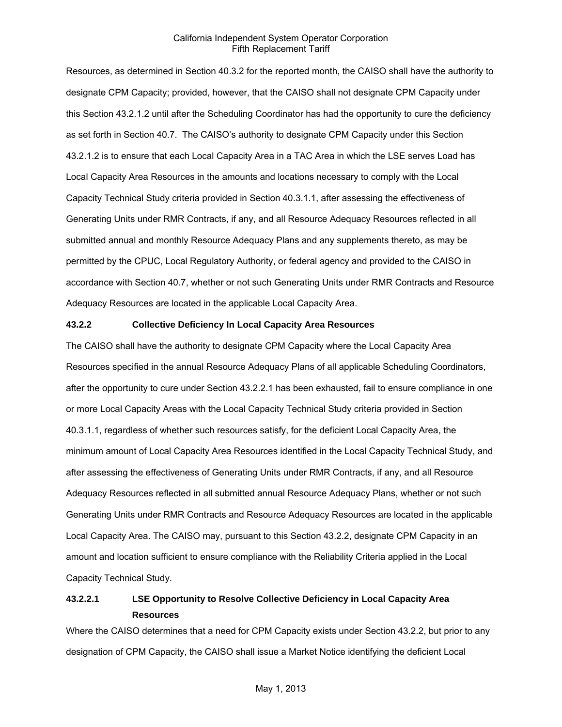Resources, as determined in Section 40.3.2 for the reported month, the CAISO shall have the authority to designate CPM Capacity; provided, however, that the CAISO shall not designate CPM Capacity under this Section 43.2.1.2 until after the Scheduling Coordinator has had the opportunity to cure the deficiency as set forth in Section 40.7. The CAISO's authority to designate CPM Capacity under this Section 43.2.1.2 is to ensure that each Local Capacity Area in a TAC Area in which the LSE serves Load has Local Capacity Area Resources in the amounts and locations necessary to comply with the Local Capacity Technical Study criteria provided in Section 40.3.1.1, after assessing the effectiveness of Generating Units under RMR Contracts, if any, and all Resource Adequacy Resources reflected in all submitted annual and monthly Resource Adequacy Plans and any supplements thereto, as may be permitted by the CPUC, Local Regulatory Authority, or federal agency and provided to the CAISO in accordance with Section 40.7, whether or not such Generating Units under RMR Contracts and Resource Adequacy Resources are located in the applicable Local Capacity Area.

### **43.2.2 Collective Deficiency In Local Capacity Area Resources**

The CAISO shall have the authority to designate CPM Capacity where the Local Capacity Area Resources specified in the annual Resource Adequacy Plans of all applicable Scheduling Coordinators, after the opportunity to cure under Section 43.2.2.1 has been exhausted, fail to ensure compliance in one or more Local Capacity Areas with the Local Capacity Technical Study criteria provided in Section 40.3.1.1, regardless of whether such resources satisfy, for the deficient Local Capacity Area, the minimum amount of Local Capacity Area Resources identified in the Local Capacity Technical Study, and after assessing the effectiveness of Generating Units under RMR Contracts, if any, and all Resource Adequacy Resources reflected in all submitted annual Resource Adequacy Plans, whether or not such Generating Units under RMR Contracts and Resource Adequacy Resources are located in the applicable Local Capacity Area. The CAISO may, pursuant to this Section 43.2.2, designate CPM Capacity in an amount and location sufficient to ensure compliance with the Reliability Criteria applied in the Local Capacity Technical Study.

# **43.2.2.1 LSE Opportunity to Resolve Collective Deficiency in Local Capacity Area Resources**

Where the CAISO determines that a need for CPM Capacity exists under Section 43.2.2, but prior to any designation of CPM Capacity, the CAISO shall issue a Market Notice identifying the deficient Local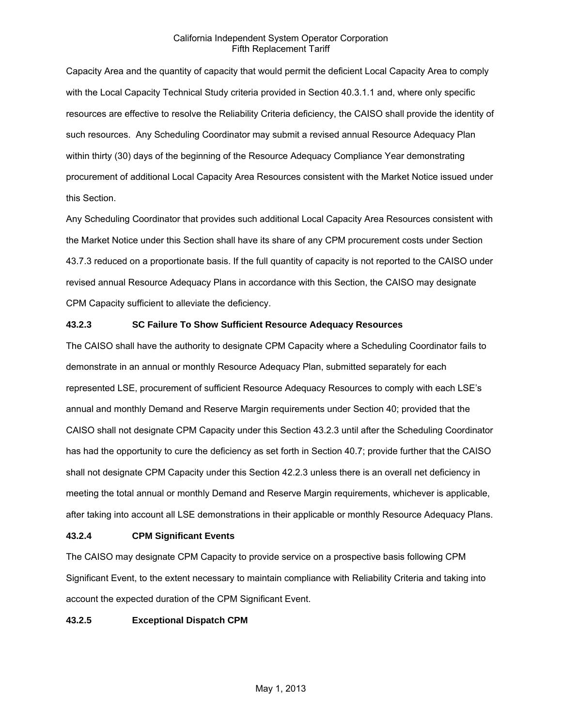Capacity Area and the quantity of capacity that would permit the deficient Local Capacity Area to comply with the Local Capacity Technical Study criteria provided in Section 40.3.1.1 and, where only specific resources are effective to resolve the Reliability Criteria deficiency, the CAISO shall provide the identity of such resources. Any Scheduling Coordinator may submit a revised annual Resource Adequacy Plan within thirty (30) days of the beginning of the Resource Adequacy Compliance Year demonstrating procurement of additional Local Capacity Area Resources consistent with the Market Notice issued under this Section.

Any Scheduling Coordinator that provides such additional Local Capacity Area Resources consistent with the Market Notice under this Section shall have its share of any CPM procurement costs under Section 43.7.3 reduced on a proportionate basis. If the full quantity of capacity is not reported to the CAISO under revised annual Resource Adequacy Plans in accordance with this Section, the CAISO may designate CPM Capacity sufficient to alleviate the deficiency.

# **43.2.3 SC Failure To Show Sufficient Resource Adequacy Resources**

The CAISO shall have the authority to designate CPM Capacity where a Scheduling Coordinator fails to demonstrate in an annual or monthly Resource Adequacy Plan, submitted separately for each represented LSE, procurement of sufficient Resource Adequacy Resources to comply with each LSE's annual and monthly Demand and Reserve Margin requirements under Section 40; provided that the CAISO shall not designate CPM Capacity under this Section 43.2.3 until after the Scheduling Coordinator has had the opportunity to cure the deficiency as set forth in Section 40.7; provide further that the CAISO shall not designate CPM Capacity under this Section 42.2.3 unless there is an overall net deficiency in meeting the total annual or monthly Demand and Reserve Margin requirements, whichever is applicable, after taking into account all LSE demonstrations in their applicable or monthly Resource Adequacy Plans.

### **43.2.4 CPM Significant Events**

The CAISO may designate CPM Capacity to provide service on a prospective basis following CPM Significant Event, to the extent necessary to maintain compliance with Reliability Criteria and taking into account the expected duration of the CPM Significant Event.

### **43.2.5 Exceptional Dispatch CPM**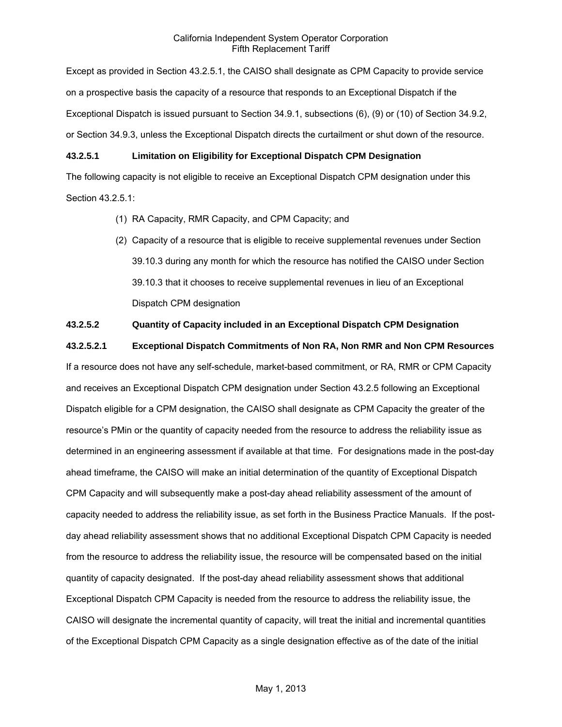Except as provided in Section 43.2.5.1, the CAISO shall designate as CPM Capacity to provide service on a prospective basis the capacity of a resource that responds to an Exceptional Dispatch if the Exceptional Dispatch is issued pursuant to Section 34.9.1, subsections (6), (9) or (10) of Section 34.9.2, or Section 34.9.3, unless the Exceptional Dispatch directs the curtailment or shut down of the resource.

# **43.2.5.1 Limitation on Eligibility for Exceptional Dispatch CPM Designation**

The following capacity is not eligible to receive an Exceptional Dispatch CPM designation under this Section 43.2.5.1:

- (1) RA Capacity, RMR Capacity, and CPM Capacity; and
- (2) Capacity of a resource that is eligible to receive supplemental revenues under Section 39.10.3 during any month for which the resource has notified the CAISO under Section 39.10.3 that it chooses to receive supplemental revenues in lieu of an Exceptional Dispatch CPM designation

# **43.2.5.2 Quantity of Capacity included in an Exceptional Dispatch CPM Designation**

**43.2.5.2.1 Exceptional Dispatch Commitments of Non RA, Non RMR and Non CPM Resources** 

If a resource does not have any self-schedule, market-based commitment, or RA, RMR or CPM Capacity and receives an Exceptional Dispatch CPM designation under Section 43.2.5 following an Exceptional Dispatch eligible for a CPM designation, the CAISO shall designate as CPM Capacity the greater of the resource's PMin or the quantity of capacity needed from the resource to address the reliability issue as determined in an engineering assessment if available at that time. For designations made in the post-day ahead timeframe, the CAISO will make an initial determination of the quantity of Exceptional Dispatch CPM Capacity and will subsequently make a post-day ahead reliability assessment of the amount of capacity needed to address the reliability issue, as set forth in the Business Practice Manuals. If the postday ahead reliability assessment shows that no additional Exceptional Dispatch CPM Capacity is needed from the resource to address the reliability issue, the resource will be compensated based on the initial quantity of capacity designated. If the post-day ahead reliability assessment shows that additional Exceptional Dispatch CPM Capacity is needed from the resource to address the reliability issue, the CAISO will designate the incremental quantity of capacity, will treat the initial and incremental quantities of the Exceptional Dispatch CPM Capacity as a single designation effective as of the date of the initial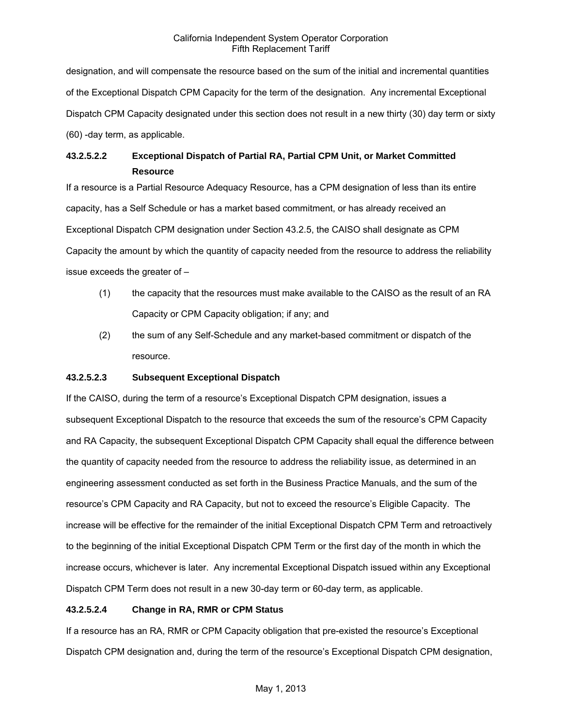designation, and will compensate the resource based on the sum of the initial and incremental quantities of the Exceptional Dispatch CPM Capacity for the term of the designation. Any incremental Exceptional Dispatch CPM Capacity designated under this section does not result in a new thirty (30) day term or sixty (60) -day term, as applicable.

# **43.2.5.2.2 Exceptional Dispatch of Partial RA, Partial CPM Unit, or Market Committed Resource**

If a resource is a Partial Resource Adequacy Resource, has a CPM designation of less than its entire capacity, has a Self Schedule or has a market based commitment, or has already received an Exceptional Dispatch CPM designation under Section 43.2.5, the CAISO shall designate as CPM Capacity the amount by which the quantity of capacity needed from the resource to address the reliability issue exceeds the greater of –

- (1) the capacity that the resources must make available to the CAISO as the result of an RA Capacity or CPM Capacity obligation; if any; and
- (2) the sum of any Self-Schedule and any market-based commitment or dispatch of the resource.

# **43.2.5.2.3 Subsequent Exceptional Dispatch**

If the CAISO, during the term of a resource's Exceptional Dispatch CPM designation, issues a subsequent Exceptional Dispatch to the resource that exceeds the sum of the resource's CPM Capacity and RA Capacity, the subsequent Exceptional Dispatch CPM Capacity shall equal the difference between the quantity of capacity needed from the resource to address the reliability issue, as determined in an engineering assessment conducted as set forth in the Business Practice Manuals, and the sum of the resource's CPM Capacity and RA Capacity, but not to exceed the resource's Eligible Capacity. The increase will be effective for the remainder of the initial Exceptional Dispatch CPM Term and retroactively to the beginning of the initial Exceptional Dispatch CPM Term or the first day of the month in which the increase occurs, whichever is later. Any incremental Exceptional Dispatch issued within any Exceptional Dispatch CPM Term does not result in a new 30-day term or 60-day term, as applicable.

# **43.2.5.2.4 Change in RA, RMR or CPM Status**

If a resource has an RA, RMR or CPM Capacity obligation that pre-existed the resource's Exceptional Dispatch CPM designation and, during the term of the resource's Exceptional Dispatch CPM designation,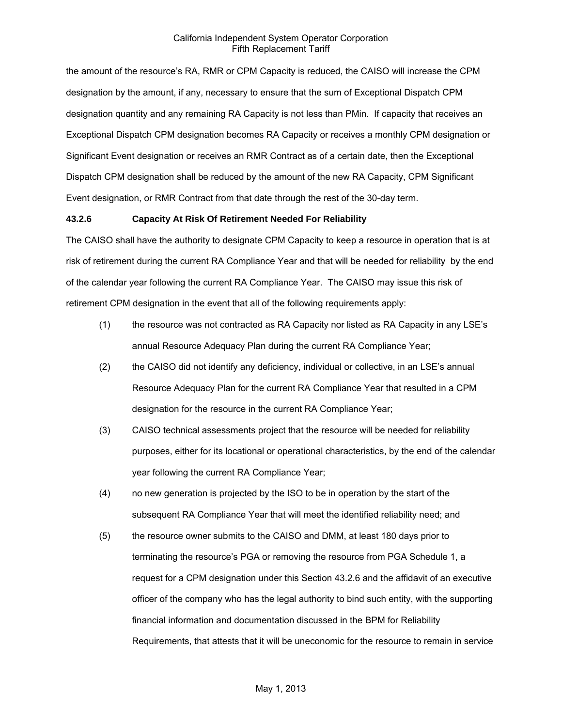the amount of the resource's RA, RMR or CPM Capacity is reduced, the CAISO will increase the CPM designation by the amount, if any, necessary to ensure that the sum of Exceptional Dispatch CPM designation quantity and any remaining RA Capacity is not less than PMin. If capacity that receives an Exceptional Dispatch CPM designation becomes RA Capacity or receives a monthly CPM designation or Significant Event designation or receives an RMR Contract as of a certain date, then the Exceptional Dispatch CPM designation shall be reduced by the amount of the new RA Capacity, CPM Significant Event designation, or RMR Contract from that date through the rest of the 30-day term.

### **43.2.6 Capacity At Risk Of Retirement Needed For Reliability**

The CAISO shall have the authority to designate CPM Capacity to keep a resource in operation that is at risk of retirement during the current RA Compliance Year and that will be needed for reliability by the end of the calendar year following the current RA Compliance Year. The CAISO may issue this risk of retirement CPM designation in the event that all of the following requirements apply:

- (1) the resource was not contracted as RA Capacity nor listed as RA Capacity in any LSE's annual Resource Adequacy Plan during the current RA Compliance Year;
- (2) the CAISO did not identify any deficiency, individual or collective, in an LSE's annual Resource Adequacy Plan for the current RA Compliance Year that resulted in a CPM designation for the resource in the current RA Compliance Year;
- (3) CAISO technical assessments project that the resource will be needed for reliability purposes, either for its locational or operational characteristics, by the end of the calendar year following the current RA Compliance Year;
- (4) no new generation is projected by the ISO to be in operation by the start of the subsequent RA Compliance Year that will meet the identified reliability need; and
- (5) the resource owner submits to the CAISO and DMM, at least 180 days prior to terminating the resource's PGA or removing the resource from PGA Schedule 1, a request for a CPM designation under this Section 43.2.6 and the affidavit of an executive officer of the company who has the legal authority to bind such entity, with the supporting financial information and documentation discussed in the BPM for Reliability Requirements, that attests that it will be uneconomic for the resource to remain in service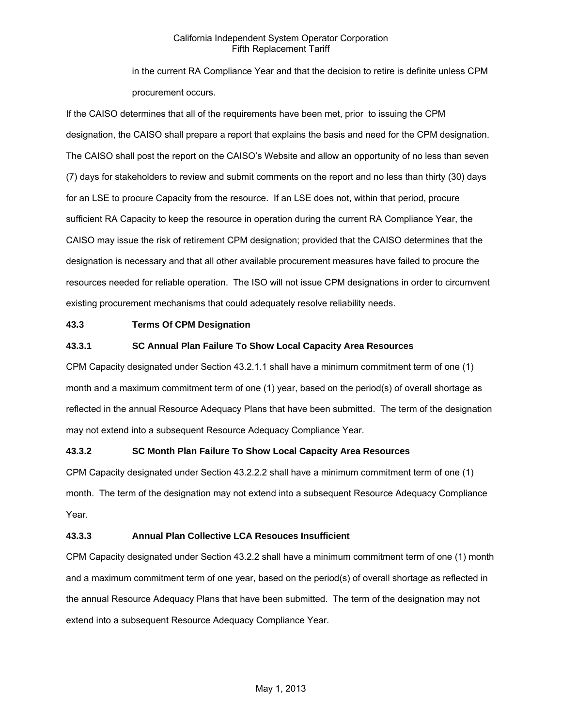in the current RA Compliance Year and that the decision to retire is definite unless CPM procurement occurs.

If the CAISO determines that all of the requirements have been met, prior to issuing the CPM designation, the CAISO shall prepare a report that explains the basis and need for the CPM designation. The CAISO shall post the report on the CAISO's Website and allow an opportunity of no less than seven (7) days for stakeholders to review and submit comments on the report and no less than thirty (30) days for an LSE to procure Capacity from the resource. If an LSE does not, within that period, procure sufficient RA Capacity to keep the resource in operation during the current RA Compliance Year, the CAISO may issue the risk of retirement CPM designation; provided that the CAISO determines that the designation is necessary and that all other available procurement measures have failed to procure the resources needed for reliable operation. The ISO will not issue CPM designations in order to circumvent existing procurement mechanisms that could adequately resolve reliability needs.

# **43.3 Terms Of CPM Designation**

# **43.3.1 SC Annual Plan Failure To Show Local Capacity Area Resources**

CPM Capacity designated under Section 43.2.1.1 shall have a minimum commitment term of one (1) month and a maximum commitment term of one (1) year, based on the period(s) of overall shortage as reflected in the annual Resource Adequacy Plans that have been submitted. The term of the designation may not extend into a subsequent Resource Adequacy Compliance Year.

# **43.3.2 SC Month Plan Failure To Show Local Capacity Area Resources**

CPM Capacity designated under Section 43.2.2.2 shall have a minimum commitment term of one (1) month. The term of the designation may not extend into a subsequent Resource Adequacy Compliance Year.

### **43.3.3 Annual Plan Collective LCA Resouces Insufficient**

CPM Capacity designated under Section 43.2.2 shall have a minimum commitment term of one (1) month and a maximum commitment term of one year, based on the period(s) of overall shortage as reflected in the annual Resource Adequacy Plans that have been submitted. The term of the designation may not extend into a subsequent Resource Adequacy Compliance Year.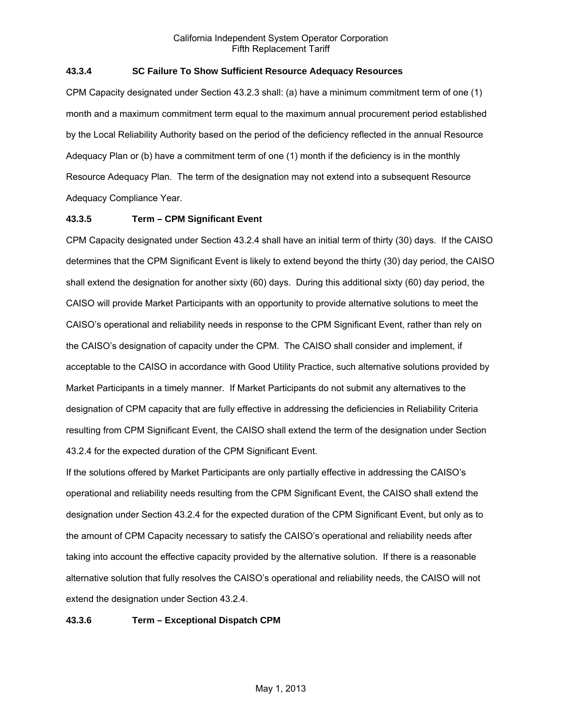# **43.3.4 SC Failure To Show Sufficient Resource Adequacy Resources**

CPM Capacity designated under Section 43.2.3 shall: (a) have a minimum commitment term of one (1) month and a maximum commitment term equal to the maximum annual procurement period established by the Local Reliability Authority based on the period of the deficiency reflected in the annual Resource Adequacy Plan or (b) have a commitment term of one (1) month if the deficiency is in the monthly Resource Adequacy Plan. The term of the designation may not extend into a subsequent Resource Adequacy Compliance Year.

# **43.3.5 Term – CPM Significant Event**

CPM Capacity designated under Section 43.2.4 shall have an initial term of thirty (30) days. If the CAISO determines that the CPM Significant Event is likely to extend beyond the thirty (30) day period, the CAISO shall extend the designation for another sixty (60) days. During this additional sixty (60) day period, the CAISO will provide Market Participants with an opportunity to provide alternative solutions to meet the CAISO's operational and reliability needs in response to the CPM Significant Event, rather than rely on the CAISO's designation of capacity under the CPM. The CAISO shall consider and implement, if acceptable to the CAISO in accordance with Good Utility Practice, such alternative solutions provided by Market Participants in a timely manner. If Market Participants do not submit any alternatives to the designation of CPM capacity that are fully effective in addressing the deficiencies in Reliability Criteria resulting from CPM Significant Event, the CAISO shall extend the term of the designation under Section 43.2.4 for the expected duration of the CPM Significant Event.

If the solutions offered by Market Participants are only partially effective in addressing the CAISO's operational and reliability needs resulting from the CPM Significant Event, the CAISO shall extend the designation under Section 43.2.4 for the expected duration of the CPM Significant Event, but only as to the amount of CPM Capacity necessary to satisfy the CAISO's operational and reliability needs after taking into account the effective capacity provided by the alternative solution. If there is a reasonable alternative solution that fully resolves the CAISO's operational and reliability needs, the CAISO will not extend the designation under Section 43.2.4.

### **43.3.6 Term – Exceptional Dispatch CPM**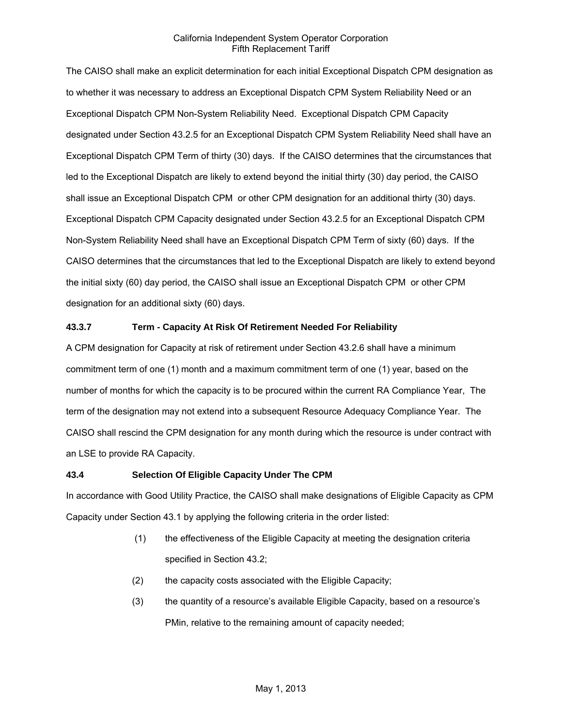The CAISO shall make an explicit determination for each initial Exceptional Dispatch CPM designation as to whether it was necessary to address an Exceptional Dispatch CPM System Reliability Need or an Exceptional Dispatch CPM Non-System Reliability Need. Exceptional Dispatch CPM Capacity designated under Section 43.2.5 for an Exceptional Dispatch CPM System Reliability Need shall have an Exceptional Dispatch CPM Term of thirty (30) days. If the CAISO determines that the circumstances that led to the Exceptional Dispatch are likely to extend beyond the initial thirty (30) day period, the CAISO shall issue an Exceptional Dispatch CPM or other CPM designation for an additional thirty (30) days. Exceptional Dispatch CPM Capacity designated under Section 43.2.5 for an Exceptional Dispatch CPM Non-System Reliability Need shall have an Exceptional Dispatch CPM Term of sixty (60) days. If the CAISO determines that the circumstances that led to the Exceptional Dispatch are likely to extend beyond the initial sixty (60) day period, the CAISO shall issue an Exceptional Dispatch CPM or other CPM designation for an additional sixty (60) days.

# **43.3.7 Term - Capacity At Risk Of Retirement Needed For Reliability**

A CPM designation for Capacity at risk of retirement under Section 43.2.6 shall have a minimum commitment term of one (1) month and a maximum commitment term of one (1) year, based on the number of months for which the capacity is to be procured within the current RA Compliance Year, The term of the designation may not extend into a subsequent Resource Adequacy Compliance Year. The CAISO shall rescind the CPM designation for any month during which the resource is under contract with an LSE to provide RA Capacity.

### **43.4 Selection Of Eligible Capacity Under The CPM**

In accordance with Good Utility Practice, the CAISO shall make designations of Eligible Capacity as CPM Capacity under Section 43.1 by applying the following criteria in the order listed:

- (1) the effectiveness of the Eligible Capacity at meeting the designation criteria specified in Section 43.2;
- (2) the capacity costs associated with the Eligible Capacity;
- (3) the quantity of a resource's available Eligible Capacity, based on a resource's PMin, relative to the remaining amount of capacity needed;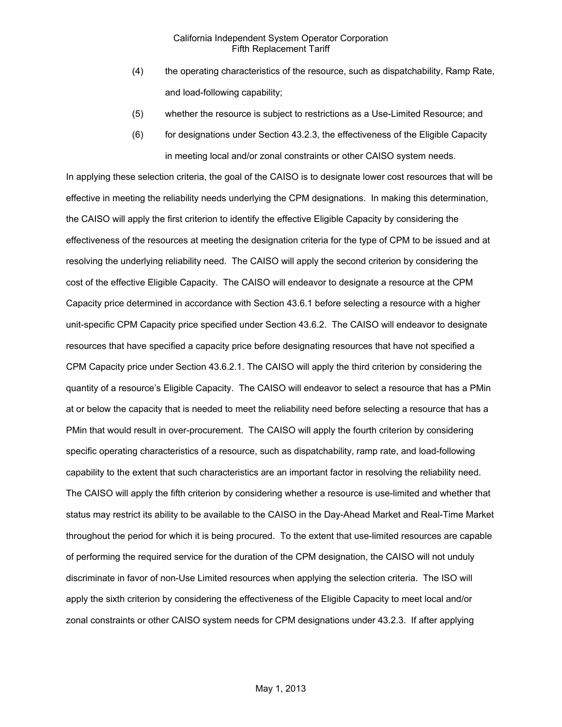- (4) the operating characteristics of the resource, such as dispatchability, Ramp Rate, and load-following capability;
- (5) whether the resource is subject to restrictions as a Use-Limited Resource; and
- (6) for designations under Section 43.2.3, the effectiveness of the Eligible Capacity in meeting local and/or zonal constraints or other CAISO system needs.

In applying these selection criteria, the goal of the CAISO is to designate lower cost resources that will be effective in meeting the reliability needs underlying the CPM designations. In making this determination, the CAISO will apply the first criterion to identify the effective Eligible Capacity by considering the effectiveness of the resources at meeting the designation criteria for the type of CPM to be issued and at resolving the underlying reliability need. The CAISO will apply the second criterion by considering the cost of the effective Eligible Capacity. The CAISO will endeavor to designate a resource at the CPM Capacity price determined in accordance with Section 43.6.1 before selecting a resource with a higher unit-specific CPM Capacity price specified under Section 43.6.2. The CAISO will endeavor to designate resources that have specified a capacity price before designating resources that have not specified a CPM Capacity price under Section 43.6.2.1. The CAISO will apply the third criterion by considering the quantity of a resource's Eligible Capacity. The CAISO will endeavor to select a resource that has a PMin at or below the capacity that is needed to meet the reliability need before selecting a resource that has a PMin that would result in over-procurement. The CAISO will apply the fourth criterion by considering specific operating characteristics of a resource, such as dispatchability, ramp rate, and load-following capability to the extent that such characteristics are an important factor in resolving the reliability need. The CAISO will apply the fifth criterion by considering whether a resource is use-limited and whether that status may restrict its ability to be available to the CAISO in the Day-Ahead Market and Real-Time Market throughout the period for which it is being procured. To the extent that use-limited resources are capable of performing the required service for the duration of the CPM designation, the CAISO will not unduly discriminate in favor of non-Use Limited resources when applying the selection criteria. The ISO will apply the sixth criterion by considering the effectiveness of the Eligible Capacity to meet local and/or zonal constraints or other CAISO system needs for CPM designations under 43.2.3. If after applying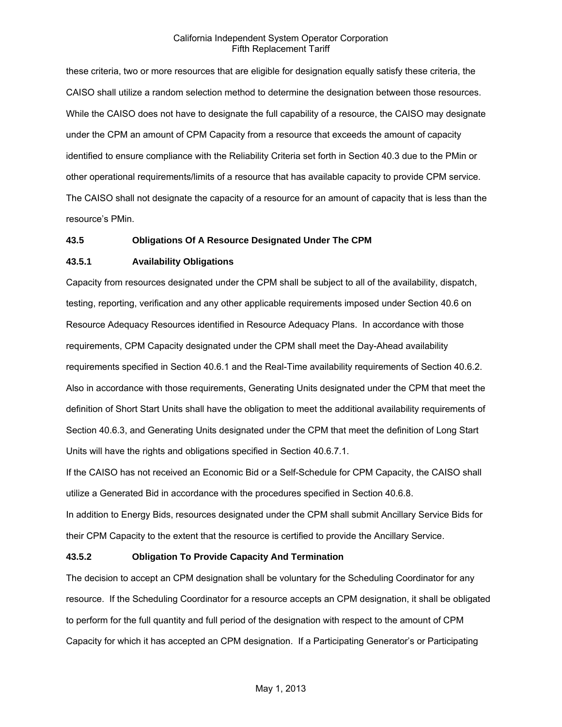these criteria, two or more resources that are eligible for designation equally satisfy these criteria, the CAISO shall utilize a random selection method to determine the designation between those resources. While the CAISO does not have to designate the full capability of a resource, the CAISO may designate under the CPM an amount of CPM Capacity from a resource that exceeds the amount of capacity identified to ensure compliance with the Reliability Criteria set forth in Section 40.3 due to the PMin or other operational requirements/limits of a resource that has available capacity to provide CPM service. The CAISO shall not designate the capacity of a resource for an amount of capacity that is less than the resource's PMin.

### **43.5 Obligations Of A Resource Designated Under The CPM**

### **43.5.1 Availability Obligations**

Capacity from resources designated under the CPM shall be subject to all of the availability, dispatch, testing, reporting, verification and any other applicable requirements imposed under Section 40.6 on Resource Adequacy Resources identified in Resource Adequacy Plans. In accordance with those requirements, CPM Capacity designated under the CPM shall meet the Day-Ahead availability requirements specified in Section 40.6.1 and the Real-Time availability requirements of Section 40.6.2. Also in accordance with those requirements, Generating Units designated under the CPM that meet the definition of Short Start Units shall have the obligation to meet the additional availability requirements of Section 40.6.3, and Generating Units designated under the CPM that meet the definition of Long Start Units will have the rights and obligations specified in Section 40.6.7.1.

If the CAISO has not received an Economic Bid or a Self-Schedule for CPM Capacity, the CAISO shall utilize a Generated Bid in accordance with the procedures specified in Section 40.6.8.

In addition to Energy Bids, resources designated under the CPM shall submit Ancillary Service Bids for their CPM Capacity to the extent that the resource is certified to provide the Ancillary Service.

### **43.5.2 Obligation To Provide Capacity And Termination**

The decision to accept an CPM designation shall be voluntary for the Scheduling Coordinator for any resource. If the Scheduling Coordinator for a resource accepts an CPM designation, it shall be obligated to perform for the full quantity and full period of the designation with respect to the amount of CPM Capacity for which it has accepted an CPM designation. If a Participating Generator's or Participating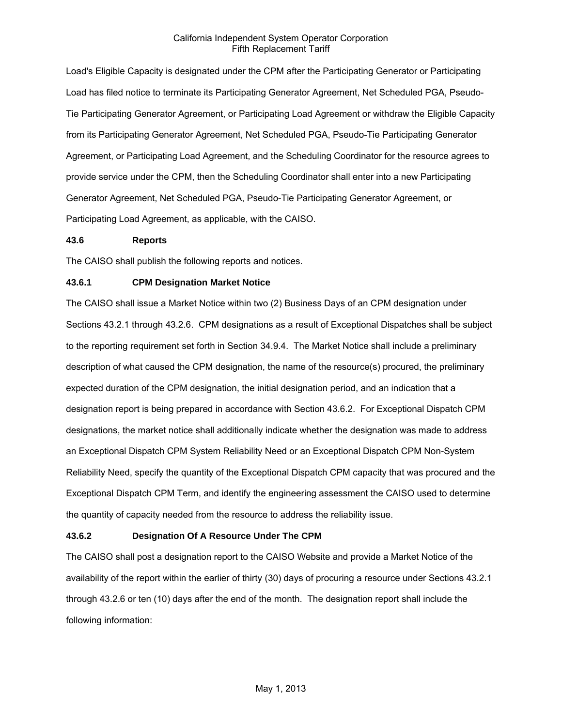Load's Eligible Capacity is designated under the CPM after the Participating Generator or Participating Load has filed notice to terminate its Participating Generator Agreement, Net Scheduled PGA, Pseudo-Tie Participating Generator Agreement, or Participating Load Agreement or withdraw the Eligible Capacity from its Participating Generator Agreement, Net Scheduled PGA, Pseudo-Tie Participating Generator Agreement, or Participating Load Agreement, and the Scheduling Coordinator for the resource agrees to provide service under the CPM, then the Scheduling Coordinator shall enter into a new Participating Generator Agreement, Net Scheduled PGA, Pseudo-Tie Participating Generator Agreement, or Participating Load Agreement, as applicable, with the CAISO.

### **43.6 Reports**

The CAISO shall publish the following reports and notices.

# **43.6.1 CPM Designation Market Notice**

The CAISO shall issue a Market Notice within two (2) Business Days of an CPM designation under Sections 43.2.1 through 43.2.6. CPM designations as a result of Exceptional Dispatches shall be subject to the reporting requirement set forth in Section 34.9.4. The Market Notice shall include a preliminary description of what caused the CPM designation, the name of the resource(s) procured, the preliminary expected duration of the CPM designation, the initial designation period, and an indication that a designation report is being prepared in accordance with Section 43.6.2. For Exceptional Dispatch CPM designations, the market notice shall additionally indicate whether the designation was made to address an Exceptional Dispatch CPM System Reliability Need or an Exceptional Dispatch CPM Non-System Reliability Need, specify the quantity of the Exceptional Dispatch CPM capacity that was procured and the Exceptional Dispatch CPM Term, and identify the engineering assessment the CAISO used to determine the quantity of capacity needed from the resource to address the reliability issue.

### **43.6.2 Designation Of A Resource Under The CPM**

The CAISO shall post a designation report to the CAISO Website and provide a Market Notice of the availability of the report within the earlier of thirty (30) days of procuring a resource under Sections 43.2.1 through 43.2.6 or ten (10) days after the end of the month. The designation report shall include the following information: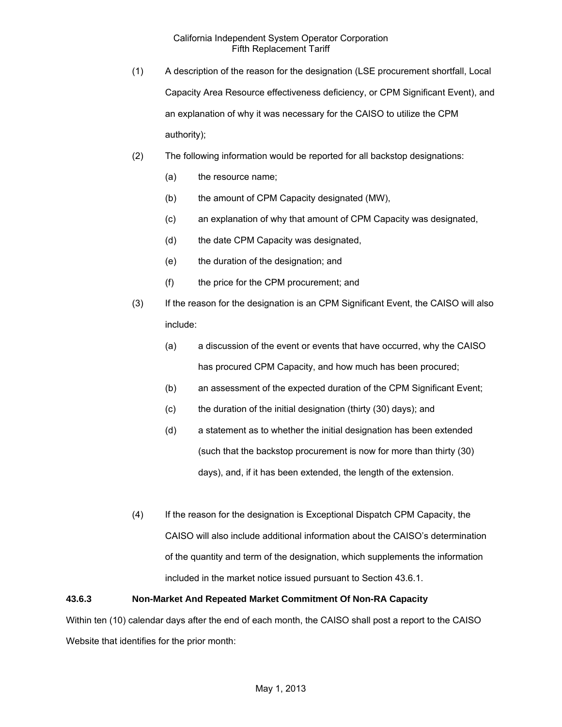- (1) A description of the reason for the designation (LSE procurement shortfall, Local Capacity Area Resource effectiveness deficiency, or CPM Significant Event), and an explanation of why it was necessary for the CAISO to utilize the CPM authority);
- (2) The following information would be reported for all backstop designations:
	- (a) the resource name;
	- (b) the amount of CPM Capacity designated (MW),
	- (c) an explanation of why that amount of CPM Capacity was designated,
	- (d) the date CPM Capacity was designated,
	- (e) the duration of the designation; and
	- (f) the price for the CPM procurement; and
- (3) If the reason for the designation is an CPM Significant Event, the CAISO will also include:
	- (a) a discussion of the event or events that have occurred, why the CAISO has procured CPM Capacity, and how much has been procured;
	- (b) an assessment of the expected duration of the CPM Significant Event;
	- (c) the duration of the initial designation (thirty (30) days); and
	- (d) a statement as to whether the initial designation has been extended (such that the backstop procurement is now for more than thirty (30) days), and, if it has been extended, the length of the extension.
- (4) If the reason for the designation is Exceptional Dispatch CPM Capacity, the CAISO will also include additional information about the CAISO's determination of the quantity and term of the designation, which supplements the information included in the market notice issued pursuant to Section 43.6.1.

# **43.6.3 Non-Market And Repeated Market Commitment Of Non-RA Capacity**

Within ten (10) calendar days after the end of each month, the CAISO shall post a report to the CAISO Website that identifies for the prior month: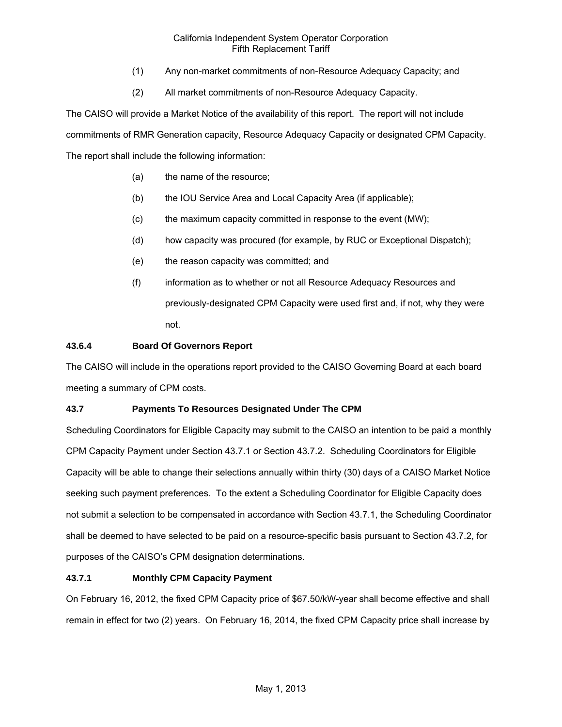- (1) Any non-market commitments of non-Resource Adequacy Capacity; and
- (2) All market commitments of non-Resource Adequacy Capacity.

The CAISO will provide a Market Notice of the availability of this report. The report will not include commitments of RMR Generation capacity, Resource Adequacy Capacity or designated CPM Capacity. The report shall include the following information:

- (a) the name of the resource;
- (b) the IOU Service Area and Local Capacity Area (if applicable);
- (c) the maximum capacity committed in response to the event (MW);
- (d) how capacity was procured (for example, by RUC or Exceptional Dispatch);
- (e) the reason capacity was committed; and
- (f) information as to whether or not all Resource Adequacy Resources and previously-designated CPM Capacity were used first and, if not, why they were not.

# **43.6.4 Board Of Governors Report**

The CAISO will include in the operations report provided to the CAISO Governing Board at each board meeting a summary of CPM costs.

# **43.7 Payments To Resources Designated Under The CPM**

Scheduling Coordinators for Eligible Capacity may submit to the CAISO an intention to be paid a monthly CPM Capacity Payment under Section 43.7.1 or Section 43.7.2. Scheduling Coordinators for Eligible Capacity will be able to change their selections annually within thirty (30) days of a CAISO Market Notice seeking such payment preferences. To the extent a Scheduling Coordinator for Eligible Capacity does not submit a selection to be compensated in accordance with Section 43.7.1, the Scheduling Coordinator shall be deemed to have selected to be paid on a resource-specific basis pursuant to Section 43.7.2, for purposes of the CAISO's CPM designation determinations.

# **43.7.1 Monthly CPM Capacity Payment**

On February 16, 2012, the fixed CPM Capacity price of \$67.50/kW-year shall become effective and shall remain in effect for two (2) years. On February 16, 2014, the fixed CPM Capacity price shall increase by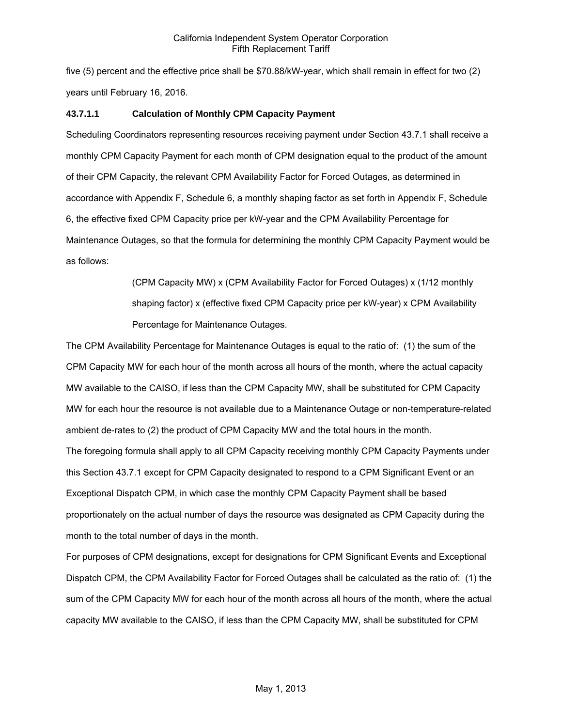five (5) percent and the effective price shall be \$70.88/kW-year, which shall remain in effect for two (2) years until February 16, 2016.

# **43.7.1.1 Calculation of Monthly CPM Capacity Payment**

Scheduling Coordinators representing resources receiving payment under Section 43.7.1 shall receive a monthly CPM Capacity Payment for each month of CPM designation equal to the product of the amount of their CPM Capacity, the relevant CPM Availability Factor for Forced Outages, as determined in accordance with Appendix F, Schedule 6, a monthly shaping factor as set forth in Appendix F, Schedule 6, the effective fixed CPM Capacity price per kW-year and the CPM Availability Percentage for Maintenance Outages, so that the formula for determining the monthly CPM Capacity Payment would be as follows:

> (CPM Capacity MW) x (CPM Availability Factor for Forced Outages) x (1/12 monthly shaping factor) x (effective fixed CPM Capacity price per kW-year) x CPM Availability Percentage for Maintenance Outages.

The CPM Availability Percentage for Maintenance Outages is equal to the ratio of: (1) the sum of the CPM Capacity MW for each hour of the month across all hours of the month, where the actual capacity MW available to the CAISO, if less than the CPM Capacity MW, shall be substituted for CPM Capacity MW for each hour the resource is not available due to a Maintenance Outage or non-temperature-related ambient de-rates to (2) the product of CPM Capacity MW and the total hours in the month. The foregoing formula shall apply to all CPM Capacity receiving monthly CPM Capacity Payments under this Section 43.7.1 except for CPM Capacity designated to respond to a CPM Significant Event or an Exceptional Dispatch CPM, in which case the monthly CPM Capacity Payment shall be based proportionately on the actual number of days the resource was designated as CPM Capacity during the month to the total number of days in the month.

For purposes of CPM designations, except for designations for CPM Significant Events and Exceptional Dispatch CPM, the CPM Availability Factor for Forced Outages shall be calculated as the ratio of: (1) the sum of the CPM Capacity MW for each hour of the month across all hours of the month, where the actual capacity MW available to the CAISO, if less than the CPM Capacity MW, shall be substituted for CPM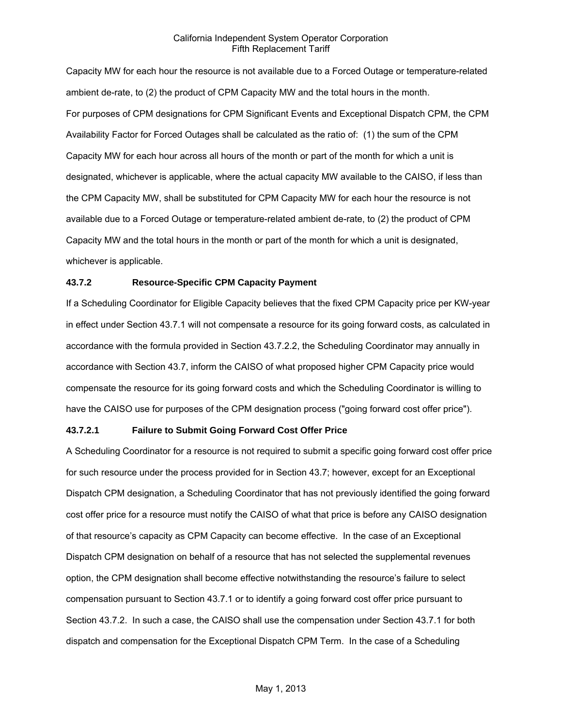Capacity MW for each hour the resource is not available due to a Forced Outage or temperature-related ambient de-rate, to (2) the product of CPM Capacity MW and the total hours in the month. For purposes of CPM designations for CPM Significant Events and Exceptional Dispatch CPM, the CPM Availability Factor for Forced Outages shall be calculated as the ratio of: (1) the sum of the CPM Capacity MW for each hour across all hours of the month or part of the month for which a unit is designated, whichever is applicable, where the actual capacity MW available to the CAISO, if less than the CPM Capacity MW, shall be substituted for CPM Capacity MW for each hour the resource is not available due to a Forced Outage or temperature-related ambient de-rate, to (2) the product of CPM Capacity MW and the total hours in the month or part of the month for which a unit is designated, whichever is applicable.

# **43.7.2 Resource-Specific CPM Capacity Payment**

If a Scheduling Coordinator for Eligible Capacity believes that the fixed CPM Capacity price per KW-year in effect under Section 43.7.1 will not compensate a resource for its going forward costs, as calculated in accordance with the formula provided in Section 43.7.2.2, the Scheduling Coordinator may annually in accordance with Section 43.7, inform the CAISO of what proposed higher CPM Capacity price would compensate the resource for its going forward costs and which the Scheduling Coordinator is willing to have the CAISO use for purposes of the CPM designation process ("going forward cost offer price").

#### **43.7.2.1 Failure to Submit Going Forward Cost Offer Price**

A Scheduling Coordinator for a resource is not required to submit a specific going forward cost offer price for such resource under the process provided for in Section 43.7; however, except for an Exceptional Dispatch CPM designation, a Scheduling Coordinator that has not previously identified the going forward cost offer price for a resource must notify the CAISO of what that price is before any CAISO designation of that resource's capacity as CPM Capacity can become effective. In the case of an Exceptional Dispatch CPM designation on behalf of a resource that has not selected the supplemental revenues option, the CPM designation shall become effective notwithstanding the resource's failure to select compensation pursuant to Section 43.7.1 or to identify a going forward cost offer price pursuant to Section 43.7.2. In such a case, the CAISO shall use the compensation under Section 43.7.1 for both dispatch and compensation for the Exceptional Dispatch CPM Term. In the case of a Scheduling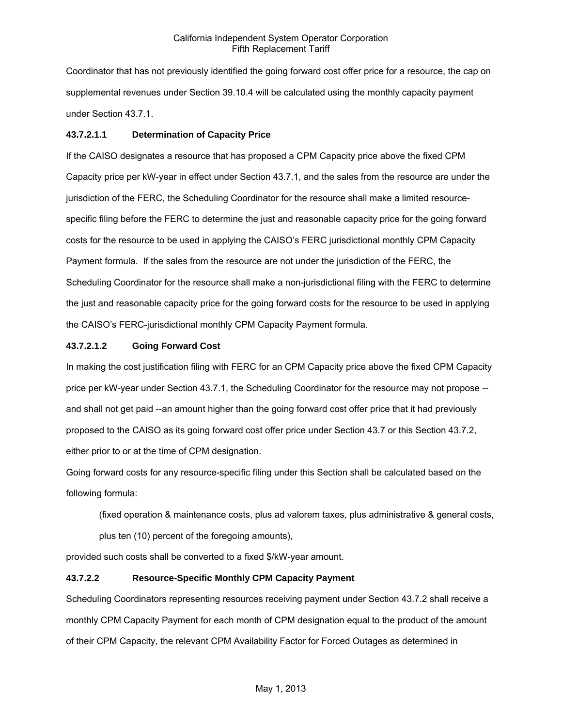Coordinator that has not previously identified the going forward cost offer price for a resource, the cap on supplemental revenues under Section 39.10.4 will be calculated using the monthly capacity payment under Section 43.7.1.

# **43.7.2.1.1 Determination of Capacity Price**

If the CAISO designates a resource that has proposed a CPM Capacity price above the fixed CPM Capacity price per kW-year in effect under Section 43.7.1, and the sales from the resource are under the jurisdiction of the FERC, the Scheduling Coordinator for the resource shall make a limited resourcespecific filing before the FERC to determine the just and reasonable capacity price for the going forward costs for the resource to be used in applying the CAISO's FERC jurisdictional monthly CPM Capacity Payment formula. If the sales from the resource are not under the jurisdiction of the FERC, the Scheduling Coordinator for the resource shall make a non-jurisdictional filing with the FERC to determine the just and reasonable capacity price for the going forward costs for the resource to be used in applying the CAISO's FERC-jurisdictional monthly CPM Capacity Payment formula.

# **43.7.2.1.2 Going Forward Cost**

In making the cost justification filing with FERC for an CPM Capacity price above the fixed CPM Capacity price per kW-year under Section 43.7.1, the Scheduling Coordinator for the resource may not propose - and shall not get paid --an amount higher than the going forward cost offer price that it had previously proposed to the CAISO as its going forward cost offer price under Section 43.7 or this Section 43.7.2, either prior to or at the time of CPM designation.

Going forward costs for any resource-specific filing under this Section shall be calculated based on the following formula:

(fixed operation & maintenance costs, plus ad valorem taxes, plus administrative & general costs,

plus ten (10) percent of the foregoing amounts),

provided such costs shall be converted to a fixed \$/kW-year amount.

# **43.7.2.2 Resource-Specific Monthly CPM Capacity Payment**

Scheduling Coordinators representing resources receiving payment under Section 43.7.2 shall receive a monthly CPM Capacity Payment for each month of CPM designation equal to the product of the amount of their CPM Capacity, the relevant CPM Availability Factor for Forced Outages as determined in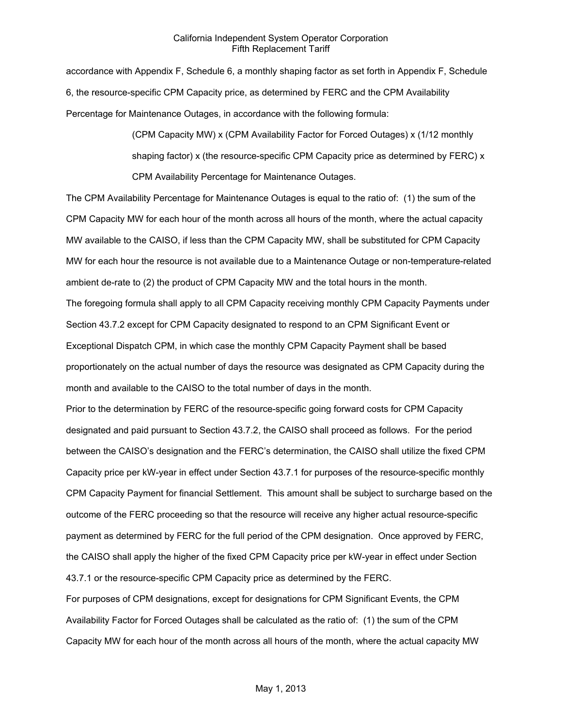accordance with Appendix F, Schedule 6, a monthly shaping factor as set forth in Appendix F, Schedule 6, the resource-specific CPM Capacity price, as determined by FERC and the CPM Availability Percentage for Maintenance Outages, in accordance with the following formula:

> (CPM Capacity MW) x (CPM Availability Factor for Forced Outages) x (1/12 monthly shaping factor) x (the resource-specific CPM Capacity price as determined by FERC) x CPM Availability Percentage for Maintenance Outages.

The CPM Availability Percentage for Maintenance Outages is equal to the ratio of: (1) the sum of the CPM Capacity MW for each hour of the month across all hours of the month, where the actual capacity MW available to the CAISO, if less than the CPM Capacity MW, shall be substituted for CPM Capacity MW for each hour the resource is not available due to a Maintenance Outage or non-temperature-related ambient de-rate to (2) the product of CPM Capacity MW and the total hours in the month.

The foregoing formula shall apply to all CPM Capacity receiving monthly CPM Capacity Payments under Section 43.7.2 except for CPM Capacity designated to respond to an CPM Significant Event or Exceptional Dispatch CPM, in which case the monthly CPM Capacity Payment shall be based proportionately on the actual number of days the resource was designated as CPM Capacity during the month and available to the CAISO to the total number of days in the month.

Prior to the determination by FERC of the resource-specific going forward costs for CPM Capacity designated and paid pursuant to Section 43.7.2, the CAISO shall proceed as follows. For the period between the CAISO's designation and the FERC's determination, the CAISO shall utilize the fixed CPM Capacity price per kW-year in effect under Section 43.7.1 for purposes of the resource-specific monthly CPM Capacity Payment for financial Settlement. This amount shall be subject to surcharge based on the outcome of the FERC proceeding so that the resource will receive any higher actual resource-specific payment as determined by FERC for the full period of the CPM designation. Once approved by FERC, the CAISO shall apply the higher of the fixed CPM Capacity price per kW-year in effect under Section 43.7.1 or the resource-specific CPM Capacity price as determined by the FERC.

For purposes of CPM designations, except for designations for CPM Significant Events, the CPM Availability Factor for Forced Outages shall be calculated as the ratio of: (1) the sum of the CPM Capacity MW for each hour of the month across all hours of the month, where the actual capacity MW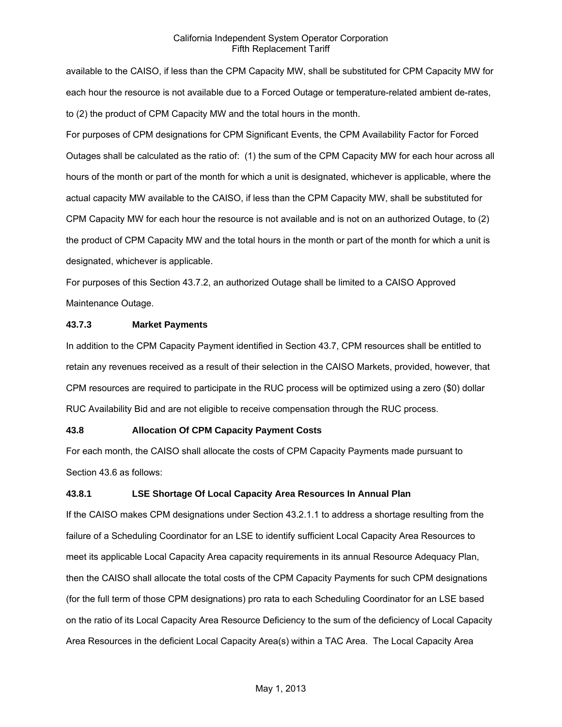available to the CAISO, if less than the CPM Capacity MW, shall be substituted for CPM Capacity MW for each hour the resource is not available due to a Forced Outage or temperature-related ambient de-rates, to (2) the product of CPM Capacity MW and the total hours in the month.

For purposes of CPM designations for CPM Significant Events, the CPM Availability Factor for Forced Outages shall be calculated as the ratio of: (1) the sum of the CPM Capacity MW for each hour across all hours of the month or part of the month for which a unit is designated, whichever is applicable, where the actual capacity MW available to the CAISO, if less than the CPM Capacity MW, shall be substituted for CPM Capacity MW for each hour the resource is not available and is not on an authorized Outage, to (2) the product of CPM Capacity MW and the total hours in the month or part of the month for which a unit is designated, whichever is applicable.

For purposes of this Section 43.7.2, an authorized Outage shall be limited to a CAISO Approved Maintenance Outage.

### **43.7.3 Market Payments**

In addition to the CPM Capacity Payment identified in Section 43.7, CPM resources shall be entitled to retain any revenues received as a result of their selection in the CAISO Markets, provided, however, that CPM resources are required to participate in the RUC process will be optimized using a zero (\$0) dollar RUC Availability Bid and are not eligible to receive compensation through the RUC process.

#### **43.8 Allocation Of CPM Capacity Payment Costs**

For each month, the CAISO shall allocate the costs of CPM Capacity Payments made pursuant to Section 43.6 as follows:

# **43.8.1 LSE Shortage Of Local Capacity Area Resources In Annual Plan**

If the CAISO makes CPM designations under Section 43.2.1.1 to address a shortage resulting from the failure of a Scheduling Coordinator for an LSE to identify sufficient Local Capacity Area Resources to meet its applicable Local Capacity Area capacity requirements in its annual Resource Adequacy Plan, then the CAISO shall allocate the total costs of the CPM Capacity Payments for such CPM designations (for the full term of those CPM designations) pro rata to each Scheduling Coordinator for an LSE based on the ratio of its Local Capacity Area Resource Deficiency to the sum of the deficiency of Local Capacity Area Resources in the deficient Local Capacity Area(s) within a TAC Area. The Local Capacity Area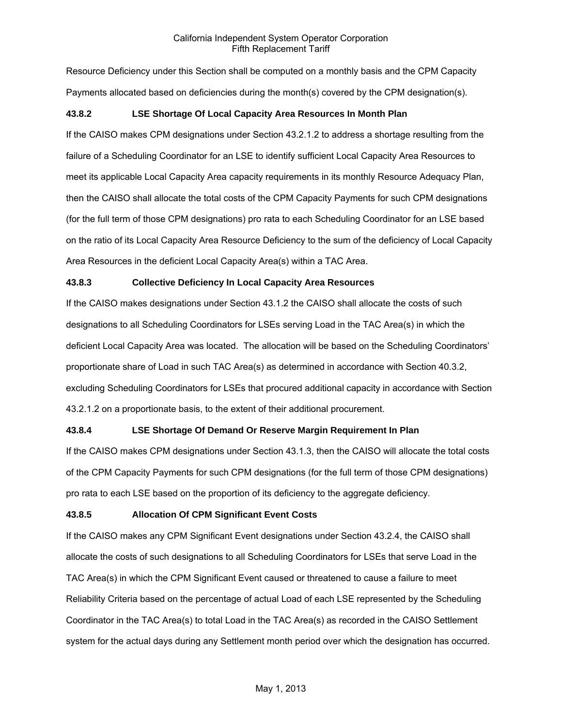Resource Deficiency under this Section shall be computed on a monthly basis and the CPM Capacity Payments allocated based on deficiencies during the month(s) covered by the CPM designation(s).

### **43.8.2 LSE Shortage Of Local Capacity Area Resources In Month Plan**

If the CAISO makes CPM designations under Section 43.2.1.2 to address a shortage resulting from the failure of a Scheduling Coordinator for an LSE to identify sufficient Local Capacity Area Resources to meet its applicable Local Capacity Area capacity requirements in its monthly Resource Adequacy Plan, then the CAISO shall allocate the total costs of the CPM Capacity Payments for such CPM designations (for the full term of those CPM designations) pro rata to each Scheduling Coordinator for an LSE based on the ratio of its Local Capacity Area Resource Deficiency to the sum of the deficiency of Local Capacity Area Resources in the deficient Local Capacity Area(s) within a TAC Area.

# **43.8.3 Collective Deficiency In Local Capacity Area Resources**

If the CAISO makes designations under Section 43.1.2 the CAISO shall allocate the costs of such designations to all Scheduling Coordinators for LSEs serving Load in the TAC Area(s) in which the deficient Local Capacity Area was located. The allocation will be based on the Scheduling Coordinators' proportionate share of Load in such TAC Area(s) as determined in accordance with Section 40.3.2, excluding Scheduling Coordinators for LSEs that procured additional capacity in accordance with Section 43.2.1.2 on a proportionate basis, to the extent of their additional procurement.

#### **43.8.4 LSE Shortage Of Demand Or Reserve Margin Requirement In Plan**

If the CAISO makes CPM designations under Section 43.1.3, then the CAISO will allocate the total costs of the CPM Capacity Payments for such CPM designations (for the full term of those CPM designations) pro rata to each LSE based on the proportion of its deficiency to the aggregate deficiency.

#### **43.8.5 Allocation Of CPM Significant Event Costs**

If the CAISO makes any CPM Significant Event designations under Section 43.2.4, the CAISO shall allocate the costs of such designations to all Scheduling Coordinators for LSEs that serve Load in the TAC Area(s) in which the CPM Significant Event caused or threatened to cause a failure to meet Reliability Criteria based on the percentage of actual Load of each LSE represented by the Scheduling Coordinator in the TAC Area(s) to total Load in the TAC Area(s) as recorded in the CAISO Settlement system for the actual days during any Settlement month period over which the designation has occurred.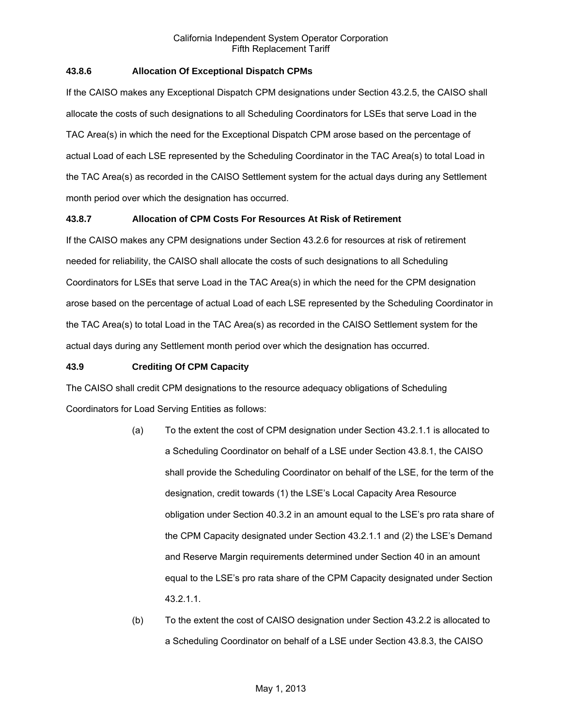### **43.8.6 Allocation Of Exceptional Dispatch CPMs**

If the CAISO makes any Exceptional Dispatch CPM designations under Section 43.2.5, the CAISO shall allocate the costs of such designations to all Scheduling Coordinators for LSEs that serve Load in the TAC Area(s) in which the need for the Exceptional Dispatch CPM arose based on the percentage of actual Load of each LSE represented by the Scheduling Coordinator in the TAC Area(s) to total Load in the TAC Area(s) as recorded in the CAISO Settlement system for the actual days during any Settlement month period over which the designation has occurred.

# **43.8.7 Allocation of CPM Costs For Resources At Risk of Retirement**

If the CAISO makes any CPM designations under Section 43.2.6 for resources at risk of retirement needed for reliability, the CAISO shall allocate the costs of such designations to all Scheduling Coordinators for LSEs that serve Load in the TAC Area(s) in which the need for the CPM designation arose based on the percentage of actual Load of each LSE represented by the Scheduling Coordinator in the TAC Area(s) to total Load in the TAC Area(s) as recorded in the CAISO Settlement system for the actual days during any Settlement month period over which the designation has occurred.

#### **43.9 Crediting Of CPM Capacity**

The CAISO shall credit CPM designations to the resource adequacy obligations of Scheduling Coordinators for Load Serving Entities as follows:

- (a) To the extent the cost of CPM designation under Section 43.2.1.1 is allocated to a Scheduling Coordinator on behalf of a LSE under Section 43.8.1, the CAISO shall provide the Scheduling Coordinator on behalf of the LSE, for the term of the designation, credit towards (1) the LSE's Local Capacity Area Resource obligation under Section 40.3.2 in an amount equal to the LSE's pro rata share of the CPM Capacity designated under Section 43.2.1.1 and (2) the LSE's Demand and Reserve Margin requirements determined under Section 40 in an amount equal to the LSE's pro rata share of the CPM Capacity designated under Section 43.2.1.1.
- (b) To the extent the cost of CAISO designation under Section 43.2.2 is allocated to a Scheduling Coordinator on behalf of a LSE under Section 43.8.3, the CAISO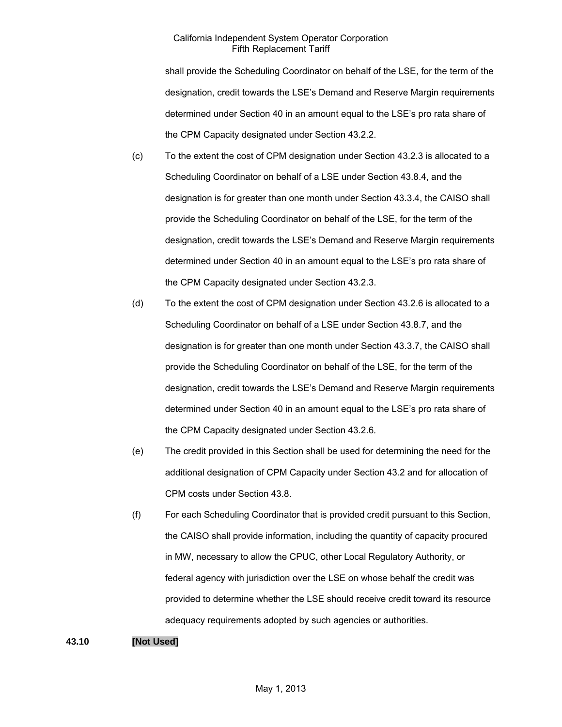shall provide the Scheduling Coordinator on behalf of the LSE, for the term of the designation, credit towards the LSE's Demand and Reserve Margin requirements determined under Section 40 in an amount equal to the LSE's pro rata share of the CPM Capacity designated under Section 43.2.2.

- (c) To the extent the cost of CPM designation under Section 43.2.3 is allocated to a Scheduling Coordinator on behalf of a LSE under Section 43.8.4, and the designation is for greater than one month under Section 43.3.4, the CAISO shall provide the Scheduling Coordinator on behalf of the LSE, for the term of the designation, credit towards the LSE's Demand and Reserve Margin requirements determined under Section 40 in an amount equal to the LSE's pro rata share of the CPM Capacity designated under Section 43.2.3.
- (d) To the extent the cost of CPM designation under Section 43.2.6 is allocated to a Scheduling Coordinator on behalf of a LSE under Section 43.8.7, and the designation is for greater than one month under Section 43.3.7, the CAISO shall provide the Scheduling Coordinator on behalf of the LSE, for the term of the designation, credit towards the LSE's Demand and Reserve Margin requirements determined under Section 40 in an amount equal to the LSE's pro rata share of the CPM Capacity designated under Section 43.2.6.
- (e) The credit provided in this Section shall be used for determining the need for the additional designation of CPM Capacity under Section 43.2 and for allocation of CPM costs under Section 43.8.
- (f) For each Scheduling Coordinator that is provided credit pursuant to this Section, the CAISO shall provide information, including the quantity of capacity procured in MW, necessary to allow the CPUC, other Local Regulatory Authority, or federal agency with jurisdiction over the LSE on whose behalf the credit was provided to determine whether the LSE should receive credit toward its resource adequacy requirements adopted by such agencies or authorities.

# **43.10 [Not Used]**